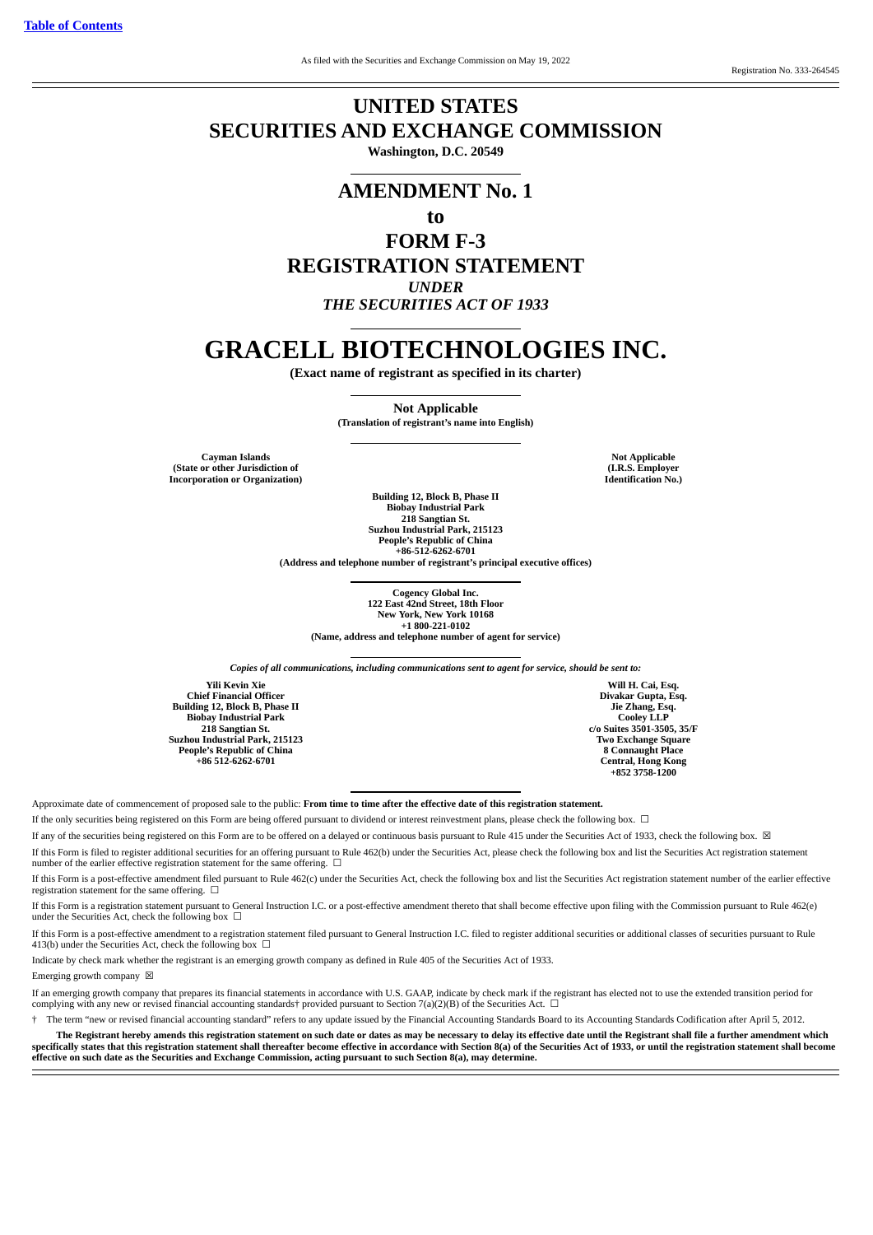# **UNITED STATES SECURITIES AND EXCHANGE COMMISSION Washington, D.C. 20549**

# **AMENDMENT No. 1**

**to**

# **FORM F-3 REGISTRATION STATEMENT** *UNDER*

*THE SECURITIES ACT OF 1933*

# **GRACELL BIOTECHNOLOGIES INC.**

**(Exact name of registrant as specified in its charter)**

**Not Applicable (Translation of registrant's name into English)**

**Cayman Islands (State or other Jurisdiction of Incorporation or Organization)**

**Not Applicable (I.R.S. Employer Identification No.)**

**Building 12, Block B, Phase II Biobay Industrial Park 218 Sangtian St. Suzhou Industrial Park, 215123 People's Republic of China +86-512-6262-6701 (Address and telephone number of registrant's principal executive offices)**

> **Cogency Global Inc. 122 East 42nd Street, 18th Floor New York, New York 10168 +1 800-221-0102 (Name, address and telephone number of agent for service)**

*Copies of all communications, including communications sent to agent for service, should be sent to:*

**Yili Kevin Xie Chief Financial Officer Building 12, Block B, Phase II Biobay Industrial Park 218 Sangtian St. Suzhou Industrial Park, 215123 People's Republic of China +86 512-6262-6701**

**Will H. Cai, Esq. Divakar Gupta, Esq. Jie Zhang, Esq. Cooley LLP c/o Suites 3501-3505, 35/F Two Exchange Square 8 Connaught Place Central, Hong Kong +852 3758-1200**

Approximate date of commencement of proposed sale to the public: **From time to time after the effective date of this registration statement.**

If the only securities being registered on this Form are being offered pursuant to dividend or interest reinvestment plans, please check the following box.  $\Box$ 

If any of the securities being registered on this Form are to be offered on a delayed or continuous basis pursuant to Rule 415 under the Securities Act of 1933, check the following box. ⊠ If this Form is filed to register additional securities for an offering pursuant to Rule 462(b) under the Securities Act, please check the following box and list the Securities Act registration statement number of the earlier effective registration statement for the same offering.  $\Box$ 

If this Form is a post-effective amendment filed pursuant to Rule 462(c) under the Securities Act, check the following box and list the Securities Act registration statement number of the earlier effective registration statement for the same offering.  $□$ 

If this Form is a registration statement pursuant to General Instruction I.C. or a post-effective amendment thereto that shall become effective upon filing with the Commission pursuant to Rule 462(e) under the Securities Act, check the following box  $\Box$ 

If this Form is a post-effective amendment to a registration statement filed pursuant to General Instruction I.C. filed to register additional securities or additional classes of securities pursuant to Rule 413(b) under the Securities Act, check the following box  $\Box$ 

Indicate by check mark whether the registrant is an emerging growth company as defined in Rule 405 of the Securities Act of 1933.

Emerging growth company  $\boxtimes$ 

If an emerging growth company that prepares its financial statements in accordance with U.S. GAAP, indicate by check mark if the registrant has elected not to use the extended transition period for complying with any new or revised financial accounting standards† provided pursuant to Section 7(a)(2)(B) of the Securities Act.  $\Box$ 

† The term "new or revised financial accounting standard" refers to any update issued by the Financial Accounting Standards Board to its Accounting Standards Codification after April 5, 2012.

**The Registrant hereby amends this registration statement on such date or dates as may be necessary to delay its effective date until the Registrant shall file a further amendment which** specifically states that this registration statement shall thereafter become effective in accordance with Section 8(a) of the Securities Act of 1933, or until the registration statement shall become **effective on such date as the Securities and Exchange Commission, acting pursuant to such Section 8(a), may determine.**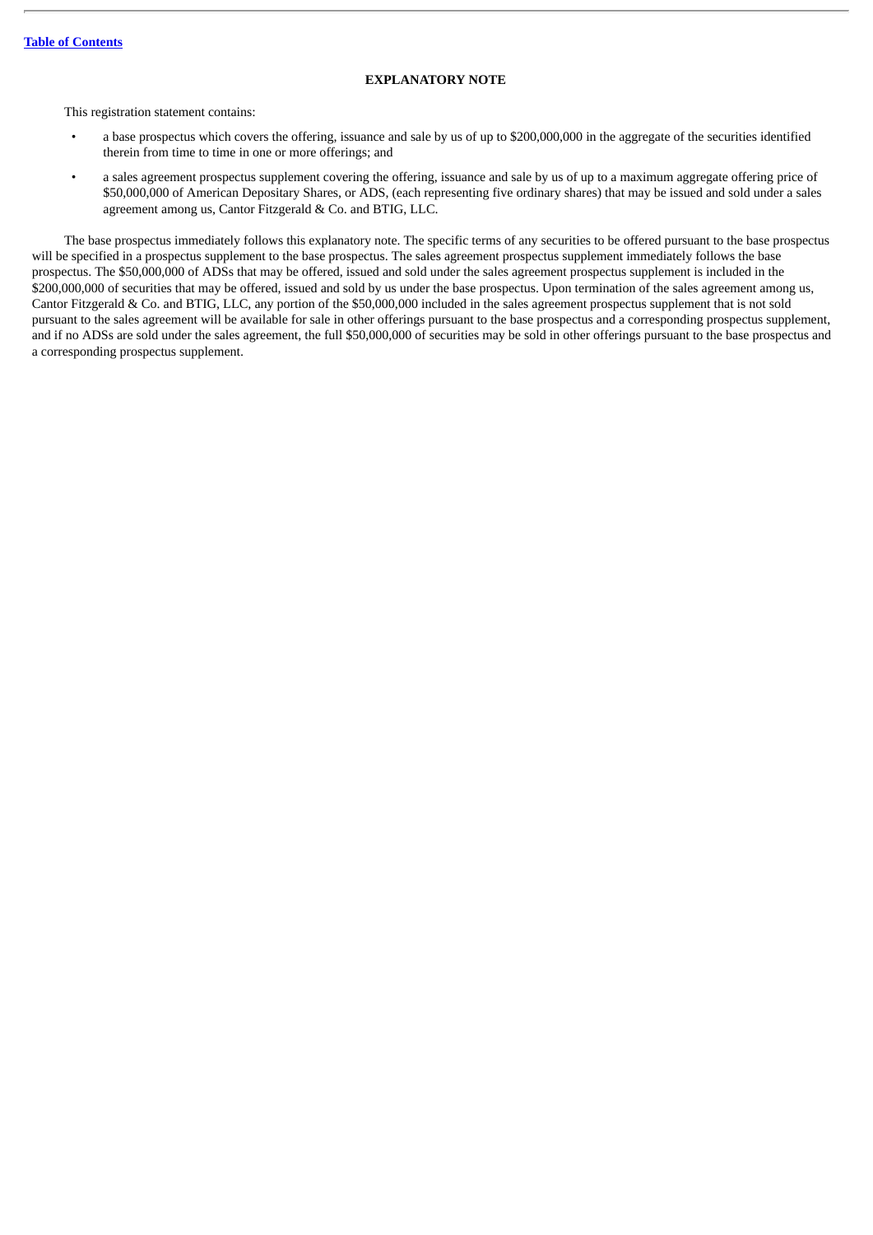# **EXPLANATORY NOTE**

This registration statement contains:

- a base prospectus which covers the offering, issuance and sale by us of up to \$200,000,000 in the aggregate of the securities identified therein from time to time in one or more offerings; and
- a sales agreement prospectus supplement covering the offering, issuance and sale by us of up to a maximum aggregate offering price of \$50,000,000 of American Depositary Shares, or ADS, (each representing five ordinary shares) that may be issued and sold under a sales agreement among us, Cantor Fitzgerald & Co. and BTIG, LLC.

The base prospectus immediately follows this explanatory note. The specific terms of any securities to be offered pursuant to the base prospectus will be specified in a prospectus supplement to the base prospectus. The sales agreement prospectus supplement immediately follows the base prospectus. The \$50,000,000 of ADSs that may be offered, issued and sold under the sales agreement prospectus supplement is included in the \$200,000,000 of securities that may be offered, issued and sold by us under the base prospectus. Upon termination of the sales agreement among us, Cantor Fitzgerald & Co. and BTIG, LLC, any portion of the \$50,000,000 included in the sales agreement prospectus supplement that is not sold pursuant to the sales agreement will be available for sale in other offerings pursuant to the base prospectus and a corresponding prospectus supplement, and if no ADSs are sold under the sales agreement, the full \$50,000,000 of securities may be sold in other offerings pursuant to the base prospectus and a corresponding prospectus supplement.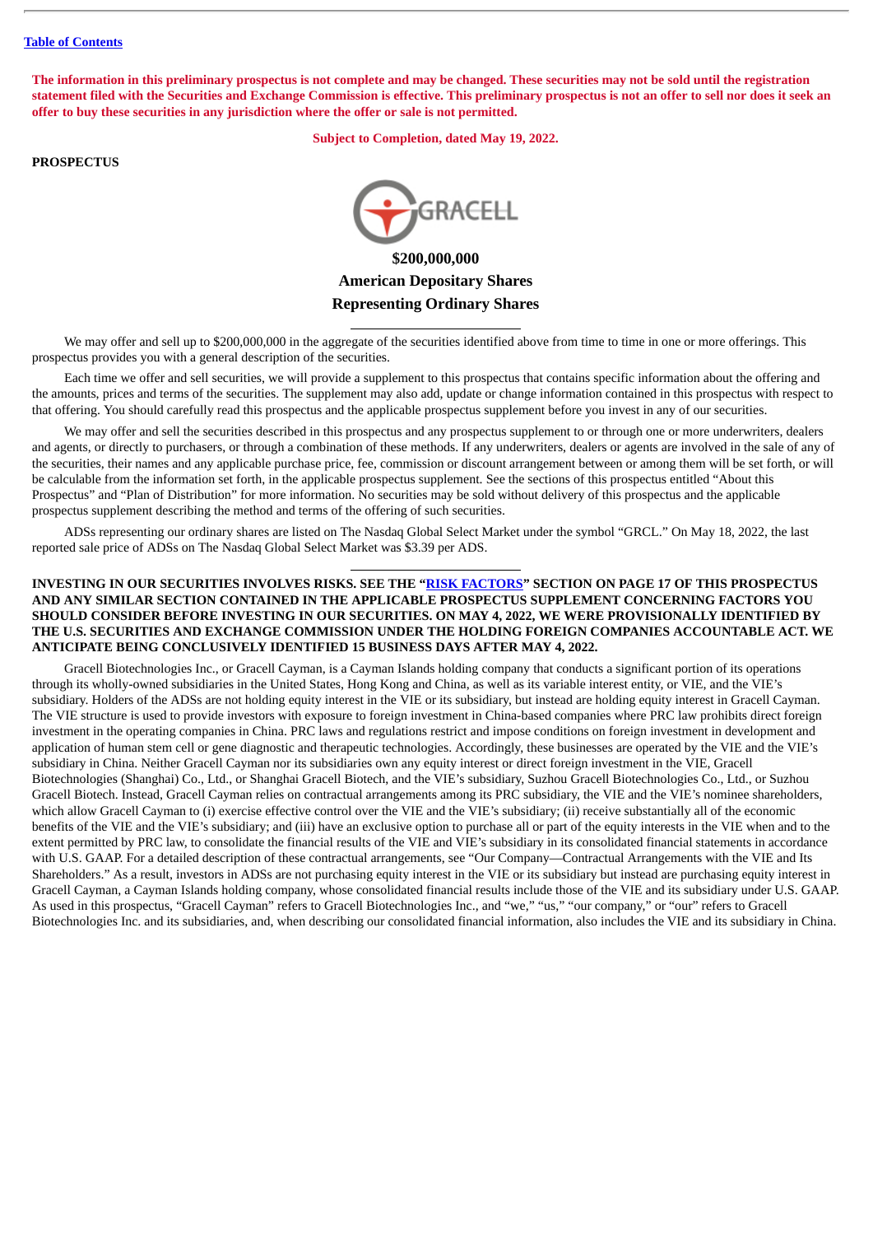The information in this preliminary prospectus is not complete and may be changed. These securities may not be sold until the registration statement filed with the Securities and Exchange Commission is effective. This preliminary prospectus is not an offer to sell nor does it seek an **offer to buy these securities in any jurisdiction where the offer or sale is not permitted.**

**Subject to Completion, dated May 19, 2022.**

# **PROSPECTUS**



**\$200,000,000 American Depositary Shares Representing Ordinary Shares**

We may offer and sell up to \$200,000,000 in the aggregate of the securities identified above from time to time in one or more offerings. This prospectus provides you with a general description of the securities.

Each time we offer and sell securities, we will provide a supplement to this prospectus that contains specific information about the offering and the amounts, prices and terms of the securities. The supplement may also add, update or change information contained in this prospectus with respect to that offering. You should carefully read this prospectus and the applicable prospectus supplement before you invest in any of our securities.

We may offer and sell the securities described in this prospectus and any prospectus supplement to or through one or more underwriters, dealers and agents, or directly to purchasers, or through a combination of these methods. If any underwriters, dealers or agents are involved in the sale of any of the securities, their names and any applicable purchase price, fee, commission or discount arrangement between or among them will be set forth, or will be calculable from the information set forth, in the applicable prospectus supplement. See the sections of this prospectus entitled "About this Prospectus" and "Plan of Distribution" for more information. No securities may be sold without delivery of this prospectus and the applicable prospectus supplement describing the method and terms of the offering of such securities.

ADSs representing our ordinary shares are listed on The Nasdaq Global Select Market under the symbol "GRCL." On May 18, 2022, the last reported sale price of ADSs on The Nasdaq Global Select Market was \$3.39 per ADS.

# **INVESTING IN OUR SECURITIES INVOLVES RISKS. SEE THE "RISK [FACTORS"](#page-21-0) SECTION ON PAGE 17 OF THIS PROSPECTUS AND ANY SIMILAR SECTION CONTAINED IN THE APPLICABLE PROSPECTUS SUPPLEMENT CONCERNING FACTORS YOU SHOULD CONSIDER BEFORE INVESTING IN OUR SECURITIES. ON MAY 4, 2022, WE WERE PROVISIONALLY IDENTIFIED BY THE U.S. SECURITIES AND EXCHANGE COMMISSION UNDER THE HOLDING FOREIGN COMPANIES ACCOUNTABLE ACT. WE ANTICIPATE BEING CONCLUSIVELY IDENTIFIED 15 BUSINESS DAYS AFTER MAY 4, 2022.**

Gracell Biotechnologies Inc., or Gracell Cayman, is a Cayman Islands holding company that conducts a significant portion of its operations through its wholly-owned subsidiaries in the United States, Hong Kong and China, as well as its variable interest entity, or VIE, and the VIE's subsidiary. Holders of the ADSs are not holding equity interest in the VIE or its subsidiary, but instead are holding equity interest in Gracell Cayman. The VIE structure is used to provide investors with exposure to foreign investment in China-based companies where PRC law prohibits direct foreign investment in the operating companies in China. PRC laws and regulations restrict and impose conditions on foreign investment in development and application of human stem cell or gene diagnostic and therapeutic technologies. Accordingly, these businesses are operated by the VIE and the VIE's subsidiary in China. Neither Gracell Cayman nor its subsidiaries own any equity interest or direct foreign investment in the VIE, Gracell Biotechnologies (Shanghai) Co., Ltd., or Shanghai Gracell Biotech, and the VIE's subsidiary, Suzhou Gracell Biotechnologies Co., Ltd., or Suzhou Gracell Biotech. Instead, Gracell Cayman relies on contractual arrangements among its PRC subsidiary, the VIE and the VIE's nominee shareholders, which allow Gracell Cayman to (i) exercise effective control over the VIE and the VIE's subsidiary; (ii) receive substantially all of the economic benefits of the VIE and the VIE's subsidiary; and (iii) have an exclusive option to purchase all or part of the equity interests in the VIE when and to the extent permitted by PRC law, to consolidate the financial results of the VIE and VIE's subsidiary in its consolidated financial statements in accordance with U.S. GAAP. For a detailed description of these contractual arrangements, see "Our Company—Contractual Arrangements with the VIE and Its Shareholders." As a result, investors in ADSs are not purchasing equity interest in the VIE or its subsidiary but instead are purchasing equity interest in Gracell Cayman, a Cayman Islands holding company, whose consolidated financial results include those of the VIE and its subsidiary under U.S. GAAP. As used in this prospectus, "Gracell Cayman" refers to Gracell Biotechnologies Inc., and "we," "us," "our company," or "our" refers to Gracell Biotechnologies Inc. and its subsidiaries, and, when describing our consolidated financial information, also includes the VIE and its subsidiary in China.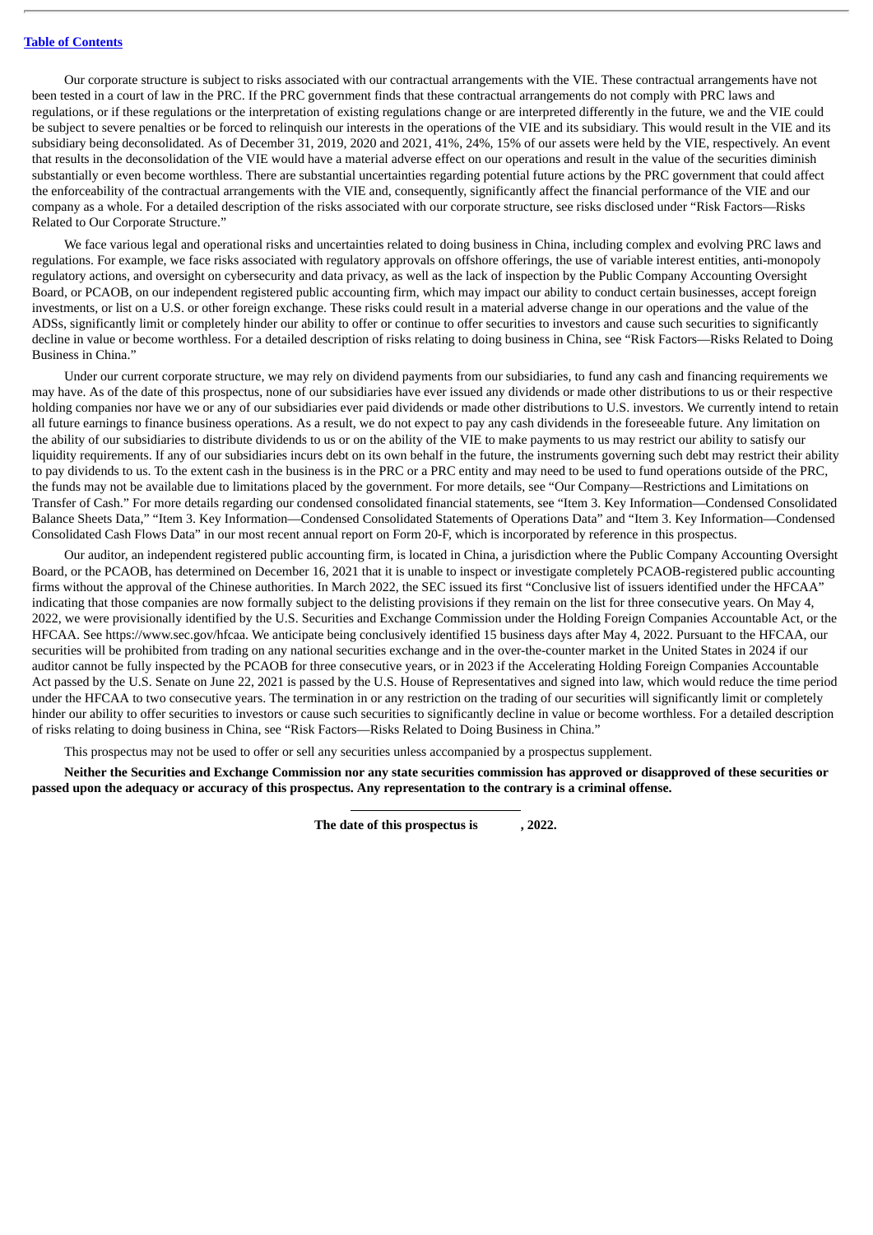Our corporate structure is subject to risks associated with our contractual arrangements with the VIE. These contractual arrangements have not been tested in a court of law in the PRC. If the PRC government finds that these contractual arrangements do not comply with PRC laws and regulations, or if these regulations or the interpretation of existing regulations change or are interpreted differently in the future, we and the VIE could be subject to severe penalties or be forced to relinquish our interests in the operations of the VIE and its subsidiary. This would result in the VIE and its subsidiary being deconsolidated. As of December 31, 2019, 2020 and 2021, 41%, 24%, 15% of our assets were held by the VIE, respectively. An event that results in the deconsolidation of the VIE would have a material adverse effect on our operations and result in the value of the securities diminish substantially or even become worthless. There are substantial uncertainties regarding potential future actions by the PRC government that could affect the enforceability of the contractual arrangements with the VIE and, consequently, significantly affect the financial performance of the VIE and our company as a whole. For a detailed description of the risks associated with our corporate structure, see risks disclosed under "Risk Factors—Risks Related to Our Corporate Structure."

We face various legal and operational risks and uncertainties related to doing business in China, including complex and evolving PRC laws and regulations. For example, we face risks associated with regulatory approvals on offshore offerings, the use of variable interest entities, anti-monopoly regulatory actions, and oversight on cybersecurity and data privacy, as well as the lack of inspection by the Public Company Accounting Oversight Board, or PCAOB, on our independent registered public accounting firm, which may impact our ability to conduct certain businesses, accept foreign investments, or list on a U.S. or other foreign exchange. These risks could result in a material adverse change in our operations and the value of the ADSs, significantly limit or completely hinder our ability to offer or continue to offer securities to investors and cause such securities to significantly decline in value or become worthless. For a detailed description of risks relating to doing business in China, see "Risk Factors—Risks Related to Doing Business in China."

Under our current corporate structure, we may rely on dividend payments from our subsidiaries, to fund any cash and financing requirements we may have. As of the date of this prospectus, none of our subsidiaries have ever issued any dividends or made other distributions to us or their respective holding companies nor have we or any of our subsidiaries ever paid dividends or made other distributions to U.S. investors. We currently intend to retain all future earnings to finance business operations. As a result, we do not expect to pay any cash dividends in the foreseeable future. Any limitation on the ability of our subsidiaries to distribute dividends to us or on the ability of the VIE to make payments to us may restrict our ability to satisfy our liquidity requirements. If any of our subsidiaries incurs debt on its own behalf in the future, the instruments governing such debt may restrict their ability to pay dividends to us. To the extent cash in the business is in the PRC or a PRC entity and may need to be used to fund operations outside of the PRC, the funds may not be available due to limitations placed by the government. For more details, see "Our Company—Restrictions and Limitations on Transfer of Cash." For more details regarding our condensed consolidated financial statements, see "Item 3. Key Information—Condensed Consolidated Balance Sheets Data," "Item 3. Key Information—Condensed Consolidated Statements of Operations Data" and "Item 3. Key Information—Condensed Consolidated Cash Flows Data" in our most recent annual report on Form 20-F, which is incorporated by reference in this prospectus.

Our auditor, an independent registered public accounting firm, is located in China, a jurisdiction where the Public Company Accounting Oversight Board, or the PCAOB, has determined on December 16, 2021 that it is unable to inspect or investigate completely PCAOB-registered public accounting firms without the approval of the Chinese authorities. In March 2022, the SEC issued its first "Conclusive list of issuers identified under the HFCAA" indicating that those companies are now formally subject to the delisting provisions if they remain on the list for three consecutive years. On May 4, 2022, we were provisionally identified by the U.S. Securities and Exchange Commission under the Holding Foreign Companies Accountable Act, or the HFCAA. See https://www.sec.gov/hfcaa. We anticipate being conclusively identified 15 business days after May 4, 2022. Pursuant to the HFCAA, our securities will be prohibited from trading on any national securities exchange and in the over-the-counter market in the United States in 2024 if our auditor cannot be fully inspected by the PCAOB for three consecutive years, or in 2023 if the Accelerating Holding Foreign Companies Accountable Act passed by the U.S. Senate on June 22, 2021 is passed by the U.S. House of Representatives and signed into law, which would reduce the time period under the HFCAA to two consecutive years. The termination in or any restriction on the trading of our securities will significantly limit or completely hinder our ability to offer securities to investors or cause such securities to significantly decline in value or become worthless. For a detailed description of risks relating to doing business in China, see "Risk Factors—Risks Related to Doing Business in China."

This prospectus may not be used to offer or sell any securities unless accompanied by a prospectus supplement.

Neither the Securities and Exchange Commission nor any state securities commission has approved or disapproved of these securities or passed upon the adequacy or accuracy of this prospectus. Any representation to the contrary is a criminal offense.

**The date of this prospectus is , 2022.**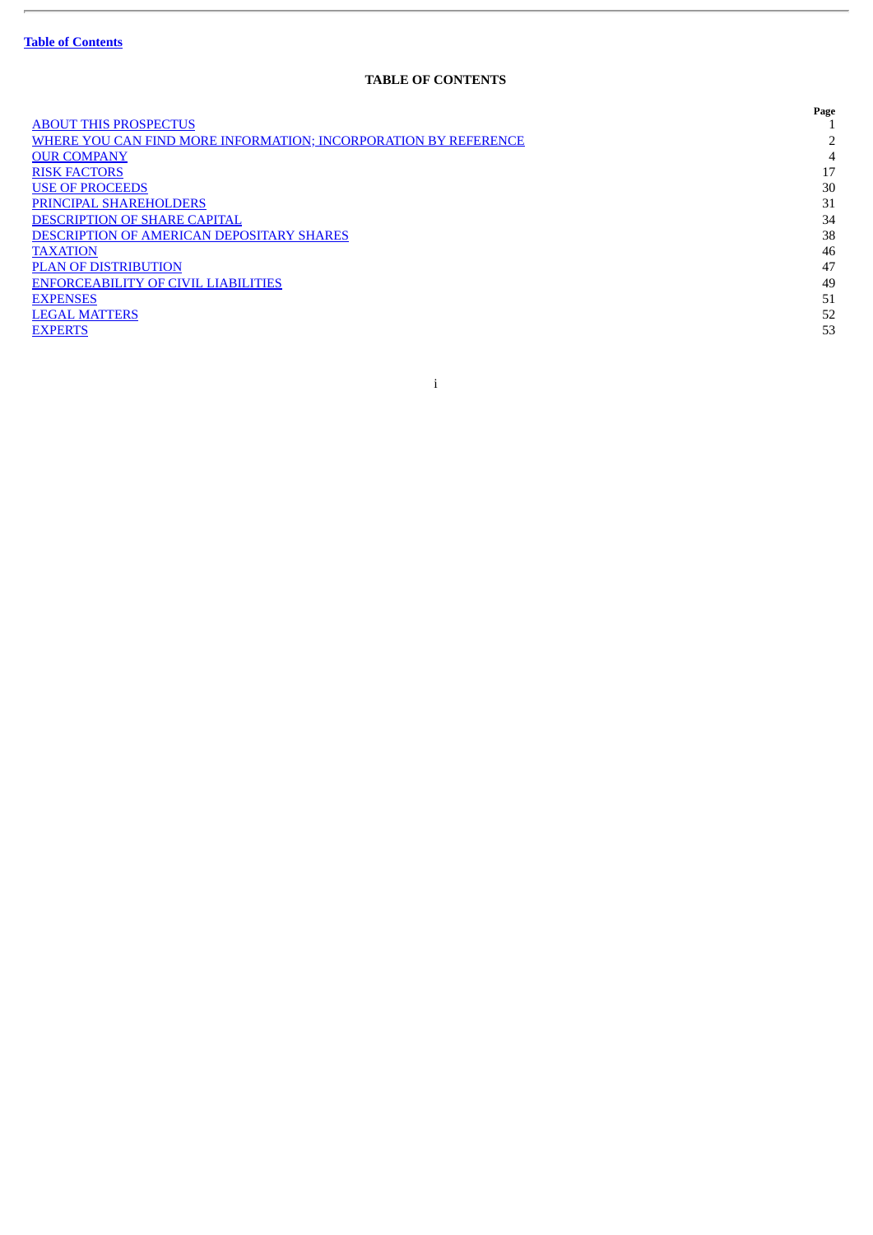ł.

# **TABLE OF CONTENTS**

<span id="page-4-0"></span>

|                                                                 | Page |
|-----------------------------------------------------------------|------|
| <b>ABOUT THIS PROSPECTUS</b>                                    |      |
| WHERE YOU CAN FIND MORE INFORMATION; INCORPORATION BY REFERENCE | ר    |
| <b>OUR COMPANY</b>                                              | 4    |
| <b>RISK FACTORS</b>                                             | 17   |
| <b>USE OF PROCEEDS</b>                                          | 30   |
| PRINCIPAL SHAREHOLDERS                                          | 31   |
| <b>DESCRIPTION OF SHARE CAPITAL</b>                             | 34   |
| <b>DESCRIPTION OF AMERICAN DEPOSITARY SHARES</b>                | 38   |
| <b>TAXATION</b>                                                 | 46   |
| <b>PLAN OF DISTRIBUTION</b>                                     | 47   |
| <b>ENFORCEABILITY OF CIVIL LIABILITIES</b>                      | 49   |
| <b>EXPENSES</b>                                                 | 51   |
| <b>LEGAL MATTERS</b>                                            | 52   |
| <b>EXPERTS</b>                                                  | 53   |
|                                                                 |      |

i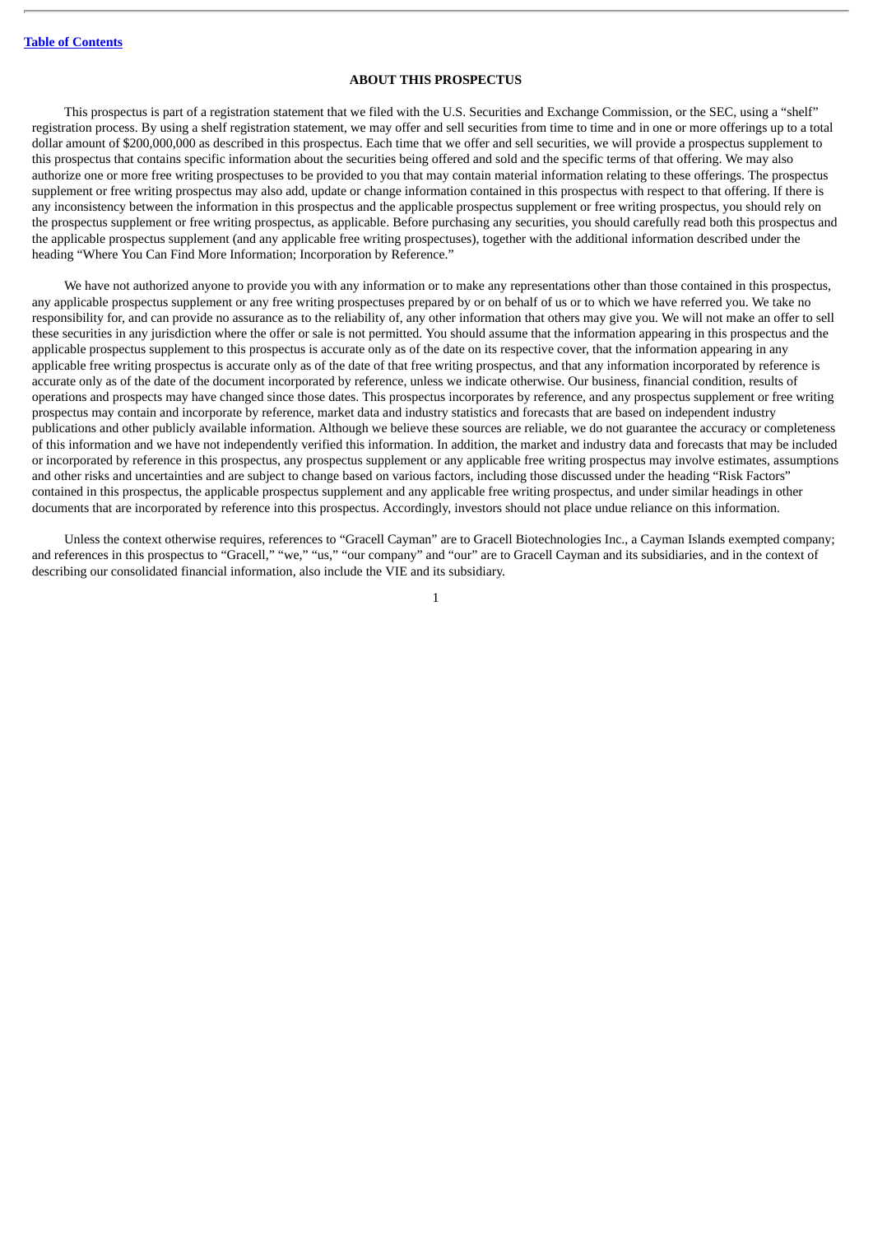# **ABOUT THIS PROSPECTUS**

<span id="page-5-0"></span>This prospectus is part of a registration statement that we filed with the U.S. Securities and Exchange Commission, or the SEC, using a "shelf" registration process. By using a shelf registration statement, we may offer and sell securities from time to time and in one or more offerings up to a total dollar amount of \$200,000,000 as described in this prospectus. Each time that we offer and sell securities, we will provide a prospectus supplement to this prospectus that contains specific information about the securities being offered and sold and the specific terms of that offering. We may also authorize one or more free writing prospectuses to be provided to you that may contain material information relating to these offerings. The prospectus supplement or free writing prospectus may also add, update or change information contained in this prospectus with respect to that offering. If there is any inconsistency between the information in this prospectus and the applicable prospectus supplement or free writing prospectus, you should rely on the prospectus supplement or free writing prospectus, as applicable. Before purchasing any securities, you should carefully read both this prospectus and the applicable prospectus supplement (and any applicable free writing prospectuses), together with the additional information described under the heading "Where You Can Find More Information; Incorporation by Reference."

We have not authorized anyone to provide you with any information or to make any representations other than those contained in this prospectus, any applicable prospectus supplement or any free writing prospectuses prepared by or on behalf of us or to which we have referred you. We take no responsibility for, and can provide no assurance as to the reliability of, any other information that others may give you. We will not make an offer to sell these securities in any jurisdiction where the offer or sale is not permitted. You should assume that the information appearing in this prospectus and the applicable prospectus supplement to this prospectus is accurate only as of the date on its respective cover, that the information appearing in any applicable free writing prospectus is accurate only as of the date of that free writing prospectus, and that any information incorporated by reference is accurate only as of the date of the document incorporated by reference, unless we indicate otherwise. Our business, financial condition, results of operations and prospects may have changed since those dates. This prospectus incorporates by reference, and any prospectus supplement or free writing prospectus may contain and incorporate by reference, market data and industry statistics and forecasts that are based on independent industry publications and other publicly available information. Although we believe these sources are reliable, we do not guarantee the accuracy or completeness of this information and we have not independently verified this information. In addition, the market and industry data and forecasts that may be included or incorporated by reference in this prospectus, any prospectus supplement or any applicable free writing prospectus may involve estimates, assumptions and other risks and uncertainties and are subject to change based on various factors, including those discussed under the heading "Risk Factors" contained in this prospectus, the applicable prospectus supplement and any applicable free writing prospectus, and under similar headings in other documents that are incorporated by reference into this prospectus. Accordingly, investors should not place undue reliance on this information.

Unless the context otherwise requires, references to "Gracell Cayman" are to Gracell Biotechnologies Inc., a Cayman Islands exempted company; and references in this prospectus to "Gracell," "we," "us," "our company" and "our" are to Gracell Cayman and its subsidiaries, and in the context of describing our consolidated financial information, also include the VIE and its subsidiary.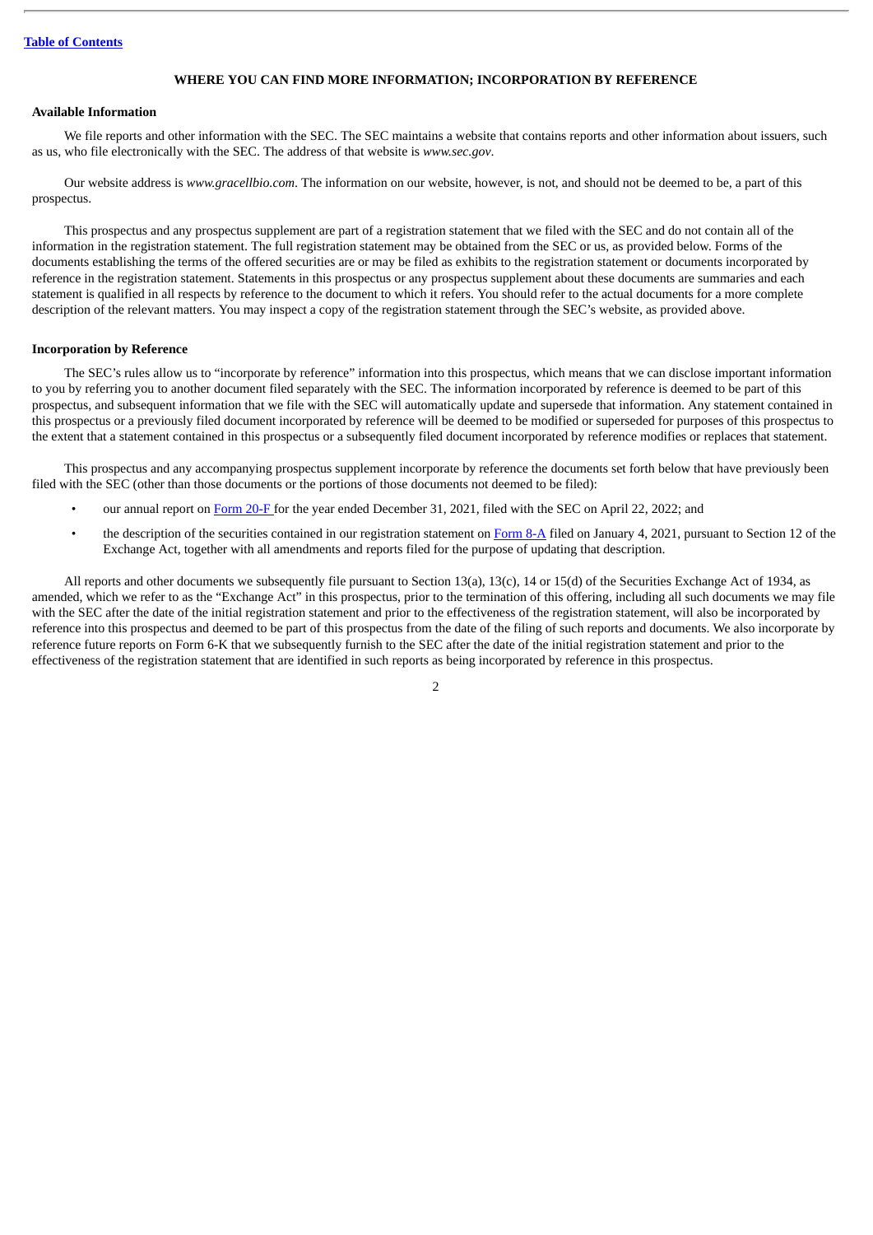# **WHERE YOU CAN FIND MORE INFORMATION; INCORPORATION BY REFERENCE**

# <span id="page-6-0"></span>**Available Information**

We file reports and other information with the SEC. The SEC maintains a website that contains reports and other information about issuers, such as us, who file electronically with the SEC. The address of that website is *www.sec.gov*.

Our website address is *www.gracellbio.com*. The information on our website, however, is not, and should not be deemed to be, a part of this prospectus.

This prospectus and any prospectus supplement are part of a registration statement that we filed with the SEC and do not contain all of the information in the registration statement. The full registration statement may be obtained from the SEC or us, as provided below. Forms of the documents establishing the terms of the offered securities are or may be filed as exhibits to the registration statement or documents incorporated by reference in the registration statement. Statements in this prospectus or any prospectus supplement about these documents are summaries and each statement is qualified in all respects by reference to the document to which it refers. You should refer to the actual documents for a more complete description of the relevant matters. You may inspect a copy of the registration statement through the SEC's website, as provided above.

### **Incorporation by Reference**

The SEC's rules allow us to "incorporate by reference" information into this prospectus, which means that we can disclose important information to you by referring you to another document filed separately with the SEC. The information incorporated by reference is deemed to be part of this prospectus, and subsequent information that we file with the SEC will automatically update and supersede that information. Any statement contained in this prospectus or a previously filed document incorporated by reference will be deemed to be modified or superseded for purposes of this prospectus to the extent that a statement contained in this prospectus or a subsequently filed document incorporated by reference modifies or replaces that statement.

This prospectus and any accompanying prospectus supplement incorporate by reference the documents set forth below that have previously been filed with the SEC (other than those documents or the portions of those documents not deemed to be filed):

- our annual report on [Form](http://www.sec.gov/ix?doc=/Archives/edgar/data/1826492/000119312522115083/d273170d20f.htm) 20-F for the year ended December 31, 2021, filed with the SEC on April 22, 2022; and
- the description of the securities contained in our registration statement on [Form](http://www.sec.gov/Archives/edgar/data/1826492/000119312521000456/d86180d8a12b.htm) 8-A filed on January 4, 2021, pursuant to Section 12 of the Exchange Act, together with all amendments and reports filed for the purpose of updating that description.

All reports and other documents we subsequently file pursuant to Section 13(a), 13(c), 14 or 15(d) of the Securities Exchange Act of 1934, as amended, which we refer to as the "Exchange Act" in this prospectus, prior to the termination of this offering, including all such documents we may file with the SEC after the date of the initial registration statement and prior to the effectiveness of the registration statement, will also be incorporated by reference into this prospectus and deemed to be part of this prospectus from the date of the filing of such reports and documents. We also incorporate by reference future reports on Form 6-K that we subsequently furnish to the SEC after the date of the initial registration statement and prior to the effectiveness of the registration statement that are identified in such reports as being incorporated by reference in this prospectus.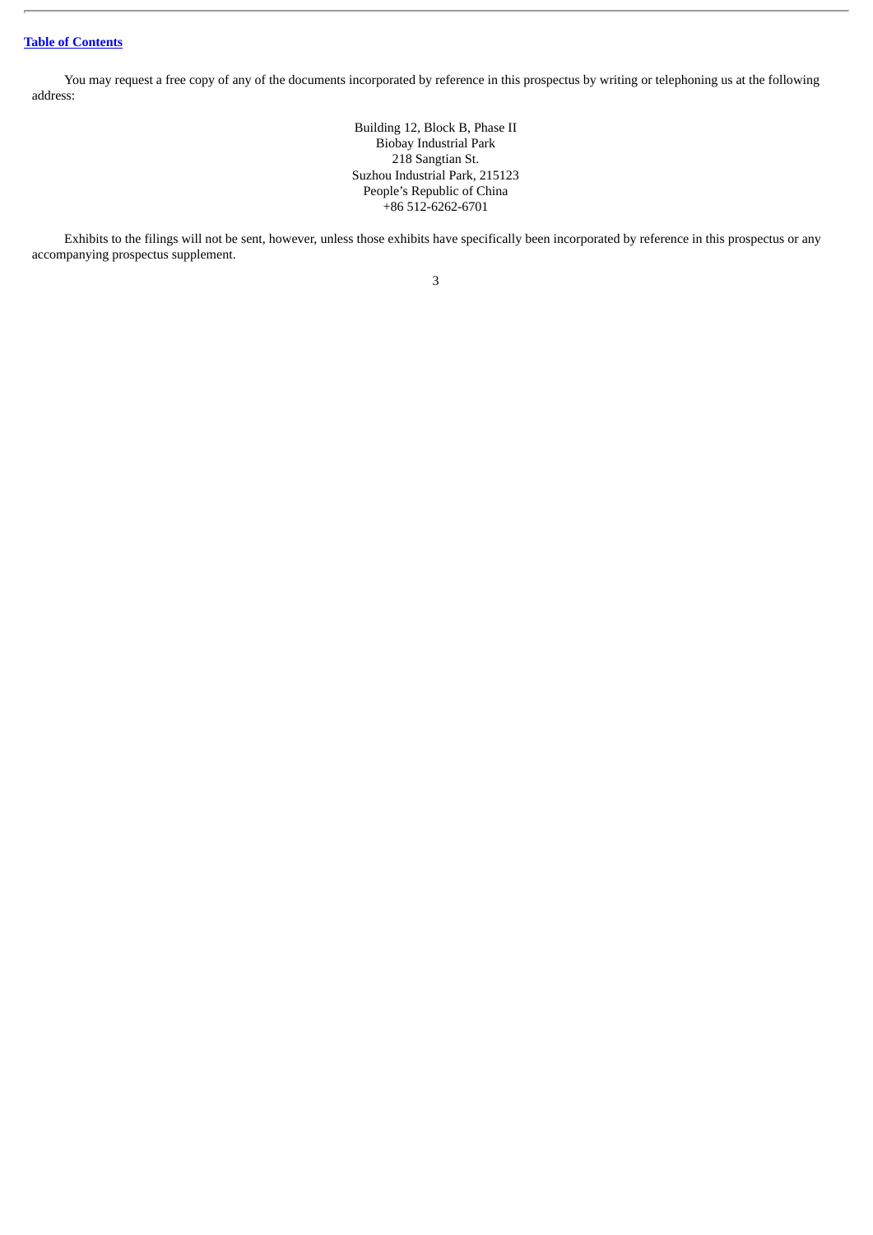You may request a free copy of any of the documents incorporated by reference in this prospectus by writing or telephoning us at the following address:

> Building 12, Block B, Phase II Biobay Industrial Park 218 Sangtian St. Suzhou Industrial Park, 215123 People's Republic of China +86 512-6262-6701

Exhibits to the filings will not be sent, however, unless those exhibits have specifically been incorporated by reference in this prospectus or any accompanying prospectus supplement.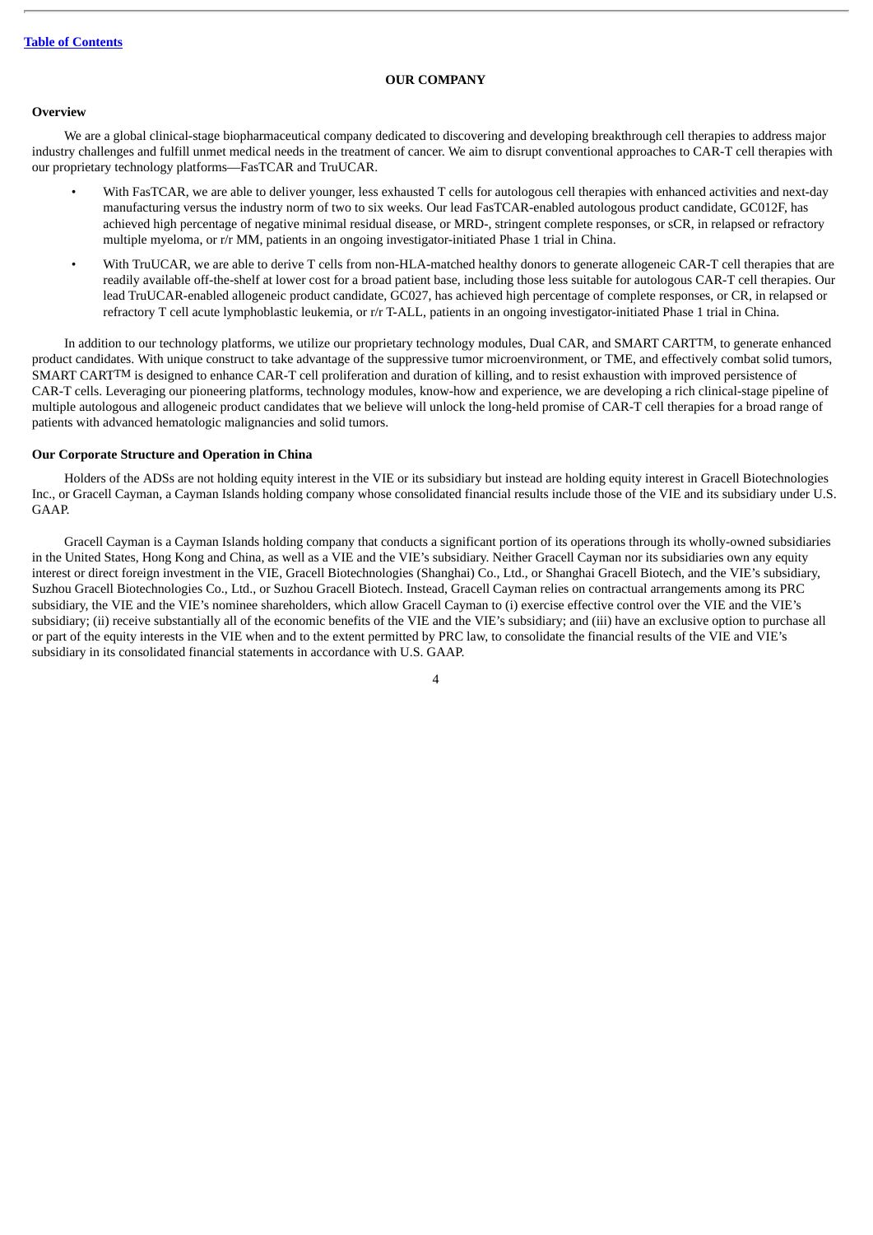# **OUR COMPANY**

## <span id="page-8-0"></span>**Overview**

We are a global clinical-stage biopharmaceutical company dedicated to discovering and developing breakthrough cell therapies to address major industry challenges and fulfill unmet medical needs in the treatment of cancer. We aim to disrupt conventional approaches to CAR-T cell therapies with our proprietary technology platforms—FasTCAR and TruUCAR.

- With FasTCAR, we are able to deliver younger, less exhausted T cells for autologous cell therapies with enhanced activities and next-day manufacturing versus the industry norm of two to six weeks. Our lead FasTCAR-enabled autologous product candidate, GC012F, has achieved high percentage of negative minimal residual disease, or MRD-, stringent complete responses, or sCR, in relapsed or refractory multiple myeloma, or r/r MM, patients in an ongoing investigator-initiated Phase 1 trial in China.
- With TruUCAR, we are able to derive T cells from non-HLA-matched healthy donors to generate allogeneic CAR-T cell therapies that are readily available off-the-shelf at lower cost for a broad patient base, including those less suitable for autologous CAR-T cell therapies. Our lead TruUCAR-enabled allogeneic product candidate, GC027, has achieved high percentage of complete responses, or CR, in relapsed or refractory T cell acute lymphoblastic leukemia, or r/r T-ALL, patients in an ongoing investigator-initiated Phase 1 trial in China.

In addition to our technology platforms, we utilize our proprietary technology modules, Dual CAR, and SMART CARTTM, to generate enhanced product candidates. With unique construct to take advantage of the suppressive tumor microenvironment, or TME, and effectively combat solid tumors, SMART CARTTM is designed to enhance CAR-T cell proliferation and duration of killing, and to resist exhaustion with improved persistence of CAR-T cells. Leveraging our pioneering platforms, technology modules, know-how and experience, we are developing a rich clinical-stage pipeline of multiple autologous and allogeneic product candidates that we believe will unlock the long-held promise of CAR-T cell therapies for a broad range of patients with advanced hematologic malignancies and solid tumors.

# **Our Corporate Structure and Operation in China**

Holders of the ADSs are not holding equity interest in the VIE or its subsidiary but instead are holding equity interest in Gracell Biotechnologies Inc., or Gracell Cayman, a Cayman Islands holding company whose consolidated financial results include those of the VIE and its subsidiary under U.S. GAAP.

Gracell Cayman is a Cayman Islands holding company that conducts a significant portion of its operations through its wholly-owned subsidiaries in the United States, Hong Kong and China, as well as a VIE and the VIE's subsidiary. Neither Gracell Cayman nor its subsidiaries own any equity interest or direct foreign investment in the VIE, Gracell Biotechnologies (Shanghai) Co., Ltd., or Shanghai Gracell Biotech, and the VIE's subsidiary, Suzhou Gracell Biotechnologies Co., Ltd., or Suzhou Gracell Biotech. Instead, Gracell Cayman relies on contractual arrangements among its PRC subsidiary, the VIE and the VIE's nominee shareholders, which allow Gracell Cayman to (i) exercise effective control over the VIE and the VIE's subsidiary; (ii) receive substantially all of the economic benefits of the VIE and the VIE's subsidiary; and (iii) have an exclusive option to purchase all or part of the equity interests in the VIE when and to the extent permitted by PRC law, to consolidate the financial results of the VIE and VIE's subsidiary in its consolidated financial statements in accordance with U.S. GAAP.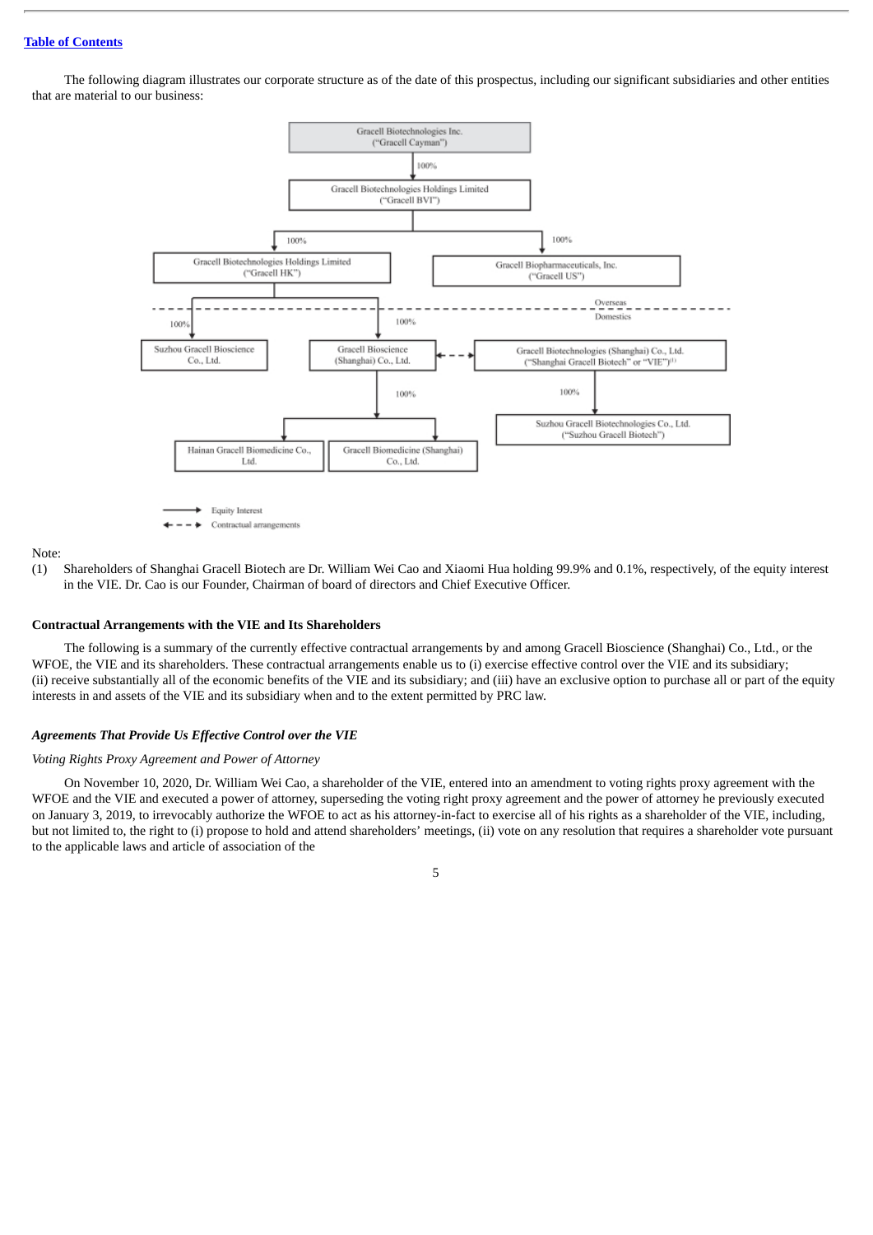The following diagram illustrates our corporate structure as of the date of this prospectus, including our significant subsidiaries and other entities that are material to our business:



#### Note:

(1) Shareholders of Shanghai Gracell Biotech are Dr. William Wei Cao and Xiaomi Hua holding 99.9% and 0.1%, respectively, of the equity interest in the VIE. Dr. Cao is our Founder, Chairman of board of directors and Chief Executive Officer.

#### **Contractual Arrangements with the VIE and Its Shareholders**

The following is a summary of the currently effective contractual arrangements by and among Gracell Bioscience (Shanghai) Co., Ltd., or the WFOE, the VIE and its shareholders. These contractual arrangements enable us to (i) exercise effective control over the VIE and its subsidiary; (ii) receive substantially all of the economic benefits of the VIE and its subsidiary; and (iii) have an exclusive option to purchase all or part of the equity interests in and assets of the VIE and its subsidiary when and to the extent permitted by PRC law.

#### *Agreements That Provide Us Effective Control over the VIE*

#### *Voting Rights Proxy Agreement and Power of Attorney*

On November 10, 2020, Dr. William Wei Cao, a shareholder of the VIE, entered into an amendment to voting rights proxy agreement with the WFOE and the VIE and executed a power of attorney, superseding the voting right proxy agreement and the power of attorney he previously executed on January 3, 2019, to irrevocably authorize the WFOE to act as his attorney-in-fact to exercise all of his rights as a shareholder of the VIE, including, but not limited to, the right to (i) propose to hold and attend shareholders' meetings, (ii) vote on any resolution that requires a shareholder vote pursuant to the applicable laws and article of association of the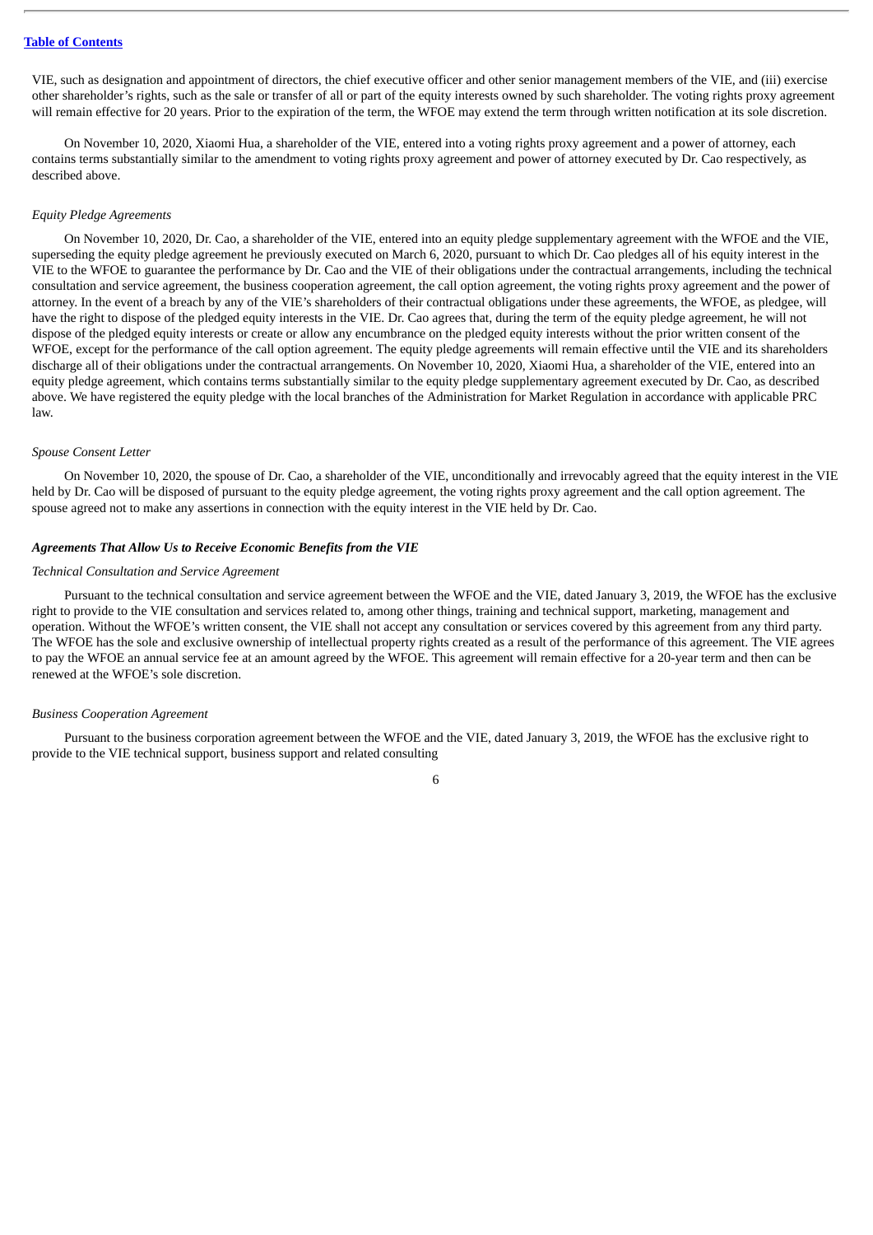VIE, such as designation and appointment of directors, the chief executive officer and other senior management members of the VIE, and (iii) exercise other shareholder's rights, such as the sale or transfer of all or part of the equity interests owned by such shareholder. The voting rights proxy agreement will remain effective for 20 years. Prior to the expiration of the term, the WFOE may extend the term through written notification at its sole discretion.

On November 10, 2020, Xiaomi Hua, a shareholder of the VIE, entered into a voting rights proxy agreement and a power of attorney, each contains terms substantially similar to the amendment to voting rights proxy agreement and power of attorney executed by Dr. Cao respectively, as described above.

#### *Equity Pledge Agreements*

On November 10, 2020, Dr. Cao, a shareholder of the VIE, entered into an equity pledge supplementary agreement with the WFOE and the VIE, superseding the equity pledge agreement he previously executed on March 6, 2020, pursuant to which Dr. Cao pledges all of his equity interest in the VIE to the WFOE to guarantee the performance by Dr. Cao and the VIE of their obligations under the contractual arrangements, including the technical consultation and service agreement, the business cooperation agreement, the call option agreement, the voting rights proxy agreement and the power of attorney. In the event of a breach by any of the VIE's shareholders of their contractual obligations under these agreements, the WFOE, as pledgee, will have the right to dispose of the pledged equity interests in the VIE. Dr. Cao agrees that, during the term of the equity pledge agreement, he will not dispose of the pledged equity interests or create or allow any encumbrance on the pledged equity interests without the prior written consent of the WFOE, except for the performance of the call option agreement. The equity pledge agreements will remain effective until the VIE and its shareholders discharge all of their obligations under the contractual arrangements. On November 10, 2020, Xiaomi Hua, a shareholder of the VIE, entered into an equity pledge agreement, which contains terms substantially similar to the equity pledge supplementary agreement executed by Dr. Cao, as described above. We have registered the equity pledge with the local branches of the Administration for Market Regulation in accordance with applicable PRC law.

#### *Spouse Consent Letter*

On November 10, 2020, the spouse of Dr. Cao, a shareholder of the VIE, unconditionally and irrevocably agreed that the equity interest in the VIE held by Dr. Cao will be disposed of pursuant to the equity pledge agreement, the voting rights proxy agreement and the call option agreement. The spouse agreed not to make any assertions in connection with the equity interest in the VIE held by Dr. Cao.

#### *Agreements That Allow Us to Receive Economic Benefits from the VIE*

#### *Technical Consultation and Service Agreement*

Pursuant to the technical consultation and service agreement between the WFOE and the VIE, dated January 3, 2019, the WFOE has the exclusive right to provide to the VIE consultation and services related to, among other things, training and technical support, marketing, management and operation. Without the WFOE's written consent, the VIE shall not accept any consultation or services covered by this agreement from any third party. The WFOE has the sole and exclusive ownership of intellectual property rights created as a result of the performance of this agreement. The VIE agrees to pay the WFOE an annual service fee at an amount agreed by the WFOE. This agreement will remain effective for a 20-year term and then can be renewed at the WFOE's sole discretion.

# *Business Cooperation Agreement*

Pursuant to the business corporation agreement between the WFOE and the VIE, dated January 3, 2019, the WFOE has the exclusive right to provide to the VIE technical support, business support and related consulting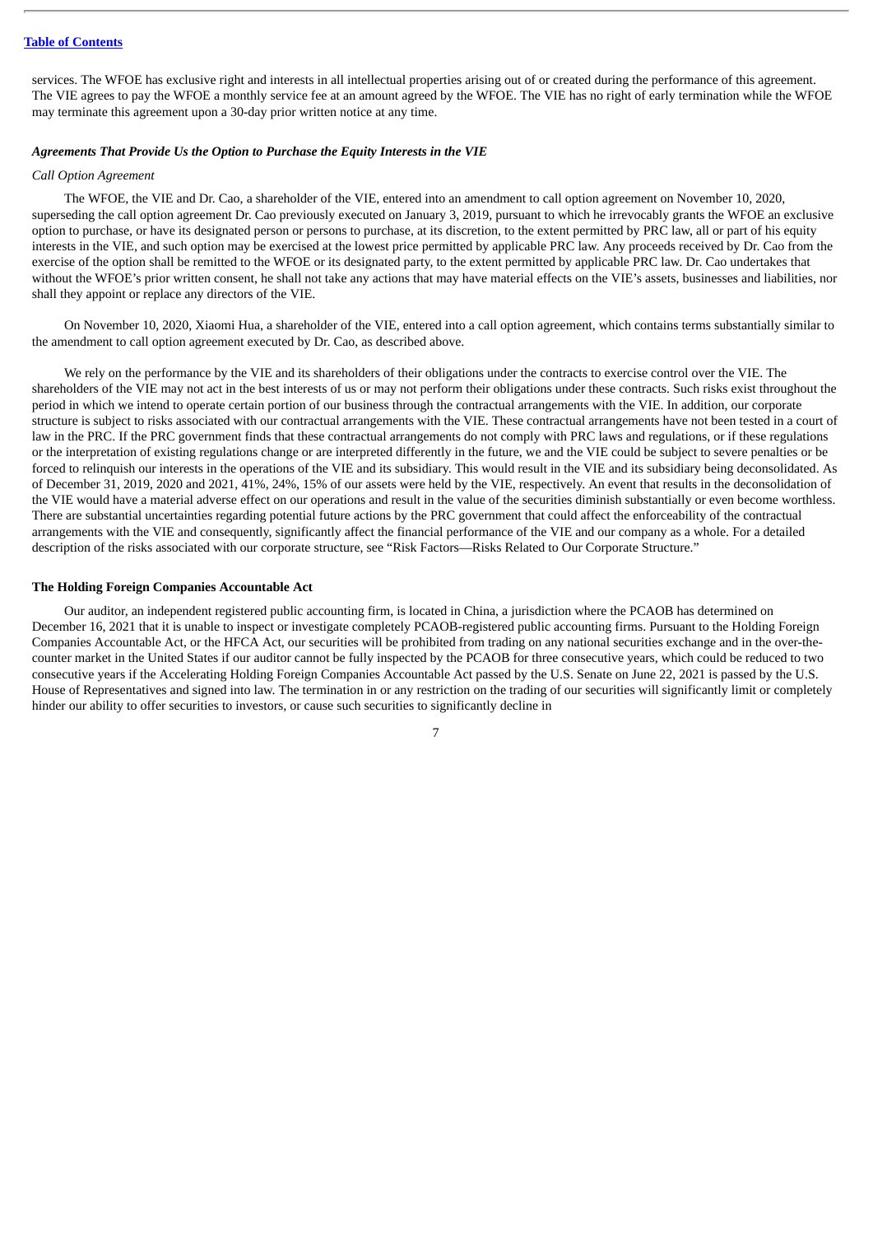services. The WFOE has exclusive right and interests in all intellectual properties arising out of or created during the performance of this agreement. The VIE agrees to pay the WFOE a monthly service fee at an amount agreed by the WFOE. The VIE has no right of early termination while the WFOE may terminate this agreement upon a 30-day prior written notice at any time.

# *Agreements That Provide Us the Option to Purchase the Equity Interests in the VIE*

#### *Call Option Agreement*

The WFOE, the VIE and Dr. Cao, a shareholder of the VIE, entered into an amendment to call option agreement on November 10, 2020, superseding the call option agreement Dr. Cao previously executed on January 3, 2019, pursuant to which he irrevocably grants the WFOE an exclusive option to purchase, or have its designated person or persons to purchase, at its discretion, to the extent permitted by PRC law, all or part of his equity interests in the VIE, and such option may be exercised at the lowest price permitted by applicable PRC law. Any proceeds received by Dr. Cao from the exercise of the option shall be remitted to the WFOE or its designated party, to the extent permitted by applicable PRC law. Dr. Cao undertakes that without the WFOE's prior written consent, he shall not take any actions that may have material effects on the VIE's assets, businesses and liabilities, nor shall they appoint or replace any directors of the VIE.

On November 10, 2020, Xiaomi Hua, a shareholder of the VIE, entered into a call option agreement, which contains terms substantially similar to the amendment to call option agreement executed by Dr. Cao, as described above.

We rely on the performance by the VIE and its shareholders of their obligations under the contracts to exercise control over the VIE. The shareholders of the VIE may not act in the best interests of us or may not perform their obligations under these contracts. Such risks exist throughout the period in which we intend to operate certain portion of our business through the contractual arrangements with the VIE. In addition, our corporate structure is subject to risks associated with our contractual arrangements with the VIE. These contractual arrangements have not been tested in a court of law in the PRC. If the PRC government finds that these contractual arrangements do not comply with PRC laws and regulations, or if these regulations or the interpretation of existing regulations change or are interpreted differently in the future, we and the VIE could be subject to severe penalties or be forced to relinquish our interests in the operations of the VIE and its subsidiary. This would result in the VIE and its subsidiary being deconsolidated. As of December 31, 2019, 2020 and 2021, 41%, 24%, 15% of our assets were held by the VIE, respectively. An event that results in the deconsolidation of the VIE would have a material adverse effect on our operations and result in the value of the securities diminish substantially or even become worthless. There are substantial uncertainties regarding potential future actions by the PRC government that could affect the enforceability of the contractual arrangements with the VIE and consequently, significantly affect the financial performance of the VIE and our company as a whole. For a detailed description of the risks associated with our corporate structure, see "Risk Factors—Risks Related to Our Corporate Structure."

# **The Holding Foreign Companies Accountable Act**

Our auditor, an independent registered public accounting firm, is located in China, a jurisdiction where the PCAOB has determined on December 16, 2021 that it is unable to inspect or investigate completely PCAOB-registered public accounting firms. Pursuant to the Holding Foreign Companies Accountable Act, or the HFCA Act, our securities will be prohibited from trading on any national securities exchange and in the over-thecounter market in the United States if our auditor cannot be fully inspected by the PCAOB for three consecutive years, which could be reduced to two consecutive years if the Accelerating Holding Foreign Companies Accountable Act passed by the U.S. Senate on June 22, 2021 is passed by the U.S. House of Representatives and signed into law. The termination in or any restriction on the trading of our securities will significantly limit or completely hinder our ability to offer securities to investors, or cause such securities to significantly decline in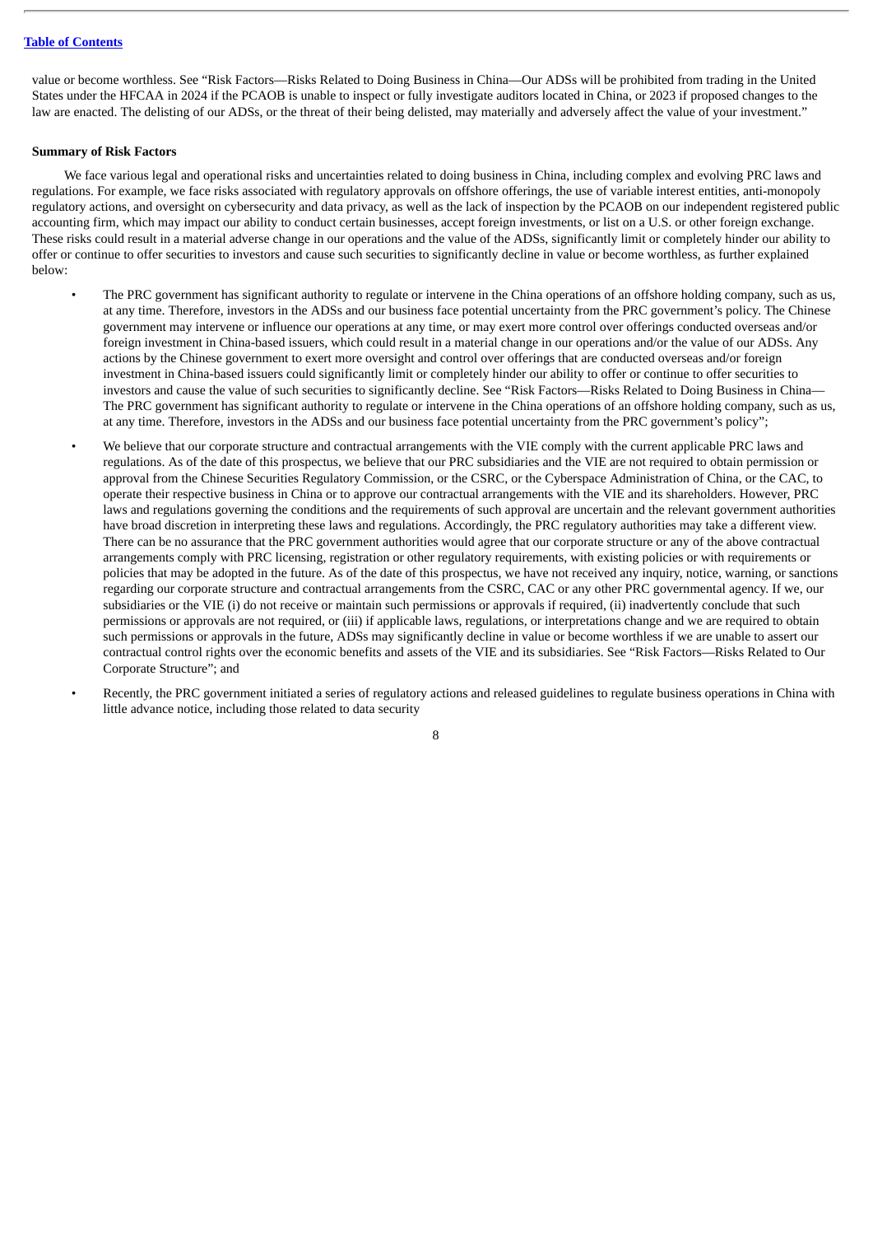value or become worthless. See "Risk Factors—Risks Related to Doing Business in China—Our ADSs will be prohibited from trading in the United States under the HFCAA in 2024 if the PCAOB is unable to inspect or fully investigate auditors located in China, or 2023 if proposed changes to the law are enacted. The delisting of our ADSs, or the threat of their being delisted, may materially and adversely affect the value of your investment."

# **Summary of Risk Factors**

We face various legal and operational risks and uncertainties related to doing business in China, including complex and evolving PRC laws and regulations. For example, we face risks associated with regulatory approvals on offshore offerings, the use of variable interest entities, anti-monopoly regulatory actions, and oversight on cybersecurity and data privacy, as well as the lack of inspection by the PCAOB on our independent registered public accounting firm, which may impact our ability to conduct certain businesses, accept foreign investments, or list on a U.S. or other foreign exchange. These risks could result in a material adverse change in our operations and the value of the ADSs, significantly limit or completely hinder our ability to offer or continue to offer securities to investors and cause such securities to significantly decline in value or become worthless, as further explained below:

- The PRC government has significant authority to regulate or intervene in the China operations of an offshore holding company, such as us, at any time. Therefore, investors in the ADSs and our business face potential uncertainty from the PRC government's policy. The Chinese government may intervene or influence our operations at any time, or may exert more control over offerings conducted overseas and/or foreign investment in China-based issuers, which could result in a material change in our operations and/or the value of our ADSs. Any actions by the Chinese government to exert more oversight and control over offerings that are conducted overseas and/or foreign investment in China-based issuers could significantly limit or completely hinder our ability to offer or continue to offer securities to investors and cause the value of such securities to significantly decline. See "Risk Factors—Risks Related to Doing Business in China— The PRC government has significant authority to regulate or intervene in the China operations of an offshore holding company, such as us, at any time. Therefore, investors in the ADSs and our business face potential uncertainty from the PRC government's policy";
- We believe that our corporate structure and contractual arrangements with the VIE comply with the current applicable PRC laws and regulations. As of the date of this prospectus, we believe that our PRC subsidiaries and the VIE are not required to obtain permission or approval from the Chinese Securities Regulatory Commission, or the CSRC, or the Cyberspace Administration of China, or the CAC, to operate their respective business in China or to approve our contractual arrangements with the VIE and its shareholders. However, PRC laws and regulations governing the conditions and the requirements of such approval are uncertain and the relevant government authorities have broad discretion in interpreting these laws and regulations. Accordingly, the PRC regulatory authorities may take a different view. There can be no assurance that the PRC government authorities would agree that our corporate structure or any of the above contractual arrangements comply with PRC licensing, registration or other regulatory requirements, with existing policies or with requirements or policies that may be adopted in the future. As of the date of this prospectus, we have not received any inquiry, notice, warning, or sanctions regarding our corporate structure and contractual arrangements from the CSRC, CAC or any other PRC governmental agency. If we, our subsidiaries or the VIE (i) do not receive or maintain such permissions or approvals if required, (ii) inadvertently conclude that such permissions or approvals are not required, or (iii) if applicable laws, regulations, or interpretations change and we are required to obtain such permissions or approvals in the future, ADSs may significantly decline in value or become worthless if we are unable to assert our contractual control rights over the economic benefits and assets of the VIE and its subsidiaries. See "Risk Factors—Risks Related to Our Corporate Structure"; and
- Recently, the PRC government initiated a series of regulatory actions and released guidelines to regulate business operations in China with little advance notice, including those related to data security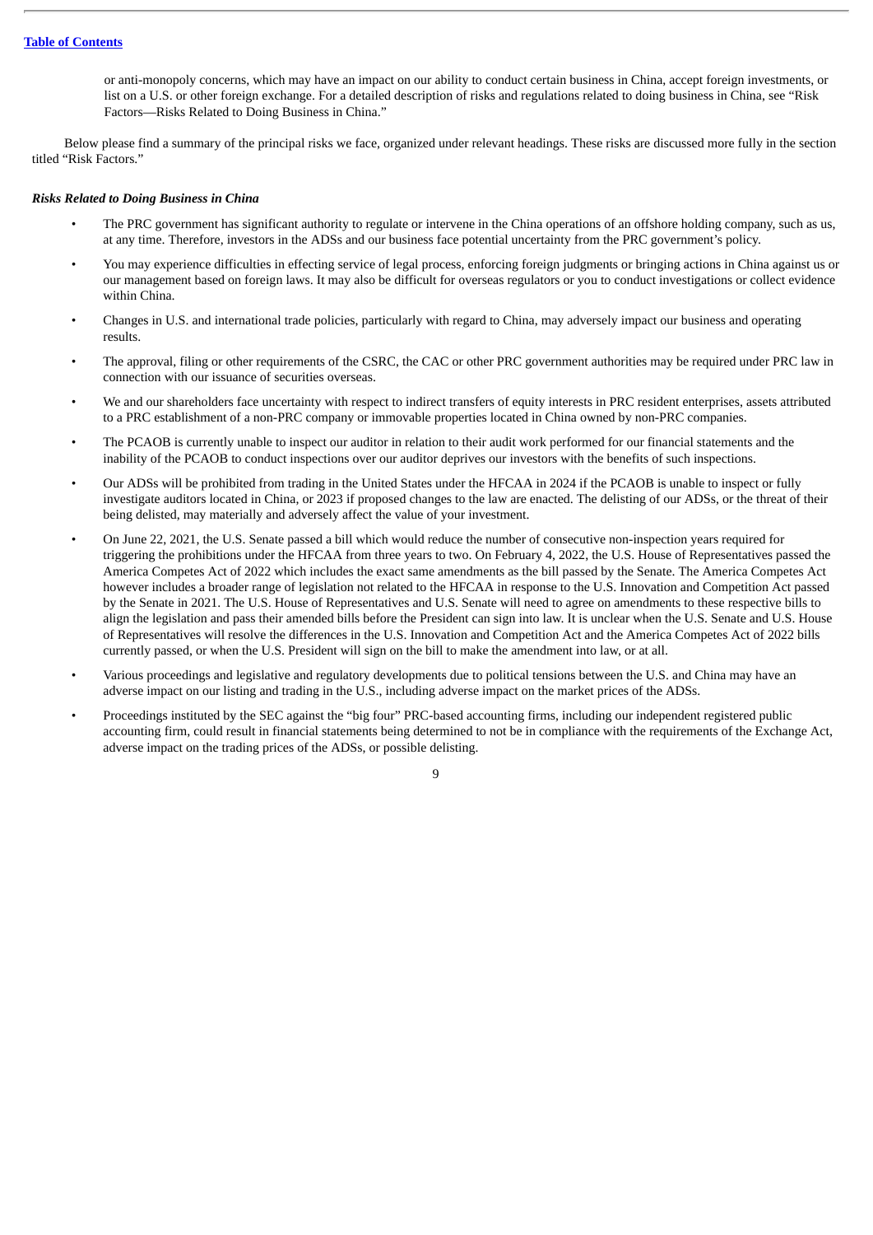or anti-monopoly concerns, which may have an impact on our ability to conduct certain business in China, accept foreign investments, or list on a U.S. or other foreign exchange. For a detailed description of risks and regulations related to doing business in China, see "Risk Factors—Risks Related to Doing Business in China."

Below please find a summary of the principal risks we face, organized under relevant headings. These risks are discussed more fully in the section titled "Risk Factors."

# *Risks Related to Doing Business in China*

- The PRC government has significant authority to regulate or intervene in the China operations of an offshore holding company, such as us, at any time. Therefore, investors in the ADSs and our business face potential uncertainty from the PRC government's policy.
- You may experience difficulties in effecting service of legal process, enforcing foreign judgments or bringing actions in China against us or our management based on foreign laws. It may also be difficult for overseas regulators or you to conduct investigations or collect evidence within China.
- Changes in U.S. and international trade policies, particularly with regard to China, may adversely impact our business and operating results.
- The approval, filing or other requirements of the CSRC, the CAC or other PRC government authorities may be required under PRC law in connection with our issuance of securities overseas.
- We and our shareholders face uncertainty with respect to indirect transfers of equity interests in PRC resident enterprises, assets attributed to a PRC establishment of a non-PRC company or immovable properties located in China owned by non-PRC companies.
- The PCAOB is currently unable to inspect our auditor in relation to their audit work performed for our financial statements and the inability of the PCAOB to conduct inspections over our auditor deprives our investors with the benefits of such inspections.
- Our ADSs will be prohibited from trading in the United States under the HFCAA in 2024 if the PCAOB is unable to inspect or fully investigate auditors located in China, or 2023 if proposed changes to the law are enacted. The delisting of our ADSs, or the threat of their being delisted, may materially and adversely affect the value of your investment.
- On June 22, 2021, the U.S. Senate passed a bill which would reduce the number of consecutive non-inspection years required for triggering the prohibitions under the HFCAA from three years to two. On February 4, 2022, the U.S. House of Representatives passed the America Competes Act of 2022 which includes the exact same amendments as the bill passed by the Senate. The America Competes Act however includes a broader range of legislation not related to the HFCAA in response to the U.S. Innovation and Competition Act passed by the Senate in 2021. The U.S. House of Representatives and U.S. Senate will need to agree on amendments to these respective bills to align the legislation and pass their amended bills before the President can sign into law. It is unclear when the U.S. Senate and U.S. House of Representatives will resolve the differences in the U.S. Innovation and Competition Act and the America Competes Act of 2022 bills currently passed, or when the U.S. President will sign on the bill to make the amendment into law, or at all.
- Various proceedings and legislative and regulatory developments due to political tensions between the U.S. and China may have an adverse impact on our listing and trading in the U.S., including adverse impact on the market prices of the ADSs.
- Proceedings instituted by the SEC against the "big four" PRC-based accounting firms, including our independent registered public accounting firm, could result in financial statements being determined to not be in compliance with the requirements of the Exchange Act, adverse impact on the trading prices of the ADSs, or possible delisting.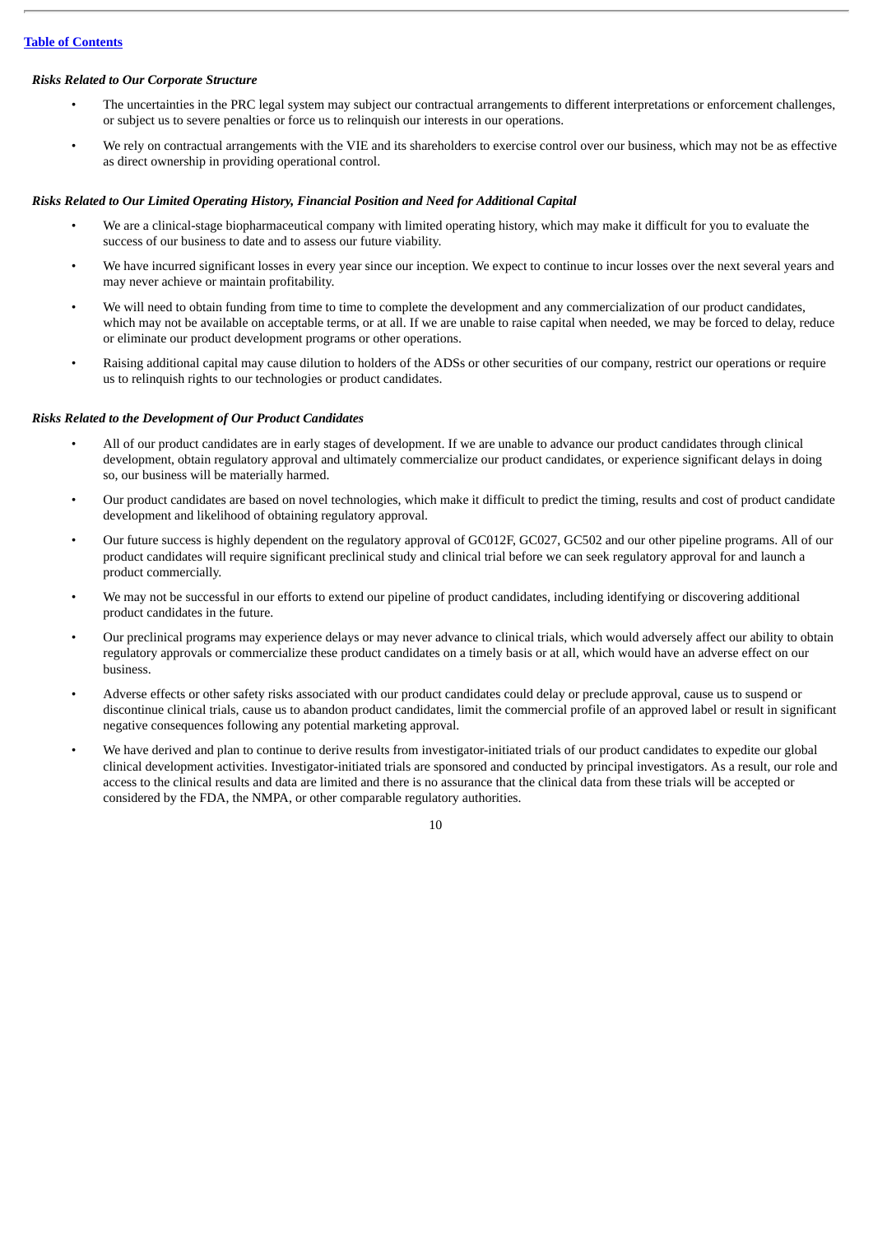# *Risks Related to Our Corporate Structure*

- The uncertainties in the PRC legal system may subject our contractual arrangements to different interpretations or enforcement challenges, or subject us to severe penalties or force us to relinquish our interests in our operations.
- We rely on contractual arrangements with the VIE and its shareholders to exercise control over our business, which may not be as effective as direct ownership in providing operational control.

# *Risks Related to Our Limited Operating History, Financial Position and Need for Additional Capital*

- We are a clinical-stage biopharmaceutical company with limited operating history, which may make it difficult for you to evaluate the success of our business to date and to assess our future viability.
- We have incurred significant losses in every year since our inception. We expect to continue to incur losses over the next several years and may never achieve or maintain profitability.
- We will need to obtain funding from time to time to complete the development and any commercialization of our product candidates, which may not be available on acceptable terms, or at all. If we are unable to raise capital when needed, we may be forced to delay, reduce or eliminate our product development programs or other operations.
- Raising additional capital may cause dilution to holders of the ADSs or other securities of our company, restrict our operations or require us to relinquish rights to our technologies or product candidates.

# *Risks Related to the Development of Our Product Candidates*

- All of our product candidates are in early stages of development. If we are unable to advance our product candidates through clinical development, obtain regulatory approval and ultimately commercialize our product candidates, or experience significant delays in doing so, our business will be materially harmed.
- Our product candidates are based on novel technologies, which make it difficult to predict the timing, results and cost of product candidate development and likelihood of obtaining regulatory approval.
- Our future success is highly dependent on the regulatory approval of GC012F, GC027, GC502 and our other pipeline programs. All of our product candidates will require significant preclinical study and clinical trial before we can seek regulatory approval for and launch a product commercially.
- We may not be successful in our efforts to extend our pipeline of product candidates, including identifying or discovering additional product candidates in the future.
- Our preclinical programs may experience delays or may never advance to clinical trials, which would adversely affect our ability to obtain regulatory approvals or commercialize these product candidates on a timely basis or at all, which would have an adverse effect on our business.
- Adverse effects or other safety risks associated with our product candidates could delay or preclude approval, cause us to suspend or discontinue clinical trials, cause us to abandon product candidates, limit the commercial profile of an approved label or result in significant negative consequences following any potential marketing approval.
- We have derived and plan to continue to derive results from investigator-initiated trials of our product candidates to expedite our global clinical development activities. Investigator-initiated trials are sponsored and conducted by principal investigators. As a result, our role and access to the clinical results and data are limited and there is no assurance that the clinical data from these trials will be accepted or considered by the FDA, the NMPA, or other comparable regulatory authorities.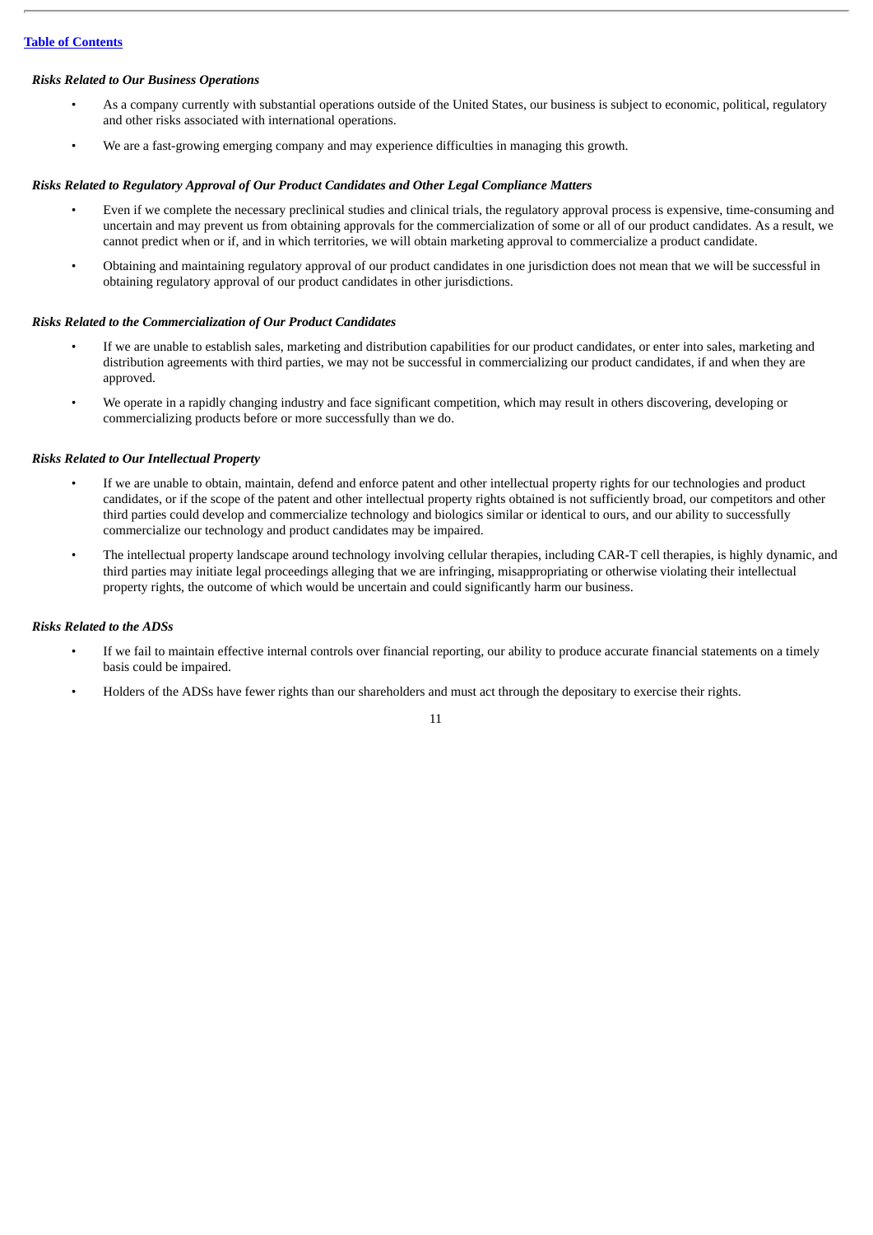# *Risks Related to Our Business Operations*

- As a company currently with substantial operations outside of the United States, our business is subject to economic, political, regulatory and other risks associated with international operations.
- We are a fast-growing emerging company and may experience difficulties in managing this growth.

# *Risks Related to Regulatory Approval of Our Product Candidates and Other Legal Compliance Matters*

- Even if we complete the necessary preclinical studies and clinical trials, the regulatory approval process is expensive, time-consuming and uncertain and may prevent us from obtaining approvals for the commercialization of some or all of our product candidates. As a result, we cannot predict when or if, and in which territories, we will obtain marketing approval to commercialize a product candidate.
- Obtaining and maintaining regulatory approval of our product candidates in one jurisdiction does not mean that we will be successful in obtaining regulatory approval of our product candidates in other jurisdictions.

# *Risks Related to the Commercialization of Our Product Candidates*

- If we are unable to establish sales, marketing and distribution capabilities for our product candidates, or enter into sales, marketing and distribution agreements with third parties, we may not be successful in commercializing our product candidates, if and when they are approved.
- We operate in a rapidly changing industry and face significant competition, which may result in others discovering, developing or commercializing products before or more successfully than we do.

# *Risks Related to Our Intellectual Property*

- If we are unable to obtain, maintain, defend and enforce patent and other intellectual property rights for our technologies and product candidates, or if the scope of the patent and other intellectual property rights obtained is not sufficiently broad, our competitors and other third parties could develop and commercialize technology and biologics similar or identical to ours, and our ability to successfully commercialize our technology and product candidates may be impaired.
- The intellectual property landscape around technology involving cellular therapies, including CAR-T cell therapies, is highly dynamic, and third parties may initiate legal proceedings alleging that we are infringing, misappropriating or otherwise violating their intellectual property rights, the outcome of which would be uncertain and could significantly harm our business.

# *Risks Related to the ADSs*

- If we fail to maintain effective internal controls over financial reporting, our ability to produce accurate financial statements on a timely basis could be impaired.
- Holders of the ADSs have fewer rights than our shareholders and must act through the depositary to exercise their rights.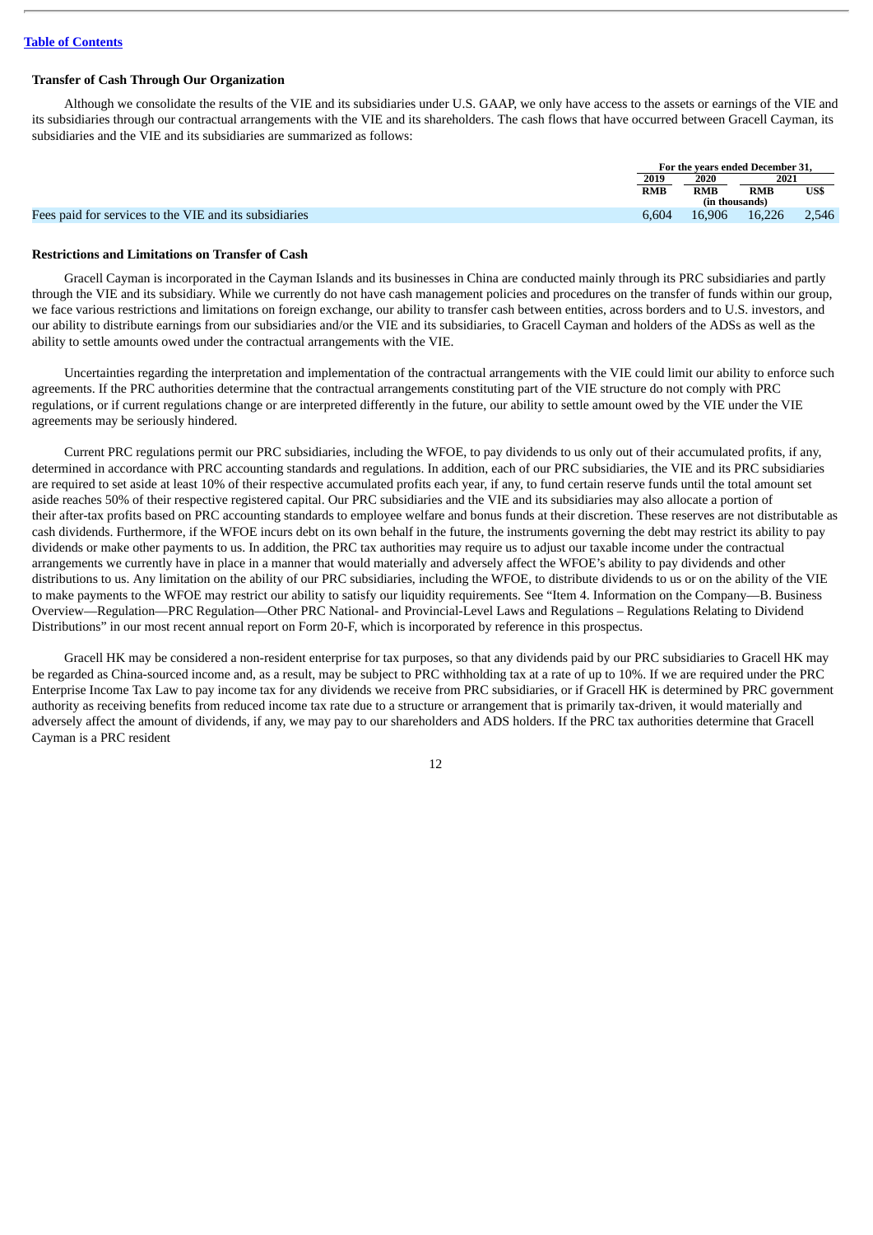#### **Transfer of Cash Through Our Organization**

Although we consolidate the results of the VIE and its subsidiaries under U.S. GAAP, we only have access to the assets or earnings of the VIE and its subsidiaries through our contractual arrangements with the VIE and its shareholders. The cash flows that have occurred between Gracell Cayman, its subsidiaries and the VIE and its subsidiaries are summarized as follows:

|                                                        | For the vears ended December 31. |            |        |       |
|--------------------------------------------------------|----------------------------------|------------|--------|-------|
|                                                        | 2019                             | 2020       | 2021   |       |
|                                                        | <b>RMB</b>                       | <b>RMB</b> | RMB    | US\$  |
|                                                        | (in thousands)                   |            |        |       |
| Fees paid for services to the VIE and its subsidiaries | 6.604                            | 16,906     | 16,226 | 2,546 |

#### **Restrictions and Limitations on Transfer of Cash**

Gracell Cayman is incorporated in the Cayman Islands and its businesses in China are conducted mainly through its PRC subsidiaries and partly through the VIE and its subsidiary. While we currently do not have cash management policies and procedures on the transfer of funds within our group, we face various restrictions and limitations on foreign exchange, our ability to transfer cash between entities, across borders and to U.S. investors, and our ability to distribute earnings from our subsidiaries and/or the VIE and its subsidiaries, to Gracell Cayman and holders of the ADSs as well as the ability to settle amounts owed under the contractual arrangements with the VIE.

Uncertainties regarding the interpretation and implementation of the contractual arrangements with the VIE could limit our ability to enforce such agreements. If the PRC authorities determine that the contractual arrangements constituting part of the VIE structure do not comply with PRC regulations, or if current regulations change or are interpreted differently in the future, our ability to settle amount owed by the VIE under the VIE agreements may be seriously hindered.

Current PRC regulations permit our PRC subsidiaries, including the WFOE, to pay dividends to us only out of their accumulated profits, if any, determined in accordance with PRC accounting standards and regulations. In addition, each of our PRC subsidiaries, the VIE and its PRC subsidiaries are required to set aside at least 10% of their respective accumulated profits each year, if any, to fund certain reserve funds until the total amount set aside reaches 50% of their respective registered capital. Our PRC subsidiaries and the VIE and its subsidiaries may also allocate a portion of their after-tax profits based on PRC accounting standards to employee welfare and bonus funds at their discretion. These reserves are not distributable as cash dividends. Furthermore, if the WFOE incurs debt on its own behalf in the future, the instruments governing the debt may restrict its ability to pay dividends or make other payments to us. In addition, the PRC tax authorities may require us to adjust our taxable income under the contractual arrangements we currently have in place in a manner that would materially and adversely affect the WFOE's ability to pay dividends and other distributions to us. Any limitation on the ability of our PRC subsidiaries, including the WFOE, to distribute dividends to us or on the ability of the VIE to make payments to the WFOE may restrict our ability to satisfy our liquidity requirements. See "Item 4. Information on the Company—B. Business Overview—Regulation—PRC Regulation—Other PRC National- and Provincial-Level Laws and Regulations – Regulations Relating to Dividend Distributions" in our most recent annual report on Form 20-F, which is incorporated by reference in this prospectus.

Gracell HK may be considered a non-resident enterprise for tax purposes, so that any dividends paid by our PRC subsidiaries to Gracell HK may be regarded as China-sourced income and, as a result, may be subject to PRC withholding tax at a rate of up to 10%. If we are required under the PRC Enterprise Income Tax Law to pay income tax for any dividends we receive from PRC subsidiaries, or if Gracell HK is determined by PRC government authority as receiving benefits from reduced income tax rate due to a structure or arrangement that is primarily tax-driven, it would materially and adversely affect the amount of dividends, if any, we may pay to our shareholders and ADS holders. If the PRC tax authorities determine that Gracell Cayman is a PRC resident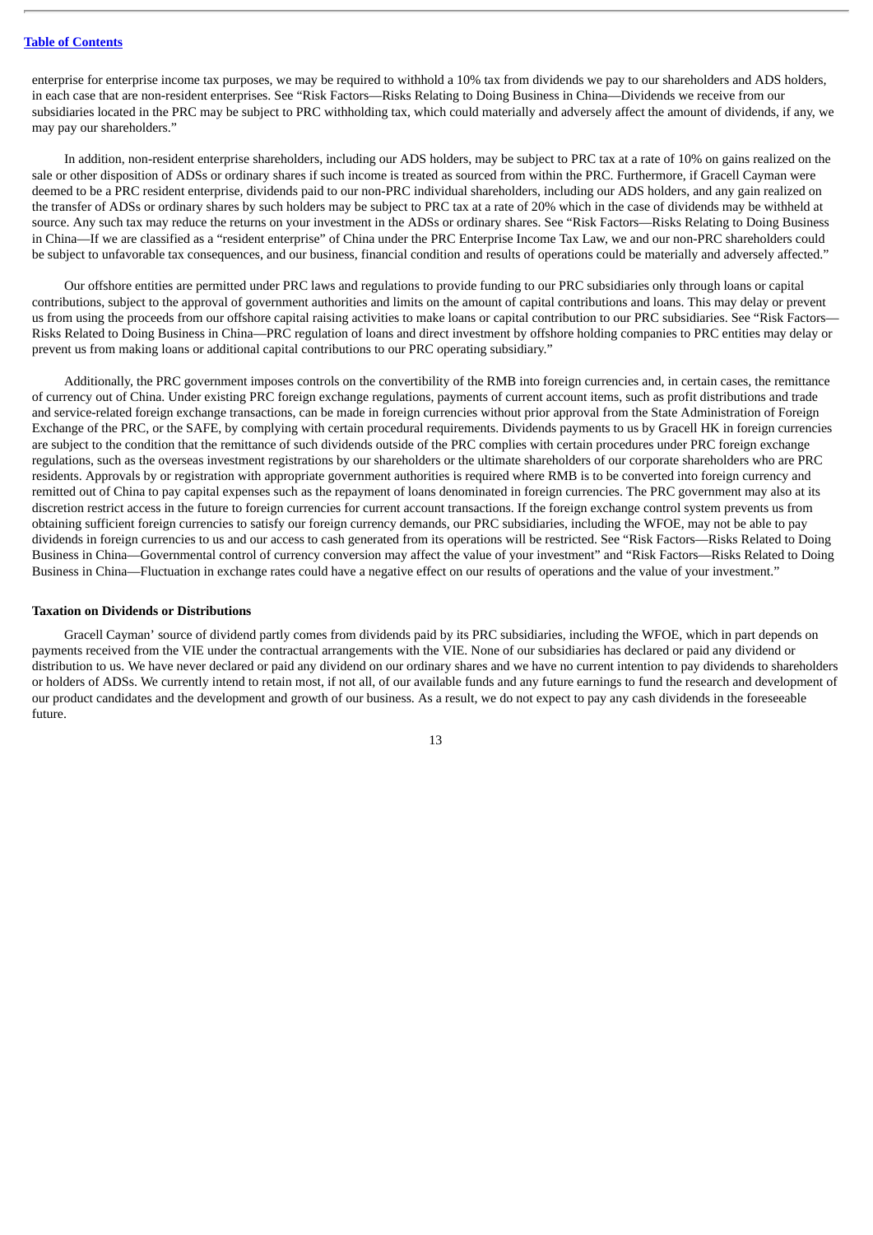enterprise for enterprise income tax purposes, we may be required to withhold a 10% tax from dividends we pay to our shareholders and ADS holders, in each case that are non-resident enterprises. See "Risk Factors—Risks Relating to Doing Business in China—Dividends we receive from our subsidiaries located in the PRC may be subject to PRC withholding tax, which could materially and adversely affect the amount of dividends, if any, we may pay our shareholders."

In addition, non-resident enterprise shareholders, including our ADS holders, may be subject to PRC tax at a rate of 10% on gains realized on the sale or other disposition of ADSs or ordinary shares if such income is treated as sourced from within the PRC. Furthermore, if Gracell Cayman were deemed to be a PRC resident enterprise, dividends paid to our non-PRC individual shareholders, including our ADS holders, and any gain realized on the transfer of ADSs or ordinary shares by such holders may be subject to PRC tax at a rate of 20% which in the case of dividends may be withheld at source. Any such tax may reduce the returns on your investment in the ADSs or ordinary shares. See "Risk Factors—Risks Relating to Doing Business in China—If we are classified as a "resident enterprise" of China under the PRC Enterprise Income Tax Law, we and our non-PRC shareholders could be subject to unfavorable tax consequences, and our business, financial condition and results of operations could be materially and adversely affected."

Our offshore entities are permitted under PRC laws and regulations to provide funding to our PRC subsidiaries only through loans or capital contributions, subject to the approval of government authorities and limits on the amount of capital contributions and loans. This may delay or prevent us from using the proceeds from our offshore capital raising activities to make loans or capital contribution to our PRC subsidiaries. See "Risk Factors— Risks Related to Doing Business in China—PRC regulation of loans and direct investment by offshore holding companies to PRC entities may delay or prevent us from making loans or additional capital contributions to our PRC operating subsidiary."

Additionally, the PRC government imposes controls on the convertibility of the RMB into foreign currencies and, in certain cases, the remittance of currency out of China. Under existing PRC foreign exchange regulations, payments of current account items, such as profit distributions and trade and service-related foreign exchange transactions, can be made in foreign currencies without prior approval from the State Administration of Foreign Exchange of the PRC, or the SAFE, by complying with certain procedural requirements. Dividends payments to us by Gracell HK in foreign currencies are subject to the condition that the remittance of such dividends outside of the PRC complies with certain procedures under PRC foreign exchange regulations, such as the overseas investment registrations by our shareholders or the ultimate shareholders of our corporate shareholders who are PRC residents. Approvals by or registration with appropriate government authorities is required where RMB is to be converted into foreign currency and remitted out of China to pay capital expenses such as the repayment of loans denominated in foreign currencies. The PRC government may also at its discretion restrict access in the future to foreign currencies for current account transactions. If the foreign exchange control system prevents us from obtaining sufficient foreign currencies to satisfy our foreign currency demands, our PRC subsidiaries, including the WFOE, may not be able to pay dividends in foreign currencies to us and our access to cash generated from its operations will be restricted. See "Risk Factors—Risks Related to Doing Business in China—Governmental control of currency conversion may affect the value of your investment" and "Risk Factors—Risks Related to Doing Business in China—Fluctuation in exchange rates could have a negative effect on our results of operations and the value of your investment."

#### **Taxation on Dividends or Distributions**

Gracell Cayman' source of dividend partly comes from dividends paid by its PRC subsidiaries, including the WFOE, which in part depends on payments received from the VIE under the contractual arrangements with the VIE. None of our subsidiaries has declared or paid any dividend or distribution to us. We have never declared or paid any dividend on our ordinary shares and we have no current intention to pay dividends to shareholders or holders of ADSs. We currently intend to retain most, if not all, of our available funds and any future earnings to fund the research and development of our product candidates and the development and growth of our business. As a result, we do not expect to pay any cash dividends in the foreseeable future.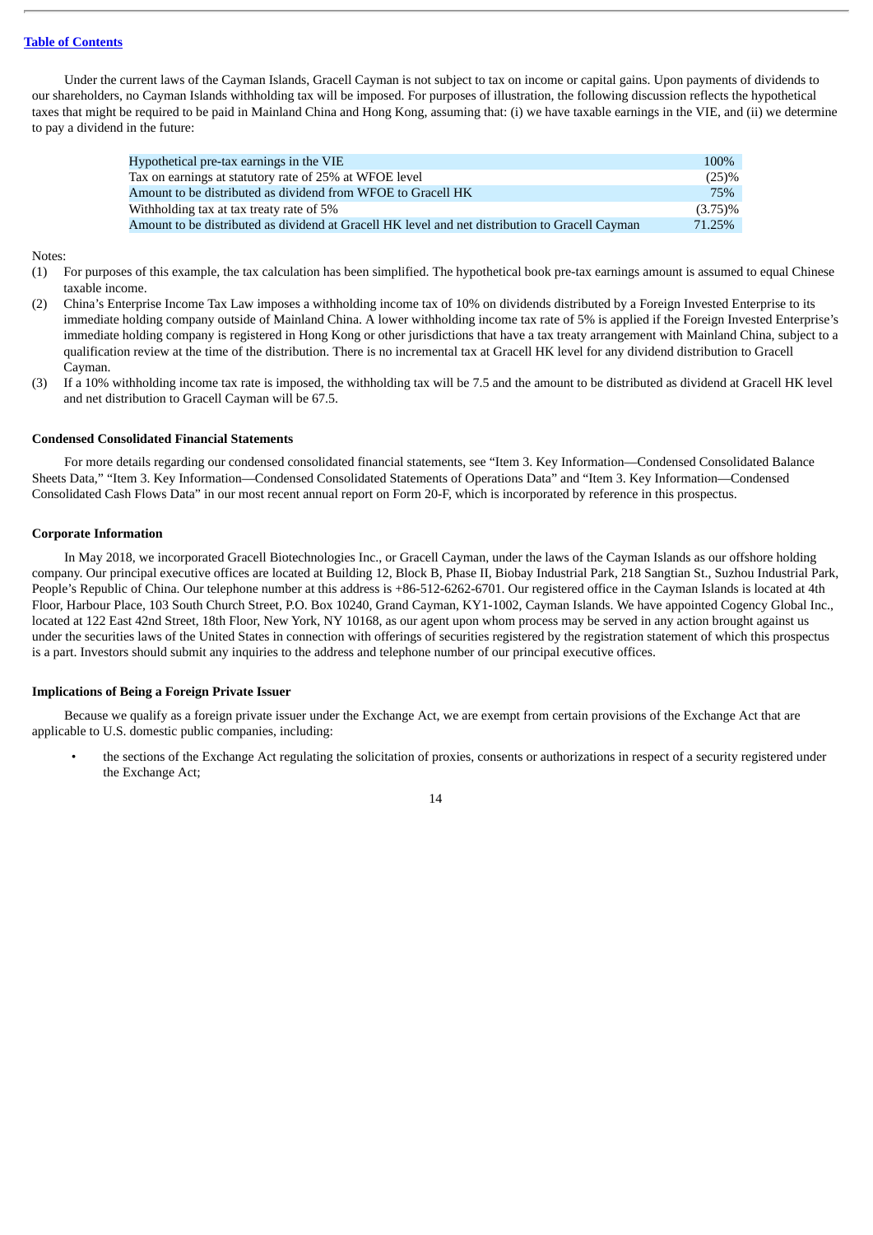Under the current laws of the Cayman Islands, Gracell Cayman is not subject to tax on income or capital gains. Upon payments of dividends to our shareholders, no Cayman Islands withholding tax will be imposed. For purposes of illustration, the following discussion reflects the hypothetical taxes that might be required to be paid in Mainland China and Hong Kong, assuming that: (i) we have taxable earnings in the VIE, and (ii) we determine to pay a dividend in the future:

| Hypothetical pre-tax earnings in the VIE                                                        | 100%       |
|-------------------------------------------------------------------------------------------------|------------|
| Tax on earnings at statutory rate of 25% at WFOE level                                          | (25)%      |
| Amount to be distributed as dividend from WFOE to Gracell HK                                    | 75%        |
| Withholding tax at tax treaty rate of 5%                                                        | $(3.75)\%$ |
| Amount to be distributed as dividend at Gracell HK level and net distribution to Gracell Cayman | 71.25%     |

#### Notes:

- (1) For purposes of this example, the tax calculation has been simplified. The hypothetical book pre-tax earnings amount is assumed to equal Chinese taxable income.
- (2) China's Enterprise Income Tax Law imposes a withholding income tax of 10% on dividends distributed by a Foreign Invested Enterprise to its immediate holding company outside of Mainland China. A lower withholding income tax rate of 5% is applied if the Foreign Invested Enterprise's immediate holding company is registered in Hong Kong or other jurisdictions that have a tax treaty arrangement with Mainland China, subject to a qualification review at the time of the distribution. There is no incremental tax at Gracell HK level for any dividend distribution to Gracell Cayman.
- (3) If a 10% withholding income tax rate is imposed, the withholding tax will be 7.5 and the amount to be distributed as dividend at Gracell HK level and net distribution to Gracell Cayman will be 67.5.

### **Condensed Consolidated Financial Statements**

For more details regarding our condensed consolidated financial statements, see "Item 3. Key Information—Condensed Consolidated Balance Sheets Data," "Item 3. Key Information—Condensed Consolidated Statements of Operations Data" and "Item 3. Key Information—Condensed Consolidated Cash Flows Data" in our most recent annual report on Form 20-F, which is incorporated by reference in this prospectus.

#### **Corporate Information**

In May 2018, we incorporated Gracell Biotechnologies Inc., or Gracell Cayman, under the laws of the Cayman Islands as our offshore holding company. Our principal executive offices are located at Building 12, Block B, Phase II, Biobay Industrial Park, 218 Sangtian St., Suzhou Industrial Park, People's Republic of China. Our telephone number at this address is +86-512-6262-6701. Our registered office in the Cayman Islands is located at 4th Floor, Harbour Place, 103 South Church Street, P.O. Box 10240, Grand Cayman, KY1-1002, Cayman Islands. We have appointed Cogency Global Inc., located at 122 East 42nd Street, 18th Floor, New York, NY 10168, as our agent upon whom process may be served in any action brought against us under the securities laws of the United States in connection with offerings of securities registered by the registration statement of which this prospectus is a part. Investors should submit any inquiries to the address and telephone number of our principal executive offices.

#### **Implications of Being a Foreign Private Issuer**

Because we qualify as a foreign private issuer under the Exchange Act, we are exempt from certain provisions of the Exchange Act that are applicable to U.S. domestic public companies, including:

• the sections of the Exchange Act regulating the solicitation of proxies, consents or authorizations in respect of a security registered under the Exchange Act;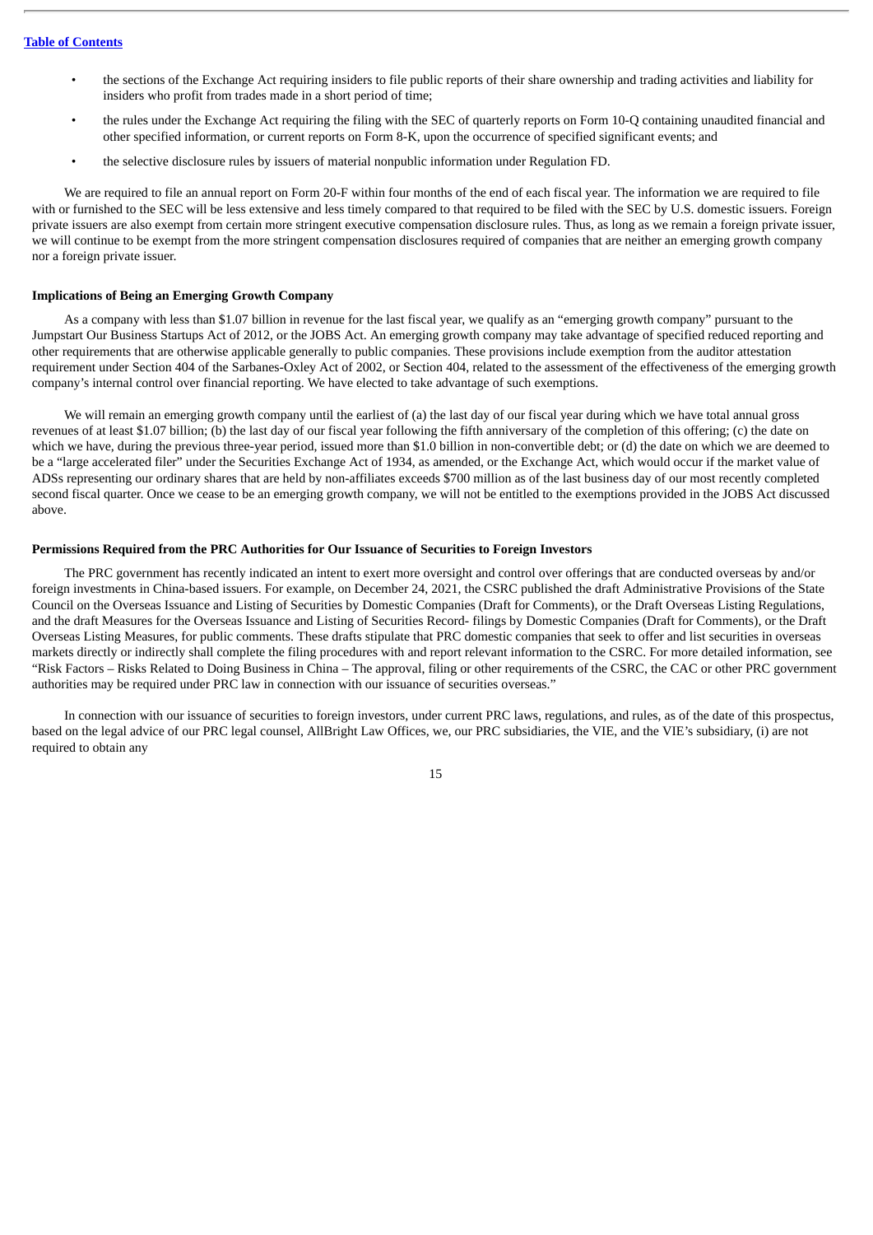- the sections of the Exchange Act requiring insiders to file public reports of their share ownership and trading activities and liability for insiders who profit from trades made in a short period of time;
- the rules under the Exchange Act requiring the filing with the SEC of quarterly reports on Form 10-Q containing unaudited financial and other specified information, or current reports on Form 8-K, upon the occurrence of specified significant events; and
- the selective disclosure rules by issuers of material nonpublic information under Regulation FD.

We are required to file an annual report on Form 20-F within four months of the end of each fiscal year. The information we are required to file with or furnished to the SEC will be less extensive and less timely compared to that required to be filed with the SEC by U.S. domestic issuers. Foreign private issuers are also exempt from certain more stringent executive compensation disclosure rules. Thus, as long as we remain a foreign private issuer, we will continue to be exempt from the more stringent compensation disclosures required of companies that are neither an emerging growth company nor a foreign private issuer.

# **Implications of Being an Emerging Growth Company**

As a company with less than \$1.07 billion in revenue for the last fiscal year, we qualify as an "emerging growth company" pursuant to the Jumpstart Our Business Startups Act of 2012, or the JOBS Act. An emerging growth company may take advantage of specified reduced reporting and other requirements that are otherwise applicable generally to public companies. These provisions include exemption from the auditor attestation requirement under Section 404 of the Sarbanes-Oxley Act of 2002, or Section 404, related to the assessment of the effectiveness of the emerging growth company's internal control over financial reporting. We have elected to take advantage of such exemptions.

We will remain an emerging growth company until the earliest of (a) the last day of our fiscal year during which we have total annual gross revenues of at least \$1.07 billion; (b) the last day of our fiscal year following the fifth anniversary of the completion of this offering; (c) the date on which we have, during the previous three-year period, issued more than \$1.0 billion in non-convertible debt; or (d) the date on which we are deemed to be a "large accelerated filer" under the Securities Exchange Act of 1934, as amended, or the Exchange Act, which would occur if the market value of ADSs representing our ordinary shares that are held by non-affiliates exceeds \$700 million as of the last business day of our most recently completed second fiscal quarter. Once we cease to be an emerging growth company, we will not be entitled to the exemptions provided in the JOBS Act discussed above.

#### **Permissions Required from the PRC Authorities for Our Issuance of Securities to Foreign Investors**

The PRC government has recently indicated an intent to exert more oversight and control over offerings that are conducted overseas by and/or foreign investments in China-based issuers. For example, on December 24, 2021, the CSRC published the draft Administrative Provisions of the State Council on the Overseas Issuance and Listing of Securities by Domestic Companies (Draft for Comments), or the Draft Overseas Listing Regulations, and the draft Measures for the Overseas Issuance and Listing of Securities Record- filings by Domestic Companies (Draft for Comments), or the Draft Overseas Listing Measures, for public comments. These drafts stipulate that PRC domestic companies that seek to offer and list securities in overseas markets directly or indirectly shall complete the filing procedures with and report relevant information to the CSRC. For more detailed information, see "Risk Factors – Risks Related to Doing Business in China – The approval, filing or other requirements of the CSRC, the CAC or other PRC government authorities may be required under PRC law in connection with our issuance of securities overseas."

In connection with our issuance of securities to foreign investors, under current PRC laws, regulations, and rules, as of the date of this prospectus, based on the legal advice of our PRC legal counsel, AllBright Law Offices, we, our PRC subsidiaries, the VIE, and the VIE's subsidiary, (i) are not required to obtain any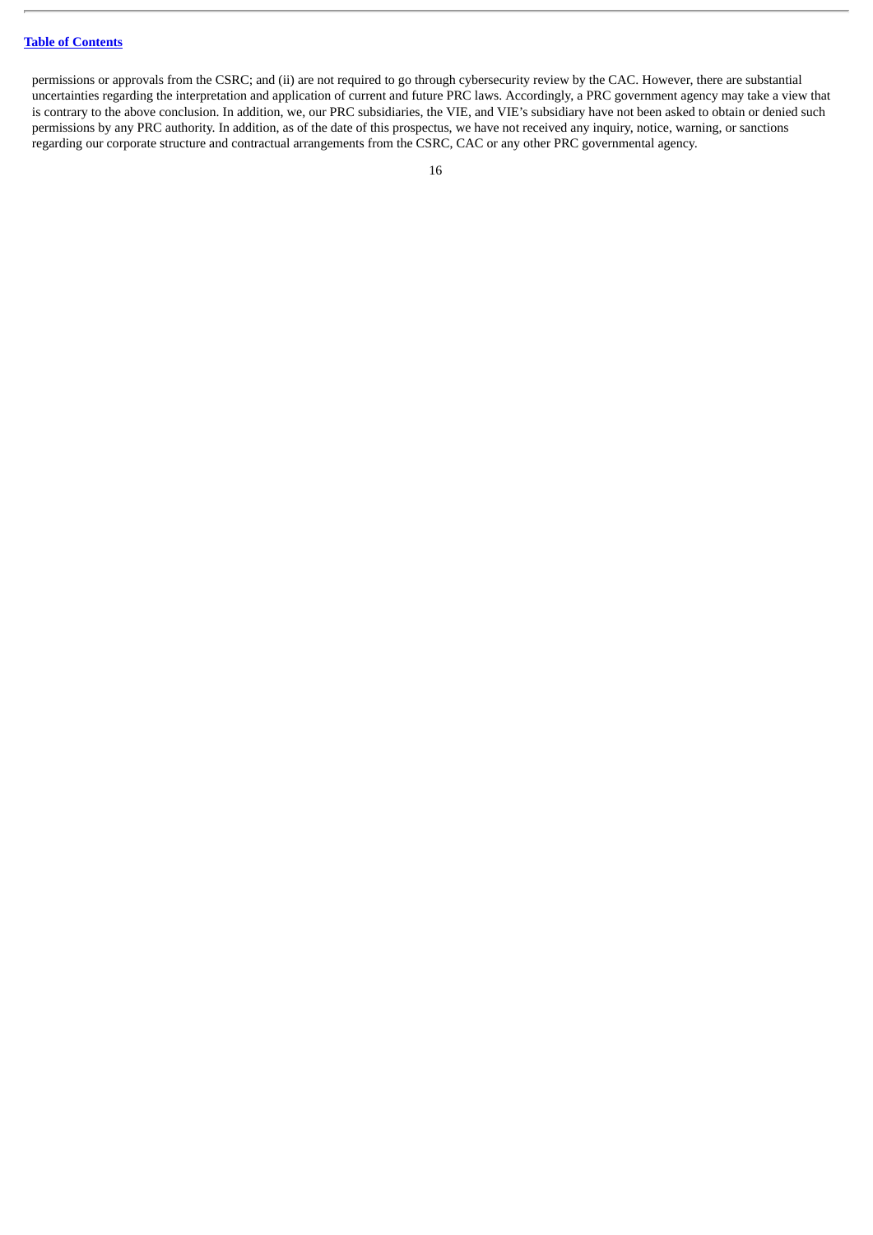permissions or approvals from the CSRC; and (ii) are not required to go through cybersecurity review by the CAC. However, there are substantial uncertainties regarding the interpretation and application of current and future PRC laws. Accordingly, a PRC government agency may take a view that is contrary to the above conclusion. In addition, we, our PRC subsidiaries, the VIE, and VIE's subsidiary have not been asked to obtain or denied such permissions by any PRC authority. In addition, as of the date of this prospectus, we have not received any inquiry, notice, warning, or sanctions regarding our corporate structure and contractual arrangements from the CSRC, CAC or any other PRC governmental agency.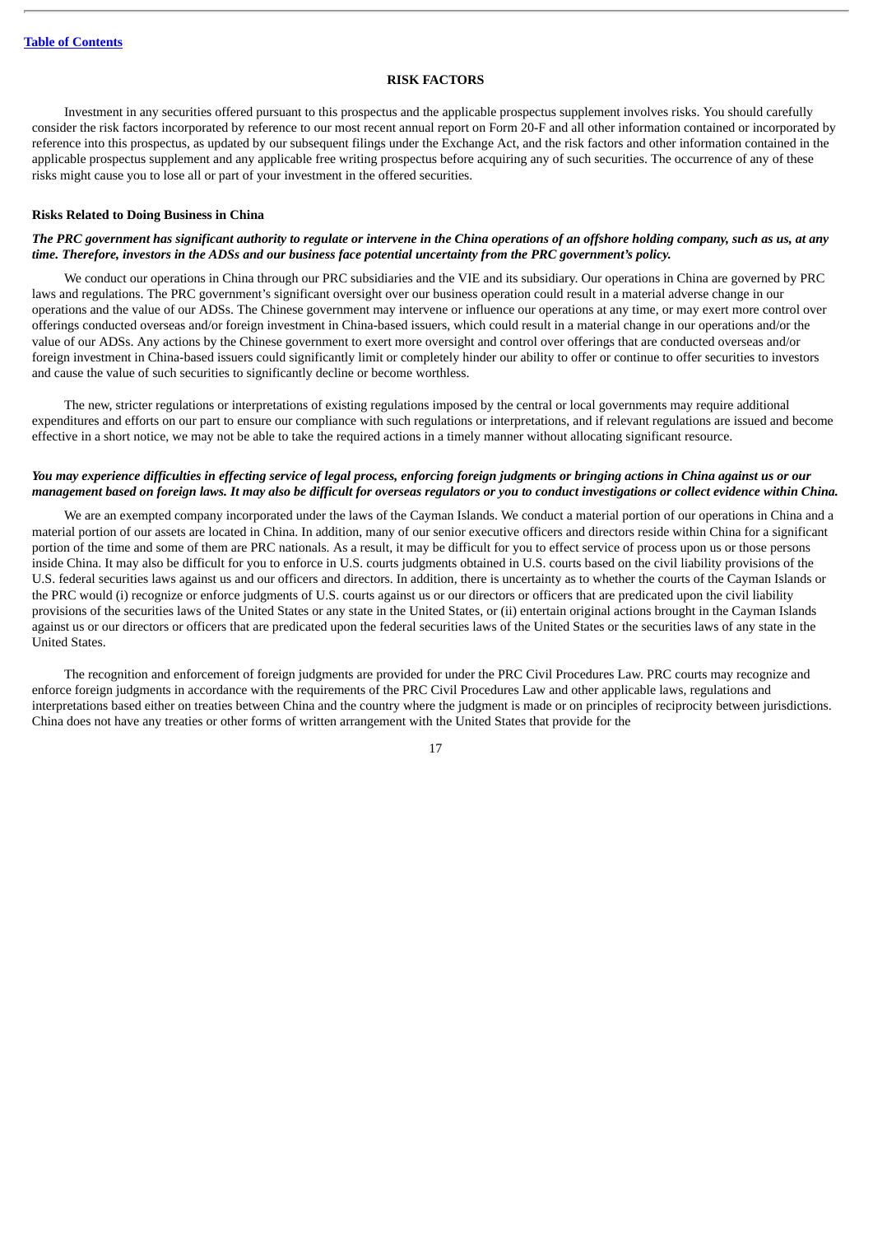# **RISK FACTORS**

<span id="page-21-0"></span>Investment in any securities offered pursuant to this prospectus and the applicable prospectus supplement involves risks. You should carefully consider the risk factors incorporated by reference to our most recent annual report on Form 20-F and all other information contained or incorporated by reference into this prospectus, as updated by our subsequent filings under the Exchange Act, and the risk factors and other information contained in the applicable prospectus supplement and any applicable free writing prospectus before acquiring any of such securities. The occurrence of any of these risks might cause you to lose all or part of your investment in the offered securities.

### **Risks Related to Doing Business in China**

# The PRC government has significant authority to regulate or intervene in the China operations of an offshore holding company, such as us, at any time. Therefore, investors in the ADSs and our business face potential uncertainty from the PRC aovernment's policy.

We conduct our operations in China through our PRC subsidiaries and the VIE and its subsidiary. Our operations in China are governed by PRC laws and regulations. The PRC government's significant oversight over our business operation could result in a material adverse change in our operations and the value of our ADSs. The Chinese government may intervene or influence our operations at any time, or may exert more control over offerings conducted overseas and/or foreign investment in China-based issuers, which could result in a material change in our operations and/or the value of our ADSs. Any actions by the Chinese government to exert more oversight and control over offerings that are conducted overseas and/or foreign investment in China-based issuers could significantly limit or completely hinder our ability to offer or continue to offer securities to investors and cause the value of such securities to significantly decline or become worthless.

The new, stricter regulations or interpretations of existing regulations imposed by the central or local governments may require additional expenditures and efforts on our part to ensure our compliance with such regulations or interpretations, and if relevant regulations are issued and become effective in a short notice, we may not be able to take the required actions in a timely manner without allocating significant resource.

# You may experience difficulties in effecting service of legal process, enforcing foreign judgments or bringing actions in China against us or our management based on foreian laws. It may also be difficult for overseas regulators or you to conduct investigations or collect evidence within Ching.

We are an exempted company incorporated under the laws of the Cayman Islands. We conduct a material portion of our operations in China and a material portion of our assets are located in China. In addition, many of our senior executive officers and directors reside within China for a significant portion of the time and some of them are PRC nationals. As a result, it may be difficult for you to effect service of process upon us or those persons inside China. It may also be difficult for you to enforce in U.S. courts judgments obtained in U.S. courts based on the civil liability provisions of the U.S. federal securities laws against us and our officers and directors. In addition, there is uncertainty as to whether the courts of the Cayman Islands or the PRC would (i) recognize or enforce judgments of U.S. courts against us or our directors or officers that are predicated upon the civil liability provisions of the securities laws of the United States or any state in the United States, or (ii) entertain original actions brought in the Cayman Islands against us or our directors or officers that are predicated upon the federal securities laws of the United States or the securities laws of any state in the United States.

The recognition and enforcement of foreign judgments are provided for under the PRC Civil Procedures Law. PRC courts may recognize and enforce foreign judgments in accordance with the requirements of the PRC Civil Procedures Law and other applicable laws, regulations and interpretations based either on treaties between China and the country where the judgment is made or on principles of reciprocity between jurisdictions. China does not have any treaties or other forms of written arrangement with the United States that provide for the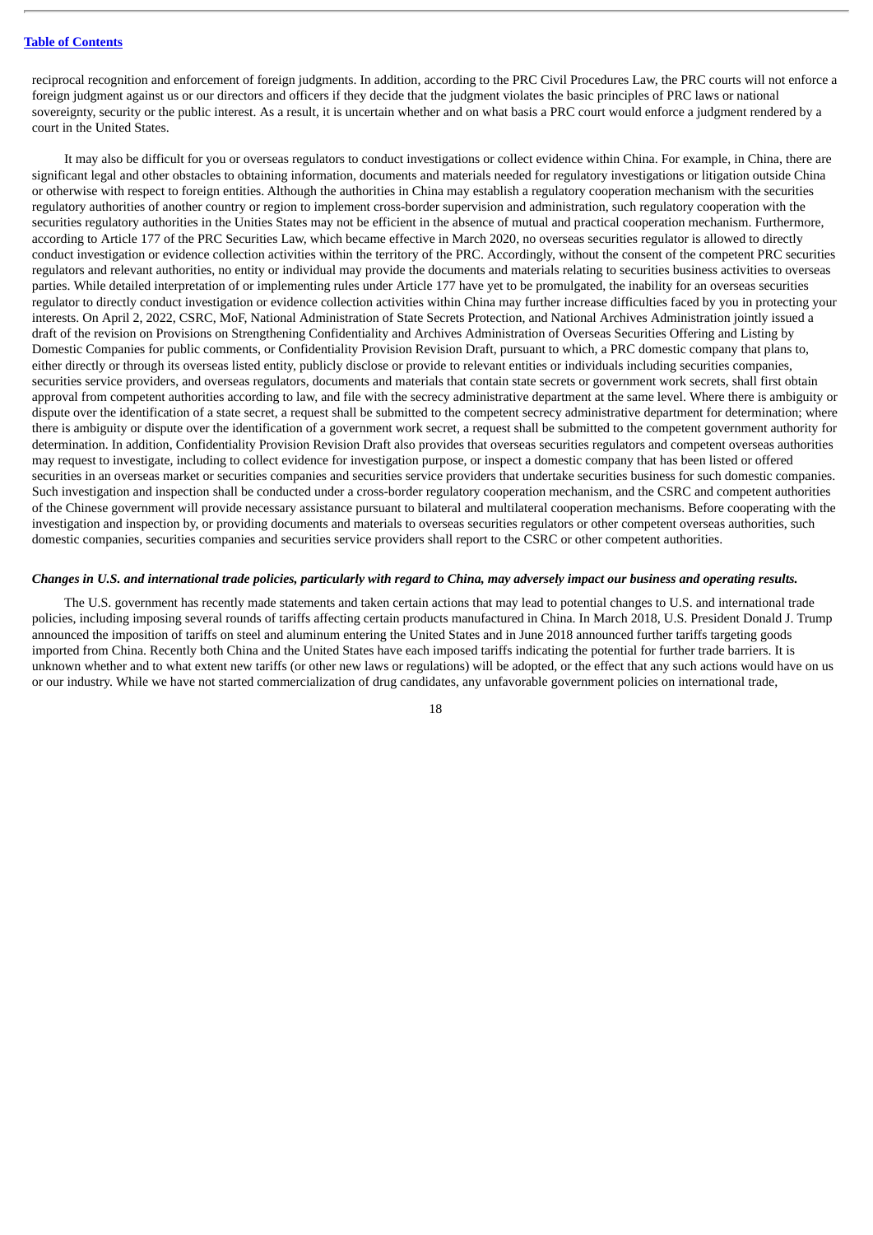reciprocal recognition and enforcement of foreign judgments. In addition, according to the PRC Civil Procedures Law, the PRC courts will not enforce a foreign judgment against us or our directors and officers if they decide that the judgment violates the basic principles of PRC laws or national sovereignty, security or the public interest. As a result, it is uncertain whether and on what basis a PRC court would enforce a judgment rendered by a court in the United States.

It may also be difficult for you or overseas regulators to conduct investigations or collect evidence within China. For example, in China, there are significant legal and other obstacles to obtaining information, documents and materials needed for regulatory investigations or litigation outside China or otherwise with respect to foreign entities. Although the authorities in China may establish a regulatory cooperation mechanism with the securities regulatory authorities of another country or region to implement cross-border supervision and administration, such regulatory cooperation with the securities regulatory authorities in the Unities States may not be efficient in the absence of mutual and practical cooperation mechanism. Furthermore, according to Article 177 of the PRC Securities Law, which became effective in March 2020, no overseas securities regulator is allowed to directly conduct investigation or evidence collection activities within the territory of the PRC. Accordingly, without the consent of the competent PRC securities regulators and relevant authorities, no entity or individual may provide the documents and materials relating to securities business activities to overseas parties. While detailed interpretation of or implementing rules under Article 177 have yet to be promulgated, the inability for an overseas securities regulator to directly conduct investigation or evidence collection activities within China may further increase difficulties faced by you in protecting your interests. On April 2, 2022, CSRC, MoF, National Administration of State Secrets Protection, and National Archives Administration jointly issued a draft of the revision on Provisions on Strengthening Confidentiality and Archives Administration of Overseas Securities Offering and Listing by Domestic Companies for public comments, or Confidentiality Provision Revision Draft, pursuant to which, a PRC domestic company that plans to, either directly or through its overseas listed entity, publicly disclose or provide to relevant entities or individuals including securities companies, securities service providers, and overseas regulators, documents and materials that contain state secrets or government work secrets, shall first obtain approval from competent authorities according to law, and file with the secrecy administrative department at the same level. Where there is ambiguity or dispute over the identification of a state secret, a request shall be submitted to the competent secrecy administrative department for determination; where there is ambiguity or dispute over the identification of a government work secret, a request shall be submitted to the competent government authority for determination. In addition, Confidentiality Provision Revision Draft also provides that overseas securities regulators and competent overseas authorities may request to investigate, including to collect evidence for investigation purpose, or inspect a domestic company that has been listed or offered securities in an overseas market or securities companies and securities service providers that undertake securities business for such domestic companies. Such investigation and inspection shall be conducted under a cross-border regulatory cooperation mechanism, and the CSRC and competent authorities of the Chinese government will provide necessary assistance pursuant to bilateral and multilateral cooperation mechanisms. Before cooperating with the investigation and inspection by, or providing documents and materials to overseas securities regulators or other competent overseas authorities, such domestic companies, securities companies and securities service providers shall report to the CSRC or other competent authorities.

#### Changes in U.S. and international trade policies, particularly with regard to China, may adversely impact our business and operating results.

The U.S. government has recently made statements and taken certain actions that may lead to potential changes to U.S. and international trade policies, including imposing several rounds of tariffs affecting certain products manufactured in China. In March 2018, U.S. President Donald J. Trump announced the imposition of tariffs on steel and aluminum entering the United States and in June 2018 announced further tariffs targeting goods imported from China. Recently both China and the United States have each imposed tariffs indicating the potential for further trade barriers. It is unknown whether and to what extent new tariffs (or other new laws or regulations) will be adopted, or the effect that any such actions would have on us or our industry. While we have not started commercialization of drug candidates, any unfavorable government policies on international trade,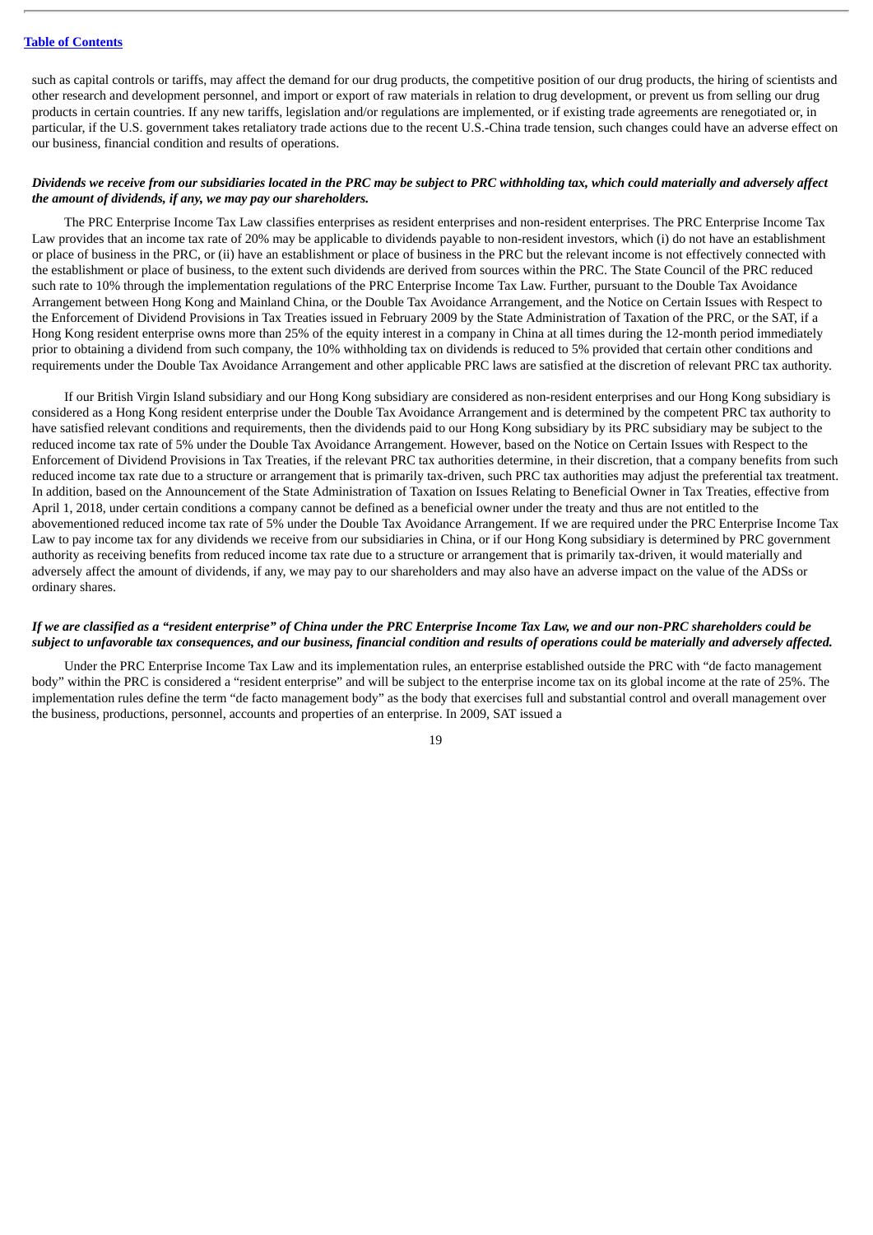such as capital controls or tariffs, may affect the demand for our drug products, the competitive position of our drug products, the hiring of scientists and other research and development personnel, and import or export of raw materials in relation to drug development, or prevent us from selling our drug products in certain countries. If any new tariffs, legislation and/or regulations are implemented, or if existing trade agreements are renegotiated or, in particular, if the U.S. government takes retaliatory trade actions due to the recent U.S.-China trade tension, such changes could have an adverse effect on our business, financial condition and results of operations.

# Dividends we receive from our subsidiaries located in the PRC may be subject to PRC withholding tax, which could materially and adversely affect *the amount of dividends, if any, we may pay our shareholders.*

The PRC Enterprise Income Tax Law classifies enterprises as resident enterprises and non-resident enterprises. The PRC Enterprise Income Tax Law provides that an income tax rate of 20% may be applicable to dividends payable to non-resident investors, which (i) do not have an establishment or place of business in the PRC, or (ii) have an establishment or place of business in the PRC but the relevant income is not effectively connected with the establishment or place of business, to the extent such dividends are derived from sources within the PRC. The State Council of the PRC reduced such rate to 10% through the implementation regulations of the PRC Enterprise Income Tax Law. Further, pursuant to the Double Tax Avoidance Arrangement between Hong Kong and Mainland China, or the Double Tax Avoidance Arrangement, and the Notice on Certain Issues with Respect to the Enforcement of Dividend Provisions in Tax Treaties issued in February 2009 by the State Administration of Taxation of the PRC, or the SAT, if a Hong Kong resident enterprise owns more than 25% of the equity interest in a company in China at all times during the 12-month period immediately prior to obtaining a dividend from such company, the 10% withholding tax on dividends is reduced to 5% provided that certain other conditions and requirements under the Double Tax Avoidance Arrangement and other applicable PRC laws are satisfied at the discretion of relevant PRC tax authority.

If our British Virgin Island subsidiary and our Hong Kong subsidiary are considered as non-resident enterprises and our Hong Kong subsidiary is considered as a Hong Kong resident enterprise under the Double Tax Avoidance Arrangement and is determined by the competent PRC tax authority to have satisfied relevant conditions and requirements, then the dividends paid to our Hong Kong subsidiary by its PRC subsidiary may be subject to the reduced income tax rate of 5% under the Double Tax Avoidance Arrangement. However, based on the Notice on Certain Issues with Respect to the Enforcement of Dividend Provisions in Tax Treaties, if the relevant PRC tax authorities determine, in their discretion, that a company benefits from such reduced income tax rate due to a structure or arrangement that is primarily tax-driven, such PRC tax authorities may adjust the preferential tax treatment. In addition, based on the Announcement of the State Administration of Taxation on Issues Relating to Beneficial Owner in Tax Treaties, effective from April 1, 2018, under certain conditions a company cannot be defined as a beneficial owner under the treaty and thus are not entitled to the abovementioned reduced income tax rate of 5% under the Double Tax Avoidance Arrangement. If we are required under the PRC Enterprise Income Tax Law to pay income tax for any dividends we receive from our subsidiaries in China, or if our Hong Kong subsidiary is determined by PRC government authority as receiving benefits from reduced income tax rate due to a structure or arrangement that is primarily tax-driven, it would materially and adversely affect the amount of dividends, if any, we may pay to our shareholders and may also have an adverse impact on the value of the ADSs or ordinary shares.

# If we are classified as a "resident enterprise" of China under the PRC Enterprise Income Tax Law, we and our non-PRC shareholders could be subject to unfavorable tax consequences, and our business, financial condition and results of operations could be materially and adversely affected.

Under the PRC Enterprise Income Tax Law and its implementation rules, an enterprise established outside the PRC with "de facto management body" within the PRC is considered a "resident enterprise" and will be subject to the enterprise income tax on its global income at the rate of 25%. The implementation rules define the term "de facto management body" as the body that exercises full and substantial control and overall management over the business, productions, personnel, accounts and properties of an enterprise. In 2009, SAT issued a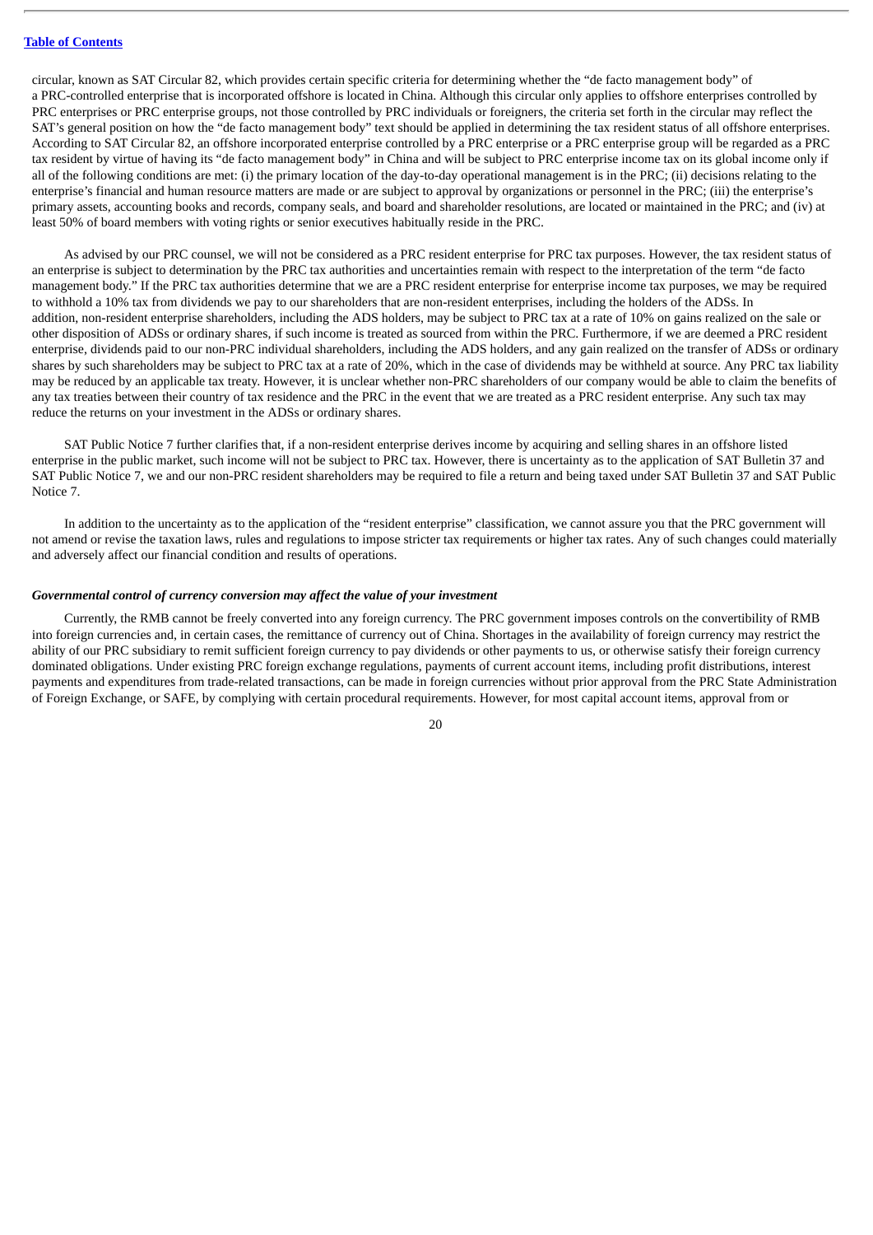circular, known as SAT Circular 82, which provides certain specific criteria for determining whether the "de facto management body" of a PRC-controlled enterprise that is incorporated offshore is located in China. Although this circular only applies to offshore enterprises controlled by PRC enterprises or PRC enterprise groups, not those controlled by PRC individuals or foreigners, the criteria set forth in the circular may reflect the SAT's general position on how the "de facto management body" text should be applied in determining the tax resident status of all offshore enterprises. According to SAT Circular 82, an offshore incorporated enterprise controlled by a PRC enterprise or a PRC enterprise group will be regarded as a PRC tax resident by virtue of having its "de facto management body" in China and will be subject to PRC enterprise income tax on its global income only if all of the following conditions are met: (i) the primary location of the day-to-day operational management is in the PRC; (ii) decisions relating to the enterprise's financial and human resource matters are made or are subject to approval by organizations or personnel in the PRC; (iii) the enterprise's primary assets, accounting books and records, company seals, and board and shareholder resolutions, are located or maintained in the PRC; and (iv) at least 50% of board members with voting rights or senior executives habitually reside in the PRC.

As advised by our PRC counsel, we will not be considered as a PRC resident enterprise for PRC tax purposes. However, the tax resident status of an enterprise is subject to determination by the PRC tax authorities and uncertainties remain with respect to the interpretation of the term "de facto management body." If the PRC tax authorities determine that we are a PRC resident enterprise for enterprise income tax purposes, we may be required to withhold a 10% tax from dividends we pay to our shareholders that are non-resident enterprises, including the holders of the ADSs. In addition, non-resident enterprise shareholders, including the ADS holders, may be subject to PRC tax at a rate of 10% on gains realized on the sale or other disposition of ADSs or ordinary shares, if such income is treated as sourced from within the PRC. Furthermore, if we are deemed a PRC resident enterprise, dividends paid to our non-PRC individual shareholders, including the ADS holders, and any gain realized on the transfer of ADSs or ordinary shares by such shareholders may be subject to PRC tax at a rate of 20%, which in the case of dividends may be withheld at source. Any PRC tax liability may be reduced by an applicable tax treaty. However, it is unclear whether non-PRC shareholders of our company would be able to claim the benefits of any tax treaties between their country of tax residence and the PRC in the event that we are treated as a PRC resident enterprise. Any such tax may reduce the returns on your investment in the ADSs or ordinary shares.

SAT Public Notice 7 further clarifies that, if a non-resident enterprise derives income by acquiring and selling shares in an offshore listed enterprise in the public market, such income will not be subject to PRC tax. However, there is uncertainty as to the application of SAT Bulletin 37 and SAT Public Notice 7, we and our non-PRC resident shareholders may be required to file a return and being taxed under SAT Bulletin 37 and SAT Public Notice 7.

In addition to the uncertainty as to the application of the "resident enterprise" classification, we cannot assure you that the PRC government will not amend or revise the taxation laws, rules and regulations to impose stricter tax requirements or higher tax rates. Any of such changes could materially and adversely affect our financial condition and results of operations.

# *Governmental control of currency conversion may affect the value of your investment*

Currently, the RMB cannot be freely converted into any foreign currency. The PRC government imposes controls on the convertibility of RMB into foreign currencies and, in certain cases, the remittance of currency out of China. Shortages in the availability of foreign currency may restrict the ability of our PRC subsidiary to remit sufficient foreign currency to pay dividends or other payments to us, or otherwise satisfy their foreign currency dominated obligations. Under existing PRC foreign exchange regulations, payments of current account items, including profit distributions, interest payments and expenditures from trade-related transactions, can be made in foreign currencies without prior approval from the PRC State Administration of Foreign Exchange, or SAFE, by complying with certain procedural requirements. However, for most capital account items, approval from or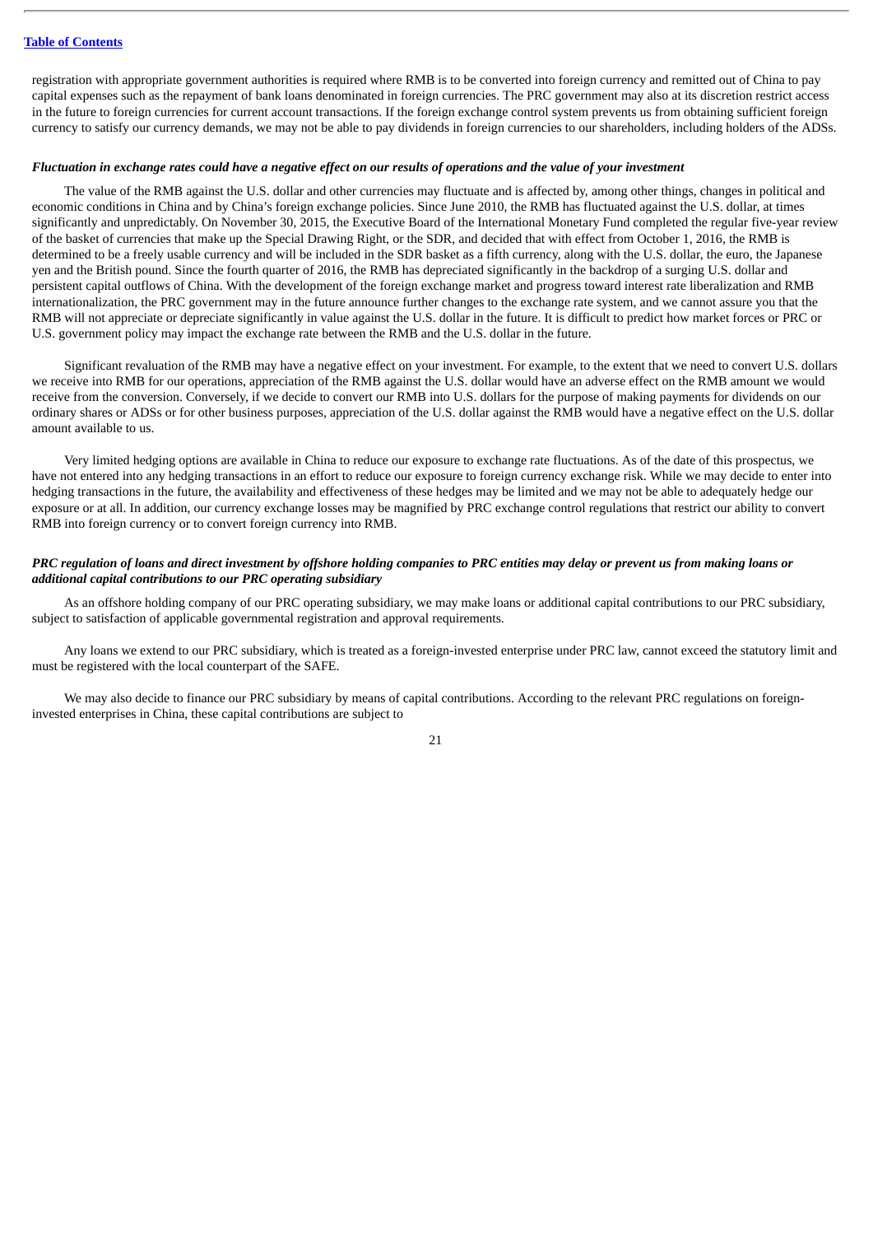registration with appropriate government authorities is required where RMB is to be converted into foreign currency and remitted out of China to pay capital expenses such as the repayment of bank loans denominated in foreign currencies. The PRC government may also at its discretion restrict access in the future to foreign currencies for current account transactions. If the foreign exchange control system prevents us from obtaining sufficient foreign currency to satisfy our currency demands, we may not be able to pay dividends in foreign currencies to our shareholders, including holders of the ADSs.

#### Fluctuation in exchange rates could have a negative effect on our results of operations and the value of your investment

The value of the RMB against the U.S. dollar and other currencies may fluctuate and is affected by, among other things, changes in political and economic conditions in China and by China's foreign exchange policies. Since June 2010, the RMB has fluctuated against the U.S. dollar, at times significantly and unpredictably. On November 30, 2015, the Executive Board of the International Monetary Fund completed the regular five-year review of the basket of currencies that make up the Special Drawing Right, or the SDR, and decided that with effect from October 1, 2016, the RMB is determined to be a freely usable currency and will be included in the SDR basket as a fifth currency, along with the U.S. dollar, the euro, the Japanese yen and the British pound. Since the fourth quarter of 2016, the RMB has depreciated significantly in the backdrop of a surging U.S. dollar and persistent capital outflows of China. With the development of the foreign exchange market and progress toward interest rate liberalization and RMB internationalization, the PRC government may in the future announce further changes to the exchange rate system, and we cannot assure you that the RMB will not appreciate or depreciate significantly in value against the U.S. dollar in the future. It is difficult to predict how market forces or PRC or U.S. government policy may impact the exchange rate between the RMB and the U.S. dollar in the future.

Significant revaluation of the RMB may have a negative effect on your investment. For example, to the extent that we need to convert U.S. dollars we receive into RMB for our operations, appreciation of the RMB against the U.S. dollar would have an adverse effect on the RMB amount we would receive from the conversion. Conversely, if we decide to convert our RMB into U.S. dollars for the purpose of making payments for dividends on our ordinary shares or ADSs or for other business purposes, appreciation of the U.S. dollar against the RMB would have a negative effect on the U.S. dollar amount available to us.

Very limited hedging options are available in China to reduce our exposure to exchange rate fluctuations. As of the date of this prospectus, we have not entered into any hedging transactions in an effort to reduce our exposure to foreign currency exchange risk. While we may decide to enter into hedging transactions in the future, the availability and effectiveness of these hedges may be limited and we may not be able to adequately hedge our exposure or at all. In addition, our currency exchange losses may be magnified by PRC exchange control regulations that restrict our ability to convert RMB into foreign currency or to convert foreign currency into RMB.

# PRC regulation of loans and direct investment by offshore holding companies to PRC entities may delay or prevent us from making loans or *additional capital contributions to our PRC operating subsidiary*

As an offshore holding company of our PRC operating subsidiary, we may make loans or additional capital contributions to our PRC subsidiary, subject to satisfaction of applicable governmental registration and approval requirements.

Any loans we extend to our PRC subsidiary, which is treated as a foreign-invested enterprise under PRC law, cannot exceed the statutory limit and must be registered with the local counterpart of the SAFE.

We may also decide to finance our PRC subsidiary by means of capital contributions. According to the relevant PRC regulations on foreigninvested enterprises in China, these capital contributions are subject to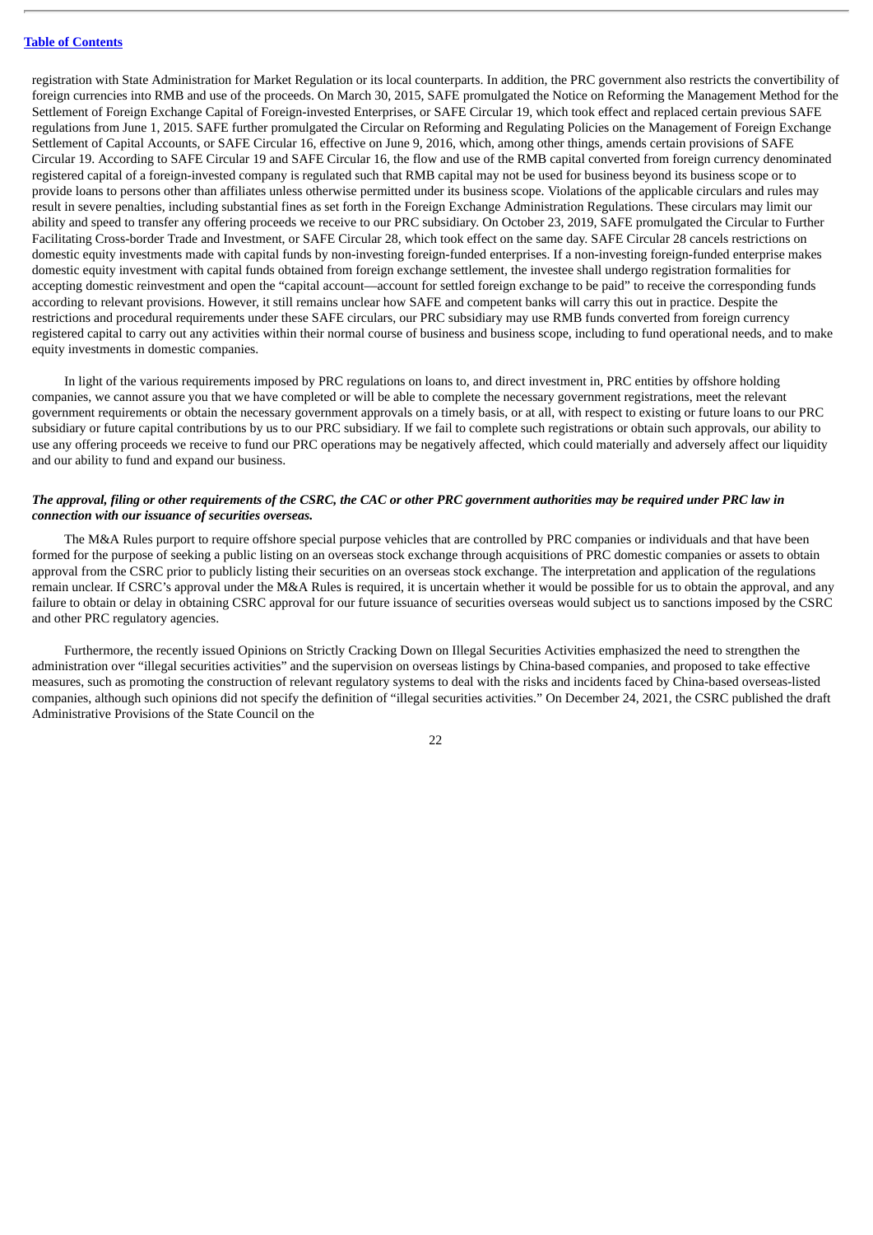registration with State Administration for Market Regulation or its local counterparts. In addition, the PRC government also restricts the convertibility of foreign currencies into RMB and use of the proceeds. On March 30, 2015, SAFE promulgated the Notice on Reforming the Management Method for the Settlement of Foreign Exchange Capital of Foreign-invested Enterprises, or SAFE Circular 19, which took effect and replaced certain previous SAFE regulations from June 1, 2015. SAFE further promulgated the Circular on Reforming and Regulating Policies on the Management of Foreign Exchange Settlement of Capital Accounts, or SAFE Circular 16, effective on June 9, 2016, which, among other things, amends certain provisions of SAFE Circular 19. According to SAFE Circular 19 and SAFE Circular 16, the flow and use of the RMB capital converted from foreign currency denominated registered capital of a foreign-invested company is regulated such that RMB capital may not be used for business beyond its business scope or to provide loans to persons other than affiliates unless otherwise permitted under its business scope. Violations of the applicable circulars and rules may result in severe penalties, including substantial fines as set forth in the Foreign Exchange Administration Regulations. These circulars may limit our ability and speed to transfer any offering proceeds we receive to our PRC subsidiary. On October 23, 2019, SAFE promulgated the Circular to Further Facilitating Cross-border Trade and Investment, or SAFE Circular 28, which took effect on the same day. SAFE Circular 28 cancels restrictions on domestic equity investments made with capital funds by non-investing foreign-funded enterprises. If a non-investing foreign-funded enterprise makes domestic equity investment with capital funds obtained from foreign exchange settlement, the investee shall undergo registration formalities for accepting domestic reinvestment and open the "capital account—account for settled foreign exchange to be paid" to receive the corresponding funds according to relevant provisions. However, it still remains unclear how SAFE and competent banks will carry this out in practice. Despite the restrictions and procedural requirements under these SAFE circulars, our PRC subsidiary may use RMB funds converted from foreign currency registered capital to carry out any activities within their normal course of business and business scope, including to fund operational needs, and to make equity investments in domestic companies.

In light of the various requirements imposed by PRC regulations on loans to, and direct investment in, PRC entities by offshore holding companies, we cannot assure you that we have completed or will be able to complete the necessary government registrations, meet the relevant government requirements or obtain the necessary government approvals on a timely basis, or at all, with respect to existing or future loans to our PRC subsidiary or future capital contributions by us to our PRC subsidiary. If we fail to complete such registrations or obtain such approvals, our ability to use any offering proceeds we receive to fund our PRC operations may be negatively affected, which could materially and adversely affect our liquidity and our ability to fund and expand our business.

# The approval, filing or other requirements of the CSRC, the CAC or other PRC government authorities may be required under PRC law in *connection with our issuance of securities overseas.*

The M&A Rules purport to require offshore special purpose vehicles that are controlled by PRC companies or individuals and that have been formed for the purpose of seeking a public listing on an overseas stock exchange through acquisitions of PRC domestic companies or assets to obtain approval from the CSRC prior to publicly listing their securities on an overseas stock exchange. The interpretation and application of the regulations remain unclear. If CSRC's approval under the M&A Rules is required, it is uncertain whether it would be possible for us to obtain the approval, and any failure to obtain or delay in obtaining CSRC approval for our future issuance of securities overseas would subject us to sanctions imposed by the CSRC and other PRC regulatory agencies.

Furthermore, the recently issued Opinions on Strictly Cracking Down on Illegal Securities Activities emphasized the need to strengthen the administration over "illegal securities activities" and the supervision on overseas listings by China-based companies, and proposed to take effective measures, such as promoting the construction of relevant regulatory systems to deal with the risks and incidents faced by China-based overseas-listed companies, although such opinions did not specify the definition of "illegal securities activities." On December 24, 2021, the CSRC published the draft Administrative Provisions of the State Council on the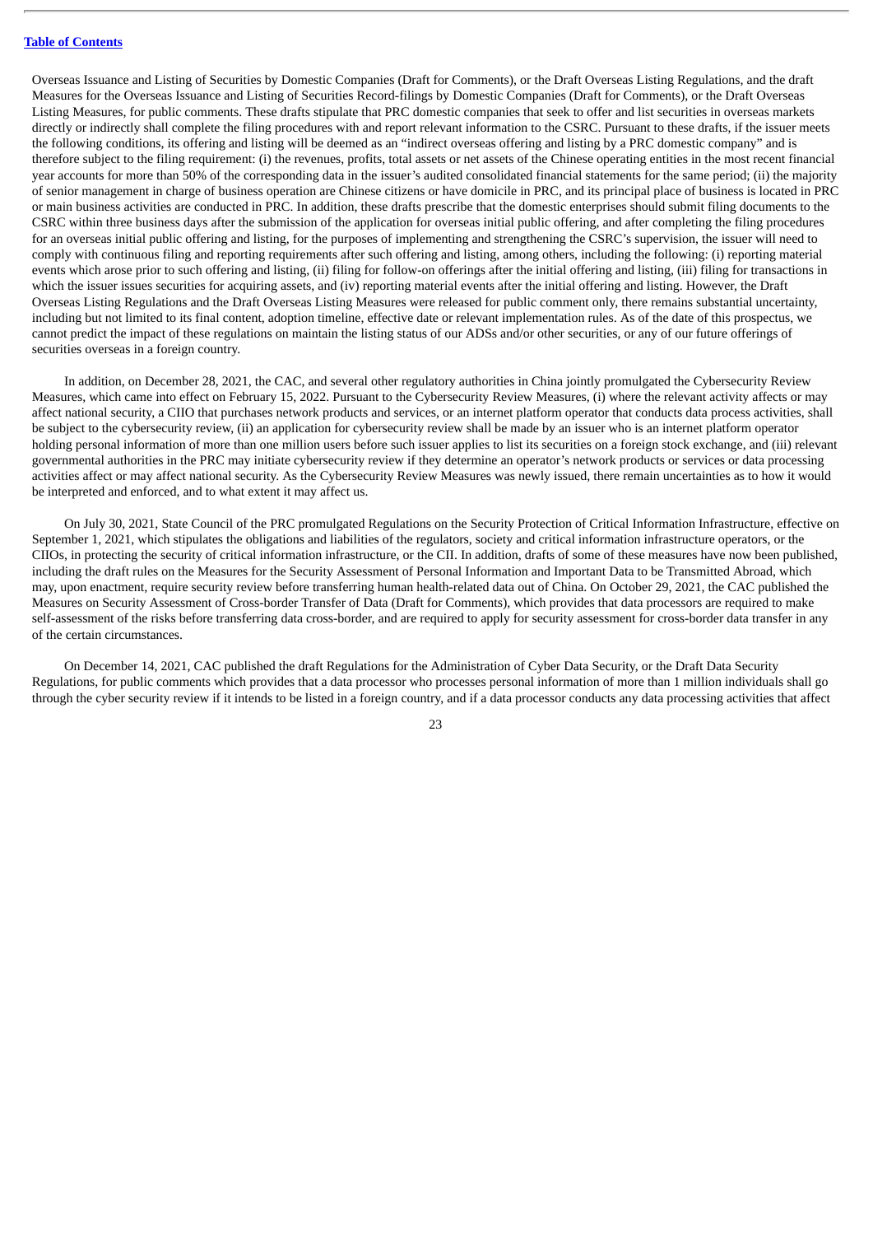Overseas Issuance and Listing of Securities by Domestic Companies (Draft for Comments), or the Draft Overseas Listing Regulations, and the draft Measures for the Overseas Issuance and Listing of Securities Record-filings by Domestic Companies (Draft for Comments), or the Draft Overseas Listing Measures, for public comments. These drafts stipulate that PRC domestic companies that seek to offer and list securities in overseas markets directly or indirectly shall complete the filing procedures with and report relevant information to the CSRC. Pursuant to these drafts, if the issuer meets the following conditions, its offering and listing will be deemed as an "indirect overseas offering and listing by a PRC domestic company" and is therefore subject to the filing requirement: (i) the revenues, profits, total assets or net assets of the Chinese operating entities in the most recent financial year accounts for more than 50% of the corresponding data in the issuer's audited consolidated financial statements for the same period; (ii) the majority of senior management in charge of business operation are Chinese citizens or have domicile in PRC, and its principal place of business is located in PRC or main business activities are conducted in PRC. In addition, these drafts prescribe that the domestic enterprises should submit filing documents to the CSRC within three business days after the submission of the application for overseas initial public offering, and after completing the filing procedures for an overseas initial public offering and listing, for the purposes of implementing and strengthening the CSRC's supervision, the issuer will need to comply with continuous filing and reporting requirements after such offering and listing, among others, including the following: (i) reporting material events which arose prior to such offering and listing, (ii) filing for follow-on offerings after the initial offering and listing, (iii) filing for transactions in which the issuer issues securities for acquiring assets, and (iv) reporting material events after the initial offering and listing. However, the Draft Overseas Listing Regulations and the Draft Overseas Listing Measures were released for public comment only, there remains substantial uncertainty, including but not limited to its final content, adoption timeline, effective date or relevant implementation rules. As of the date of this prospectus, we cannot predict the impact of these regulations on maintain the listing status of our ADSs and/or other securities, or any of our future offerings of securities overseas in a foreign country.

In addition, on December 28, 2021, the CAC, and several other regulatory authorities in China jointly promulgated the Cybersecurity Review Measures, which came into effect on February 15, 2022. Pursuant to the Cybersecurity Review Measures, (i) where the relevant activity affects or may affect national security, a CIIO that purchases network products and services, or an internet platform operator that conducts data process activities, shall be subject to the cybersecurity review, (ii) an application for cybersecurity review shall be made by an issuer who is an internet platform operator holding personal information of more than one million users before such issuer applies to list its securities on a foreign stock exchange, and (iii) relevant governmental authorities in the PRC may initiate cybersecurity review if they determine an operator's network products or services or data processing activities affect or may affect national security. As the Cybersecurity Review Measures was newly issued, there remain uncertainties as to how it would be interpreted and enforced, and to what extent it may affect us.

On July 30, 2021, State Council of the PRC promulgated Regulations on the Security Protection of Critical Information Infrastructure, effective on September 1, 2021, which stipulates the obligations and liabilities of the regulators, society and critical information infrastructure operators, or the CIIOs, in protecting the security of critical information infrastructure, or the CII. In addition, drafts of some of these measures have now been published, including the draft rules on the Measures for the Security Assessment of Personal Information and Important Data to be Transmitted Abroad, which may, upon enactment, require security review before transferring human health-related data out of China. On October 29, 2021, the CAC published the Measures on Security Assessment of Cross-border Transfer of Data (Draft for Comments), which provides that data processors are required to make self-assessment of the risks before transferring data cross-border, and are required to apply for security assessment for cross-border data transfer in any of the certain circumstances.

On December 14, 2021, CAC published the draft Regulations for the Administration of Cyber Data Security, or the Draft Data Security Regulations, for public comments which provides that a data processor who processes personal information of more than 1 million individuals shall go through the cyber security review if it intends to be listed in a foreign country, and if a data processor conducts any data processing activities that affect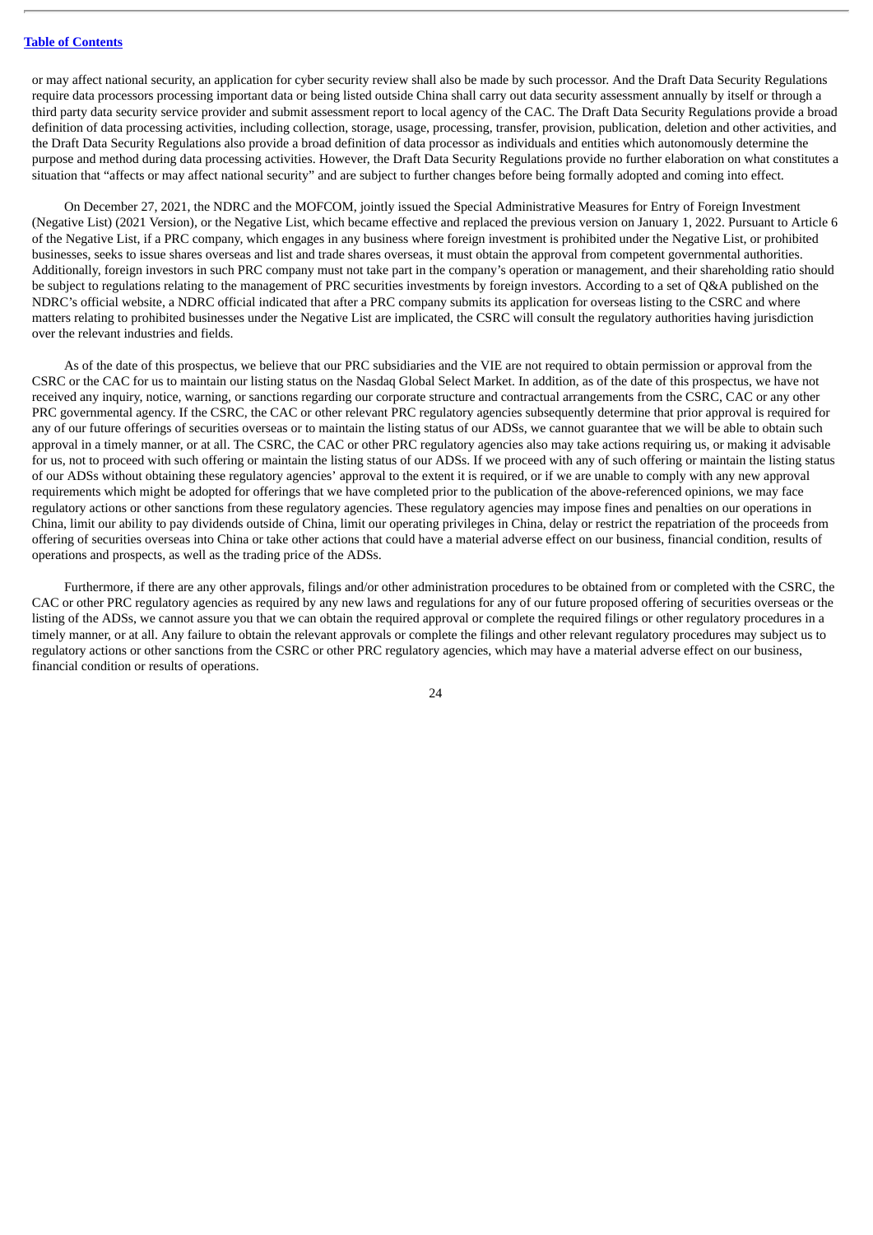or may affect national security, an application for cyber security review shall also be made by such processor. And the Draft Data Security Regulations require data processors processing important data or being listed outside China shall carry out data security assessment annually by itself or through a third party data security service provider and submit assessment report to local agency of the CAC. The Draft Data Security Regulations provide a broad definition of data processing activities, including collection, storage, usage, processing, transfer, provision, publication, deletion and other activities, and the Draft Data Security Regulations also provide a broad definition of data processor as individuals and entities which autonomously determine the purpose and method during data processing activities. However, the Draft Data Security Regulations provide no further elaboration on what constitutes a situation that "affects or may affect national security" and are subject to further changes before being formally adopted and coming into effect.

On December 27, 2021, the NDRC and the MOFCOM, jointly issued the Special Administrative Measures for Entry of Foreign Investment (Negative List) (2021 Version), or the Negative List, which became effective and replaced the previous version on January 1, 2022. Pursuant to Article 6 of the Negative List, if a PRC company, which engages in any business where foreign investment is prohibited under the Negative List, or prohibited businesses, seeks to issue shares overseas and list and trade shares overseas, it must obtain the approval from competent governmental authorities. Additionally, foreign investors in such PRC company must not take part in the company's operation or management, and their shareholding ratio should be subject to regulations relating to the management of PRC securities investments by foreign investors. According to a set of Q&A published on the NDRC's official website, a NDRC official indicated that after a PRC company submits its application for overseas listing to the CSRC and where matters relating to prohibited businesses under the Negative List are implicated, the CSRC will consult the regulatory authorities having jurisdiction over the relevant industries and fields.

As of the date of this prospectus, we believe that our PRC subsidiaries and the VIE are not required to obtain permission or approval from the CSRC or the CAC for us to maintain our listing status on the Nasdaq Global Select Market. In addition, as of the date of this prospectus, we have not received any inquiry, notice, warning, or sanctions regarding our corporate structure and contractual arrangements from the CSRC, CAC or any other PRC governmental agency. If the CSRC, the CAC or other relevant PRC regulatory agencies subsequently determine that prior approval is required for any of our future offerings of securities overseas or to maintain the listing status of our ADSs, we cannot guarantee that we will be able to obtain such approval in a timely manner, or at all. The CSRC, the CAC or other PRC regulatory agencies also may take actions requiring us, or making it advisable for us, not to proceed with such offering or maintain the listing status of our ADSs. If we proceed with any of such offering or maintain the listing status of our ADSs without obtaining these regulatory agencies' approval to the extent it is required, or if we are unable to comply with any new approval requirements which might be adopted for offerings that we have completed prior to the publication of the above-referenced opinions, we may face regulatory actions or other sanctions from these regulatory agencies. These regulatory agencies may impose fines and penalties on our operations in China, limit our ability to pay dividends outside of China, limit our operating privileges in China, delay or restrict the repatriation of the proceeds from offering of securities overseas into China or take other actions that could have a material adverse effect on our business, financial condition, results of operations and prospects, as well as the trading price of the ADSs.

Furthermore, if there are any other approvals, filings and/or other administration procedures to be obtained from or completed with the CSRC, the CAC or other PRC regulatory agencies as required by any new laws and regulations for any of our future proposed offering of securities overseas or the listing of the ADSs, we cannot assure you that we can obtain the required approval or complete the required filings or other regulatory procedures in a timely manner, or at all. Any failure to obtain the relevant approvals or complete the filings and other relevant regulatory procedures may subject us to regulatory actions or other sanctions from the CSRC or other PRC regulatory agencies, which may have a material adverse effect on our business, financial condition or results of operations.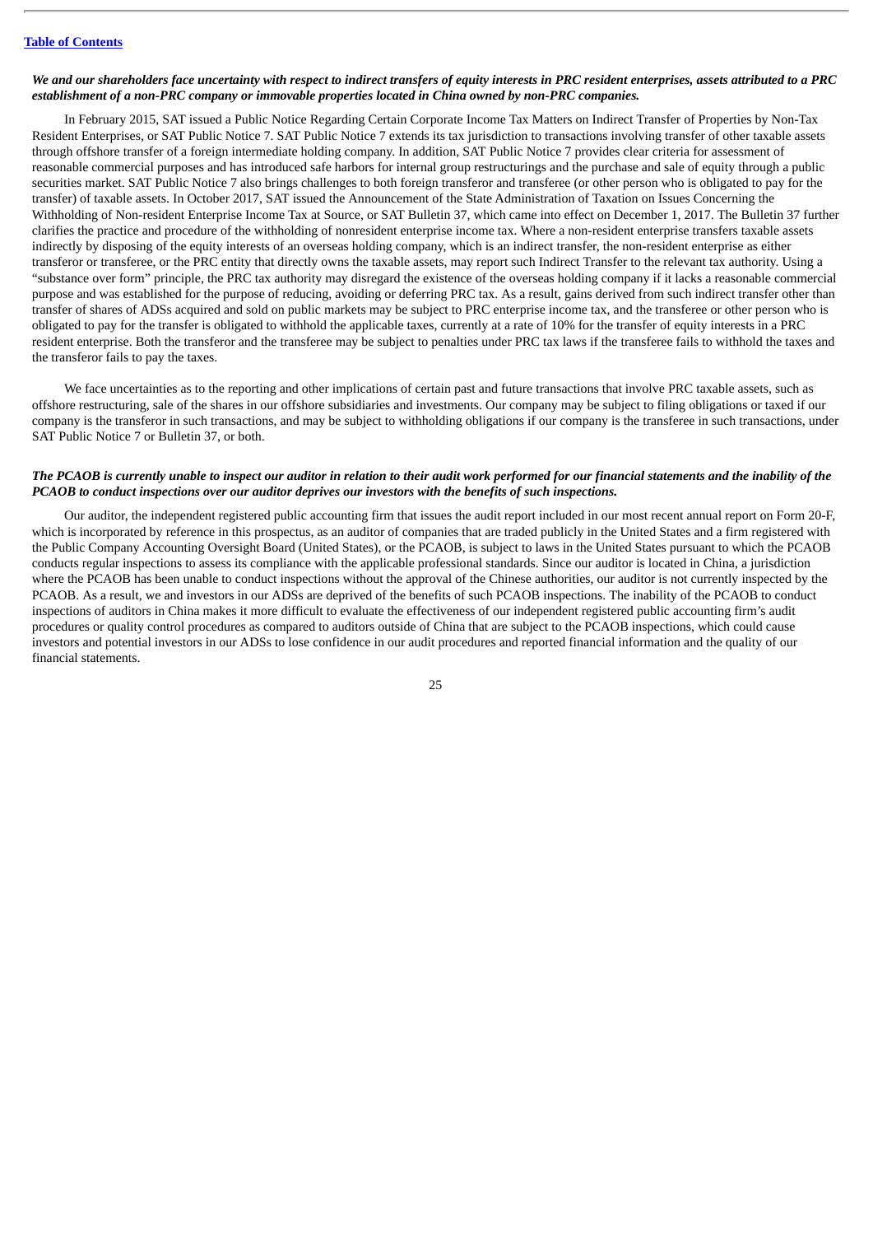### We and our shareholders face uncertainty with respect to indirect transfers of equity interests in PRC resident enterprises, assets attributed to a PRC *establishment of a non-PRC company or immovable properties located in China owned by non-PRC companies.*

In February 2015, SAT issued a Public Notice Regarding Certain Corporate Income Tax Matters on Indirect Transfer of Properties by Non-Tax Resident Enterprises, or SAT Public Notice 7. SAT Public Notice 7 extends its tax jurisdiction to transactions involving transfer of other taxable assets through offshore transfer of a foreign intermediate holding company. In addition, SAT Public Notice 7 provides clear criteria for assessment of reasonable commercial purposes and has introduced safe harbors for internal group restructurings and the purchase and sale of equity through a public securities market. SAT Public Notice 7 also brings challenges to both foreign transferor and transferee (or other person who is obligated to pay for the transfer) of taxable assets. In October 2017, SAT issued the Announcement of the State Administration of Taxation on Issues Concerning the Withholding of Non-resident Enterprise Income Tax at Source, or SAT Bulletin 37, which came into effect on December 1, 2017. The Bulletin 37 further clarifies the practice and procedure of the withholding of nonresident enterprise income tax. Where a non-resident enterprise transfers taxable assets indirectly by disposing of the equity interests of an overseas holding company, which is an indirect transfer, the non-resident enterprise as either transferor or transferee, or the PRC entity that directly owns the taxable assets, may report such Indirect Transfer to the relevant tax authority. Using a "substance over form" principle, the PRC tax authority may disregard the existence of the overseas holding company if it lacks a reasonable commercial purpose and was established for the purpose of reducing, avoiding or deferring PRC tax. As a result, gains derived from such indirect transfer other than transfer of shares of ADSs acquired and sold on public markets may be subject to PRC enterprise income tax, and the transferee or other person who is obligated to pay for the transfer is obligated to withhold the applicable taxes, currently at a rate of 10% for the transfer of equity interests in a PRC resident enterprise. Both the transferor and the transferee may be subject to penalties under PRC tax laws if the transferee fails to withhold the taxes and the transferor fails to pay the taxes.

We face uncertainties as to the reporting and other implications of certain past and future transactions that involve PRC taxable assets, such as offshore restructuring, sale of the shares in our offshore subsidiaries and investments. Our company may be subject to filing obligations or taxed if our company is the transferor in such transactions, and may be subject to withholding obligations if our company is the transferee in such transactions, under SAT Public Notice 7 or Bulletin 37, or both.

# The PCAOB is currently unable to inspect our auditor in relation to their audit work performed for our financial statements and the inability of the *PCAOB to conduct inspections over our auditor deprives our investors with the benefits of such inspections.*

Our auditor, the independent registered public accounting firm that issues the audit report included in our most recent annual report on Form 20-F, which is incorporated by reference in this prospectus, as an auditor of companies that are traded publicly in the United States and a firm registered with the Public Company Accounting Oversight Board (United States), or the PCAOB, is subject to laws in the United States pursuant to which the PCAOB conducts regular inspections to assess its compliance with the applicable professional standards. Since our auditor is located in China, a jurisdiction where the PCAOB has been unable to conduct inspections without the approval of the Chinese authorities, our auditor is not currently inspected by the PCAOB. As a result, we and investors in our ADSs are deprived of the benefits of such PCAOB inspections. The inability of the PCAOB to conduct inspections of auditors in China makes it more difficult to evaluate the effectiveness of our independent registered public accounting firm's audit procedures or quality control procedures as compared to auditors outside of China that are subject to the PCAOB inspections, which could cause investors and potential investors in our ADSs to lose confidence in our audit procedures and reported financial information and the quality of our financial statements.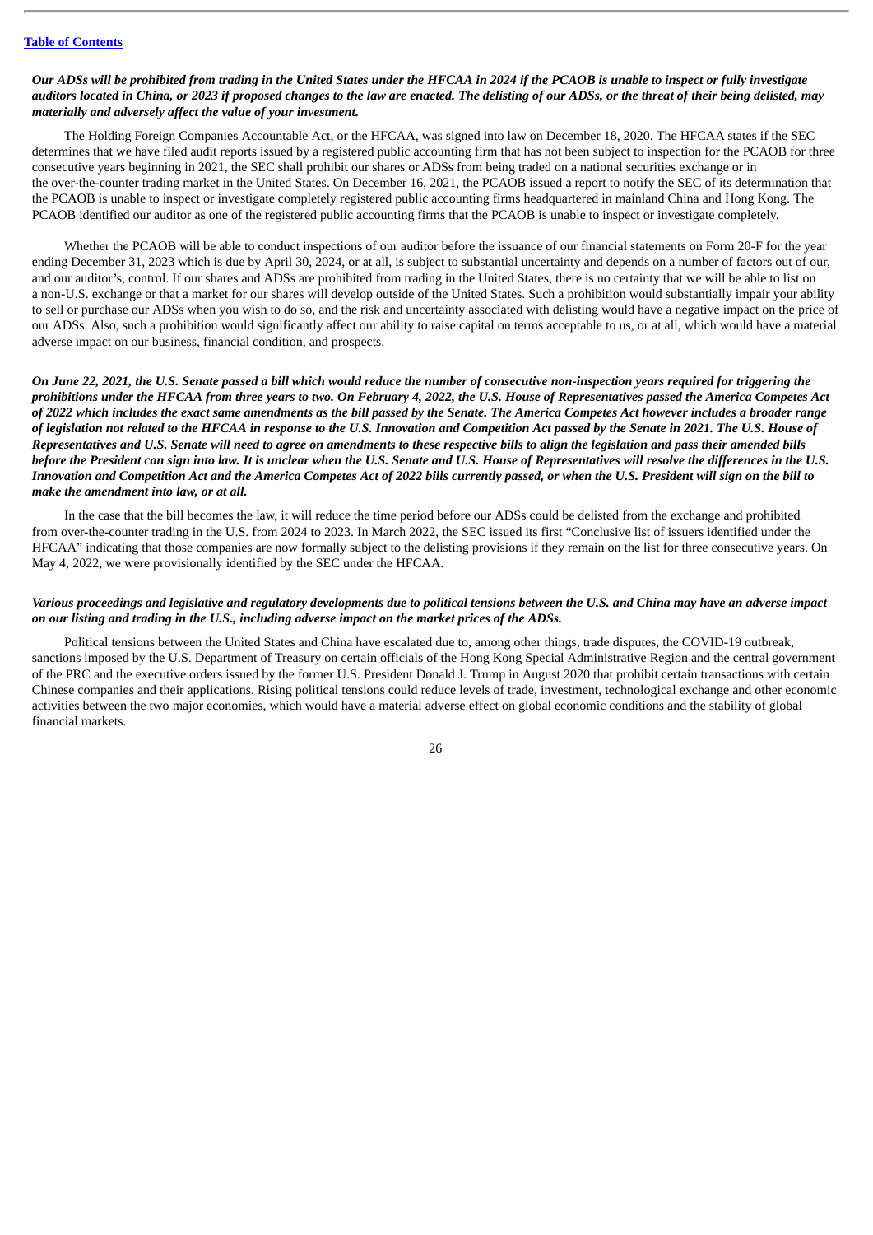# Our ADSs will be prohibited from trading in the United States under the HFCAA in 2024 if the PCAOB is unable to inspect or fully investigate auditors located in China, or 2023 if proposed changes to the law are enacted. The delisting of our ADSs, or the threat of their being delisted, may *materially and adversely affect the value of your investment.*

The Holding Foreign Companies Accountable Act, or the HFCAA, was signed into law on December 18, 2020. The HFCAA states if the SEC determines that we have filed audit reports issued by a registered public accounting firm that has not been subject to inspection for the PCAOB for three consecutive years beginning in 2021, the SEC shall prohibit our shares or ADSs from being traded on a national securities exchange or in the over-the-counter trading market in the United States. On December 16, 2021, the PCAOB issued a report to notify the SEC of its determination that the PCAOB is unable to inspect or investigate completely registered public accounting firms headquartered in mainland China and Hong Kong. The PCAOB identified our auditor as one of the registered public accounting firms that the PCAOB is unable to inspect or investigate completely.

Whether the PCAOB will be able to conduct inspections of our auditor before the issuance of our financial statements on Form 20-F for the year ending December 31, 2023 which is due by April 30, 2024, or at all, is subject to substantial uncertainty and depends on a number of factors out of our, and our auditor's, control. If our shares and ADSs are prohibited from trading in the United States, there is no certainty that we will be able to list on a non-U.S. exchange or that a market for our shares will develop outside of the United States. Such a prohibition would substantially impair your ability to sell or purchase our ADSs when you wish to do so, and the risk and uncertainty associated with delisting would have a negative impact on the price of our ADSs. Also, such a prohibition would significantly affect our ability to raise capital on terms acceptable to us, or at all, which would have a material adverse impact on our business, financial condition, and prospects.

On June 22, 2021, the U.S. Senate passed a bill which would reduce the number of consecutive non-inspection years required for triggering the prohibitions under the HFCAA from three years to two. On February 4, 2022, the U.S. House of Representatives passed the America Competes Act of 2022 which includes the exact same amendments as the bill passed by the Senate. The America Competes Act however includes a broader range of legislation not related to the HFCAA in response to the U.S. Innovation and Competition Act passed by the Senate in 2021. The U.S. House of Representatives and U.S. Senate will need to agree on amendments to these respective bills to align the legislation and pass their amended bills before the President can sign into law. It is unclear when the U.S. Senate and U.S. House of Representatives will resolve the differences in the U.S. Innovation and Competition Act and the America Competes Act of 2022 bills currently passed, or when the U.S. President will sign on the bill to *make the amendment into law, or at all.*

In the case that the bill becomes the law, it will reduce the time period before our ADSs could be delisted from the exchange and prohibited from over-the-counter trading in the U.S. from 2024 to 2023. In March 2022, the SEC issued its first "Conclusive list of issuers identified under the HFCAA" indicating that those companies are now formally subject to the delisting provisions if they remain on the list for three consecutive years. On May 4, 2022, we were provisionally identified by the SEC under the HFCAA.

# Various proceedings and legislative and regulatory developments due to political tensions between the U.S. and China may have an adverse impact *on our listing and trading in the U.S., including adverse impact on the market prices of the ADSs.*

Political tensions between the United States and China have escalated due to, among other things, trade disputes, the COVID-19 outbreak, sanctions imposed by the U.S. Department of Treasury on certain officials of the Hong Kong Special Administrative Region and the central government of the PRC and the executive orders issued by the former U.S. President Donald J. Trump in August 2020 that prohibit certain transactions with certain Chinese companies and their applications. Rising political tensions could reduce levels of trade, investment, technological exchange and other economic activities between the two major economies, which would have a material adverse effect on global economic conditions and the stability of global financial markets.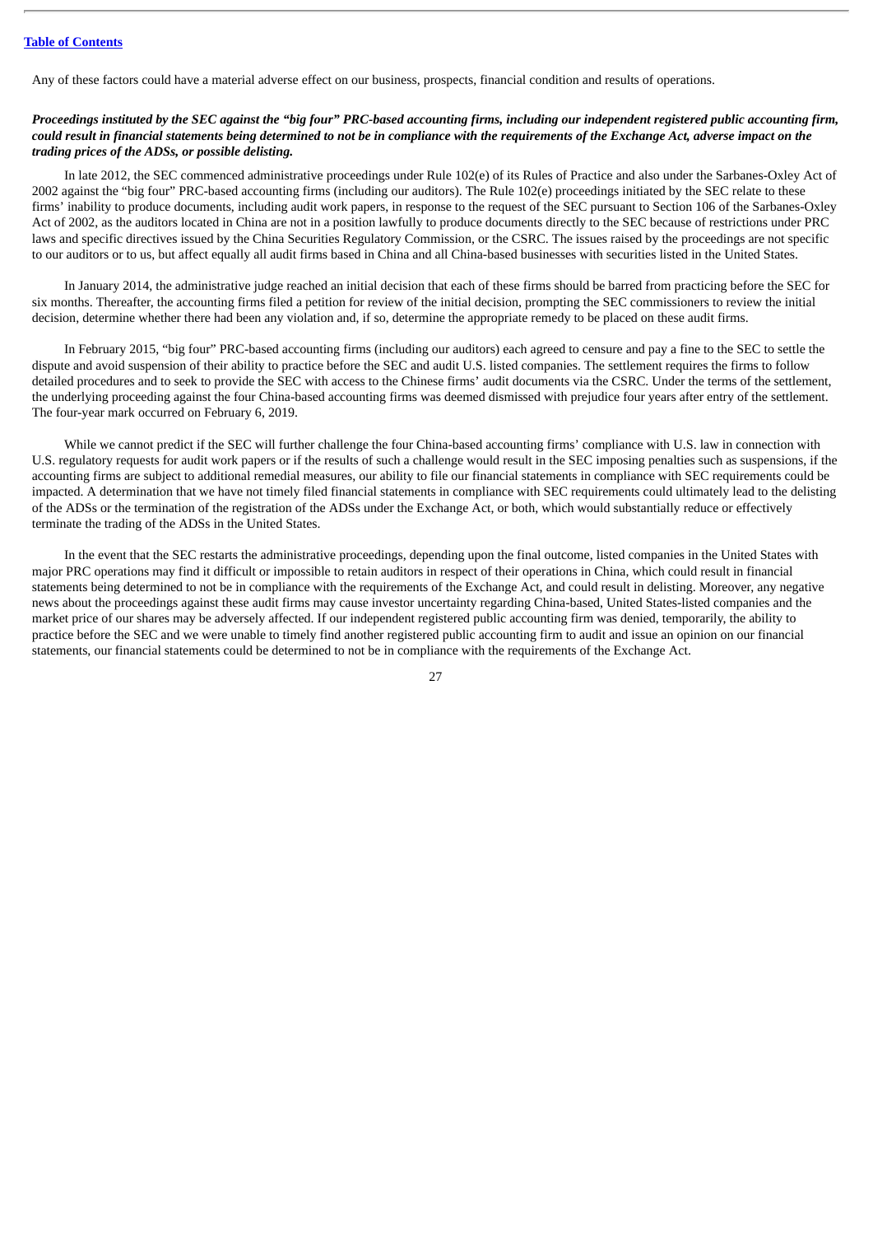Any of these factors could have a material adverse effect on our business, prospects, financial condition and results of operations.

# Proceedings instituted by the SEC against the "big four" PRC-based accounting firms, including our independent registered public accounting firm, could result in financial statements being determined to not be in compliance with the requirements of the Exchange Act, adverse impact on the *trading prices of the ADSs, or possible delisting.*

In late 2012, the SEC commenced administrative proceedings under Rule 102(e) of its Rules of Practice and also under the Sarbanes-Oxley Act of 2002 against the "big four" PRC-based accounting firms (including our auditors). The Rule 102(e) proceedings initiated by the SEC relate to these firms' inability to produce documents, including audit work papers, in response to the request of the SEC pursuant to Section 106 of the Sarbanes-Oxley Act of 2002, as the auditors located in China are not in a position lawfully to produce documents directly to the SEC because of restrictions under PRC laws and specific directives issued by the China Securities Regulatory Commission, or the CSRC. The issues raised by the proceedings are not specific to our auditors or to us, but affect equally all audit firms based in China and all China-based businesses with securities listed in the United States.

In January 2014, the administrative judge reached an initial decision that each of these firms should be barred from practicing before the SEC for six months. Thereafter, the accounting firms filed a petition for review of the initial decision, prompting the SEC commissioners to review the initial decision, determine whether there had been any violation and, if so, determine the appropriate remedy to be placed on these audit firms.

In February 2015, "big four" PRC-based accounting firms (including our auditors) each agreed to censure and pay a fine to the SEC to settle the dispute and avoid suspension of their ability to practice before the SEC and audit U.S. listed companies. The settlement requires the firms to follow detailed procedures and to seek to provide the SEC with access to the Chinese firms' audit documents via the CSRC. Under the terms of the settlement, the underlying proceeding against the four China-based accounting firms was deemed dismissed with prejudice four years after entry of the settlement. The four-year mark occurred on February 6, 2019.

While we cannot predict if the SEC will further challenge the four China-based accounting firms' compliance with U.S. law in connection with U.S. regulatory requests for audit work papers or if the results of such a challenge would result in the SEC imposing penalties such as suspensions, if the accounting firms are subject to additional remedial measures, our ability to file our financial statements in compliance with SEC requirements could be impacted. A determination that we have not timely filed financial statements in compliance with SEC requirements could ultimately lead to the delisting of the ADSs or the termination of the registration of the ADSs under the Exchange Act, or both, which would substantially reduce or effectively terminate the trading of the ADSs in the United States.

In the event that the SEC restarts the administrative proceedings, depending upon the final outcome, listed companies in the United States with major PRC operations may find it difficult or impossible to retain auditors in respect of their operations in China, which could result in financial statements being determined to not be in compliance with the requirements of the Exchange Act, and could result in delisting. Moreover, any negative news about the proceedings against these audit firms may cause investor uncertainty regarding China-based, United States-listed companies and the market price of our shares may be adversely affected. If our independent registered public accounting firm was denied, temporarily, the ability to practice before the SEC and we were unable to timely find another registered public accounting firm to audit and issue an opinion on our financial statements, our financial statements could be determined to not be in compliance with the requirements of the Exchange Act.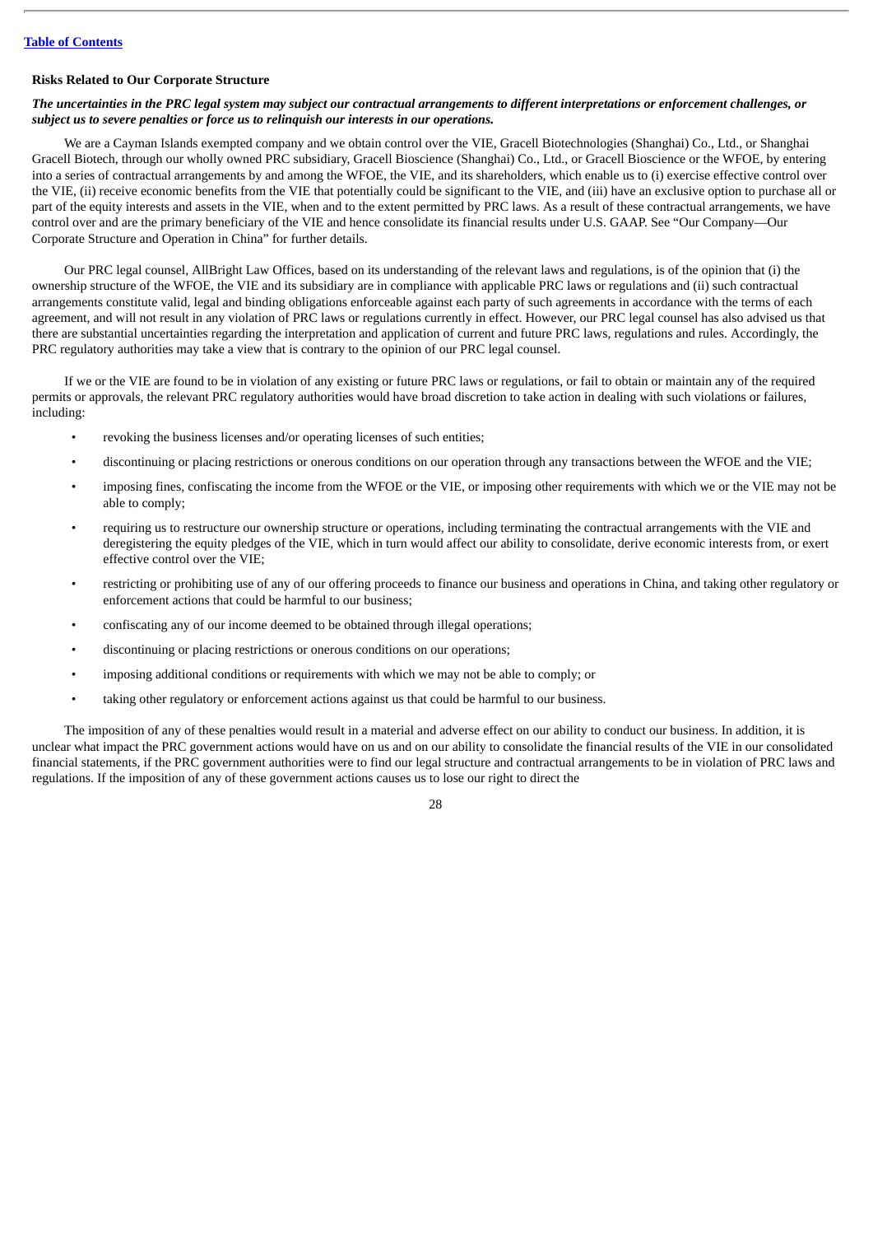#### **Risks Related to Our Corporate Structure**

# The uncertainties in the PRC legal system may subject our contractual arrangements to different interpretations or enforcement challenges, or *subject us to severe penalties or force us to relinquish our interests in our operations.*

We are a Cayman Islands exempted company and we obtain control over the VIE, Gracell Biotechnologies (Shanghai) Co., Ltd., or Shanghai Gracell Biotech, through our wholly owned PRC subsidiary, Gracell Bioscience (Shanghai) Co., Ltd., or Gracell Bioscience or the WFOE, by entering into a series of contractual arrangements by and among the WFOE, the VIE, and its shareholders, which enable us to (i) exercise effective control over the VIE, (ii) receive economic benefits from the VIE that potentially could be significant to the VIE, and (iii) have an exclusive option to purchase all or part of the equity interests and assets in the VIE, when and to the extent permitted by PRC laws. As a result of these contractual arrangements, we have control over and are the primary beneficiary of the VIE and hence consolidate its financial results under U.S. GAAP. See "Our Company—Our Corporate Structure and Operation in China" for further details.

Our PRC legal counsel, AllBright Law Offices, based on its understanding of the relevant laws and regulations, is of the opinion that (i) the ownership structure of the WFOE, the VIE and its subsidiary are in compliance with applicable PRC laws or regulations and (ii) such contractual arrangements constitute valid, legal and binding obligations enforceable against each party of such agreements in accordance with the terms of each agreement, and will not result in any violation of PRC laws or regulations currently in effect. However, our PRC legal counsel has also advised us that there are substantial uncertainties regarding the interpretation and application of current and future PRC laws, regulations and rules. Accordingly, the PRC regulatory authorities may take a view that is contrary to the opinion of our PRC legal counsel.

If we or the VIE are found to be in violation of any existing or future PRC laws or regulations, or fail to obtain or maintain any of the required permits or approvals, the relevant PRC regulatory authorities would have broad discretion to take action in dealing with such violations or failures, including:

- revoking the business licenses and/or operating licenses of such entities;
- discontinuing or placing restrictions or onerous conditions on our operation through any transactions between the WFOE and the VIE;
- imposing fines, confiscating the income from the WFOE or the VIE, or imposing other requirements with which we or the VIE may not be able to comply;
- requiring us to restructure our ownership structure or operations, including terminating the contractual arrangements with the VIE and deregistering the equity pledges of the VIE, which in turn would affect our ability to consolidate, derive economic interests from, or exert effective control over the VIE;
- restricting or prohibiting use of any of our offering proceeds to finance our business and operations in China, and taking other regulatory or enforcement actions that could be harmful to our business;
- confiscating any of our income deemed to be obtained through illegal operations;
- discontinuing or placing restrictions or onerous conditions on our operations;
- imposing additional conditions or requirements with which we may not be able to comply; or
- taking other regulatory or enforcement actions against us that could be harmful to our business.

The imposition of any of these penalties would result in a material and adverse effect on our ability to conduct our business. In addition, it is unclear what impact the PRC government actions would have on us and on our ability to consolidate the financial results of the VIE in our consolidated financial statements, if the PRC government authorities were to find our legal structure and contractual arrangements to be in violation of PRC laws and regulations. If the imposition of any of these government actions causes us to lose our right to direct the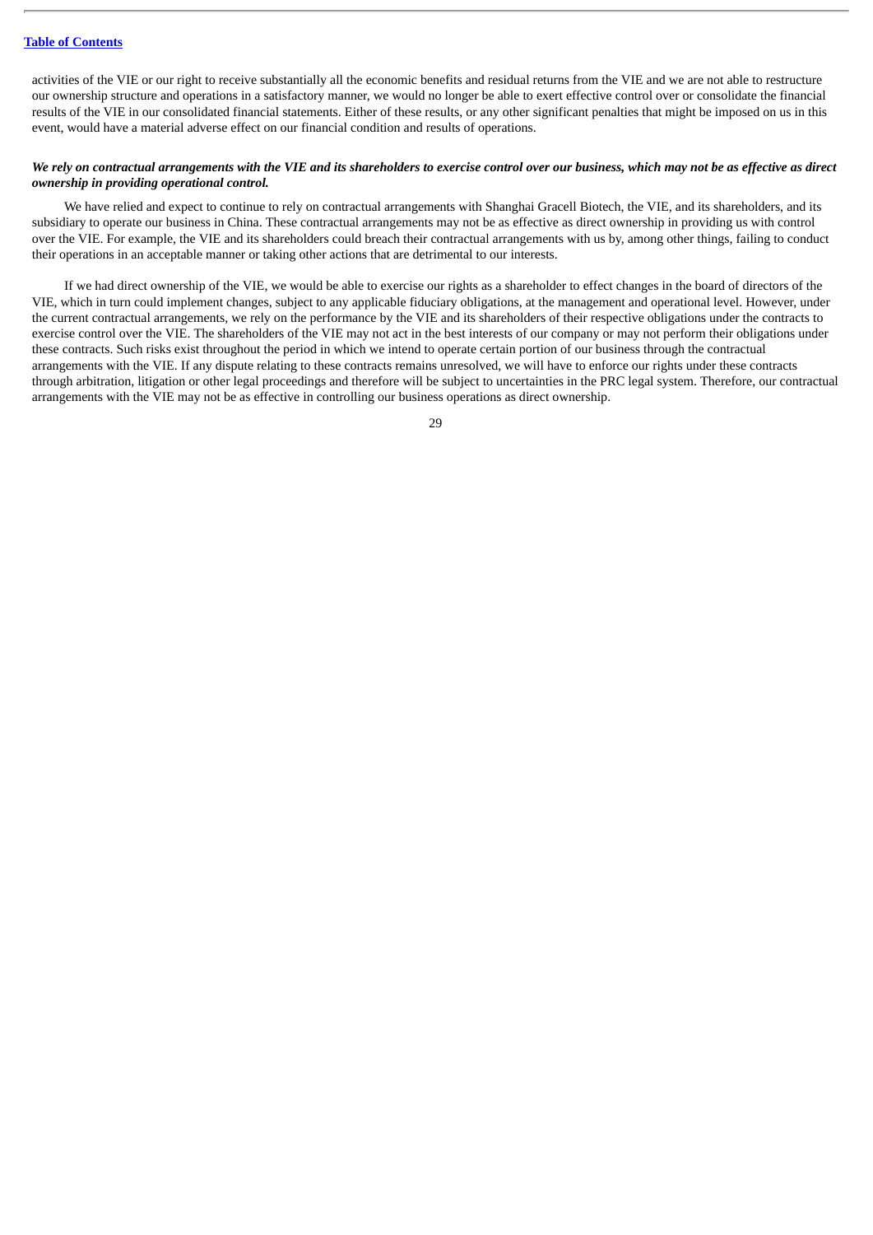activities of the VIE or our right to receive substantially all the economic benefits and residual returns from the VIE and we are not able to restructure our ownership structure and operations in a satisfactory manner, we would no longer be able to exert effective control over or consolidate the financial results of the VIE in our consolidated financial statements. Either of these results, or any other significant penalties that might be imposed on us in this event, would have a material adverse effect on our financial condition and results of operations.

# We rely on contractual arrangements with the VIE and its shareholders to exercise control over our business, which may not be as effective as direct *ownership in providing operational control.*

We have relied and expect to continue to rely on contractual arrangements with Shanghai Gracell Biotech, the VIE, and its shareholders, and its subsidiary to operate our business in China. These contractual arrangements may not be as effective as direct ownership in providing us with control over the VIE. For example, the VIE and its shareholders could breach their contractual arrangements with us by, among other things, failing to conduct their operations in an acceptable manner or taking other actions that are detrimental to our interests.

If we had direct ownership of the VIE, we would be able to exercise our rights as a shareholder to effect changes in the board of directors of the VIE, which in turn could implement changes, subject to any applicable fiduciary obligations, at the management and operational level. However, under the current contractual arrangements, we rely on the performance by the VIE and its shareholders of their respective obligations under the contracts to exercise control over the VIE. The shareholders of the VIE may not act in the best interests of our company or may not perform their obligations under these contracts. Such risks exist throughout the period in which we intend to operate certain portion of our business through the contractual arrangements with the VIE. If any dispute relating to these contracts remains unresolved, we will have to enforce our rights under these contracts through arbitration, litigation or other legal proceedings and therefore will be subject to uncertainties in the PRC legal system. Therefore, our contractual arrangements with the VIE may not be as effective in controlling our business operations as direct ownership.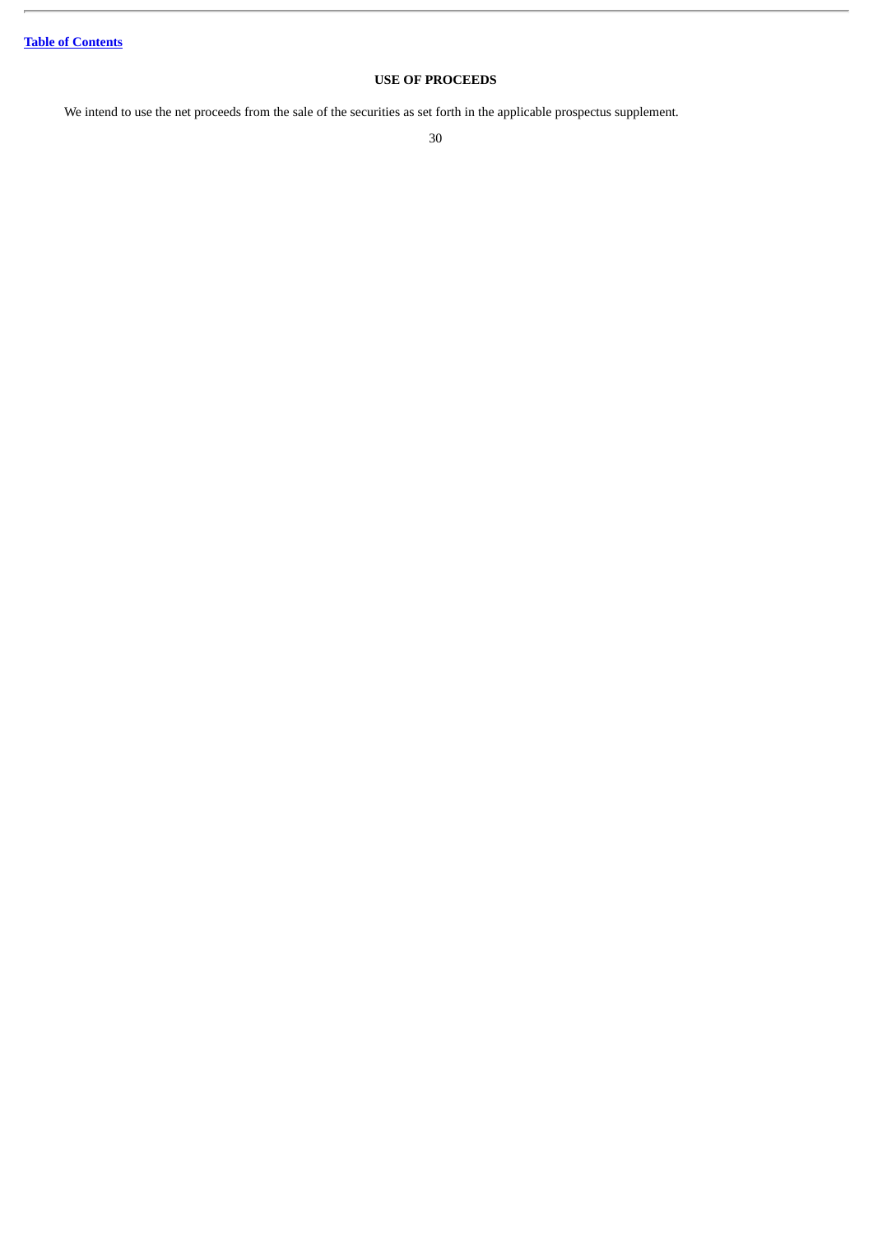# **USE OF PROCEEDS**

<span id="page-34-0"></span>We intend to use the net proceeds from the sale of the securities as set forth in the applicable prospectus supplement.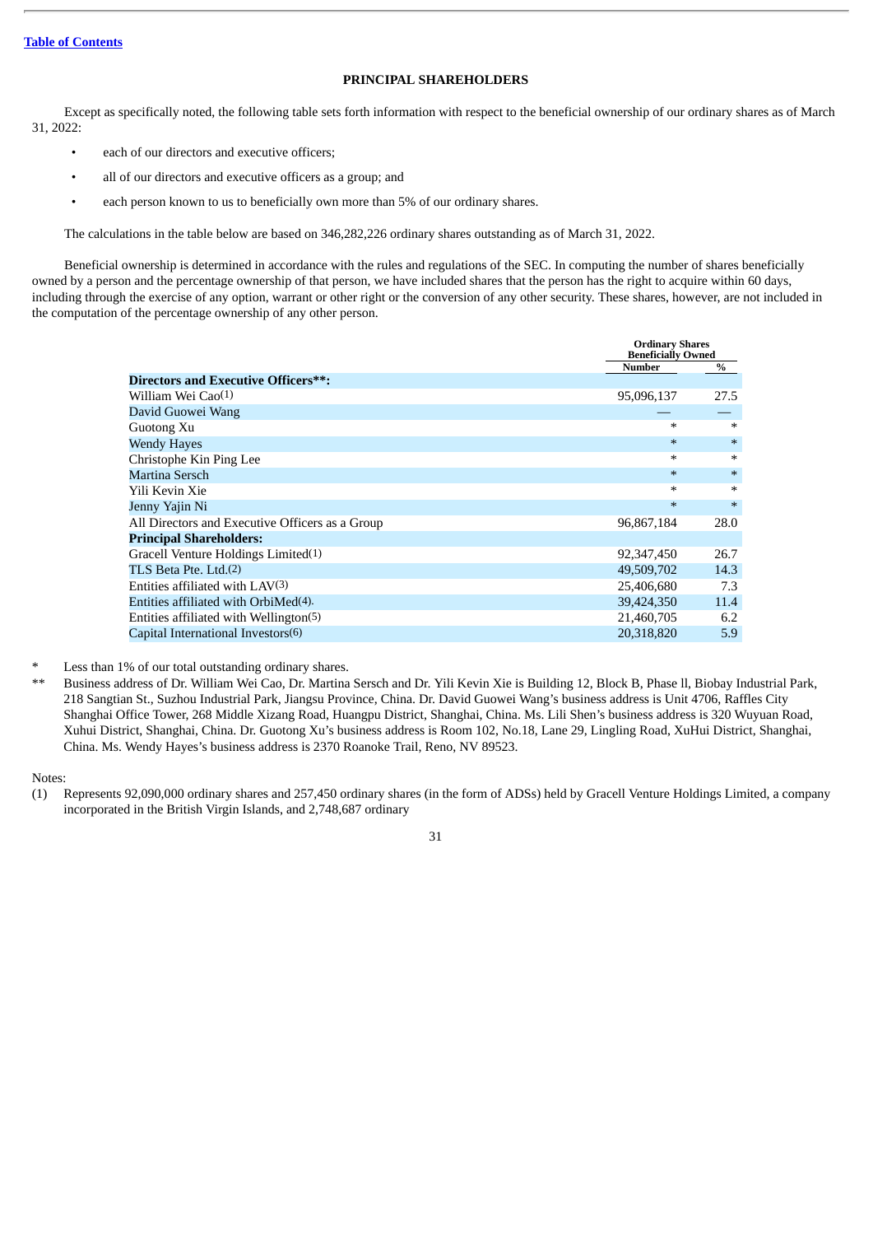# **PRINCIPAL SHAREHOLDERS**

<span id="page-35-0"></span>Except as specifically noted, the following table sets forth information with respect to the beneficial ownership of our ordinary shares as of March 31, 2022:

- each of our directors and executive officers;
- all of our directors and executive officers as a group; and
- each person known to us to beneficially own more than 5% of our ordinary shares.

The calculations in the table below are based on 346,282,226 ordinary shares outstanding as of March 31, 2022.

Beneficial ownership is determined in accordance with the rules and regulations of the SEC. In computing the number of shares beneficially owned by a person and the percentage ownership of that person, we have included shares that the person has the right to acquire within 60 days, including through the exercise of any option, warrant or other right or the conversion of any other security. These shares, however, are not included in the computation of the percentage ownership of any other person.

|                                                 |               | <b>Ordinary Shares</b><br><b>Beneficially Owned</b> |  |
|-------------------------------------------------|---------------|-----------------------------------------------------|--|
|                                                 | <b>Number</b> | %                                                   |  |
| <b>Directors and Executive Officers**:</b>      |               |                                                     |  |
| William Wei Cao(1)                              | 95,096,137    | 27.5                                                |  |
| David Guowei Wang                               |               |                                                     |  |
| Guotong Xu                                      | $*$           | $\ast$                                              |  |
| <b>Wendy Hayes</b>                              | $*$           | $\ast$                                              |  |
| Christophe Kin Ping Lee                         | $*$           | $\ast$                                              |  |
| Martina Sersch                                  | $\ast$        | $\ast$                                              |  |
| Yili Kevin Xie                                  | $*$           | $\ast$                                              |  |
| Jenny Yajin Ni                                  | $*$           | $\ast$                                              |  |
| All Directors and Executive Officers as a Group | 96,867,184    | 28.0                                                |  |
| <b>Principal Shareholders:</b>                  |               |                                                     |  |
| Gracell Venture Holdings Limited(1)             | 92,347,450    | 26.7                                                |  |
| TLS Beta Pte. Ltd. <sup>(2)</sup>               | 49,509,702    | 14.3                                                |  |
| Entities affiliated with $LAV(3)$               | 25,406,680    | 7.3                                                 |  |
| Entities affiliated with OrbiMed(4).            | 39,424,350    | 11.4                                                |  |
| Entities affiliated with Wellington(5)          | 21,460,705    | 6.2                                                 |  |
| Capital International Investors(6)              | 20,318,820    | 5.9                                                 |  |

Less than 1% of our total outstanding ordinary shares.

\*\* Business address of Dr. William Wei Cao, Dr. Martina Sersch and Dr. Yili Kevin Xie is Building 12, Block B, Phase ll, Biobay Industrial Park, 218 Sangtian St., Suzhou Industrial Park, Jiangsu Province, China. Dr. David Guowei Wang's business address is Unit 4706, Raffles City Shanghai Office Tower, 268 Middle Xizang Road, Huangpu District, Shanghai, China. Ms. Lili Shen's business address is 320 Wuyuan Road, Xuhui District, Shanghai, China. Dr. Guotong Xu's business address is Room 102, No.18, Lane 29, Lingling Road, XuHui District, Shanghai, China. Ms. Wendy Hayes's business address is 2370 Roanoke Trail, Reno, NV 89523.

Notes:

<sup>(1)</sup> Represents 92,090,000 ordinary shares and 257,450 ordinary shares (in the form of ADSs) held by Gracell Venture Holdings Limited, a company incorporated in the British Virgin Islands, and 2,748,687 ordinary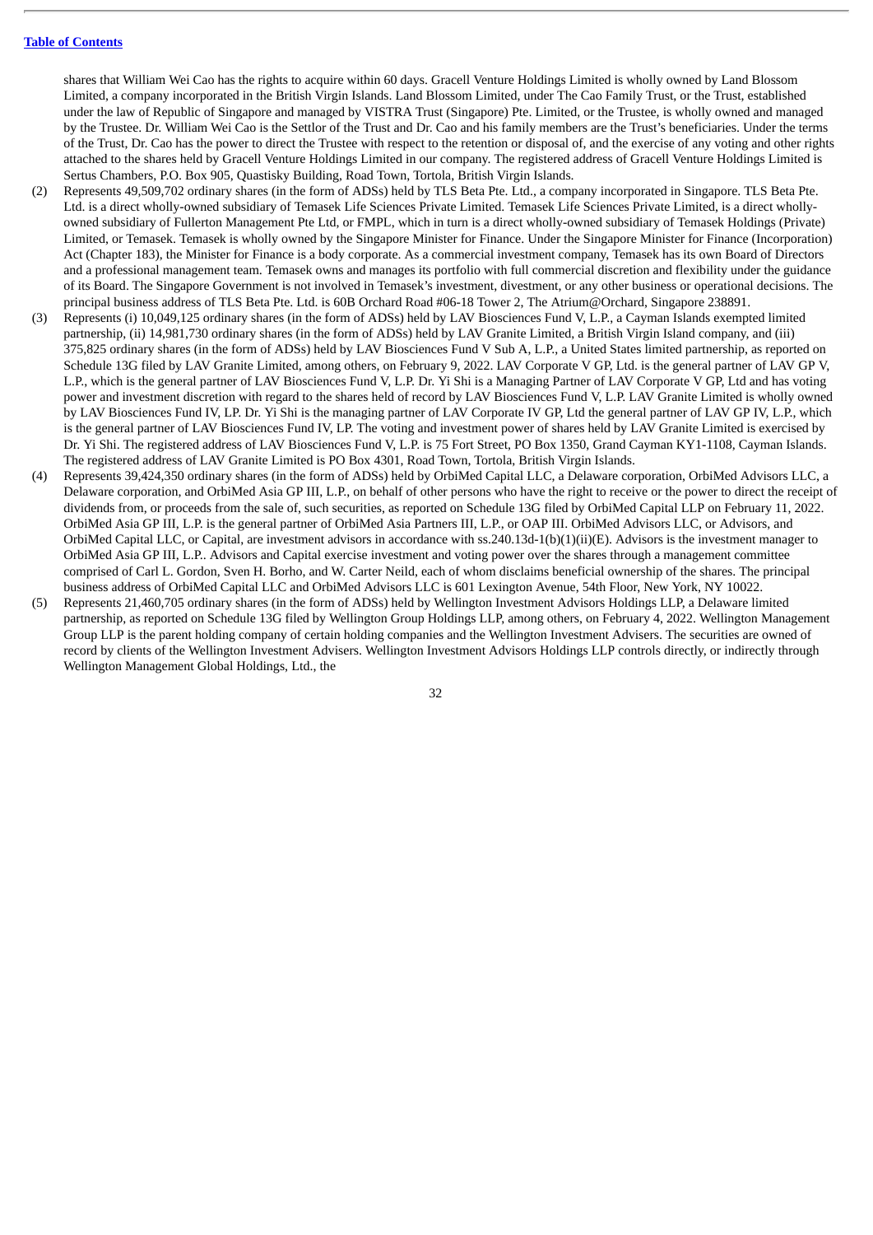shares that William Wei Cao has the rights to acquire within 60 days. Gracell Venture Holdings Limited is wholly owned by Land Blossom Limited, a company incorporated in the British Virgin Islands. Land Blossom Limited, under The Cao Family Trust, or the Trust, established under the law of Republic of Singapore and managed by VISTRA Trust (Singapore) Pte. Limited, or the Trustee, is wholly owned and managed by the Trustee. Dr. William Wei Cao is the Settlor of the Trust and Dr. Cao and his family members are the Trust's beneficiaries. Under the terms of the Trust, Dr. Cao has the power to direct the Trustee with respect to the retention or disposal of, and the exercise of any voting and other rights attached to the shares held by Gracell Venture Holdings Limited in our company. The registered address of Gracell Venture Holdings Limited is Sertus Chambers, P.O. Box 905, Quastisky Building, Road Town, Tortola, British Virgin Islands.

- (2) Represents 49,509,702 ordinary shares (in the form of ADSs) held by TLS Beta Pte. Ltd., a company incorporated in Singapore. TLS Beta Pte. Ltd. is a direct wholly-owned subsidiary of Temasek Life Sciences Private Limited. Temasek Life Sciences Private Limited, is a direct whollyowned subsidiary of Fullerton Management Pte Ltd, or FMPL, which in turn is a direct wholly-owned subsidiary of Temasek Holdings (Private) Limited, or Temasek. Temasek is wholly owned by the Singapore Minister for Finance. Under the Singapore Minister for Finance (Incorporation) Act (Chapter 183), the Minister for Finance is a body corporate. As a commercial investment company, Temasek has its own Board of Directors and a professional management team. Temasek owns and manages its portfolio with full commercial discretion and flexibility under the guidance of its Board. The Singapore Government is not involved in Temasek's investment, divestment, or any other business or operational decisions. The principal business address of TLS Beta Pte. Ltd. is 60B Orchard Road #06-18 Tower 2, The Atrium@Orchard, Singapore 238891.
- (3) Represents (i) 10,049,125 ordinary shares (in the form of ADSs) held by LAV Biosciences Fund V, L.P., a Cayman Islands exempted limited partnership, (ii) 14,981,730 ordinary shares (in the form of ADSs) held by LAV Granite Limited, a British Virgin Island company, and (iii) 375,825 ordinary shares (in the form of ADSs) held by LAV Biosciences Fund V Sub A, L.P., a United States limited partnership, as reported on Schedule 13G filed by LAV Granite Limited, among others, on February 9, 2022. LAV Corporate V GP, Ltd. is the general partner of LAV GP V, L.P., which is the general partner of LAV Biosciences Fund V, L.P. Dr. Yi Shi is a Managing Partner of LAV Corporate V GP, Ltd and has voting power and investment discretion with regard to the shares held of record by LAV Biosciences Fund V, L.P. LAV Granite Limited is wholly owned by LAV Biosciences Fund IV, LP. Dr. Yi Shi is the managing partner of LAV Corporate IV GP, Ltd the general partner of LAV GP IV, L.P., which is the general partner of LAV Biosciences Fund IV, LP. The voting and investment power of shares held by LAV Granite Limited is exercised by Dr. Yi Shi. The registered address of LAV Biosciences Fund V, L.P. is 75 Fort Street, PO Box 1350, Grand Cayman KY1-1108, Cayman Islands. The registered address of LAV Granite Limited is PO Box 4301, Road Town, Tortola, British Virgin Islands.
- (4) Represents 39,424,350 ordinary shares (in the form of ADSs) held by OrbiMed Capital LLC, a Delaware corporation, OrbiMed Advisors LLC, a Delaware corporation, and OrbiMed Asia GP III, L.P., on behalf of other persons who have the right to receive or the power to direct the receipt of dividends from, or proceeds from the sale of, such securities, as reported on Schedule 13G filed by OrbiMed Capital LLP on February 11, 2022. OrbiMed Asia GP III, L.P. is the general partner of OrbiMed Asia Partners III, L.P., or OAP III. OrbiMed Advisors LLC, or Advisors, and OrbiMed Capital LLC, or Capital, are investment advisors in accordance with ss.240.13d-1(b)(1)(ii)(E). Advisors is the investment manager to OrbiMed Asia GP III, L.P.. Advisors and Capital exercise investment and voting power over the shares through a management committee comprised of Carl L. Gordon, Sven H. Borho, and W. Carter Neild, each of whom disclaims beneficial ownership of the shares. The principal business address of OrbiMed Capital LLC and OrbiMed Advisors LLC is 601 Lexington Avenue, 54th Floor, New York, NY 10022.
- (5) Represents 21,460,705 ordinary shares (in the form of ADSs) held by Wellington Investment Advisors Holdings LLP, a Delaware limited partnership, as reported on Schedule 13G filed by Wellington Group Holdings LLP, among others, on February 4, 2022. Wellington Management Group LLP is the parent holding company of certain holding companies and the Wellington Investment Advisers. The securities are owned of record by clients of the Wellington Investment Advisers. Wellington Investment Advisors Holdings LLP controls directly, or indirectly through Wellington Management Global Holdings, Ltd., the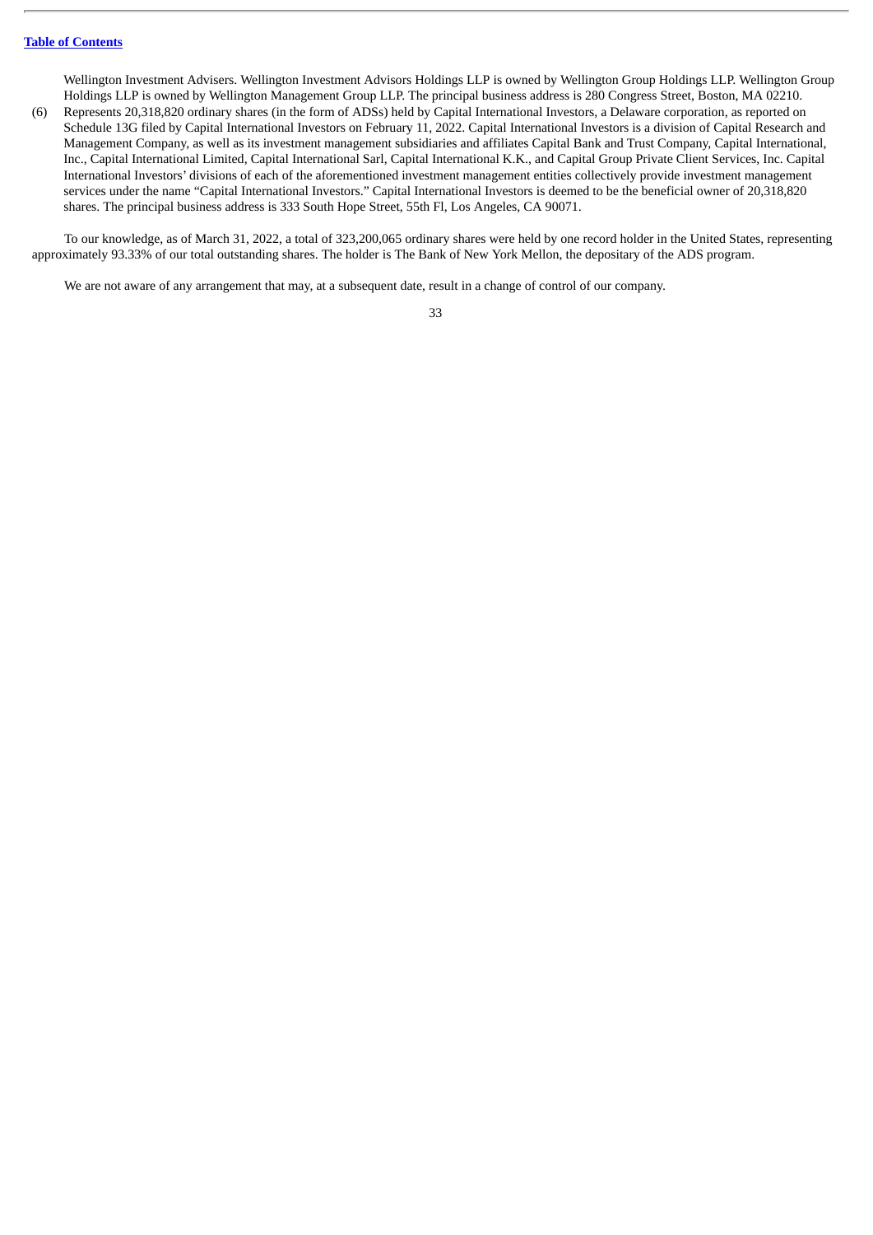Wellington Investment Advisers. Wellington Investment Advisors Holdings LLP is owned by Wellington Group Holdings LLP. Wellington Group Holdings LLP is owned by Wellington Management Group LLP. The principal business address is 280 Congress Street, Boston, MA 02210.

(6) Represents 20,318,820 ordinary shares (in the form of ADSs) held by Capital International Investors, a Delaware corporation, as reported on Schedule 13G filed by Capital International Investors on February 11, 2022. Capital International Investors is a division of Capital Research and Management Company, as well as its investment management subsidiaries and affiliates Capital Bank and Trust Company, Capital International, Inc., Capital International Limited, Capital International Sarl, Capital International K.K., and Capital Group Private Client Services, Inc. Capital International Investors' divisions of each of the aforementioned investment management entities collectively provide investment management services under the name "Capital International Investors." Capital International Investors is deemed to be the beneficial owner of 20,318,820 shares. The principal business address is 333 South Hope Street, 55th Fl, Los Angeles, CA 90071.

To our knowledge, as of March 31, 2022, a total of 323,200,065 ordinary shares were held by one record holder in the United States, representing approximately 93.33% of our total outstanding shares. The holder is The Bank of New York Mellon, the depositary of the ADS program.

We are not aware of any arrangement that may, at a subsequent date, result in a change of control of our company.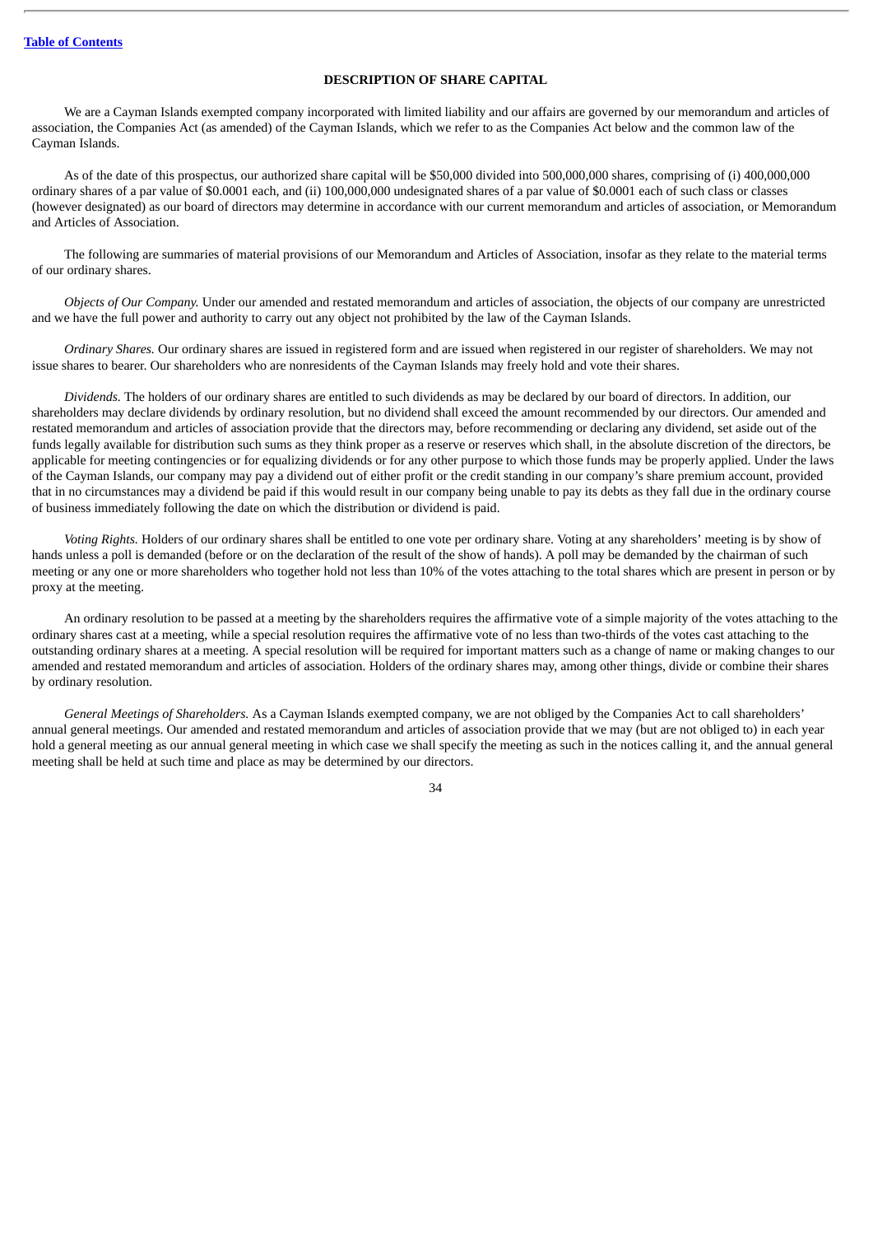# **DESCRIPTION OF SHARE CAPITAL**

We are a Cayman Islands exempted company incorporated with limited liability and our affairs are governed by our memorandum and articles of association, the Companies Act (as amended) of the Cayman Islands, which we refer to as the Companies Act below and the common law of the Cayman Islands.

As of the date of this prospectus, our authorized share capital will be \$50,000 divided into 500,000,000 shares, comprising of (i) 400,000,000 ordinary shares of a par value of \$0.0001 each, and (ii) 100,000,000 undesignated shares of a par value of \$0.0001 each of such class or classes (however designated) as our board of directors may determine in accordance with our current memorandum and articles of association, or Memorandum and Articles of Association.

The following are summaries of material provisions of our Memorandum and Articles of Association, insofar as they relate to the material terms of our ordinary shares.

*Objects of Our Company.* Under our amended and restated memorandum and articles of association, the objects of our company are unrestricted and we have the full power and authority to carry out any object not prohibited by the law of the Cayman Islands.

*Ordinary Shares.* Our ordinary shares are issued in registered form and are issued when registered in our register of shareholders. We may not issue shares to bearer. Our shareholders who are nonresidents of the Cayman Islands may freely hold and vote their shares.

*Dividends.* The holders of our ordinary shares are entitled to such dividends as may be declared by our board of directors. In addition, our shareholders may declare dividends by ordinary resolution, but no dividend shall exceed the amount recommended by our directors. Our amended and restated memorandum and articles of association provide that the directors may, before recommending or declaring any dividend, set aside out of the funds legally available for distribution such sums as they think proper as a reserve or reserves which shall, in the absolute discretion of the directors, be applicable for meeting contingencies or for equalizing dividends or for any other purpose to which those funds may be properly applied. Under the laws of the Cayman Islands, our company may pay a dividend out of either profit or the credit standing in our company's share premium account, provided that in no circumstances may a dividend be paid if this would result in our company being unable to pay its debts as they fall due in the ordinary course of business immediately following the date on which the distribution or dividend is paid.

*Voting Rights.* Holders of our ordinary shares shall be entitled to one vote per ordinary share. Voting at any shareholders' meeting is by show of hands unless a poll is demanded (before or on the declaration of the result of the show of hands). A poll may be demanded by the chairman of such meeting or any one or more shareholders who together hold not less than 10% of the votes attaching to the total shares which are present in person or by proxy at the meeting.

An ordinary resolution to be passed at a meeting by the shareholders requires the affirmative vote of a simple majority of the votes attaching to the ordinary shares cast at a meeting, while a special resolution requires the affirmative vote of no less than two-thirds of the votes cast attaching to the outstanding ordinary shares at a meeting. A special resolution will be required for important matters such as a change of name or making changes to our amended and restated memorandum and articles of association. Holders of the ordinary shares may, among other things, divide or combine their shares by ordinary resolution.

*General Meetings of Shareholders.* As a Cayman Islands exempted company, we are not obliged by the Companies Act to call shareholders' annual general meetings. Our amended and restated memorandum and articles of association provide that we may (but are not obliged to) in each year hold a general meeting as our annual general meeting in which case we shall specify the meeting as such in the notices calling it, and the annual general meeting shall be held at such time and place as may be determined by our directors.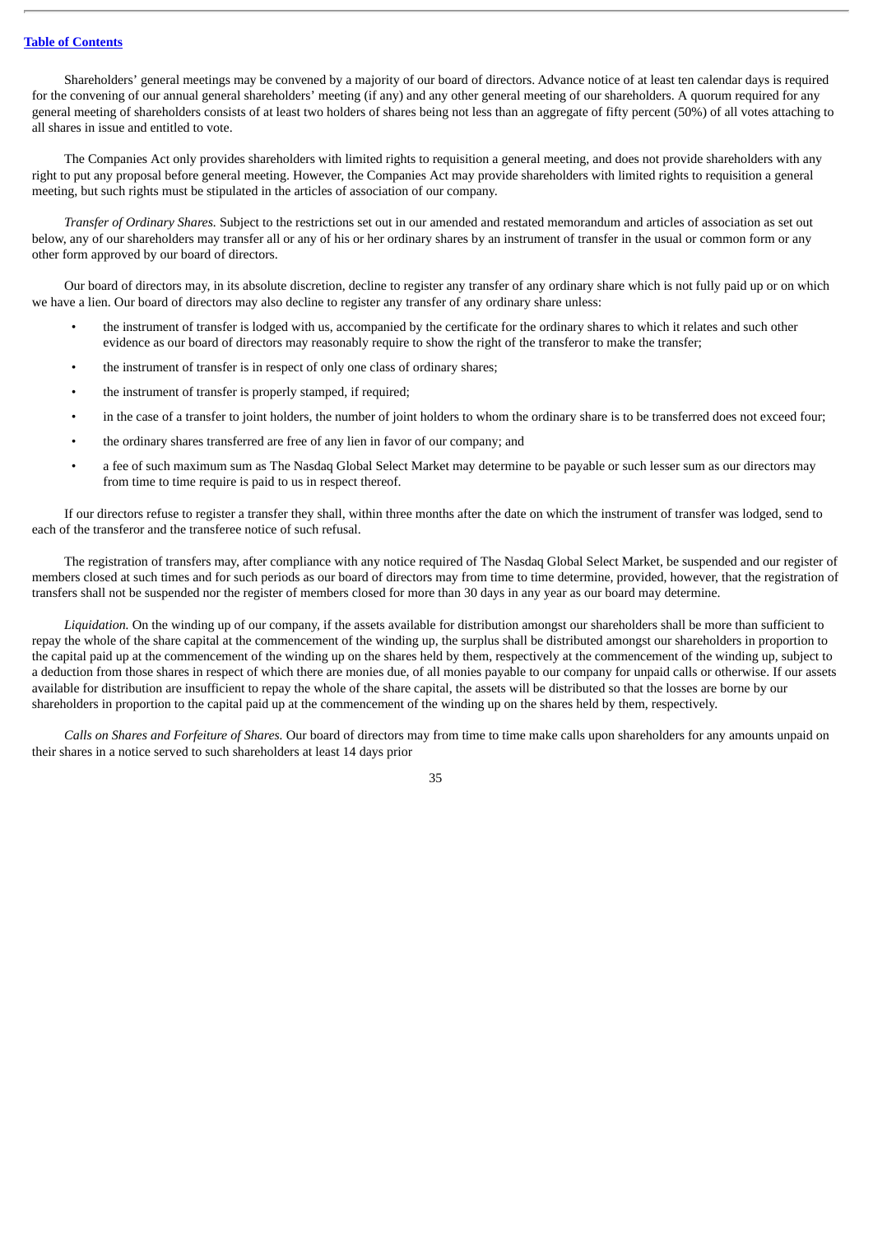Shareholders' general meetings may be convened by a majority of our board of directors. Advance notice of at least ten calendar days is required for the convening of our annual general shareholders' meeting (if any) and any other general meeting of our shareholders. A quorum required for any general meeting of shareholders consists of at least two holders of shares being not less than an aggregate of fifty percent (50%) of all votes attaching to all shares in issue and entitled to vote.

The Companies Act only provides shareholders with limited rights to requisition a general meeting, and does not provide shareholders with any right to put any proposal before general meeting. However, the Companies Act may provide shareholders with limited rights to requisition a general meeting, but such rights must be stipulated in the articles of association of our company.

*Transfer of Ordinary Shares.* Subject to the restrictions set out in our amended and restated memorandum and articles of association as set out below, any of our shareholders may transfer all or any of his or her ordinary shares by an instrument of transfer in the usual or common form or any other form approved by our board of directors.

Our board of directors may, in its absolute discretion, decline to register any transfer of any ordinary share which is not fully paid up or on which we have a lien. Our board of directors may also decline to register any transfer of any ordinary share unless:

- the instrument of transfer is lodged with us, accompanied by the certificate for the ordinary shares to which it relates and such other evidence as our board of directors may reasonably require to show the right of the transferor to make the transfer;
- the instrument of transfer is in respect of only one class of ordinary shares;
- the instrument of transfer is properly stamped, if required;
- in the case of a transfer to joint holders, the number of joint holders to whom the ordinary share is to be transferred does not exceed four;
- the ordinary shares transferred are free of any lien in favor of our company; and
- a fee of such maximum sum as The Nasdaq Global Select Market may determine to be payable or such lesser sum as our directors may from time to time require is paid to us in respect thereof.

If our directors refuse to register a transfer they shall, within three months after the date on which the instrument of transfer was lodged, send to each of the transferor and the transferee notice of such refusal.

The registration of transfers may, after compliance with any notice required of The Nasdaq Global Select Market, be suspended and our register of members closed at such times and for such periods as our board of directors may from time to time determine, provided, however, that the registration of transfers shall not be suspended nor the register of members closed for more than 30 days in any year as our board may determine.

*Liquidation.* On the winding up of our company, if the assets available for distribution amongst our shareholders shall be more than sufficient to repay the whole of the share capital at the commencement of the winding up, the surplus shall be distributed amongst our shareholders in proportion to the capital paid up at the commencement of the winding up on the shares held by them, respectively at the commencement of the winding up, subject to a deduction from those shares in respect of which there are monies due, of all monies payable to our company for unpaid calls or otherwise. If our assets available for distribution are insufficient to repay the whole of the share capital, the assets will be distributed so that the losses are borne by our shareholders in proportion to the capital paid up at the commencement of the winding up on the shares held by them, respectively.

*Calls on Shares and Forfeiture of Shares.* Our board of directors may from time to time make calls upon shareholders for any amounts unpaid on their shares in a notice served to such shareholders at least 14 days prior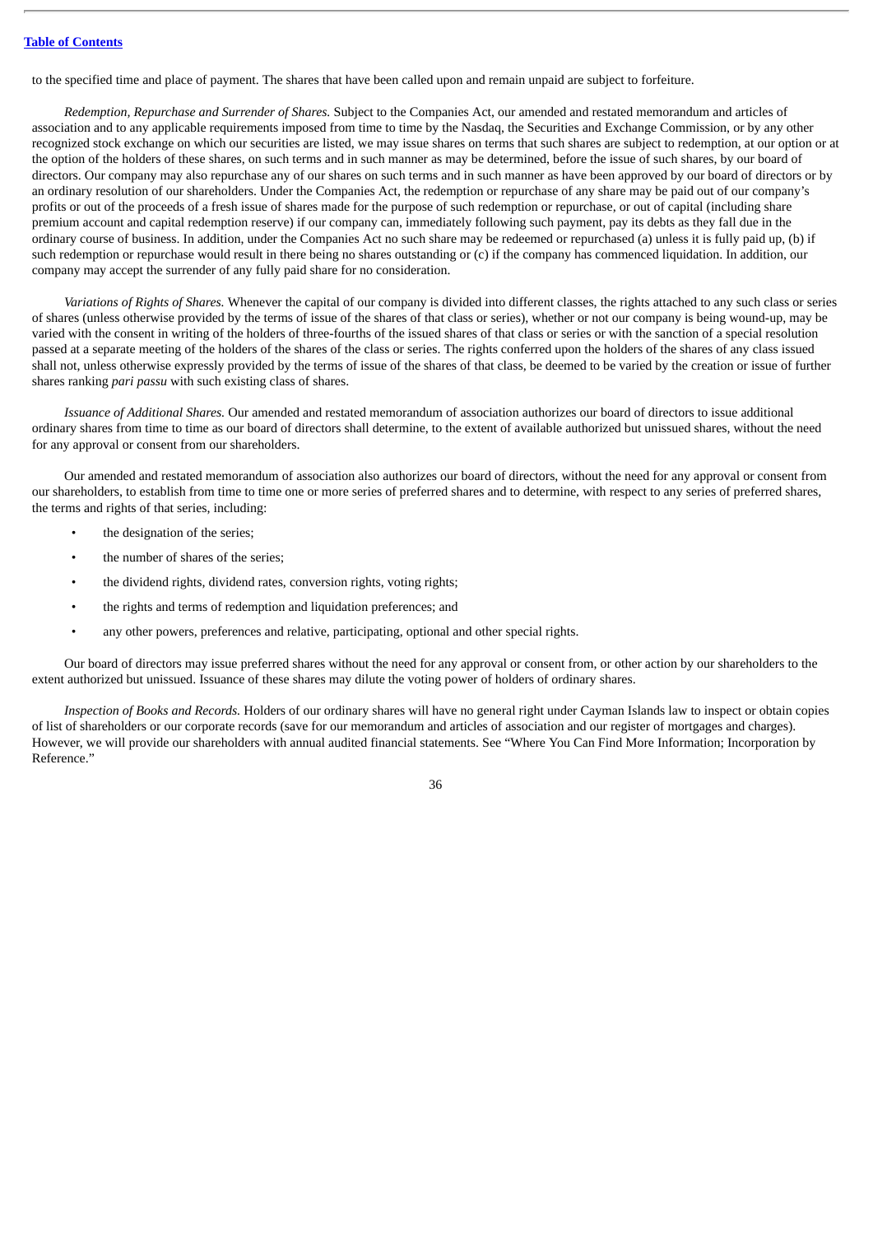to the specified time and place of payment. The shares that have been called upon and remain unpaid are subject to forfeiture.

*Redemption, Repurchase and Surrender of Shares.* Subject to the Companies Act, our amended and restated memorandum and articles of association and to any applicable requirements imposed from time to time by the Nasdaq, the Securities and Exchange Commission, or by any other recognized stock exchange on which our securities are listed, we may issue shares on terms that such shares are subject to redemption, at our option or at the option of the holders of these shares, on such terms and in such manner as may be determined, before the issue of such shares, by our board of directors. Our company may also repurchase any of our shares on such terms and in such manner as have been approved by our board of directors or by an ordinary resolution of our shareholders. Under the Companies Act, the redemption or repurchase of any share may be paid out of our company's profits or out of the proceeds of a fresh issue of shares made for the purpose of such redemption or repurchase, or out of capital (including share premium account and capital redemption reserve) if our company can, immediately following such payment, pay its debts as they fall due in the ordinary course of business. In addition, under the Companies Act no such share may be redeemed or repurchased (a) unless it is fully paid up, (b) if such redemption or repurchase would result in there being no shares outstanding or (c) if the company has commenced liquidation. In addition, our company may accept the surrender of any fully paid share for no consideration.

*Variations of Rights of Shares.* Whenever the capital of our company is divided into different classes, the rights attached to any such class or series of shares (unless otherwise provided by the terms of issue of the shares of that class or series), whether or not our company is being wound-up, may be varied with the consent in writing of the holders of three-fourths of the issued shares of that class or series or with the sanction of a special resolution passed at a separate meeting of the holders of the shares of the class or series. The rights conferred upon the holders of the shares of any class issued shall not, unless otherwise expressly provided by the terms of issue of the shares of that class, be deemed to be varied by the creation or issue of further shares ranking *pari passu* with such existing class of shares.

*Issuance of Additional Shares.* Our amended and restated memorandum of association authorizes our board of directors to issue additional ordinary shares from time to time as our board of directors shall determine, to the extent of available authorized but unissued shares, without the need for any approval or consent from our shareholders.

Our amended and restated memorandum of association also authorizes our board of directors, without the need for any approval or consent from our shareholders, to establish from time to time one or more series of preferred shares and to determine, with respect to any series of preferred shares, the terms and rights of that series, including:

- the designation of the series:
- the number of shares of the series:
- the dividend rights, dividend rates, conversion rights, voting rights;
- the rights and terms of redemption and liquidation preferences; and
- any other powers, preferences and relative, participating, optional and other special rights.

Our board of directors may issue preferred shares without the need for any approval or consent from, or other action by our shareholders to the extent authorized but unissued. Issuance of these shares may dilute the voting power of holders of ordinary shares.

*Inspection of Books and Records.* Holders of our ordinary shares will have no general right under Cayman Islands law to inspect or obtain copies of list of shareholders or our corporate records (save for our memorandum and articles of association and our register of mortgages and charges). However, we will provide our shareholders with annual audited financial statements. See "Where You Can Find More Information; Incorporation by Reference."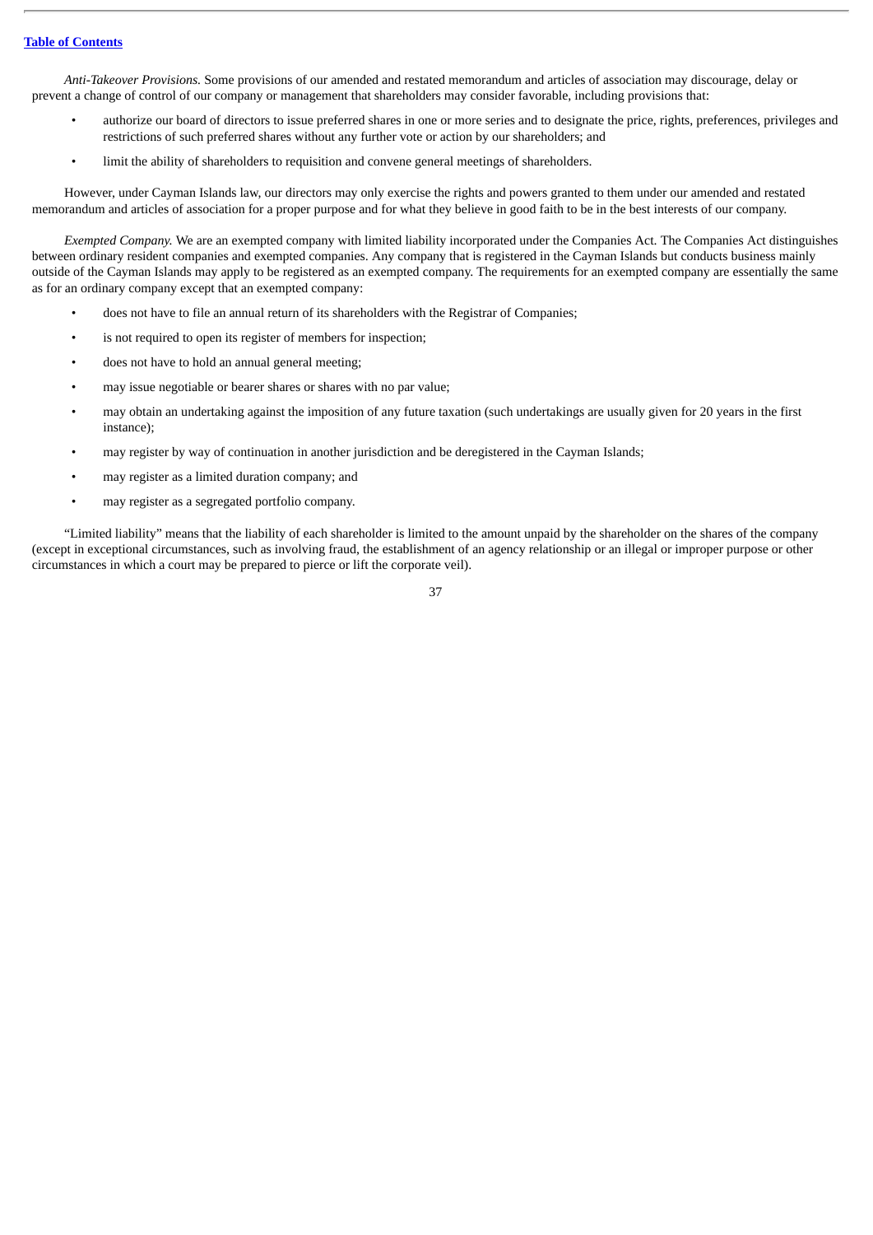*Anti-Takeover Provisions.* Some provisions of our amended and restated memorandum and articles of association may discourage, delay or prevent a change of control of our company or management that shareholders may consider favorable, including provisions that:

- authorize our board of directors to issue preferred shares in one or more series and to designate the price, rights, preferences, privileges and restrictions of such preferred shares without any further vote or action by our shareholders; and
- limit the ability of shareholders to requisition and convene general meetings of shareholders.

However, under Cayman Islands law, our directors may only exercise the rights and powers granted to them under our amended and restated memorandum and articles of association for a proper purpose and for what they believe in good faith to be in the best interests of our company.

*Exempted Company.* We are an exempted company with limited liability incorporated under the Companies Act. The Companies Act distinguishes between ordinary resident companies and exempted companies. Any company that is registered in the Cayman Islands but conducts business mainly outside of the Cayman Islands may apply to be registered as an exempted company. The requirements for an exempted company are essentially the same as for an ordinary company except that an exempted company:

- does not have to file an annual return of its shareholders with the Registrar of Companies;
- is not required to open its register of members for inspection;
- does not have to hold an annual general meeting;
- may issue negotiable or bearer shares or shares with no par value;
- may obtain an undertaking against the imposition of any future taxation (such undertakings are usually given for 20 years in the first instance);
- may register by way of continuation in another jurisdiction and be deregistered in the Cayman Islands;
- may register as a limited duration company; and
- may register as a segregated portfolio company.

"Limited liability" means that the liability of each shareholder is limited to the amount unpaid by the shareholder on the shares of the company (except in exceptional circumstances, such as involving fraud, the establishment of an agency relationship or an illegal or improper purpose or other circumstances in which a court may be prepared to pierce or lift the corporate veil).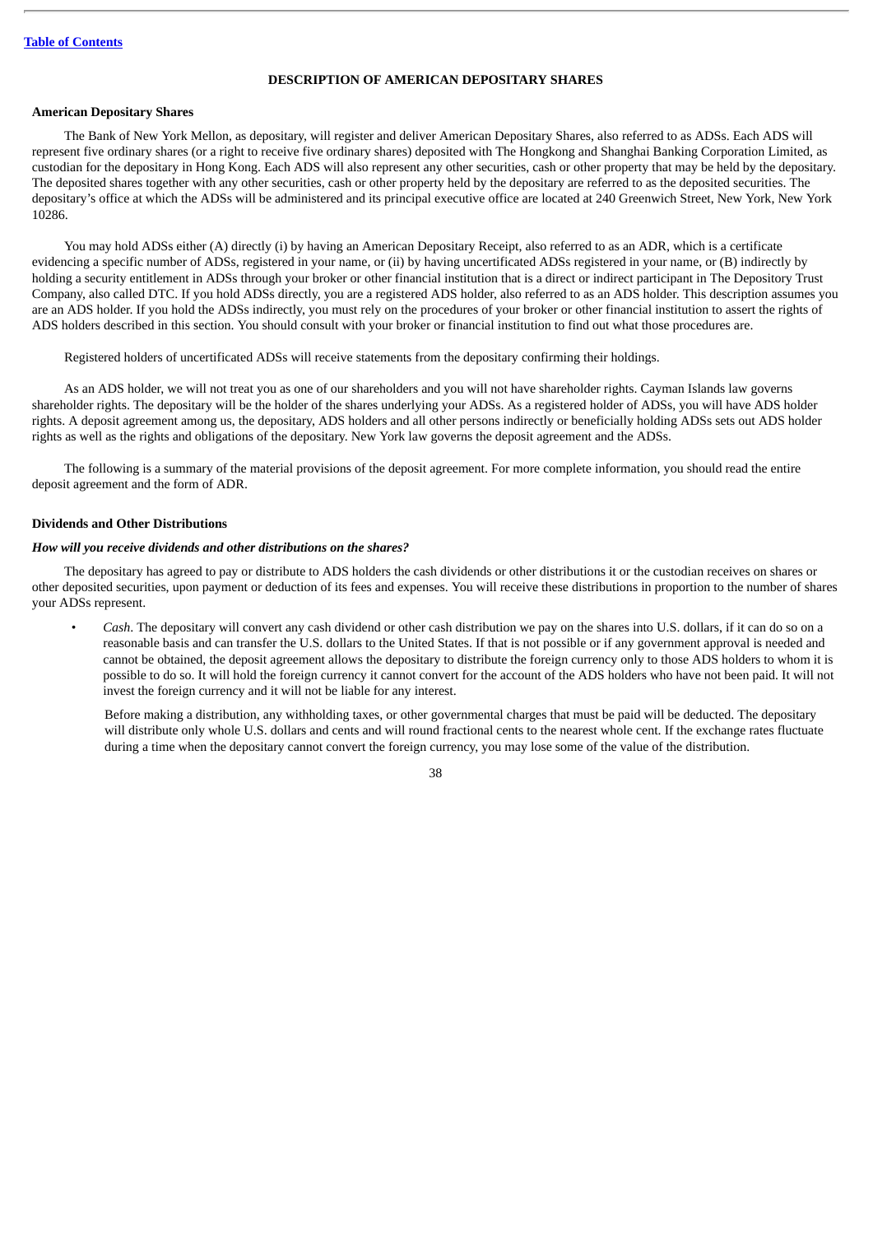# **DESCRIPTION OF AMERICAN DEPOSITARY SHARES**

### **American Depositary Shares**

The Bank of New York Mellon, as depositary, will register and deliver American Depositary Shares, also referred to as ADSs. Each ADS will represent five ordinary shares (or a right to receive five ordinary shares) deposited with The Hongkong and Shanghai Banking Corporation Limited, as custodian for the depositary in Hong Kong. Each ADS will also represent any other securities, cash or other property that may be held by the depositary. The deposited shares together with any other securities, cash or other property held by the depositary are referred to as the deposited securities. The depositary's office at which the ADSs will be administered and its principal executive office are located at 240 Greenwich Street, New York, New York 10286.

You may hold ADSs either (A) directly (i) by having an American Depositary Receipt, also referred to as an ADR, which is a certificate evidencing a specific number of ADSs, registered in your name, or (ii) by having uncertificated ADSs registered in your name, or (B) indirectly by holding a security entitlement in ADSs through your broker or other financial institution that is a direct or indirect participant in The Depository Trust Company, also called DTC. If you hold ADSs directly, you are a registered ADS holder, also referred to as an ADS holder. This description assumes you are an ADS holder. If you hold the ADSs indirectly, you must rely on the procedures of your broker or other financial institution to assert the rights of ADS holders described in this section. You should consult with your broker or financial institution to find out what those procedures are.

Registered holders of uncertificated ADSs will receive statements from the depositary confirming their holdings.

As an ADS holder, we will not treat you as one of our shareholders and you will not have shareholder rights. Cayman Islands law governs shareholder rights. The depositary will be the holder of the shares underlying your ADSs. As a registered holder of ADSs, you will have ADS holder rights. A deposit agreement among us, the depositary, ADS holders and all other persons indirectly or beneficially holding ADSs sets out ADS holder rights as well as the rights and obligations of the depositary. New York law governs the deposit agreement and the ADSs.

The following is a summary of the material provisions of the deposit agreement. For more complete information, you should read the entire deposit agreement and the form of ADR.

#### **Dividends and Other Distributions**

### *How will you receive dividends and other distributions on the shares?*

The depositary has agreed to pay or distribute to ADS holders the cash dividends or other distributions it or the custodian receives on shares or other deposited securities, upon payment or deduction of its fees and expenses. You will receive these distributions in proportion to the number of shares your ADSs represent.

• *Cash*. The depositary will convert any cash dividend or other cash distribution we pay on the shares into U.S. dollars, if it can do so on a reasonable basis and can transfer the U.S. dollars to the United States. If that is not possible or if any government approval is needed and cannot be obtained, the deposit agreement allows the depositary to distribute the foreign currency only to those ADS holders to whom it is possible to do so. It will hold the foreign currency it cannot convert for the account of the ADS holders who have not been paid. It will not invest the foreign currency and it will not be liable for any interest.

Before making a distribution, any withholding taxes, or other governmental charges that must be paid will be deducted. The depositary will distribute only whole U.S. dollars and cents and will round fractional cents to the nearest whole cent. If the exchange rates fluctuate during a time when the depositary cannot convert the foreign currency, you may lose some of the value of the distribution.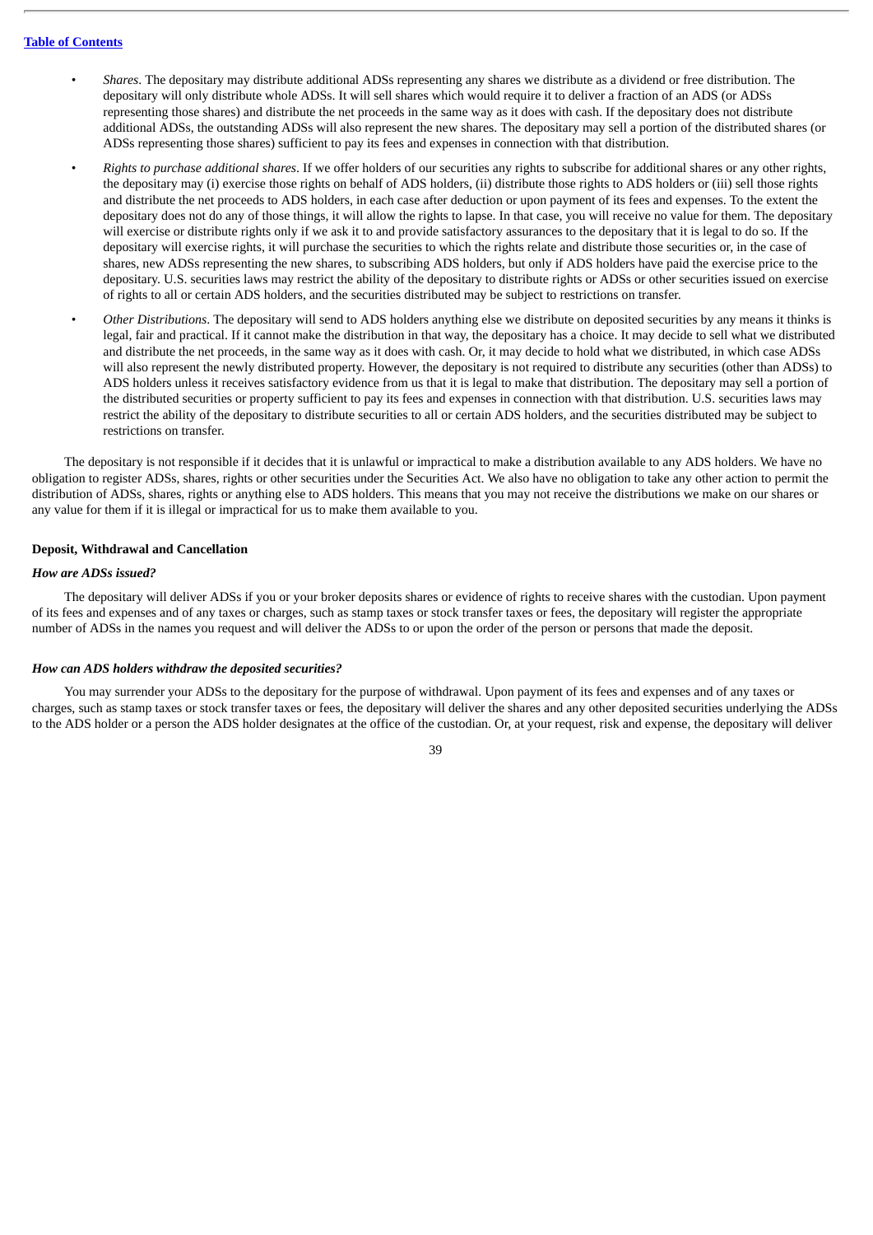- *Shares*. The depositary may distribute additional ADSs representing any shares we distribute as a dividend or free distribution. The depositary will only distribute whole ADSs. It will sell shares which would require it to deliver a fraction of an ADS (or ADSs representing those shares) and distribute the net proceeds in the same way as it does with cash. If the depositary does not distribute additional ADSs, the outstanding ADSs will also represent the new shares. The depositary may sell a portion of the distributed shares (or ADSs representing those shares) sufficient to pay its fees and expenses in connection with that distribution.
- *Rights to purchase additional shares*. If we offer holders of our securities any rights to subscribe for additional shares or any other rights, the depositary may (i) exercise those rights on behalf of ADS holders, (ii) distribute those rights to ADS holders or (iii) sell those rights and distribute the net proceeds to ADS holders, in each case after deduction or upon payment of its fees and expenses. To the extent the depositary does not do any of those things, it will allow the rights to lapse. In that case, you will receive no value for them. The depositary will exercise or distribute rights only if we ask it to and provide satisfactory assurances to the depositary that it is legal to do so. If the depositary will exercise rights, it will purchase the securities to which the rights relate and distribute those securities or, in the case of shares, new ADSs representing the new shares, to subscribing ADS holders, but only if ADS holders have paid the exercise price to the depositary. U.S. securities laws may restrict the ability of the depositary to distribute rights or ADSs or other securities issued on exercise of rights to all or certain ADS holders, and the securities distributed may be subject to restrictions on transfer.
- *Other Distributions*. The depositary will send to ADS holders anything else we distribute on deposited securities by any means it thinks is legal, fair and practical. If it cannot make the distribution in that way, the depositary has a choice. It may decide to sell what we distributed and distribute the net proceeds, in the same way as it does with cash. Or, it may decide to hold what we distributed, in which case ADSs will also represent the newly distributed property. However, the depositary is not required to distribute any securities (other than ADSs) to ADS holders unless it receives satisfactory evidence from us that it is legal to make that distribution. The depositary may sell a portion of the distributed securities or property sufficient to pay its fees and expenses in connection with that distribution. U.S. securities laws may restrict the ability of the depositary to distribute securities to all or certain ADS holders, and the securities distributed may be subject to restrictions on transfer.

The depositary is not responsible if it decides that it is unlawful or impractical to make a distribution available to any ADS holders. We have no obligation to register ADSs, shares, rights or other securities under the Securities Act. We also have no obligation to take any other action to permit the distribution of ADSs, shares, rights or anything else to ADS holders. This means that you may not receive the distributions we make on our shares or any value for them if it is illegal or impractical for us to make them available to you.

#### **Deposit, Withdrawal and Cancellation**

### *How are ADSs issued?*

The depositary will deliver ADSs if you or your broker deposits shares or evidence of rights to receive shares with the custodian. Upon payment of its fees and expenses and of any taxes or charges, such as stamp taxes or stock transfer taxes or fees, the depositary will register the appropriate number of ADSs in the names you request and will deliver the ADSs to or upon the order of the person or persons that made the deposit.

#### *How can ADS holders withdraw the deposited securities?*

You may surrender your ADSs to the depositary for the purpose of withdrawal. Upon payment of its fees and expenses and of any taxes or charges, such as stamp taxes or stock transfer taxes or fees, the depositary will deliver the shares and any other deposited securities underlying the ADSs to the ADS holder or a person the ADS holder designates at the office of the custodian. Or, at your request, risk and expense, the depositary will deliver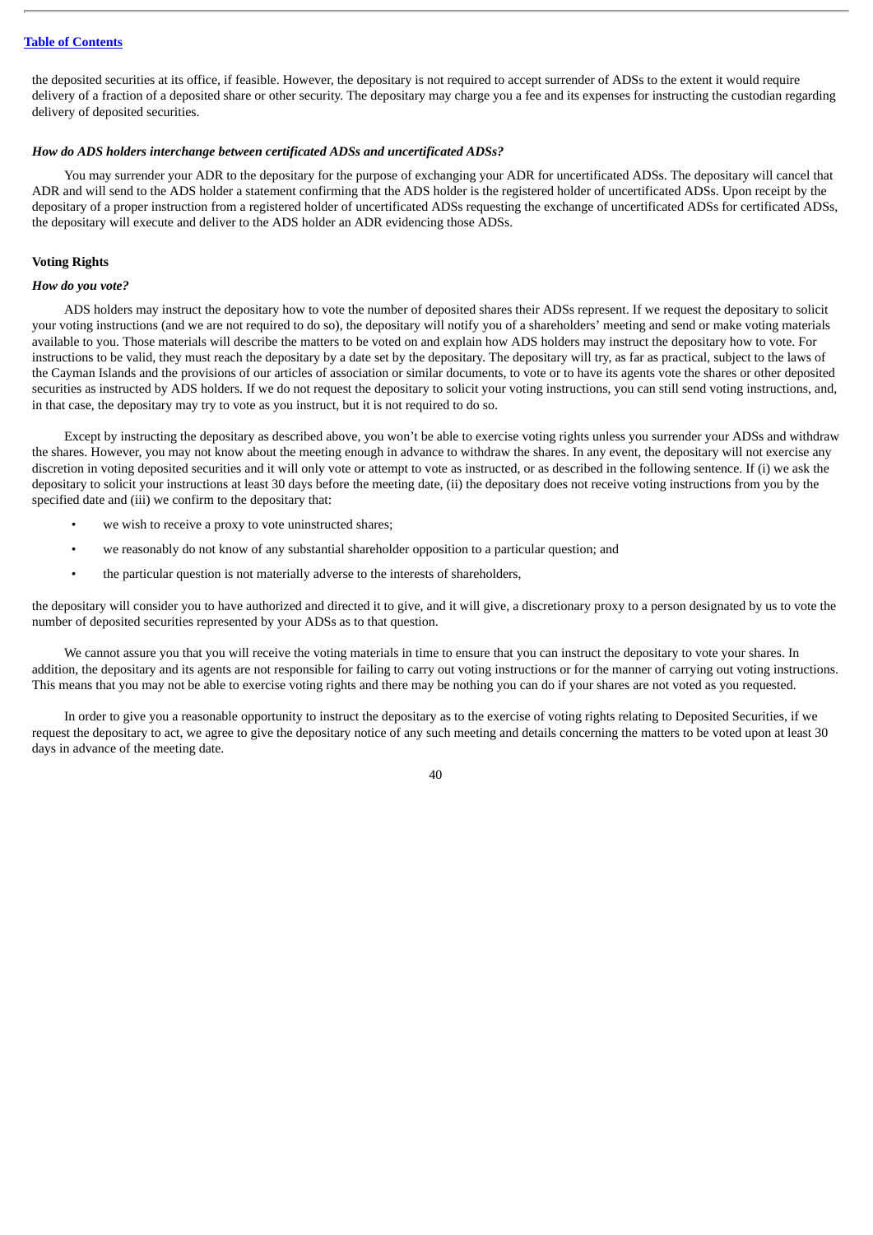the deposited securities at its office, if feasible. However, the depositary is not required to accept surrender of ADSs to the extent it would require delivery of a fraction of a deposited share or other security. The depositary may charge you a fee and its expenses for instructing the custodian regarding delivery of deposited securities.

### *How do ADS holders interchange between certificated ADSs and uncertificated ADSs?*

You may surrender your ADR to the depositary for the purpose of exchanging your ADR for uncertificated ADSs. The depositary will cancel that ADR and will send to the ADS holder a statement confirming that the ADS holder is the registered holder of uncertificated ADSs. Upon receipt by the depositary of a proper instruction from a registered holder of uncertificated ADSs requesting the exchange of uncertificated ADSs for certificated ADSs, the depositary will execute and deliver to the ADS holder an ADR evidencing those ADSs.

### **Voting Rights**

#### *How do you vote?*

ADS holders may instruct the depositary how to vote the number of deposited shares their ADSs represent. If we request the depositary to solicit your voting instructions (and we are not required to do so), the depositary will notify you of a shareholders' meeting and send or make voting materials available to you. Those materials will describe the matters to be voted on and explain how ADS holders may instruct the depositary how to vote. For instructions to be valid, they must reach the depositary by a date set by the depositary. The depositary will try, as far as practical, subject to the laws of the Cayman Islands and the provisions of our articles of association or similar documents, to vote or to have its agents vote the shares or other deposited securities as instructed by ADS holders. If we do not request the depositary to solicit your voting instructions, you can still send voting instructions, and, in that case, the depositary may try to vote as you instruct, but it is not required to do so.

Except by instructing the depositary as described above, you won't be able to exercise voting rights unless you surrender your ADSs and withdraw the shares. However, you may not know about the meeting enough in advance to withdraw the shares. In any event, the depositary will not exercise any discretion in voting deposited securities and it will only vote or attempt to vote as instructed, or as described in the following sentence. If (i) we ask the depositary to solicit your instructions at least 30 days before the meeting date, (ii) the depositary does not receive voting instructions from you by the specified date and (iii) we confirm to the depositary that:

- we wish to receive a proxy to vote uninstructed shares;
- we reasonably do not know of any substantial shareholder opposition to a particular question; and
- the particular question is not materially adverse to the interests of shareholders,

the depositary will consider you to have authorized and directed it to give, and it will give, a discretionary proxy to a person designated by us to vote the number of deposited securities represented by your ADSs as to that question.

We cannot assure you that you will receive the voting materials in time to ensure that you can instruct the depositary to vote your shares. In addition, the depositary and its agents are not responsible for failing to carry out voting instructions or for the manner of carrying out voting instructions. This means that you may not be able to exercise voting rights and there may be nothing you can do if your shares are not voted as you requested.

In order to give you a reasonable opportunity to instruct the depositary as to the exercise of voting rights relating to Deposited Securities, if we request the depositary to act, we agree to give the depositary notice of any such meeting and details concerning the matters to be voted upon at least 30 days in advance of the meeting date.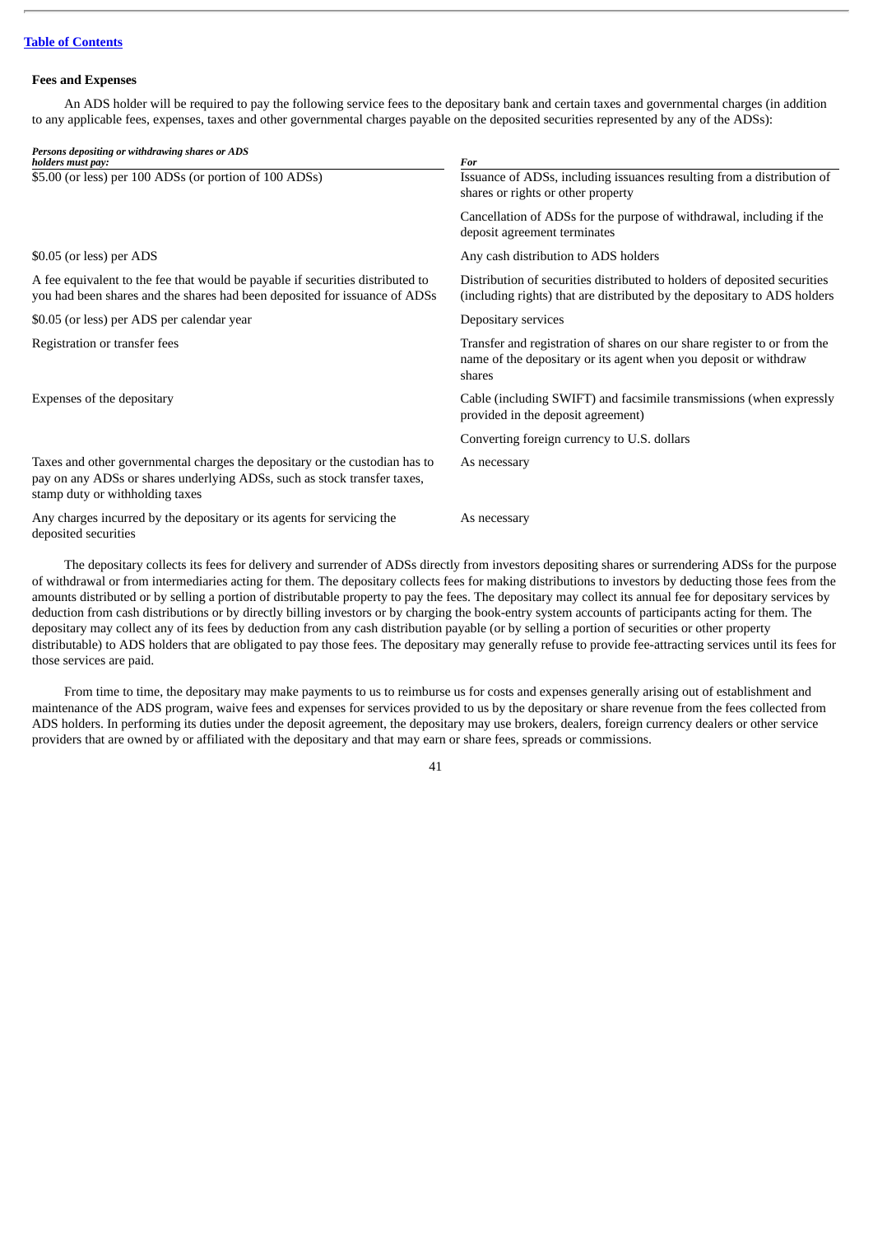#### **Fees and Expenses**

An ADS holder will be required to pay the following service fees to the depositary bank and certain taxes and governmental charges (in addition to any applicable fees, expenses, taxes and other governmental charges payable on the deposited securities represented by any of the ADSs):

| Persons depositing or withdrawing shares or ADS<br>holders must pay:                                                                                                                       | For                                                                                                                                                    |
|--------------------------------------------------------------------------------------------------------------------------------------------------------------------------------------------|--------------------------------------------------------------------------------------------------------------------------------------------------------|
| \$5.00 (or less) per 100 ADSs (or portion of 100 ADSs)                                                                                                                                     | Issuance of ADSs, including issuances resulting from a distribution of<br>shares or rights or other property                                           |
|                                                                                                                                                                                            | Cancellation of ADSs for the purpose of withdrawal, including if the<br>deposit agreement terminates                                                   |
| \$0.05 (or less) per ADS                                                                                                                                                                   | Any cash distribution to ADS holders                                                                                                                   |
| A fee equivalent to the fee that would be payable if securities distributed to<br>you had been shares and the shares had been deposited for issuance of ADSs                               | Distribution of securities distributed to holders of deposited securities<br>(including rights) that are distributed by the depositary to ADS holders  |
| \$0.05 (or less) per ADS per calendar year                                                                                                                                                 | Depositary services                                                                                                                                    |
| Registration or transfer fees                                                                                                                                                              | Transfer and registration of shares on our share register to or from the<br>name of the depositary or its agent when you deposit or withdraw<br>shares |
| Expenses of the depositary                                                                                                                                                                 | Cable (including SWIFT) and facsimile transmissions (when expressly<br>provided in the deposit agreement)                                              |
|                                                                                                                                                                                            | Converting foreign currency to U.S. dollars                                                                                                            |
| Taxes and other governmental charges the depositary or the custodian has to<br>pay on any ADSs or shares underlying ADSs, such as stock transfer taxes,<br>stamp duty or withholding taxes | As necessary                                                                                                                                           |
| Any charges incurred by the depositary or its agents for servicing the<br>deposited securities                                                                                             | As necessary                                                                                                                                           |

The depositary collects its fees for delivery and surrender of ADSs directly from investors depositing shares or surrendering ADSs for the purpose of withdrawal or from intermediaries acting for them. The depositary collects fees for making distributions to investors by deducting those fees from the amounts distributed or by selling a portion of distributable property to pay the fees. The depositary may collect its annual fee for depositary services by deduction from cash distributions or by directly billing investors or by charging the book-entry system accounts of participants acting for them. The depositary may collect any of its fees by deduction from any cash distribution payable (or by selling a portion of securities or other property distributable) to ADS holders that are obligated to pay those fees. The depositary may generally refuse to provide fee-attracting services until its fees for those services are paid.

From time to time, the depositary may make payments to us to reimburse us for costs and expenses generally arising out of establishment and maintenance of the ADS program, waive fees and expenses for services provided to us by the depositary or share revenue from the fees collected from ADS holders. In performing its duties under the deposit agreement, the depositary may use brokers, dealers, foreign currency dealers or other service providers that are owned by or affiliated with the depositary and that may earn or share fees, spreads or commissions.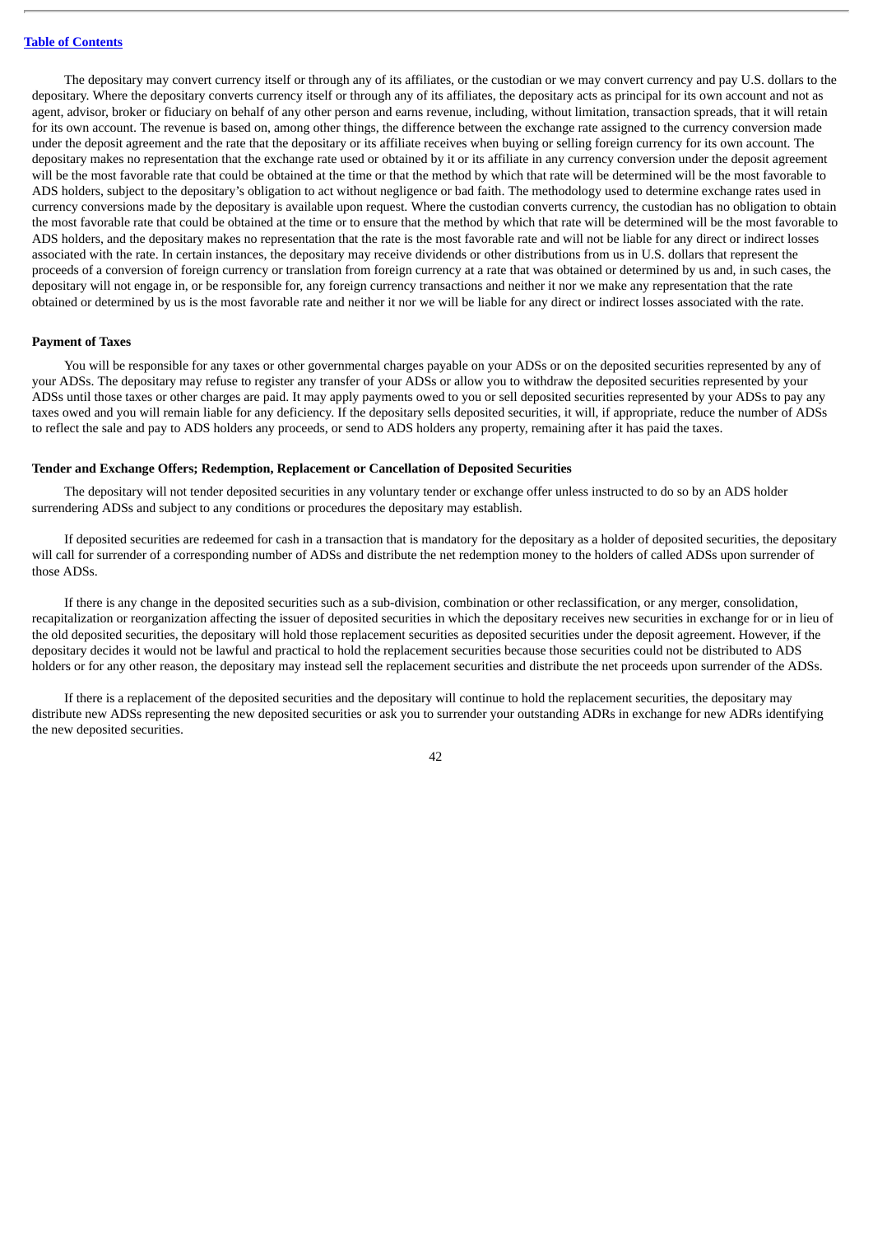The depositary may convert currency itself or through any of its affiliates, or the custodian or we may convert currency and pay U.S. dollars to the depositary. Where the depositary converts currency itself or through any of its affiliates, the depositary acts as principal for its own account and not as agent, advisor, broker or fiduciary on behalf of any other person and earns revenue, including, without limitation, transaction spreads, that it will retain for its own account. The revenue is based on, among other things, the difference between the exchange rate assigned to the currency conversion made under the deposit agreement and the rate that the depositary or its affiliate receives when buying or selling foreign currency for its own account. The depositary makes no representation that the exchange rate used or obtained by it or its affiliate in any currency conversion under the deposit agreement will be the most favorable rate that could be obtained at the time or that the method by which that rate will be determined will be the most favorable to ADS holders, subject to the depositary's obligation to act without negligence or bad faith. The methodology used to determine exchange rates used in currency conversions made by the depositary is available upon request. Where the custodian converts currency, the custodian has no obligation to obtain the most favorable rate that could be obtained at the time or to ensure that the method by which that rate will be determined will be the most favorable to ADS holders, and the depositary makes no representation that the rate is the most favorable rate and will not be liable for any direct or indirect losses associated with the rate. In certain instances, the depositary may receive dividends or other distributions from us in U.S. dollars that represent the proceeds of a conversion of foreign currency or translation from foreign currency at a rate that was obtained or determined by us and, in such cases, the depositary will not engage in, or be responsible for, any foreign currency transactions and neither it nor we make any representation that the rate obtained or determined by us is the most favorable rate and neither it nor we will be liable for any direct or indirect losses associated with the rate.

#### **Payment of Taxes**

You will be responsible for any taxes or other governmental charges payable on your ADSs or on the deposited securities represented by any of your ADSs. The depositary may refuse to register any transfer of your ADSs or allow you to withdraw the deposited securities represented by your ADSs until those taxes or other charges are paid. It may apply payments owed to you or sell deposited securities represented by your ADSs to pay any taxes owed and you will remain liable for any deficiency. If the depositary sells deposited securities, it will, if appropriate, reduce the number of ADSs to reflect the sale and pay to ADS holders any proceeds, or send to ADS holders any property, remaining after it has paid the taxes.

#### **Tender and Exchange Offers; Redemption, Replacement or Cancellation of Deposited Securities**

The depositary will not tender deposited securities in any voluntary tender or exchange offer unless instructed to do so by an ADS holder surrendering ADSs and subject to any conditions or procedures the depositary may establish.

If deposited securities are redeemed for cash in a transaction that is mandatory for the depositary as a holder of deposited securities, the depositary will call for surrender of a corresponding number of ADSs and distribute the net redemption money to the holders of called ADSs upon surrender of those ADSs.

If there is any change in the deposited securities such as a sub-division, combination or other reclassification, or any merger, consolidation, recapitalization or reorganization affecting the issuer of deposited securities in which the depositary receives new securities in exchange for or in lieu of the old deposited securities, the depositary will hold those replacement securities as deposited securities under the deposit agreement. However, if the depositary decides it would not be lawful and practical to hold the replacement securities because those securities could not be distributed to ADS holders or for any other reason, the depositary may instead sell the replacement securities and distribute the net proceeds upon surrender of the ADSs.

If there is a replacement of the deposited securities and the depositary will continue to hold the replacement securities, the depositary may distribute new ADSs representing the new deposited securities or ask you to surrender your outstanding ADRs in exchange for new ADRs identifying the new deposited securities.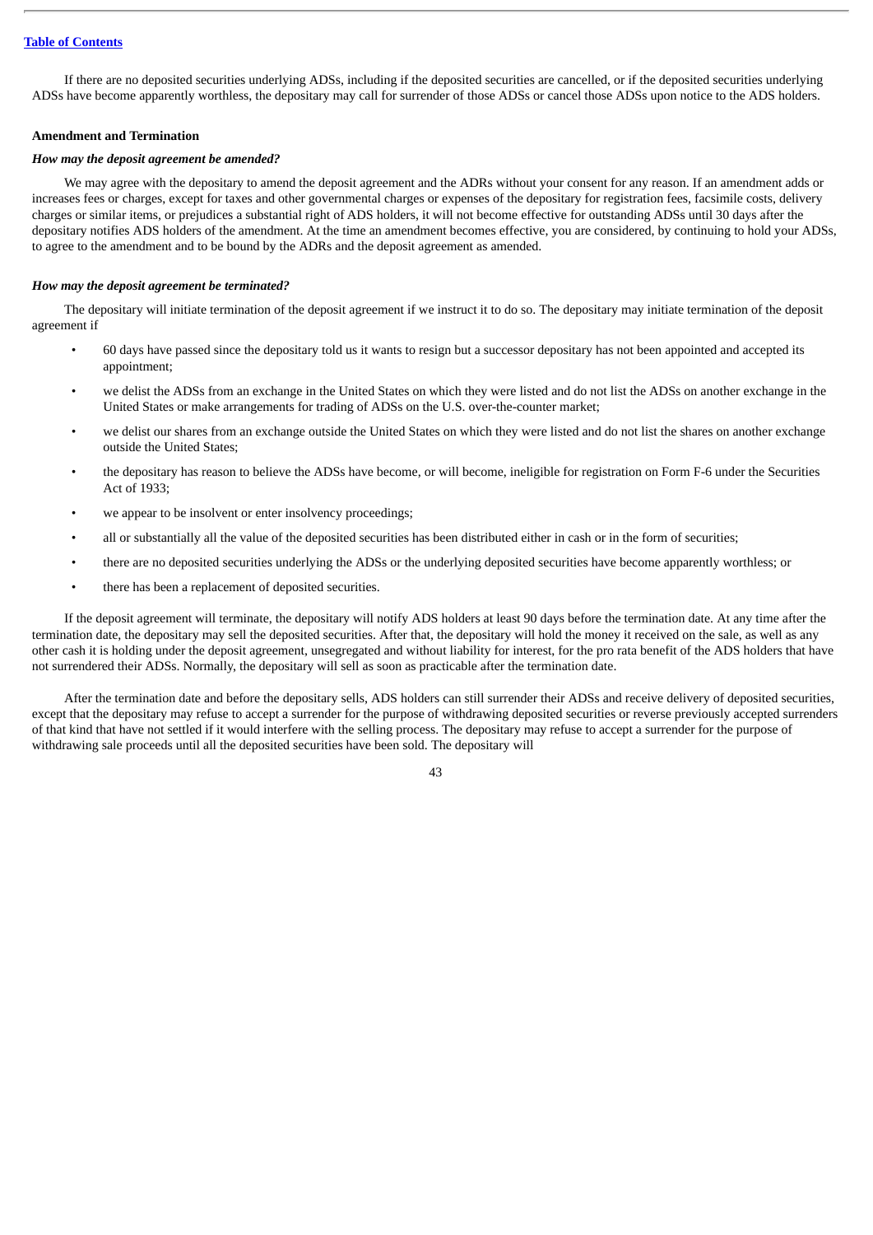If there are no deposited securities underlying ADSs, including if the deposited securities are cancelled, or if the deposited securities underlying ADSs have become apparently worthless, the depositary may call for surrender of those ADSs or cancel those ADSs upon notice to the ADS holders.

## **Amendment and Termination**

#### *How may the deposit agreement be amended?*

We may agree with the depositary to amend the deposit agreement and the ADRs without your consent for any reason. If an amendment adds or increases fees or charges, except for taxes and other governmental charges or expenses of the depositary for registration fees, facsimile costs, delivery charges or similar items, or prejudices a substantial right of ADS holders, it will not become effective for outstanding ADSs until 30 days after the depositary notifies ADS holders of the amendment. At the time an amendment becomes effective, you are considered, by continuing to hold your ADSs, to agree to the amendment and to be bound by the ADRs and the deposit agreement as amended.

#### *How may the deposit agreement be terminated?*

The depositary will initiate termination of the deposit agreement if we instruct it to do so. The depositary may initiate termination of the deposit agreement if

- 60 days have passed since the depositary told us it wants to resign but a successor depositary has not been appointed and accepted its appointment;
- we delist the ADSs from an exchange in the United States on which they were listed and do not list the ADSs on another exchange in the United States or make arrangements for trading of ADSs on the U.S. over-the-counter market;
- we delist our shares from an exchange outside the United States on which they were listed and do not list the shares on another exchange outside the United States;
- the depositary has reason to believe the ADSs have become, or will become, ineligible for registration on Form F-6 under the Securities Act of 1933;
- we appear to be insolvent or enter insolvency proceedings;
- all or substantially all the value of the deposited securities has been distributed either in cash or in the form of securities;
- there are no deposited securities underlying the ADSs or the underlying deposited securities have become apparently worthless; or
- there has been a replacement of deposited securities.

If the deposit agreement will terminate, the depositary will notify ADS holders at least 90 days before the termination date. At any time after the termination date, the depositary may sell the deposited securities. After that, the depositary will hold the money it received on the sale, as well as any other cash it is holding under the deposit agreement, unsegregated and without liability for interest, for the pro rata benefit of the ADS holders that have not surrendered their ADSs. Normally, the depositary will sell as soon as practicable after the termination date.

After the termination date and before the depositary sells, ADS holders can still surrender their ADSs and receive delivery of deposited securities, except that the depositary may refuse to accept a surrender for the purpose of withdrawing deposited securities or reverse previously accepted surrenders of that kind that have not settled if it would interfere with the selling process. The depositary may refuse to accept a surrender for the purpose of withdrawing sale proceeds until all the deposited securities have been sold. The depositary will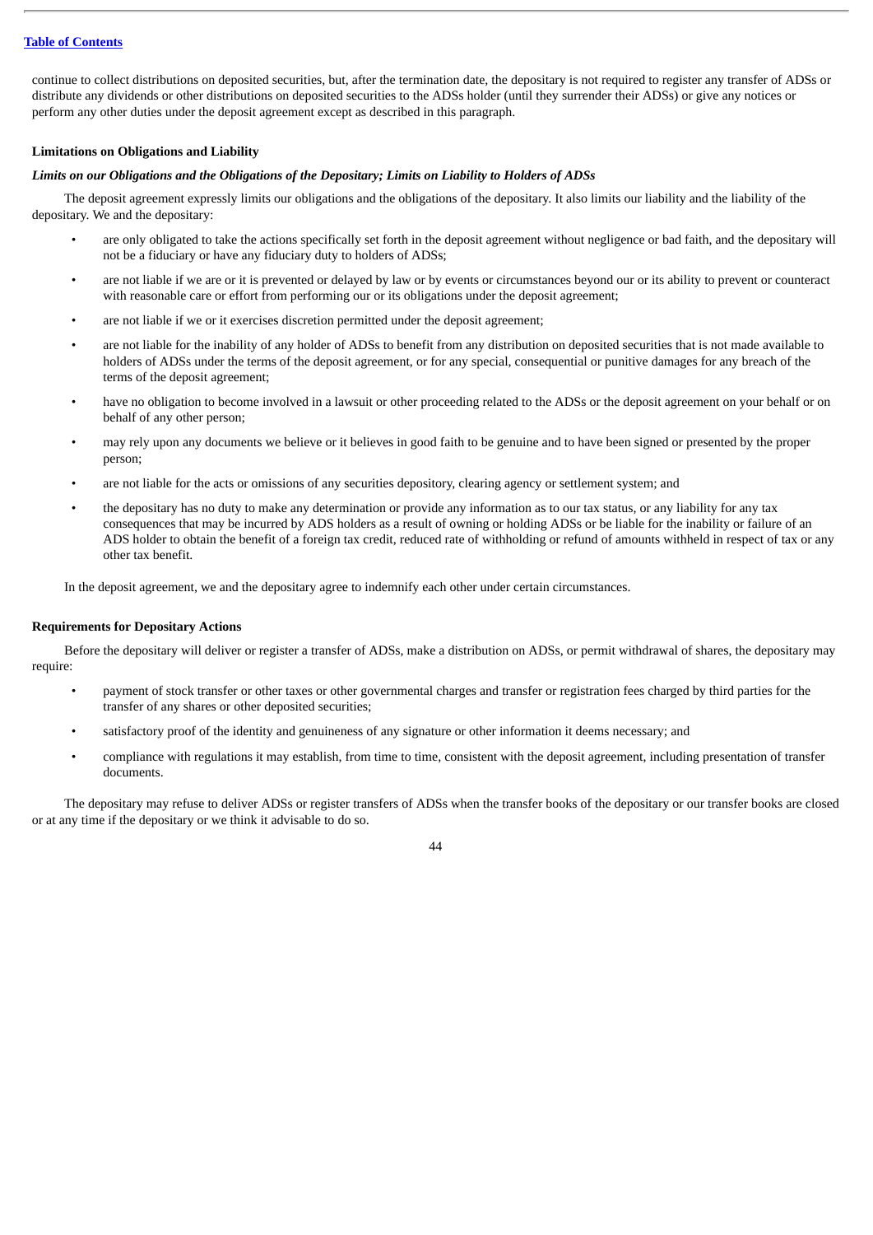continue to collect distributions on deposited securities, but, after the termination date, the depositary is not required to register any transfer of ADSs or distribute any dividends or other distributions on deposited securities to the ADSs holder (until they surrender their ADSs) or give any notices or perform any other duties under the deposit agreement except as described in this paragraph.

## **Limitations on Obligations and Liability**

## *Limits on our Obligations and the Obligations of the Depositary; Limits on Liability to Holders of ADSs*

The deposit agreement expressly limits our obligations and the obligations of the depositary. It also limits our liability and the liability of the depositary. We and the depositary:

- are only obligated to take the actions specifically set forth in the deposit agreement without negligence or bad faith, and the depositary will not be a fiduciary or have any fiduciary duty to holders of ADSs;
- are not liable if we are or it is prevented or delayed by law or by events or circumstances beyond our or its ability to prevent or counteract with reasonable care or effort from performing our or its obligations under the deposit agreement;
- are not liable if we or it exercises discretion permitted under the deposit agreement;
- are not liable for the inability of any holder of ADSs to benefit from any distribution on deposited securities that is not made available to holders of ADSs under the terms of the deposit agreement, or for any special, consequential or punitive damages for any breach of the terms of the deposit agreement;
- have no obligation to become involved in a lawsuit or other proceeding related to the ADSs or the deposit agreement on your behalf or on behalf of any other person;
- may rely upon any documents we believe or it believes in good faith to be genuine and to have been signed or presented by the proper person;
- are not liable for the acts or omissions of any securities depository, clearing agency or settlement system; and
- the depositary has no duty to make any determination or provide any information as to our tax status, or any liability for any tax consequences that may be incurred by ADS holders as a result of owning or holding ADSs or be liable for the inability or failure of an ADS holder to obtain the benefit of a foreign tax credit, reduced rate of withholding or refund of amounts withheld in respect of tax or any other tax benefit.

In the deposit agreement, we and the depositary agree to indemnify each other under certain circumstances.

# **Requirements for Depositary Actions**

Before the depositary will deliver or register a transfer of ADSs, make a distribution on ADSs, or permit withdrawal of shares, the depositary may require:

- payment of stock transfer or other taxes or other governmental charges and transfer or registration fees charged by third parties for the transfer of any shares or other deposited securities;
- satisfactory proof of the identity and genuineness of any signature or other information it deems necessary; and
- compliance with regulations it may establish, from time to time, consistent with the deposit agreement, including presentation of transfer documents.

The depositary may refuse to deliver ADSs or register transfers of ADSs when the transfer books of the depositary or our transfer books are closed or at any time if the depositary or we think it advisable to do so.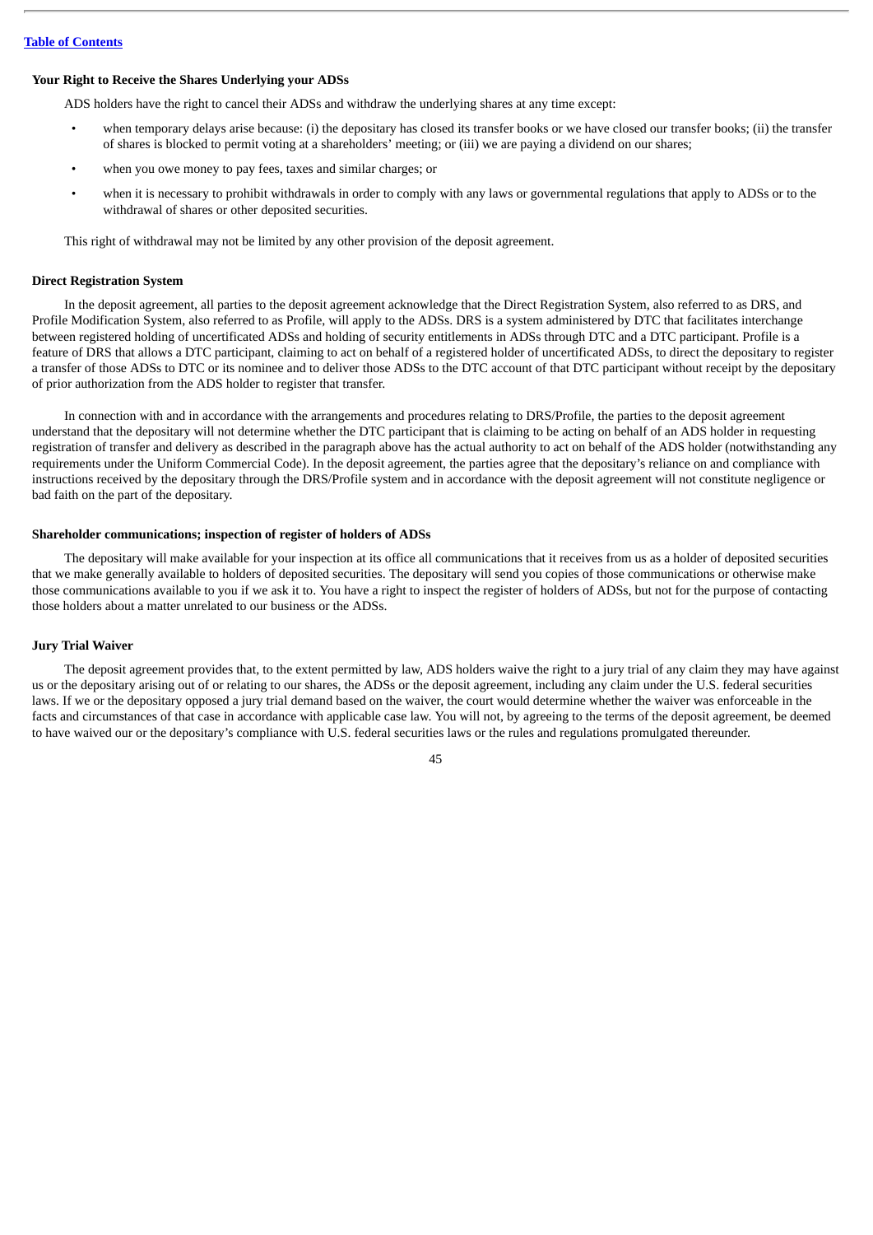#### **Your Right to Receive the Shares Underlying your ADSs**

ADS holders have the right to cancel their ADSs and withdraw the underlying shares at any time except:

- when temporary delays arise because: (i) the depositary has closed its transfer books or we have closed our transfer books; (ii) the transfer of shares is blocked to permit voting at a shareholders' meeting; or (iii) we are paying a dividend on our shares;
- when you owe money to pay fees, taxes and similar charges; or
- when it is necessary to prohibit withdrawals in order to comply with any laws or governmental regulations that apply to ADSs or to the withdrawal of shares or other deposited securities.

This right of withdrawal may not be limited by any other provision of the deposit agreement.

### **Direct Registration System**

In the deposit agreement, all parties to the deposit agreement acknowledge that the Direct Registration System, also referred to as DRS, and Profile Modification System, also referred to as Profile, will apply to the ADSs. DRS is a system administered by DTC that facilitates interchange between registered holding of uncertificated ADSs and holding of security entitlements in ADSs through DTC and a DTC participant. Profile is a feature of DRS that allows a DTC participant, claiming to act on behalf of a registered holder of uncertificated ADSs, to direct the depositary to register a transfer of those ADSs to DTC or its nominee and to deliver those ADSs to the DTC account of that DTC participant without receipt by the depositary of prior authorization from the ADS holder to register that transfer.

In connection with and in accordance with the arrangements and procedures relating to DRS/Profile, the parties to the deposit agreement understand that the depositary will not determine whether the DTC participant that is claiming to be acting on behalf of an ADS holder in requesting registration of transfer and delivery as described in the paragraph above has the actual authority to act on behalf of the ADS holder (notwithstanding any requirements under the Uniform Commercial Code). In the deposit agreement, the parties agree that the depositary's reliance on and compliance with instructions received by the depositary through the DRS/Profile system and in accordance with the deposit agreement will not constitute negligence or bad faith on the part of the depositary.

#### **Shareholder communications; inspection of register of holders of ADSs**

The depositary will make available for your inspection at its office all communications that it receives from us as a holder of deposited securities that we make generally available to holders of deposited securities. The depositary will send you copies of those communications or otherwise make those communications available to you if we ask it to. You have a right to inspect the register of holders of ADSs, but not for the purpose of contacting those holders about a matter unrelated to our business or the ADSs.

#### **Jury Trial Waiver**

The deposit agreement provides that, to the extent permitted by law, ADS holders waive the right to a jury trial of any claim they may have against us or the depositary arising out of or relating to our shares, the ADSs or the deposit agreement, including any claim under the U.S. federal securities laws. If we or the depositary opposed a jury trial demand based on the waiver, the court would determine whether the waiver was enforceable in the facts and circumstances of that case in accordance with applicable case law. You will not, by agreeing to the terms of the deposit agreement, be deemed to have waived our or the depositary's compliance with U.S. federal securities laws or the rules and regulations promulgated thereunder.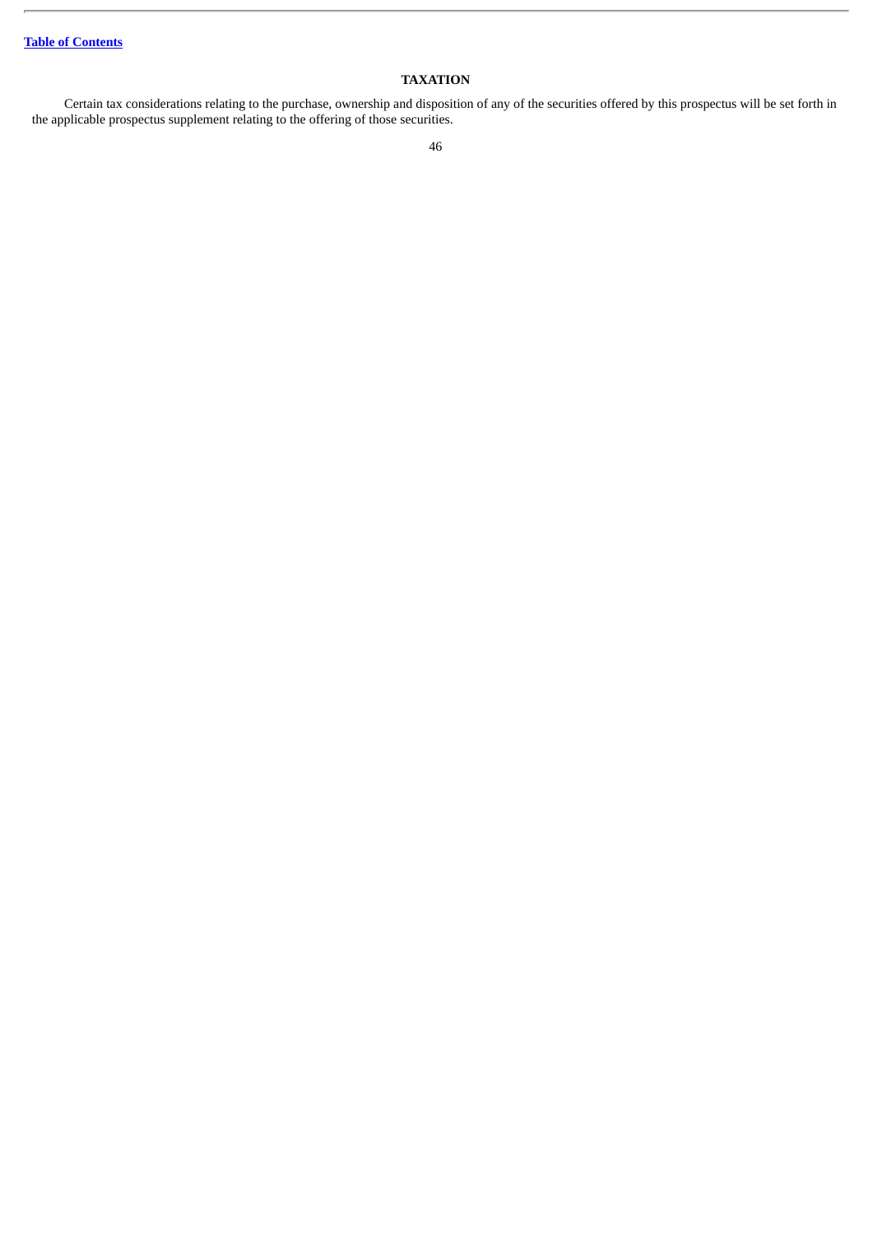# **TAXATION**

Certain tax considerations relating to the purchase, ownership and disposition of any of the securities offered by this prospectus will be set forth in the applicable prospectus supplement relating to the offering of those securities.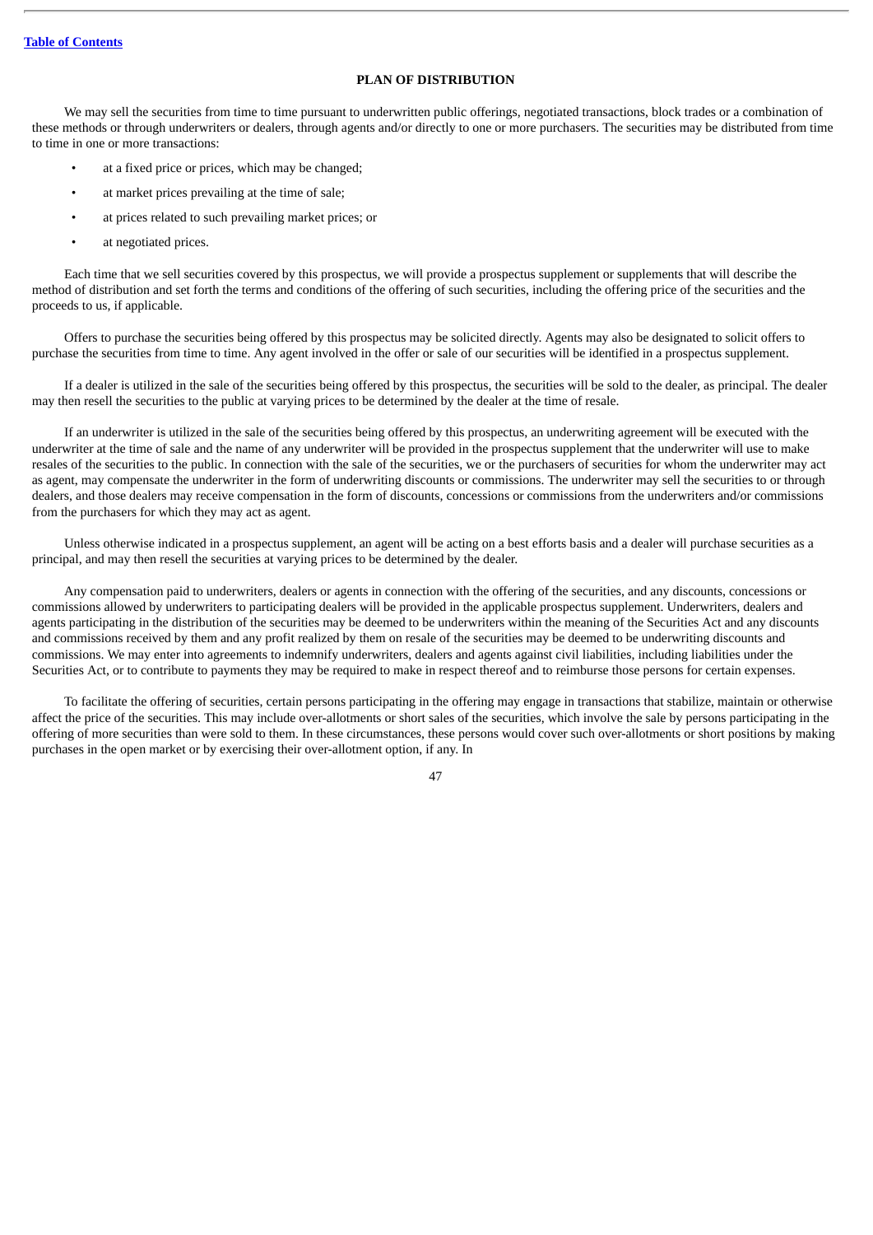# **PLAN OF DISTRIBUTION**

We may sell the securities from time to time pursuant to underwritten public offerings, negotiated transactions, block trades or a combination of these methods or through underwriters or dealers, through agents and/or directly to one or more purchasers. The securities may be distributed from time to time in one or more transactions:

- at a fixed price or prices, which may be changed;
- at market prices prevailing at the time of sale;
- at prices related to such prevailing market prices; or
- at negotiated prices.

Each time that we sell securities covered by this prospectus, we will provide a prospectus supplement or supplements that will describe the method of distribution and set forth the terms and conditions of the offering of such securities, including the offering price of the securities and the proceeds to us, if applicable.

Offers to purchase the securities being offered by this prospectus may be solicited directly. Agents may also be designated to solicit offers to purchase the securities from time to time. Any agent involved in the offer or sale of our securities will be identified in a prospectus supplement.

If a dealer is utilized in the sale of the securities being offered by this prospectus, the securities will be sold to the dealer, as principal. The dealer may then resell the securities to the public at varying prices to be determined by the dealer at the time of resale.

If an underwriter is utilized in the sale of the securities being offered by this prospectus, an underwriting agreement will be executed with the underwriter at the time of sale and the name of any underwriter will be provided in the prospectus supplement that the underwriter will use to make resales of the securities to the public. In connection with the sale of the securities, we or the purchasers of securities for whom the underwriter may act as agent, may compensate the underwriter in the form of underwriting discounts or commissions. The underwriter may sell the securities to or through dealers, and those dealers may receive compensation in the form of discounts, concessions or commissions from the underwriters and/or commissions from the purchasers for which they may act as agent.

Unless otherwise indicated in a prospectus supplement, an agent will be acting on a best efforts basis and a dealer will purchase securities as a principal, and may then resell the securities at varying prices to be determined by the dealer.

Any compensation paid to underwriters, dealers or agents in connection with the offering of the securities, and any discounts, concessions or commissions allowed by underwriters to participating dealers will be provided in the applicable prospectus supplement. Underwriters, dealers and agents participating in the distribution of the securities may be deemed to be underwriters within the meaning of the Securities Act and any discounts and commissions received by them and any profit realized by them on resale of the securities may be deemed to be underwriting discounts and commissions. We may enter into agreements to indemnify underwriters, dealers and agents against civil liabilities, including liabilities under the Securities Act, or to contribute to payments they may be required to make in respect thereof and to reimburse those persons for certain expenses.

To facilitate the offering of securities, certain persons participating in the offering may engage in transactions that stabilize, maintain or otherwise affect the price of the securities. This may include over-allotments or short sales of the securities, which involve the sale by persons participating in the offering of more securities than were sold to them. In these circumstances, these persons would cover such over-allotments or short positions by making purchases in the open market or by exercising their over-allotment option, if any. In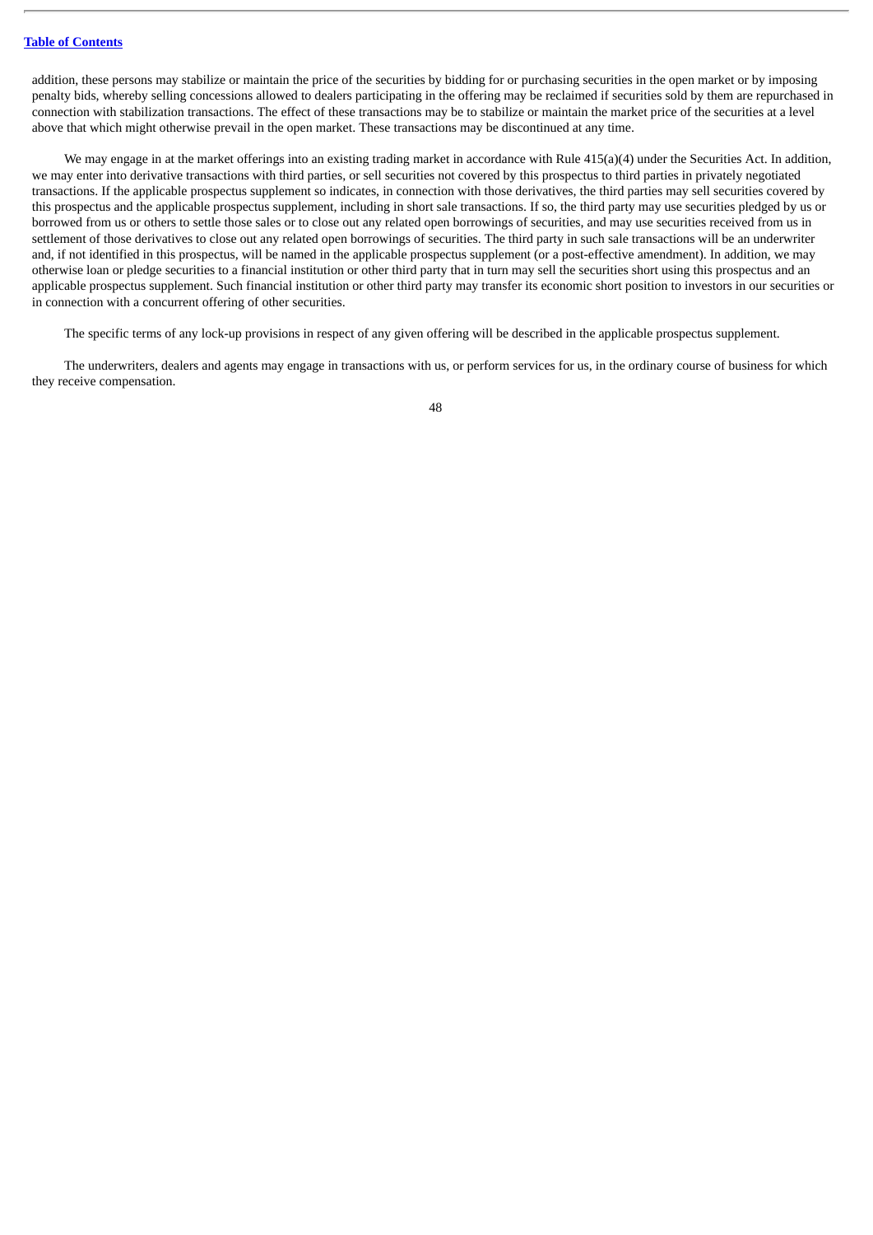addition, these persons may stabilize or maintain the price of the securities by bidding for or purchasing securities in the open market or by imposing penalty bids, whereby selling concessions allowed to dealers participating in the offering may be reclaimed if securities sold by them are repurchased in connection with stabilization transactions. The effect of these transactions may be to stabilize or maintain the market price of the securities at a level above that which might otherwise prevail in the open market. These transactions may be discontinued at any time.

We may engage in at the market offerings into an existing trading market in accordance with Rule 415(a)(4) under the Securities Act. In addition, we may enter into derivative transactions with third parties, or sell securities not covered by this prospectus to third parties in privately negotiated transactions. If the applicable prospectus supplement so indicates, in connection with those derivatives, the third parties may sell securities covered by this prospectus and the applicable prospectus supplement, including in short sale transactions. If so, the third party may use securities pledged by us or borrowed from us or others to settle those sales or to close out any related open borrowings of securities, and may use securities received from us in settlement of those derivatives to close out any related open borrowings of securities. The third party in such sale transactions will be an underwriter and, if not identified in this prospectus, will be named in the applicable prospectus supplement (or a post-effective amendment). In addition, we may otherwise loan or pledge securities to a financial institution or other third party that in turn may sell the securities short using this prospectus and an applicable prospectus supplement. Such financial institution or other third party may transfer its economic short position to investors in our securities or in connection with a concurrent offering of other securities.

The specific terms of any lock-up provisions in respect of any given offering will be described in the applicable prospectus supplement.

The underwriters, dealers and agents may engage in transactions with us, or perform services for us, in the ordinary course of business for which they receive compensation.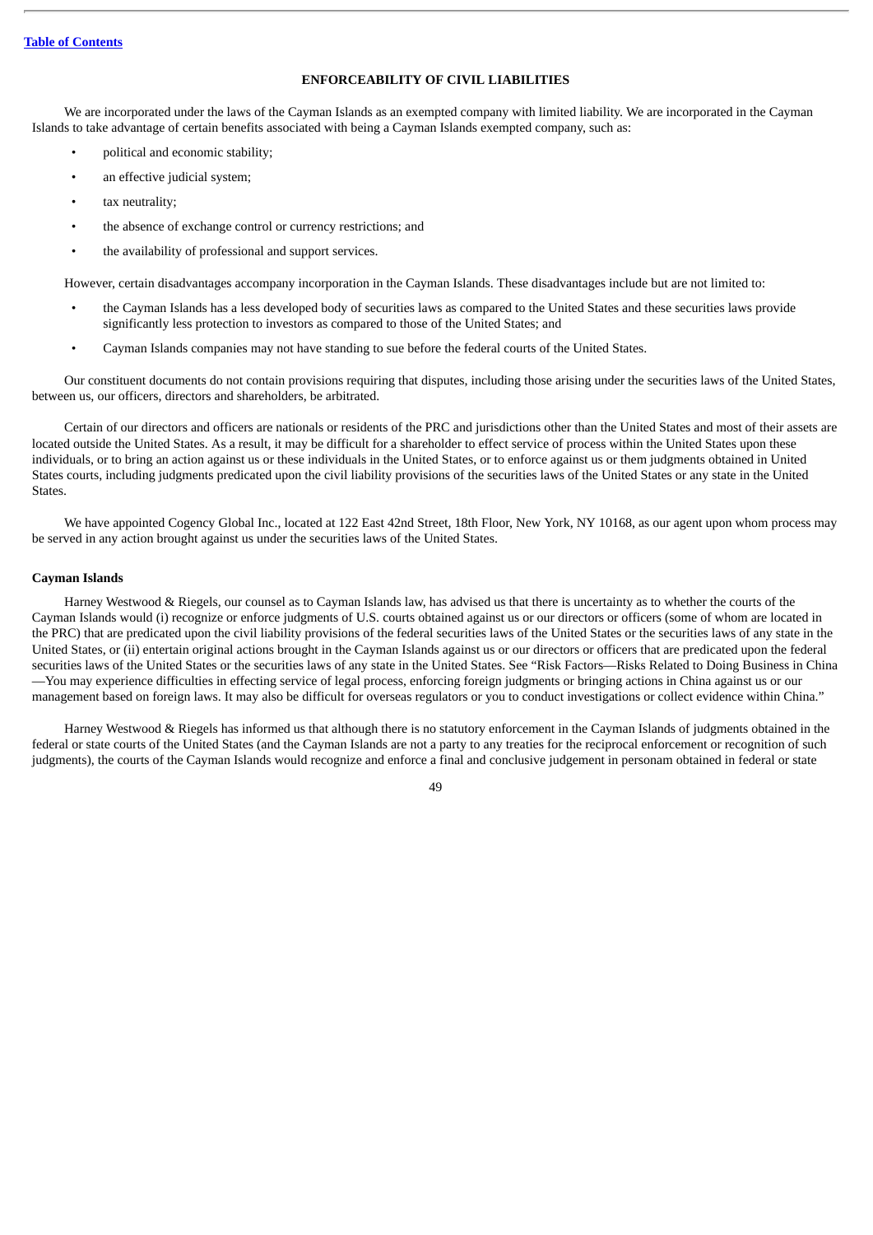# **ENFORCEABILITY OF CIVIL LIABILITIES**

We are incorporated under the laws of the Cayman Islands as an exempted company with limited liability. We are incorporated in the Cayman Islands to take advantage of certain benefits associated with being a Cayman Islands exempted company, such as:

- political and economic stability;
- an effective judicial system;
- tax neutrality;
- the absence of exchange control or currency restrictions; and
- the availability of professional and support services.

However, certain disadvantages accompany incorporation in the Cayman Islands. These disadvantages include but are not limited to:

- the Cayman Islands has a less developed body of securities laws as compared to the United States and these securities laws provide significantly less protection to investors as compared to those of the United States; and
- Cayman Islands companies may not have standing to sue before the federal courts of the United States.

Our constituent documents do not contain provisions requiring that disputes, including those arising under the securities laws of the United States, between us, our officers, directors and shareholders, be arbitrated.

Certain of our directors and officers are nationals or residents of the PRC and jurisdictions other than the United States and most of their assets are located outside the United States. As a result, it may be difficult for a shareholder to effect service of process within the United States upon these individuals, or to bring an action against us or these individuals in the United States, or to enforce against us or them judgments obtained in United States courts, including judgments predicated upon the civil liability provisions of the securities laws of the United States or any state in the United States.

We have appointed Cogency Global Inc., located at 122 East 42nd Street, 18th Floor, New York, NY 10168, as our agent upon whom process may be served in any action brought against us under the securities laws of the United States.

#### **Cayman Islands**

Harney Westwood & Riegels, our counsel as to Cayman Islands law, has advised us that there is uncertainty as to whether the courts of the Cayman Islands would (i) recognize or enforce judgments of U.S. courts obtained against us or our directors or officers (some of whom are located in the PRC) that are predicated upon the civil liability provisions of the federal securities laws of the United States or the securities laws of any state in the United States, or (ii) entertain original actions brought in the Cayman Islands against us or our directors or officers that are predicated upon the federal securities laws of the United States or the securities laws of any state in the United States. See "Risk Factors—Risks Related to Doing Business in China —You may experience difficulties in effecting service of legal process, enforcing foreign judgments or bringing actions in China against us or our management based on foreign laws. It may also be difficult for overseas regulators or you to conduct investigations or collect evidence within China."

Harney Westwood & Riegels has informed us that although there is no statutory enforcement in the Cayman Islands of judgments obtained in the federal or state courts of the United States (and the Cayman Islands are not a party to any treaties for the reciprocal enforcement or recognition of such judgments), the courts of the Cayman Islands would recognize and enforce a final and conclusive judgement in personam obtained in federal or state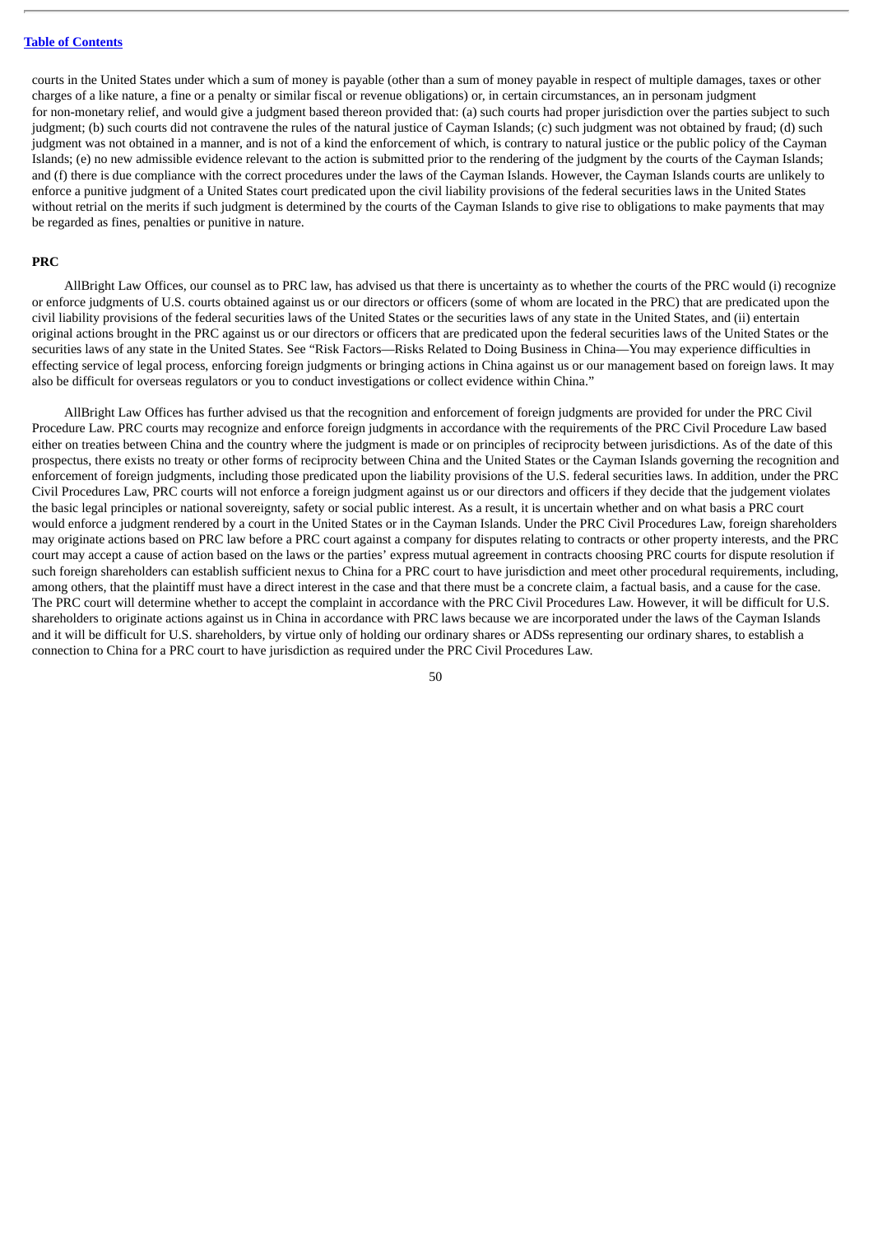courts in the United States under which a sum of money is payable (other than a sum of money payable in respect of multiple damages, taxes or other charges of a like nature, a fine or a penalty or similar fiscal or revenue obligations) or, in certain circumstances, an in personam judgment for non-monetary relief, and would give a judgment based thereon provided that: (a) such courts had proper jurisdiction over the parties subject to such judgment; (b) such courts did not contravene the rules of the natural justice of Cayman Islands; (c) such judgment was not obtained by fraud; (d) such judgment was not obtained in a manner, and is not of a kind the enforcement of which, is contrary to natural justice or the public policy of the Cayman Islands; (e) no new admissible evidence relevant to the action is submitted prior to the rendering of the judgment by the courts of the Cayman Islands; and (f) there is due compliance with the correct procedures under the laws of the Cayman Islands. However, the Cayman Islands courts are unlikely to enforce a punitive judgment of a United States court predicated upon the civil liability provisions of the federal securities laws in the United States without retrial on the merits if such judgment is determined by the courts of the Cayman Islands to give rise to obligations to make payments that may be regarded as fines, penalties or punitive in nature.

#### **PRC**

AllBright Law Offices, our counsel as to PRC law, has advised us that there is uncertainty as to whether the courts of the PRC would (i) recognize or enforce judgments of U.S. courts obtained against us or our directors or officers (some of whom are located in the PRC) that are predicated upon the civil liability provisions of the federal securities laws of the United States or the securities laws of any state in the United States, and (ii) entertain original actions brought in the PRC against us or our directors or officers that are predicated upon the federal securities laws of the United States or the securities laws of any state in the United States. See "Risk Factors—Risks Related to Doing Business in China—You may experience difficulties in effecting service of legal process, enforcing foreign judgments or bringing actions in China against us or our management based on foreign laws. It may also be difficult for overseas regulators or you to conduct investigations or collect evidence within China."

AllBright Law Offices has further advised us that the recognition and enforcement of foreign judgments are provided for under the PRC Civil Procedure Law. PRC courts may recognize and enforce foreign judgments in accordance with the requirements of the PRC Civil Procedure Law based either on treaties between China and the country where the judgment is made or on principles of reciprocity between jurisdictions. As of the date of this prospectus, there exists no treaty or other forms of reciprocity between China and the United States or the Cayman Islands governing the recognition and enforcement of foreign judgments, including those predicated upon the liability provisions of the U.S. federal securities laws. In addition, under the PRC Civil Procedures Law, PRC courts will not enforce a foreign judgment against us or our directors and officers if they decide that the judgement violates the basic legal principles or national sovereignty, safety or social public interest. As a result, it is uncertain whether and on what basis a PRC court would enforce a judgment rendered by a court in the United States or in the Cayman Islands. Under the PRC Civil Procedures Law, foreign shareholders may originate actions based on PRC law before a PRC court against a company for disputes relating to contracts or other property interests, and the PRC court may accept a cause of action based on the laws or the parties' express mutual agreement in contracts choosing PRC courts for dispute resolution if such foreign shareholders can establish sufficient nexus to China for a PRC court to have jurisdiction and meet other procedural requirements, including, among others, that the plaintiff must have a direct interest in the case and that there must be a concrete claim, a factual basis, and a cause for the case. The PRC court will determine whether to accept the complaint in accordance with the PRC Civil Procedures Law. However, it will be difficult for U.S. shareholders to originate actions against us in China in accordance with PRC laws because we are incorporated under the laws of the Cayman Islands and it will be difficult for U.S. shareholders, by virtue only of holding our ordinary shares or ADSs representing our ordinary shares, to establish a connection to China for a PRC court to have jurisdiction as required under the PRC Civil Procedures Law.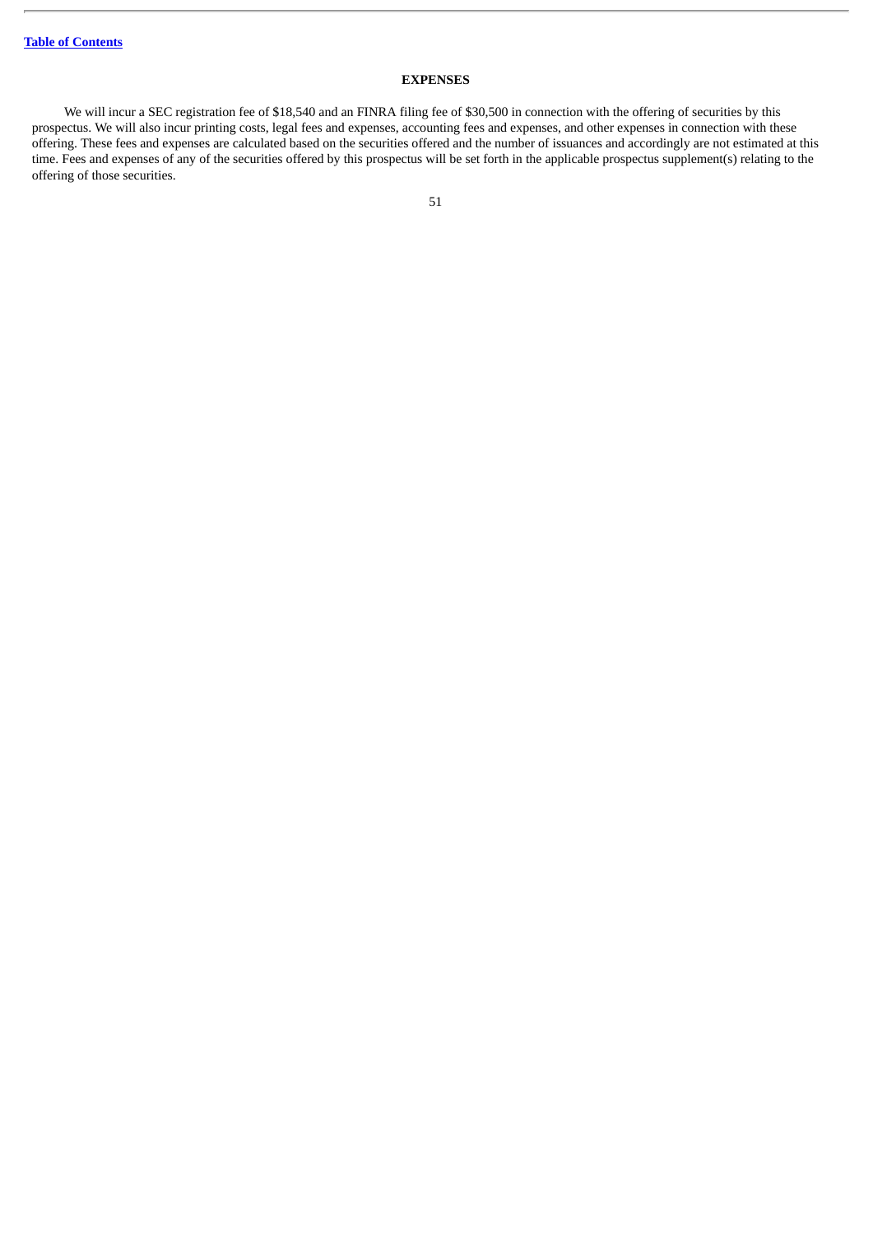# **EXPENSES**

We will incur a SEC registration fee of \$18,540 and an FINRA filing fee of \$30,500 in connection with the offering of securities by this prospectus. We will also incur printing costs, legal fees and expenses, accounting fees and expenses, and other expenses in connection with these offering. These fees and expenses are calculated based on the securities offered and the number of issuances and accordingly are not estimated at this time. Fees and expenses of any of the securities offered by this prospectus will be set forth in the applicable prospectus supplement(s) relating to the offering of those securities.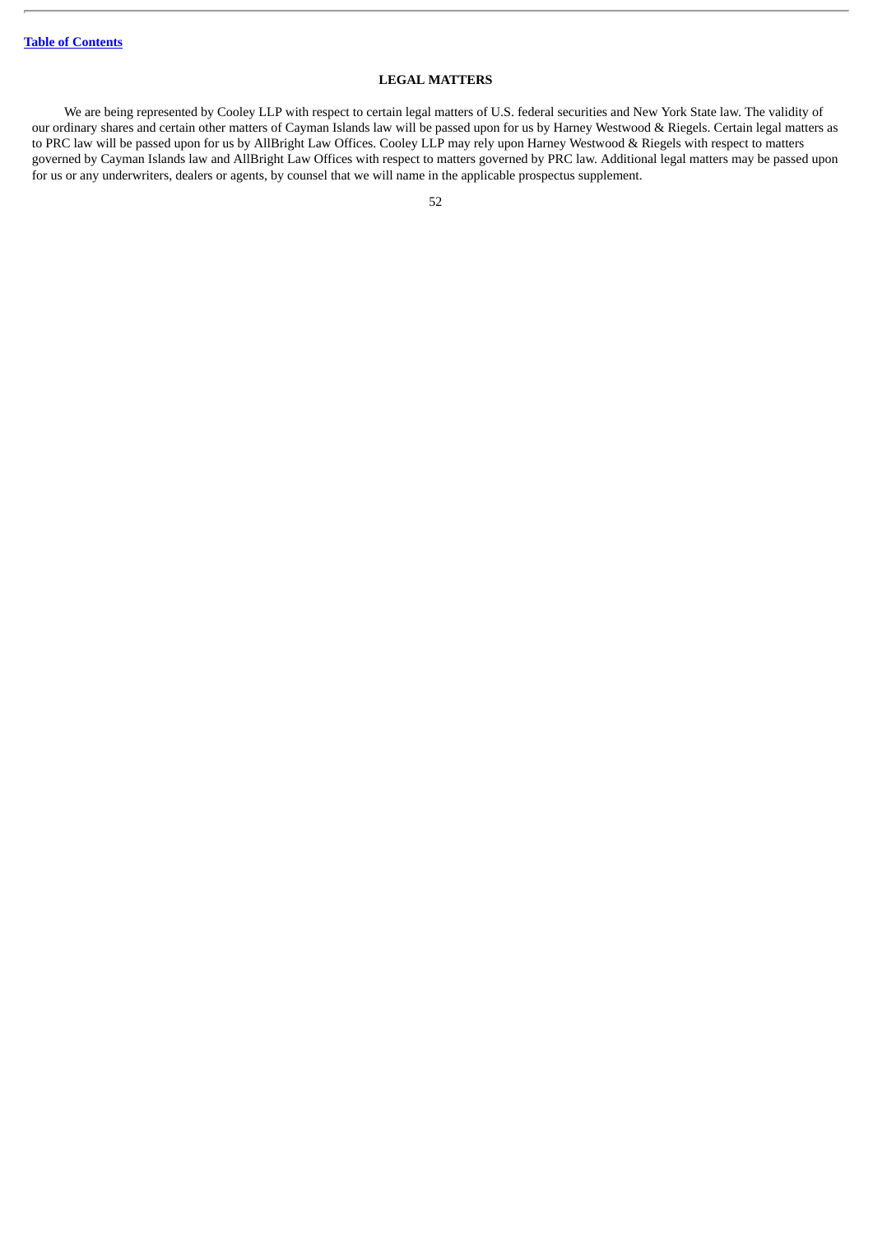# **LEGAL MATTERS**

We are being represented by Cooley LLP with respect to certain legal matters of U.S. federal securities and New York State law. The validity of our ordinary shares and certain other matters of Cayman Islands law will be passed upon for us by Harney Westwood & Riegels. Certain legal matters as to PRC law will be passed upon for us by AllBright Law Offices. Cooley LLP may rely upon Harney Westwood & Riegels with respect to matters governed by Cayman Islands law and AllBright Law Offices with respect to matters governed by PRC law. Additional legal matters may be passed upon for us or any underwriters, dealers or agents, by counsel that we will name in the applicable prospectus supplement.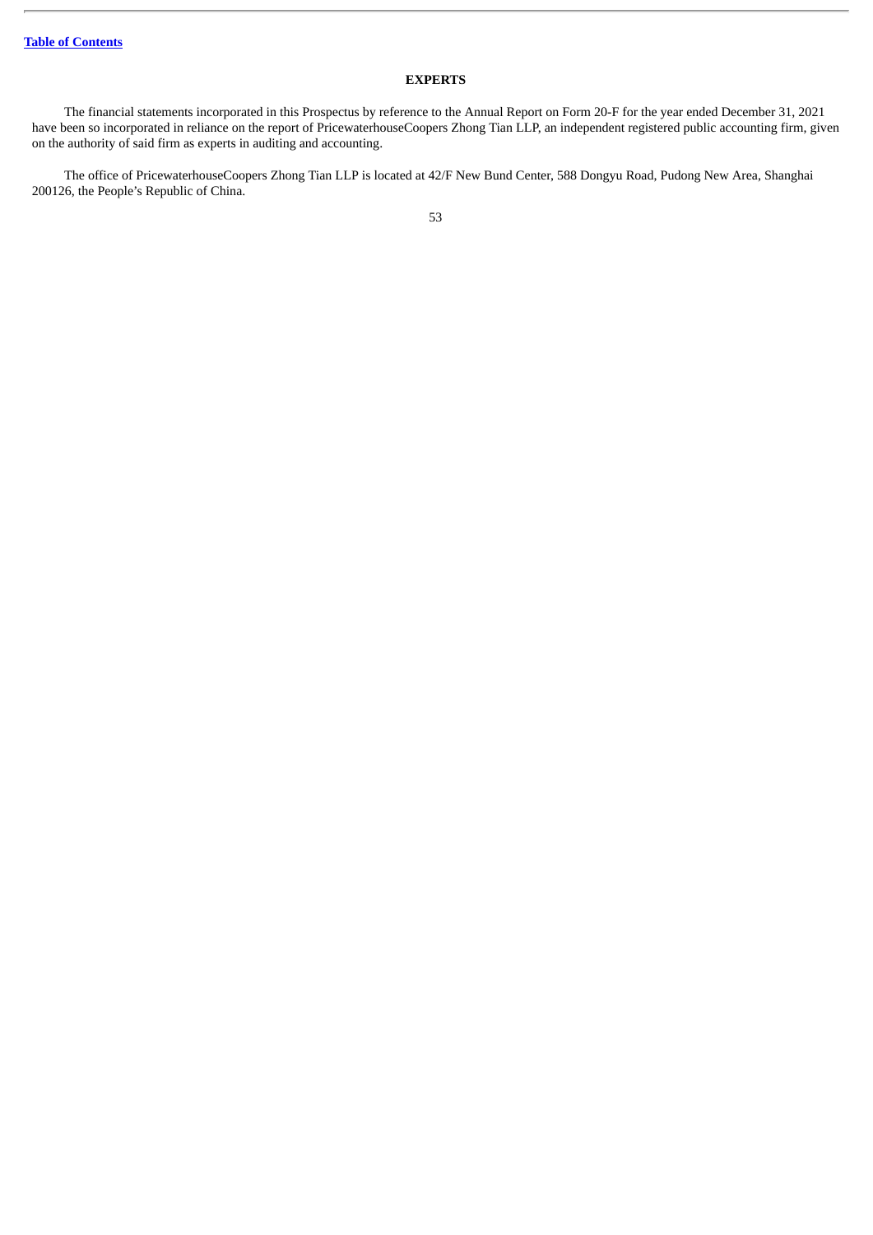# **EXPERTS**

The financial statements incorporated in this Prospectus by reference to the Annual Report on Form 20-F for the year ended December 31, 2021 have been so incorporated in reliance on the report of PricewaterhouseCoopers Zhong Tian LLP, an independent registered public accounting firm, given on the authority of said firm as experts in auditing and accounting.

The office of PricewaterhouseCoopers Zhong Tian LLP is located at 42/F New Bund Center, 588 Dongyu Road, Pudong New Area, Shanghai 200126, the People's Republic of China.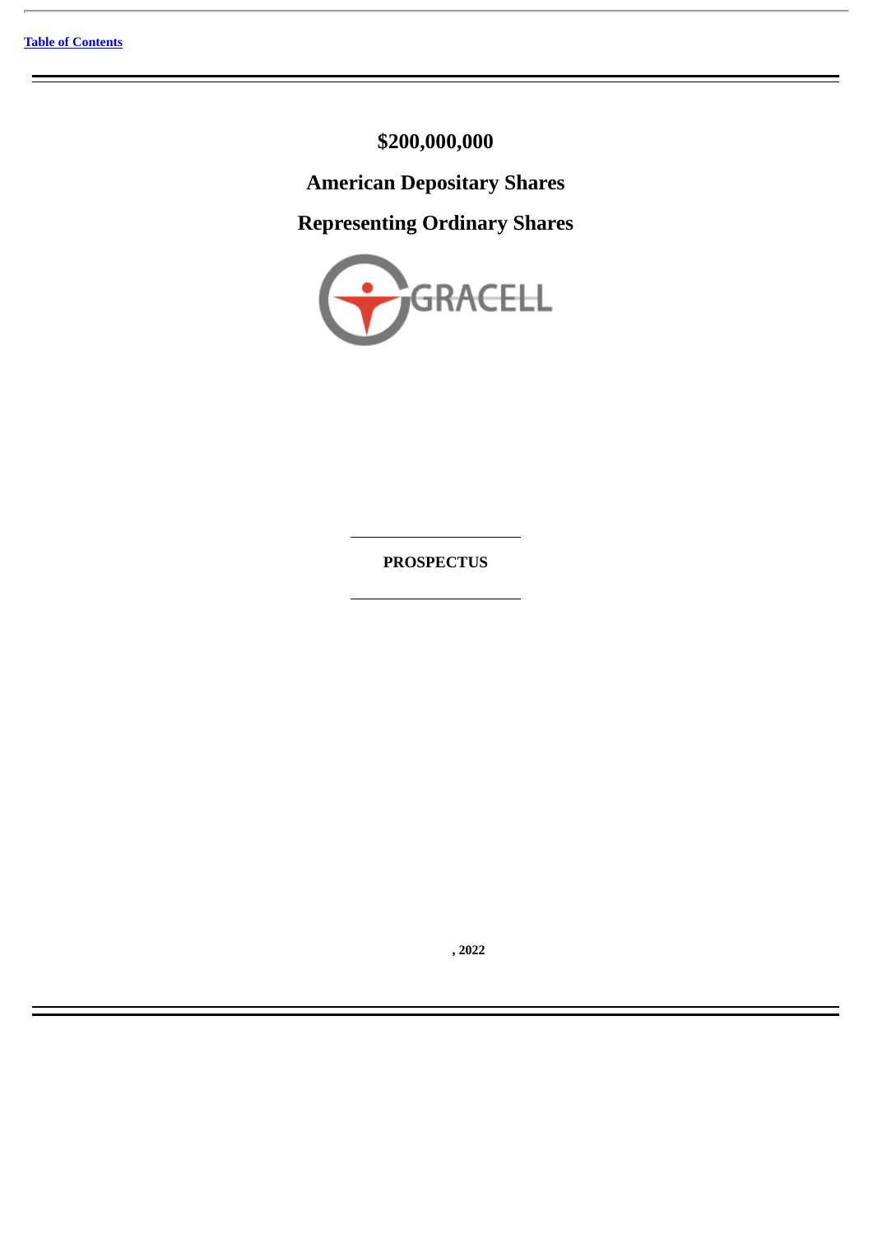**\$200,000,000**

**American Depositary Shares**

**Representing Ordinary Shares**



**PROSPECTUS**

**, 2022**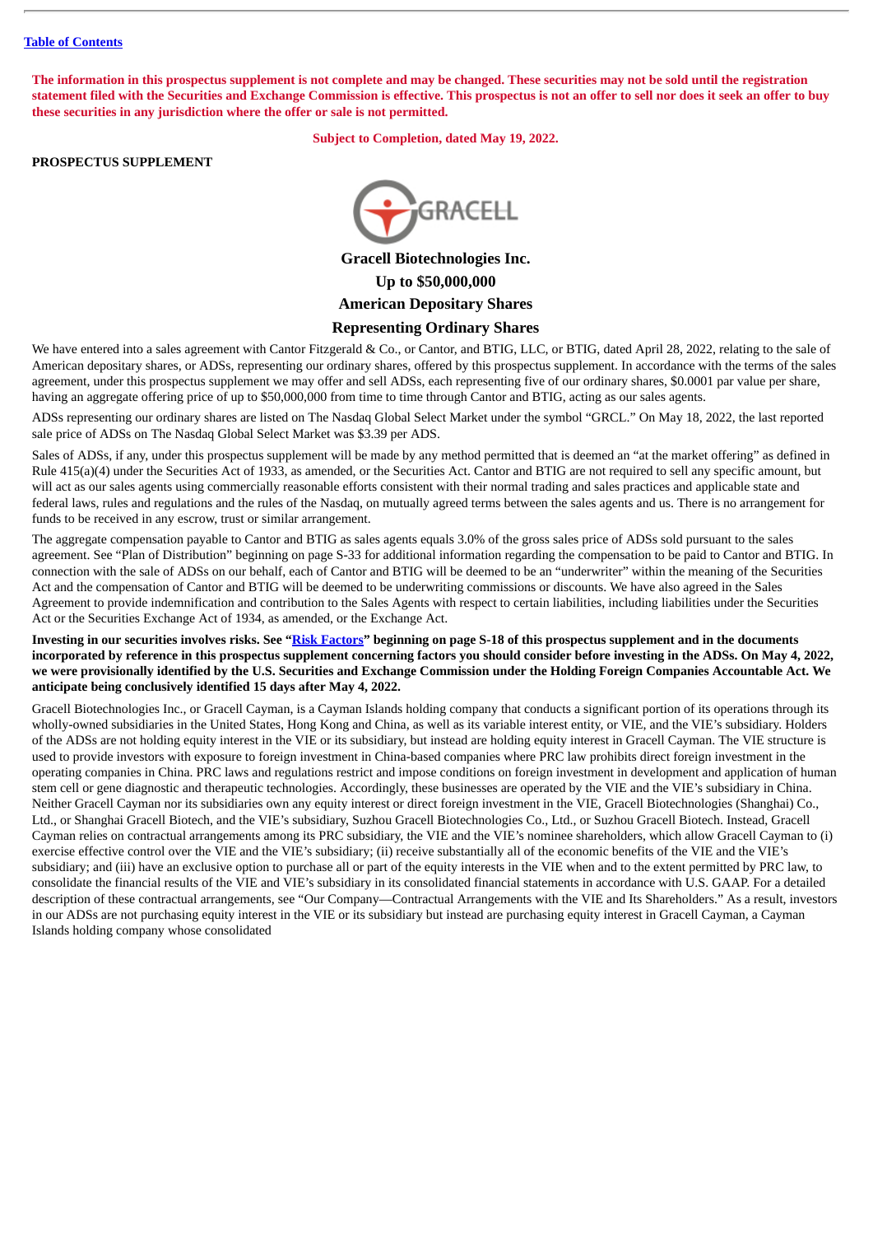The information in this prospectus supplement is not complete and may be changed. These securities may not be sold until the registration statement filed with the Securities and Exchange Commission is effective. This prospectus is not an offer to sell nor does it seek an offer to buy **these securities in any jurisdiction where the offer or sale is not permitted.**

**Subject to Completion, dated May 19, 2022.**

## **PROSPECTUS SUPPLEMENT**



**Gracell Biotechnologies Inc. Up to \$50,000,000 American Depositary Shares Representing Ordinary Shares**

We have entered into a sales agreement with Cantor Fitzgerald & Co., or Cantor, and BTIG, LLC, or BTIG, dated April 28, 2022, relating to the sale of American depositary shares, or ADSs, representing our ordinary shares, offered by this prospectus supplement. In accordance with the terms of the sales agreement, under this prospectus supplement we may offer and sell ADSs, each representing five of our ordinary shares, \$0.0001 par value per share, having an aggregate offering price of up to \$50,000,000 from time to time through Cantor and BTIG, acting as our sales agents.

ADSs representing our ordinary shares are listed on The Nasdaq Global Select Market under the symbol "GRCL." On May 18, 2022, the last reported sale price of ADSs on The Nasdaq Global Select Market was \$3.39 per ADS.

Sales of ADSs, if any, under this prospectus supplement will be made by any method permitted that is deemed an "at the market offering" as defined in Rule 415(a)(4) under the Securities Act of 1933, as amended, or the Securities Act. Cantor and BTIG are not required to sell any specific amount, but will act as our sales agents using commercially reasonable efforts consistent with their normal trading and sales practices and applicable state and federal laws, rules and regulations and the rules of the Nasdaq, on mutually agreed terms between the sales agents and us. There is no arrangement for funds to be received in any escrow, trust or similar arrangement.

The aggregate compensation payable to Cantor and BTIG as sales agents equals 3.0% of the gross sales price of ADSs sold pursuant to the sales agreement. See "Plan of Distribution" beginning on page S-33 for additional information regarding the compensation to be paid to Cantor and BTIG. In connection with the sale of ADSs on our behalf, each of Cantor and BTIG will be deemed to be an "underwriter" within the meaning of the Securities Act and the compensation of Cantor and BTIG will be deemed to be underwriting commissions or discounts. We have also agreed in the Sales Agreement to provide indemnification and contribution to the Sales Agents with respect to certain liabilities, including liabilities under the Securities Act or the Securities Exchange Act of 1934, as amended, or the Exchange Act.

Investing in our securities involves risks. See "Risk [Factors"](#page-80-0) beginning on page S-18 of this prospectus supplement and in the documents incorporated by reference in this prospectus supplement concerning factors you should consider before investing in the ADSs. On May 4, 2022, we were provisionally identified by the U.S. Securities and Exchange Commission under the Holding Foreign Companies Accountable Act. We **anticipate being conclusively identified 15 days after May 4, 2022.**

Gracell Biotechnologies Inc., or Gracell Cayman, is a Cayman Islands holding company that conducts a significant portion of its operations through its wholly-owned subsidiaries in the United States, Hong Kong and China, as well as its variable interest entity, or VIE, and the VIE's subsidiary. Holders of the ADSs are not holding equity interest in the VIE or its subsidiary, but instead are holding equity interest in Gracell Cayman. The VIE structure is used to provide investors with exposure to foreign investment in China-based companies where PRC law prohibits direct foreign investment in the operating companies in China. PRC laws and regulations restrict and impose conditions on foreign investment in development and application of human stem cell or gene diagnostic and therapeutic technologies. Accordingly, these businesses are operated by the VIE and the VIE's subsidiary in China. Neither Gracell Cayman nor its subsidiaries own any equity interest or direct foreign investment in the VIE, Gracell Biotechnologies (Shanghai) Co., Ltd., or Shanghai Gracell Biotech, and the VIE's subsidiary, Suzhou Gracell Biotechnologies Co., Ltd., or Suzhou Gracell Biotech. Instead, Gracell Cayman relies on contractual arrangements among its PRC subsidiary, the VIE and the VIE's nominee shareholders, which allow Gracell Cayman to (i) exercise effective control over the VIE and the VIE's subsidiary; (ii) receive substantially all of the economic benefits of the VIE and the VIE's subsidiary; and (iii) have an exclusive option to purchase all or part of the equity interests in the VIE when and to the extent permitted by PRC law, to consolidate the financial results of the VIE and VIE's subsidiary in its consolidated financial statements in accordance with U.S. GAAP. For a detailed description of these contractual arrangements, see "Our Company—Contractual Arrangements with the VIE and Its Shareholders." As a result, investors in our ADSs are not purchasing equity interest in the VIE or its subsidiary but instead are purchasing equity interest in Gracell Cayman, a Cayman Islands holding company whose consolidated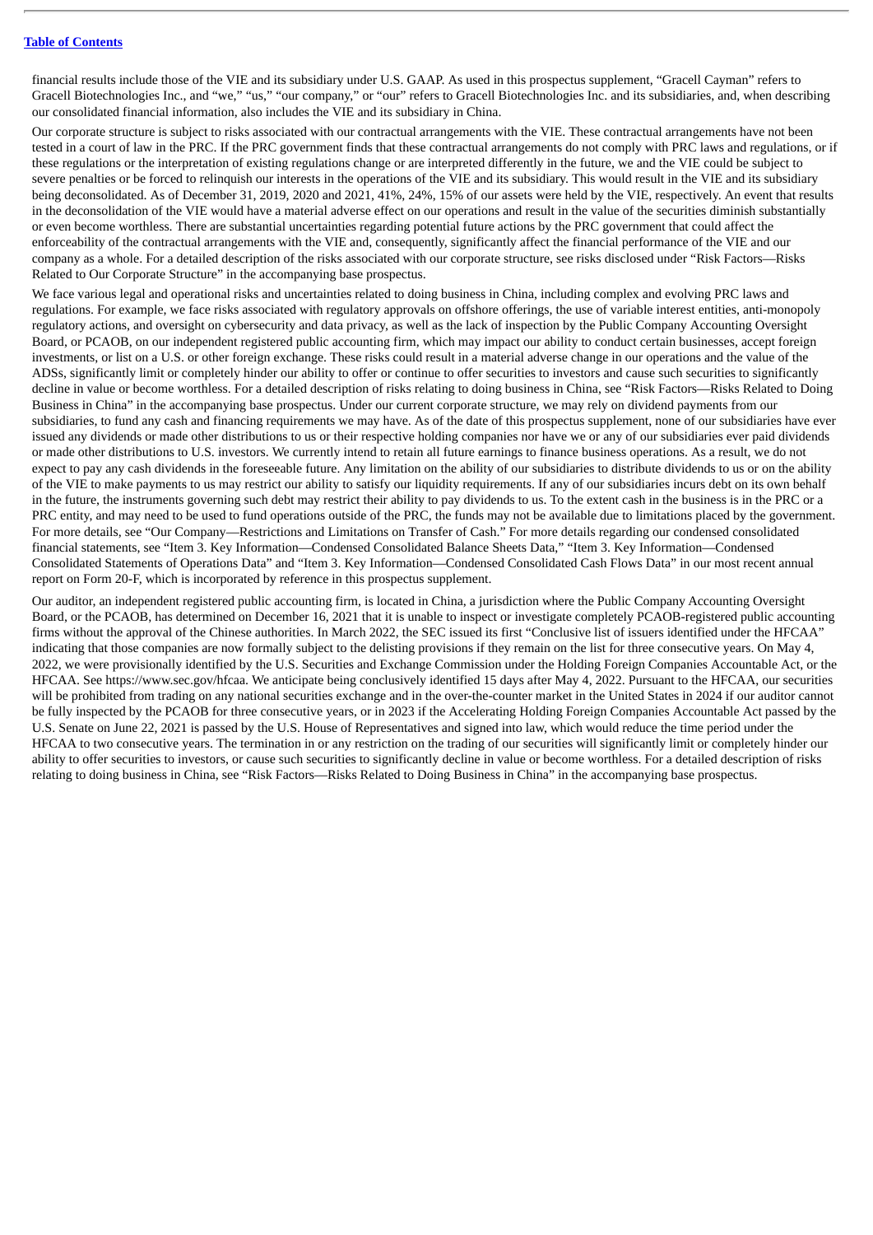financial results include those of the VIE and its subsidiary under U.S. GAAP. As used in this prospectus supplement, "Gracell Cayman" refers to Gracell Biotechnologies Inc., and "we," "us," "our company," or "our" refers to Gracell Biotechnologies Inc. and its subsidiaries, and, when describing our consolidated financial information, also includes the VIE and its subsidiary in China.

Our corporate structure is subject to risks associated with our contractual arrangements with the VIE. These contractual arrangements have not been tested in a court of law in the PRC. If the PRC government finds that these contractual arrangements do not comply with PRC laws and regulations, or if these regulations or the interpretation of existing regulations change or are interpreted differently in the future, we and the VIE could be subject to severe penalties or be forced to relinquish our interests in the operations of the VIE and its subsidiary. This would result in the VIE and its subsidiary being deconsolidated. As of December 31, 2019, 2020 and 2021, 41%, 24%, 15% of our assets were held by the VIE, respectively. An event that results in the deconsolidation of the VIE would have a material adverse effect on our operations and result in the value of the securities diminish substantially or even become worthless. There are substantial uncertainties regarding potential future actions by the PRC government that could affect the enforceability of the contractual arrangements with the VIE and, consequently, significantly affect the financial performance of the VIE and our company as a whole. For a detailed description of the risks associated with our corporate structure, see risks disclosed under "Risk Factors—Risks Related to Our Corporate Structure" in the accompanying base prospectus.

We face various legal and operational risks and uncertainties related to doing business in China, including complex and evolving PRC laws and regulations. For example, we face risks associated with regulatory approvals on offshore offerings, the use of variable interest entities, anti-monopoly regulatory actions, and oversight on cybersecurity and data privacy, as well as the lack of inspection by the Public Company Accounting Oversight Board, or PCAOB, on our independent registered public accounting firm, which may impact our ability to conduct certain businesses, accept foreign investments, or list on a U.S. or other foreign exchange. These risks could result in a material adverse change in our operations and the value of the ADSs, significantly limit or completely hinder our ability to offer or continue to offer securities to investors and cause such securities to significantly decline in value or become worthless. For a detailed description of risks relating to doing business in China, see "Risk Factors—Risks Related to Doing Business in China" in the accompanying base prospectus. Under our current corporate structure, we may rely on dividend payments from our subsidiaries, to fund any cash and financing requirements we may have. As of the date of this prospectus supplement, none of our subsidiaries have ever issued any dividends or made other distributions to us or their respective holding companies nor have we or any of our subsidiaries ever paid dividends or made other distributions to U.S. investors. We currently intend to retain all future earnings to finance business operations. As a result, we do not expect to pay any cash dividends in the foreseeable future. Any limitation on the ability of our subsidiaries to distribute dividends to us or on the ability of the VIE to make payments to us may restrict our ability to satisfy our liquidity requirements. If any of our subsidiaries incurs debt on its own behalf in the future, the instruments governing such debt may restrict their ability to pay dividends to us. To the extent cash in the business is in the PRC or a PRC entity, and may need to be used to fund operations outside of the PRC, the funds may not be available due to limitations placed by the government. For more details, see "Our Company—Restrictions and Limitations on Transfer of Cash." For more details regarding our condensed consolidated financial statements, see "Item 3. Key Information—Condensed Consolidated Balance Sheets Data," "Item 3. Key Information—Condensed Consolidated Statements of Operations Data" and "Item 3. Key Information—Condensed Consolidated Cash Flows Data" in our most recent annual report on Form 20-F, which is incorporated by reference in this prospectus supplement.

Our auditor, an independent registered public accounting firm, is located in China, a jurisdiction where the Public Company Accounting Oversight Board, or the PCAOB, has determined on December 16, 2021 that it is unable to inspect or investigate completely PCAOB-registered public accounting firms without the approval of the Chinese authorities. In March 2022, the SEC issued its first "Conclusive list of issuers identified under the HFCAA" indicating that those companies are now formally subject to the delisting provisions if they remain on the list for three consecutive years. On May 4, 2022, we were provisionally identified by the U.S. Securities and Exchange Commission under the Holding Foreign Companies Accountable Act, or the HFCAA. See https://www.sec.gov/hfcaa. We anticipate being conclusively identified 15 days after May 4, 2022. Pursuant to the HFCAA, our securities will be prohibited from trading on any national securities exchange and in the over-the-counter market in the United States in 2024 if our auditor cannot be fully inspected by the PCAOB for three consecutive years, or in 2023 if the Accelerating Holding Foreign Companies Accountable Act passed by the U.S. Senate on June 22, 2021 is passed by the U.S. House of Representatives and signed into law, which would reduce the time period under the HFCAA to two consecutive years. The termination in or any restriction on the trading of our securities will significantly limit or completely hinder our ability to offer securities to investors, or cause such securities to significantly decline in value or become worthless. For a detailed description of risks relating to doing business in China, see "Risk Factors—Risks Related to Doing Business in China" in the accompanying base prospectus.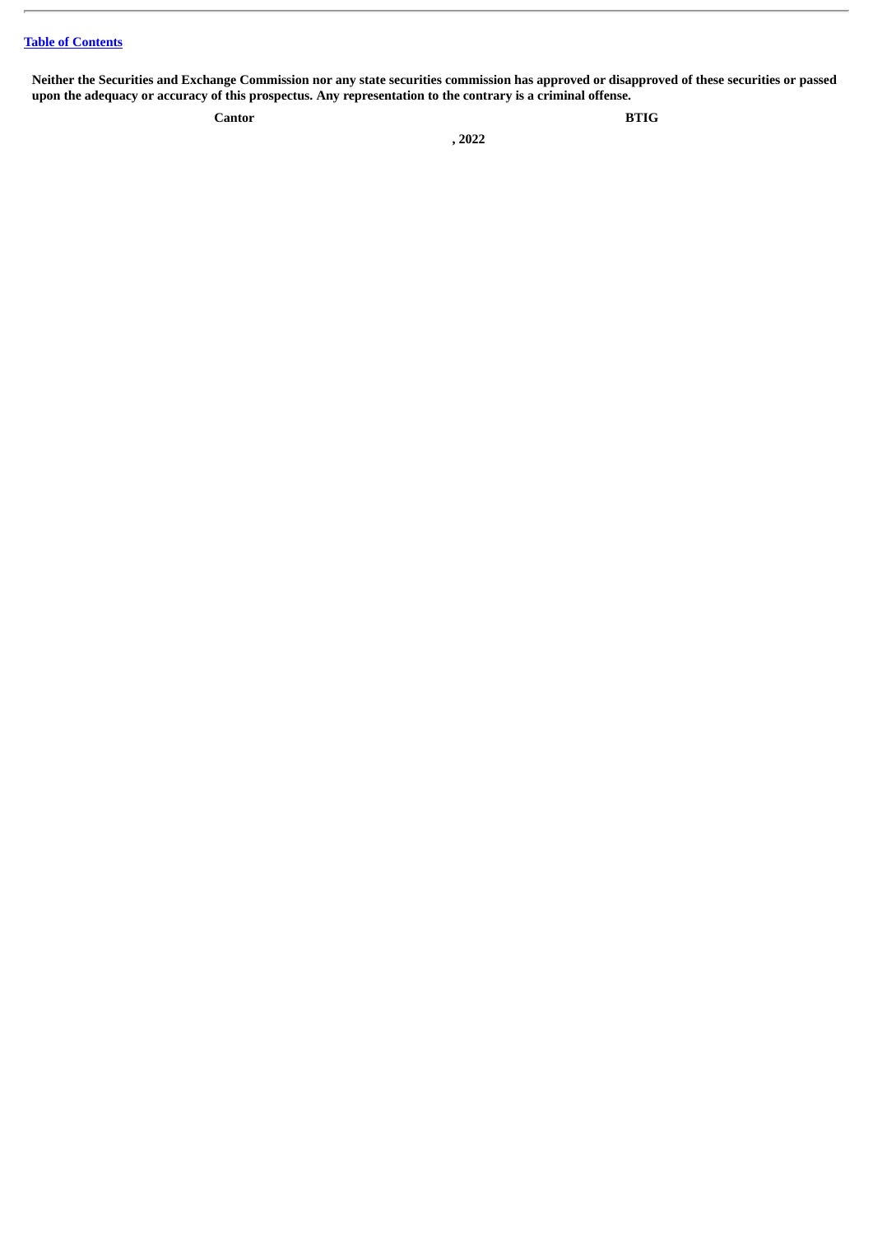Neither the Securities and Exchange Commission nor any state securities commission has approved or disapproved of these securities or passed upon the adequacy or accuracy of this prospectus. Any representation to the contrary is a criminal offense.

**Cantor BTIG**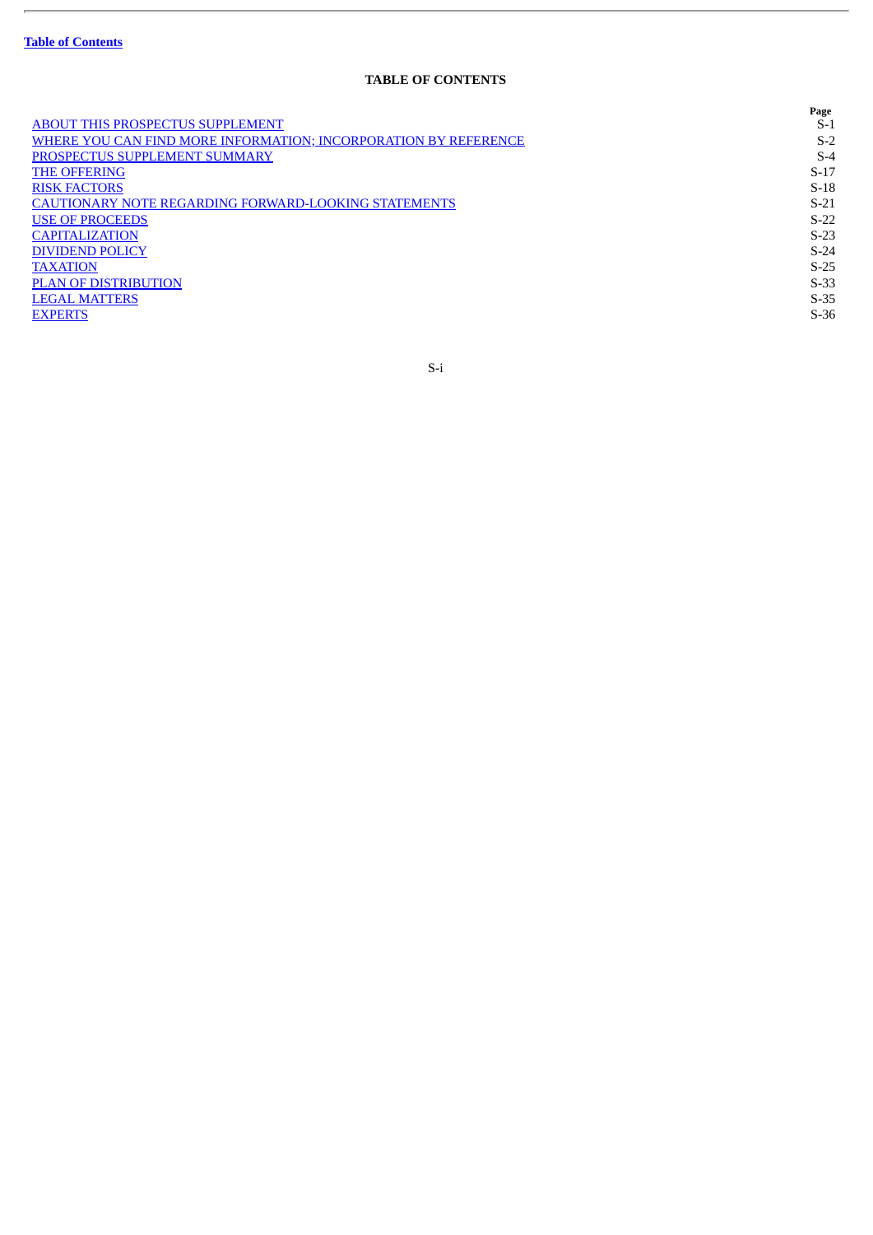ł.

# **TABLE OF CONTENTS**

|                                                                 | Page   |
|-----------------------------------------------------------------|--------|
| <b>ABOUT THIS PROSPECTUS SUPPLEMENT</b>                         | S-1    |
| WHERE YOU CAN FIND MORE INFORMATION; INCORPORATION BY REFERENCE | $S-2$  |
| PROSPECTUS SUPPLEMENT SUMMARY                                   | $S-4$  |
| <b>THE OFFERING</b>                                             | $S-17$ |
| <b>RISK FACTORS</b>                                             | $S-18$ |
| <b>CAUTIONARY NOTE REGARDING FORWARD-LOOKING STATEMENTS</b>     | $S-21$ |
| <b>USE OF PROCEEDS</b>                                          | $S-22$ |
| <b>CAPITALIZATION</b>                                           | $S-23$ |
| <b>DIVIDEND POLICY</b>                                          | $S-24$ |
| <b>TAXATION</b>                                                 | $S-25$ |
| <b>PLAN OF DISTRIBUTION</b>                                     | $S-33$ |
| <b>LEGAL MATTERS</b>                                            | $S-35$ |
| <b>EXPERTS</b>                                                  | $S-36$ |
|                                                                 |        |

S-i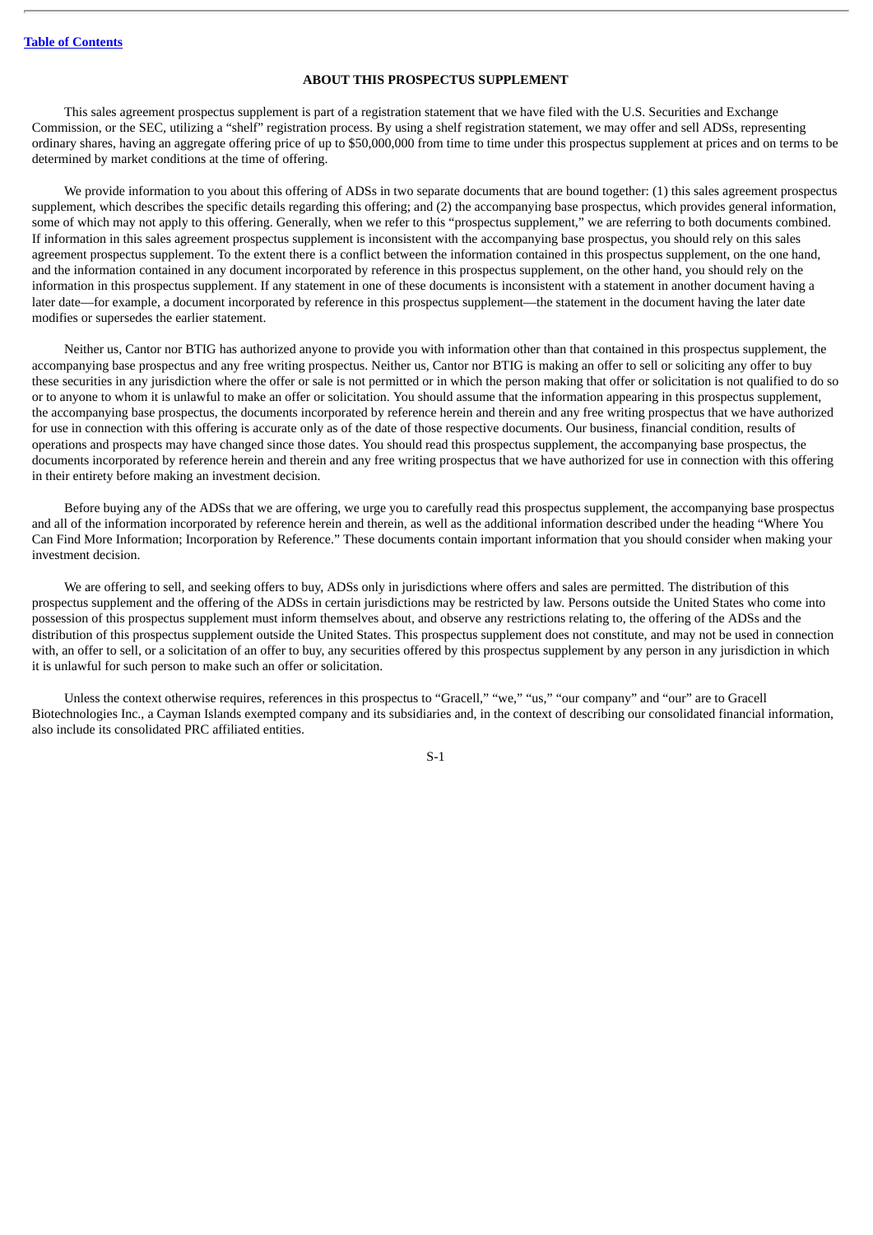# **ABOUT THIS PROSPECTUS SUPPLEMENT**

<span id="page-63-0"></span>This sales agreement prospectus supplement is part of a registration statement that we have filed with the U.S. Securities and Exchange Commission, or the SEC, utilizing a "shelf" registration process. By using a shelf registration statement, we may offer and sell ADSs, representing ordinary shares, having an aggregate offering price of up to \$50,000,000 from time to time under this prospectus supplement at prices and on terms to be determined by market conditions at the time of offering.

We provide information to you about this offering of ADSs in two separate documents that are bound together: (1) this sales agreement prospectus supplement, which describes the specific details regarding this offering; and (2) the accompanying base prospectus, which provides general information, some of which may not apply to this offering. Generally, when we refer to this "prospectus supplement," we are referring to both documents combined. If information in this sales agreement prospectus supplement is inconsistent with the accompanying base prospectus, you should rely on this sales agreement prospectus supplement. To the extent there is a conflict between the information contained in this prospectus supplement, on the one hand, and the information contained in any document incorporated by reference in this prospectus supplement, on the other hand, you should rely on the information in this prospectus supplement. If any statement in one of these documents is inconsistent with a statement in another document having a later date—for example, a document incorporated by reference in this prospectus supplement—the statement in the document having the later date modifies or supersedes the earlier statement.

Neither us, Cantor nor BTIG has authorized anyone to provide you with information other than that contained in this prospectus supplement, the accompanying base prospectus and any free writing prospectus. Neither us, Cantor nor BTIG is making an offer to sell or soliciting any offer to buy these securities in any jurisdiction where the offer or sale is not permitted or in which the person making that offer or solicitation is not qualified to do so or to anyone to whom it is unlawful to make an offer or solicitation. You should assume that the information appearing in this prospectus supplement, the accompanying base prospectus, the documents incorporated by reference herein and therein and any free writing prospectus that we have authorized for use in connection with this offering is accurate only as of the date of those respective documents. Our business, financial condition, results of operations and prospects may have changed since those dates. You should read this prospectus supplement, the accompanying base prospectus, the documents incorporated by reference herein and therein and any free writing prospectus that we have authorized for use in connection with this offering in their entirety before making an investment decision.

Before buying any of the ADSs that we are offering, we urge you to carefully read this prospectus supplement, the accompanying base prospectus and all of the information incorporated by reference herein and therein, as well as the additional information described under the heading "Where You Can Find More Information; Incorporation by Reference." These documents contain important information that you should consider when making your investment decision.

We are offering to sell, and seeking offers to buy, ADSs only in jurisdictions where offers and sales are permitted. The distribution of this prospectus supplement and the offering of the ADSs in certain jurisdictions may be restricted by law. Persons outside the United States who come into possession of this prospectus supplement must inform themselves about, and observe any restrictions relating to, the offering of the ADSs and the distribution of this prospectus supplement outside the United States. This prospectus supplement does not constitute, and may not be used in connection with, an offer to sell, or a solicitation of an offer to buy, any securities offered by this prospectus supplement by any person in any jurisdiction in which it is unlawful for such person to make such an offer or solicitation.

Unless the context otherwise requires, references in this prospectus to "Gracell," "we," "us," "our company" and "our" are to Gracell Biotechnologies Inc., a Cayman Islands exempted company and its subsidiaries and, in the context of describing our consolidated financial information, also include its consolidated PRC affiliated entities.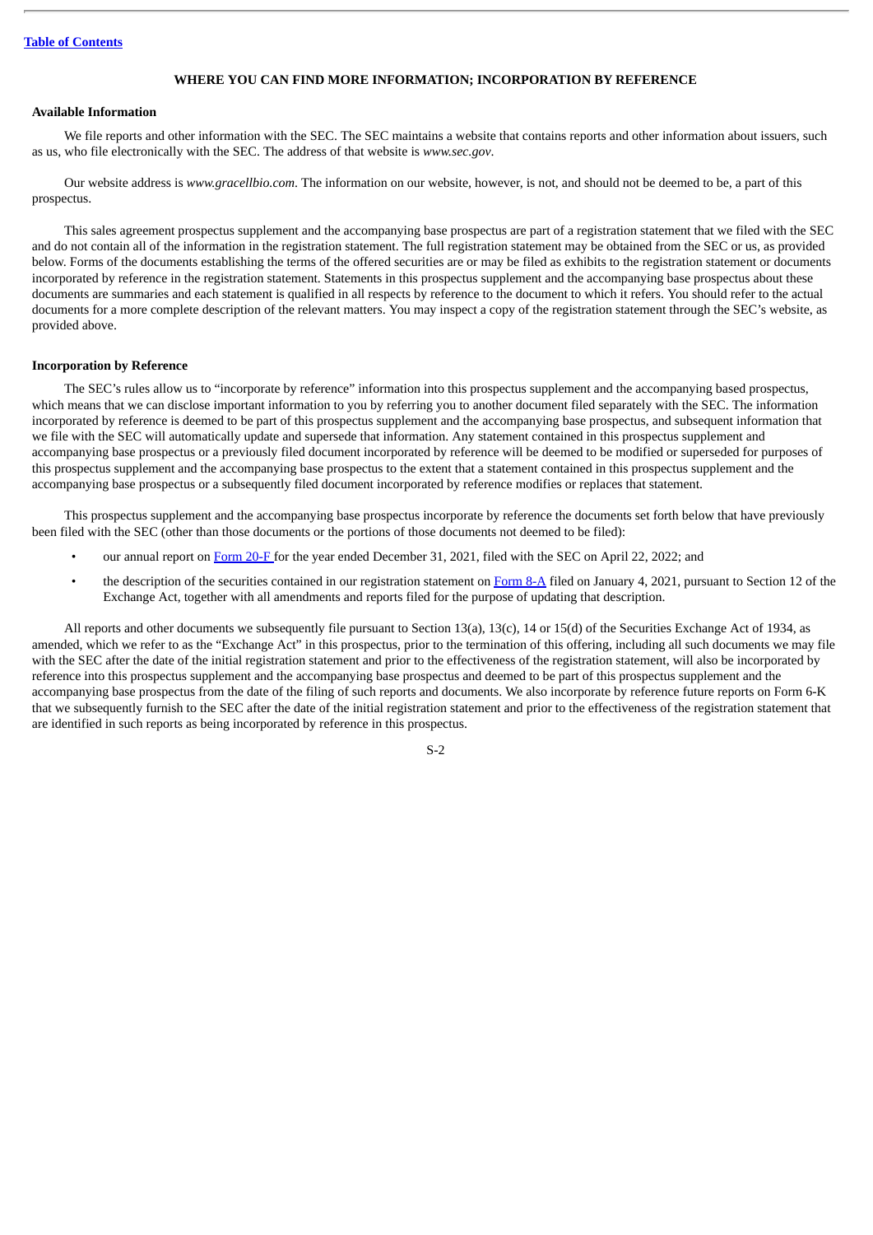## **WHERE YOU CAN FIND MORE INFORMATION; INCORPORATION BY REFERENCE**

# <span id="page-64-0"></span>**Available Information**

We file reports and other information with the SEC. The SEC maintains a website that contains reports and other information about issuers, such as us, who file electronically with the SEC. The address of that website is *www.sec.gov*.

Our website address is *www.gracellbio.com*. The information on our website, however, is not, and should not be deemed to be, a part of this prospectus.

This sales agreement prospectus supplement and the accompanying base prospectus are part of a registration statement that we filed with the SEC and do not contain all of the information in the registration statement. The full registration statement may be obtained from the SEC or us, as provided below. Forms of the documents establishing the terms of the offered securities are or may be filed as exhibits to the registration statement or documents incorporated by reference in the registration statement. Statements in this prospectus supplement and the accompanying base prospectus about these documents are summaries and each statement is qualified in all respects by reference to the document to which it refers. You should refer to the actual documents for a more complete description of the relevant matters. You may inspect a copy of the registration statement through the SEC's website, as provided above.

#### **Incorporation by Reference**

The SEC's rules allow us to "incorporate by reference" information into this prospectus supplement and the accompanying based prospectus, which means that we can disclose important information to you by referring you to another document filed separately with the SEC. The information incorporated by reference is deemed to be part of this prospectus supplement and the accompanying base prospectus, and subsequent information that we file with the SEC will automatically update and supersede that information. Any statement contained in this prospectus supplement and accompanying base prospectus or a previously filed document incorporated by reference will be deemed to be modified or superseded for purposes of this prospectus supplement and the accompanying base prospectus to the extent that a statement contained in this prospectus supplement and the accompanying base prospectus or a subsequently filed document incorporated by reference modifies or replaces that statement.

This prospectus supplement and the accompanying base prospectus incorporate by reference the documents set forth below that have previously been filed with the SEC (other than those documents or the portions of those documents not deemed to be filed):

- our annual report on [Form](http://www.sec.gov/ix?doc=/Archives/edgar/data/1826492/000119312522115083/d273170d20f.htm) 20-F for the year ended December 31, 2021, filed with the SEC on April 22, 2022; and
- the description of the securities contained in our registration statement on [Form](http://www.sec.gov/Archives/edgar/data/1826492/000119312521000456/d86180d8a12b.htm) 8-A filed on January 4, 2021, pursuant to Section 12 of the Exchange Act, together with all amendments and reports filed for the purpose of updating that description.

All reports and other documents we subsequently file pursuant to Section 13(a), 13(c), 14 or 15(d) of the Securities Exchange Act of 1934, as amended, which we refer to as the "Exchange Act" in this prospectus, prior to the termination of this offering, including all such documents we may file with the SEC after the date of the initial registration statement and prior to the effectiveness of the registration statement, will also be incorporated by reference into this prospectus supplement and the accompanying base prospectus and deemed to be part of this prospectus supplement and the accompanying base prospectus from the date of the filing of such reports and documents. We also incorporate by reference future reports on Form 6-K that we subsequently furnish to the SEC after the date of the initial registration statement and prior to the effectiveness of the registration statement that are identified in such reports as being incorporated by reference in this prospectus.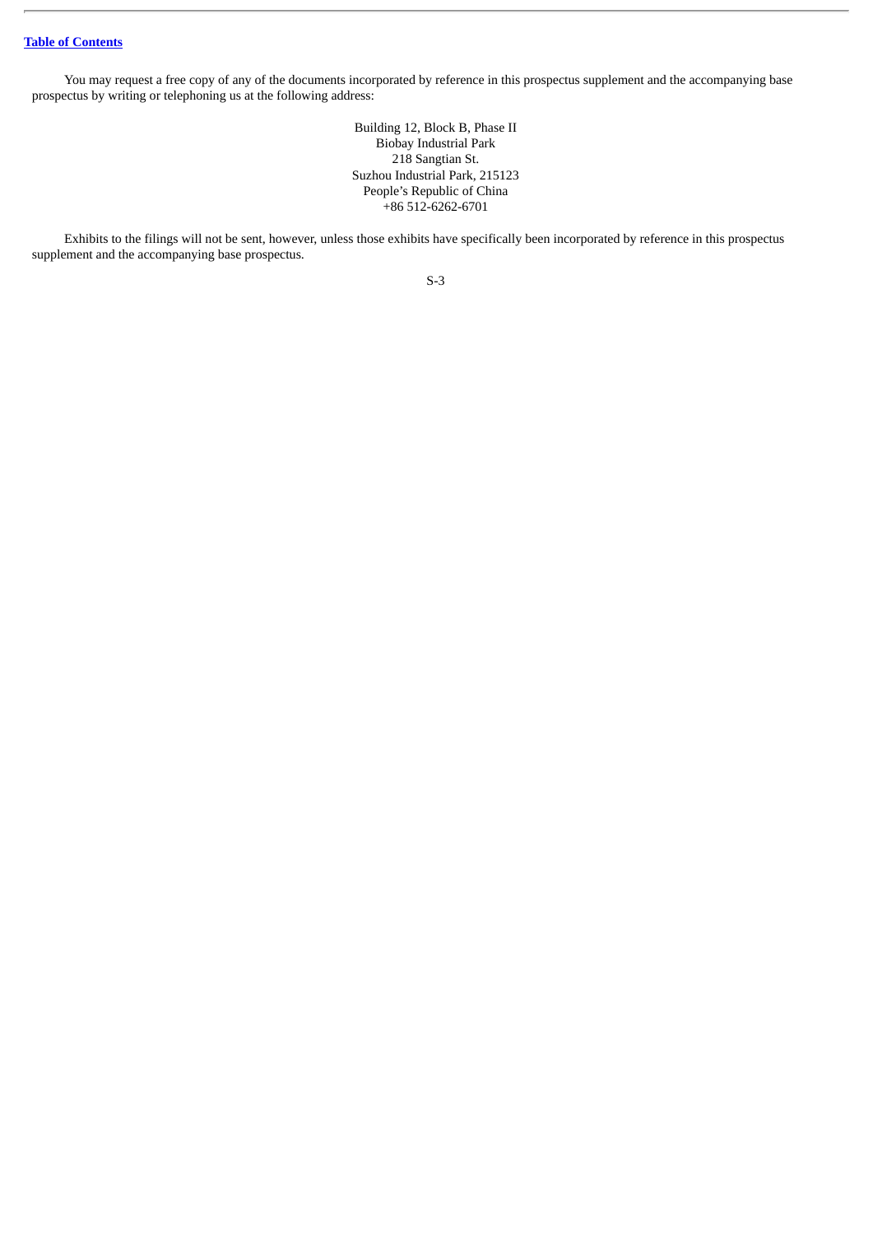You may request a free copy of any of the documents incorporated by reference in this prospectus supplement and the accompanying base prospectus by writing or telephoning us at the following address:

> Building 12, Block B, Phase II Biobay Industrial Park 218 Sangtian St. Suzhou Industrial Park, 215123 People's Republic of China +86 512-6262-6701

Exhibits to the filings will not be sent, however, unless those exhibits have specifically been incorporated by reference in this prospectus supplement and the accompanying base prospectus.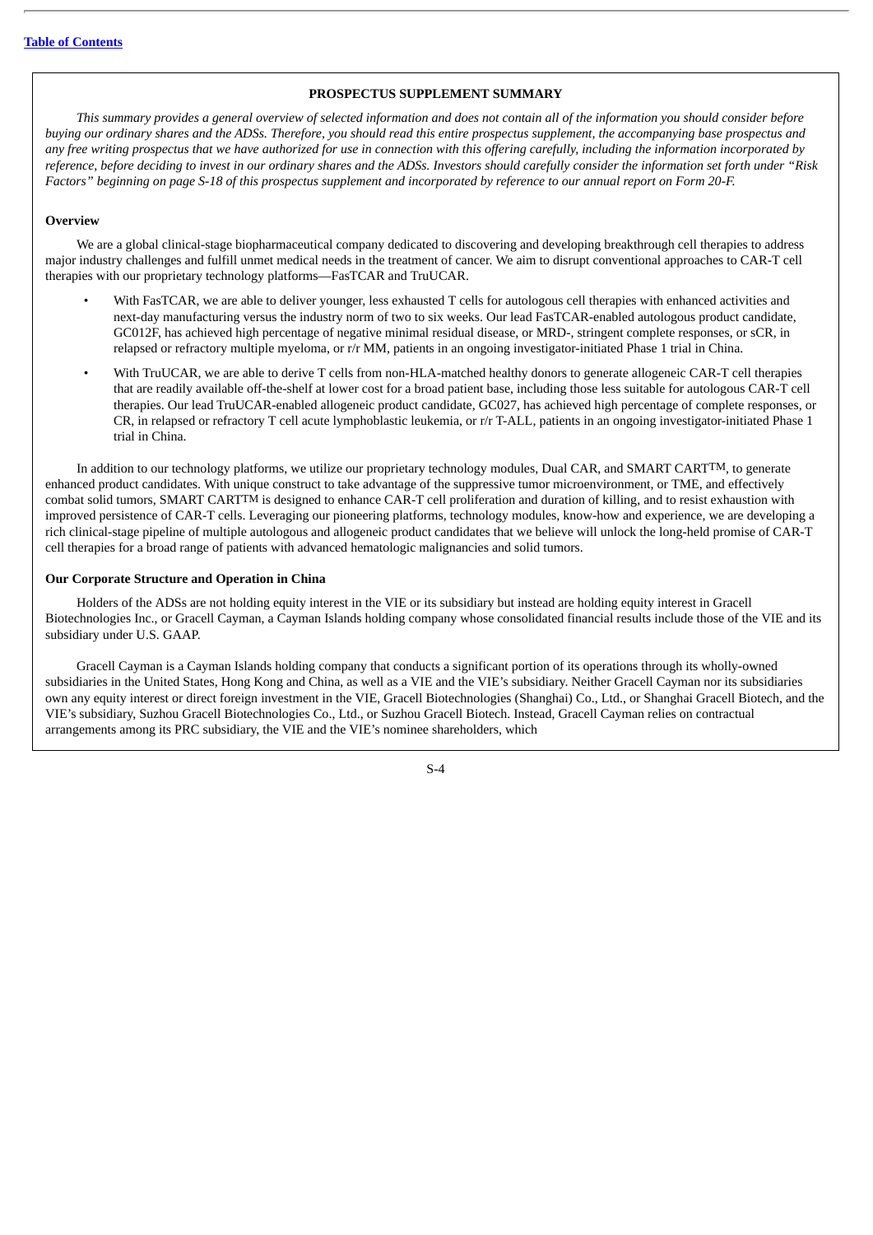## **PROSPECTUS SUPPLEMENT SUMMARY**

<span id="page-66-0"></span>This summary provides a general overview of selected information and does not contain all of the information you should consider before buying our ordinary shares and the ADSs. Therefore, you should read this entire prospectus supplement, the accompanying base prospectus and any free writing prospectus that we have authorized for use in connection with this offering carefully, including the information incorporated by reference, before deciding to invest in our ordinary shares and the ADSs. Investors should carefully consider the information set forth under "Risk Factors" beginning on page S-18 of this prospectus supplement and incorporated by reference to our annual report on Form 20-F.

## **Overview**

We are a global clinical-stage biopharmaceutical company dedicated to discovering and developing breakthrough cell therapies to address major industry challenges and fulfill unmet medical needs in the treatment of cancer. We aim to disrupt conventional approaches to CAR-T cell therapies with our proprietary technology platforms—FasTCAR and TruUCAR.

- With FasTCAR, we are able to deliver younger, less exhausted T cells for autologous cell therapies with enhanced activities and next-day manufacturing versus the industry norm of two to six weeks. Our lead FasTCAR-enabled autologous product candidate, GC012F, has achieved high percentage of negative minimal residual disease, or MRD-, stringent complete responses, or sCR, in relapsed or refractory multiple myeloma, or r/r MM, patients in an ongoing investigator-initiated Phase 1 trial in China.
- With TruUCAR, we are able to derive T cells from non-HLA-matched healthy donors to generate allogeneic CAR-T cell therapies that are readily available off-the-shelf at lower cost for a broad patient base, including those less suitable for autologous CAR-T cell therapies. Our lead TruUCAR-enabled allogeneic product candidate, GC027, has achieved high percentage of complete responses, or CR, in relapsed or refractory T cell acute lymphoblastic leukemia, or r/r T-ALL, patients in an ongoing investigator-initiated Phase 1 trial in China.

In addition to our technology platforms, we utilize our proprietary technology modules, Dual CAR, and SMART CARTTM, to generate enhanced product candidates. With unique construct to take advantage of the suppressive tumor microenvironment, or TME, and effectively combat solid tumors, SMART CARTTM is designed to enhance CAR-T cell proliferation and duration of killing, and to resist exhaustion with improved persistence of CAR-T cells. Leveraging our pioneering platforms, technology modules, know-how and experience, we are developing a rich clinical-stage pipeline of multiple autologous and allogeneic product candidates that we believe will unlock the long-held promise of CAR-T cell therapies for a broad range of patients with advanced hematologic malignancies and solid tumors.

#### **Our Corporate Structure and Operation in China**

Holders of the ADSs are not holding equity interest in the VIE or its subsidiary but instead are holding equity interest in Gracell Biotechnologies Inc., or Gracell Cayman, a Cayman Islands holding company whose consolidated financial results include those of the VIE and its subsidiary under U.S. GAAP.

Gracell Cayman is a Cayman Islands holding company that conducts a significant portion of its operations through its wholly-owned subsidiaries in the United States, Hong Kong and China, as well as a VIE and the VIE's subsidiary. Neither Gracell Cayman nor its subsidiaries own any equity interest or direct foreign investment in the VIE, Gracell Biotechnologies (Shanghai) Co., Ltd., or Shanghai Gracell Biotech, and the VIE's subsidiary, Suzhou Gracell Biotechnologies Co., Ltd., or Suzhou Gracell Biotech. Instead, Gracell Cayman relies on contractual arrangements among its PRC subsidiary, the VIE and the VIE's nominee shareholders, which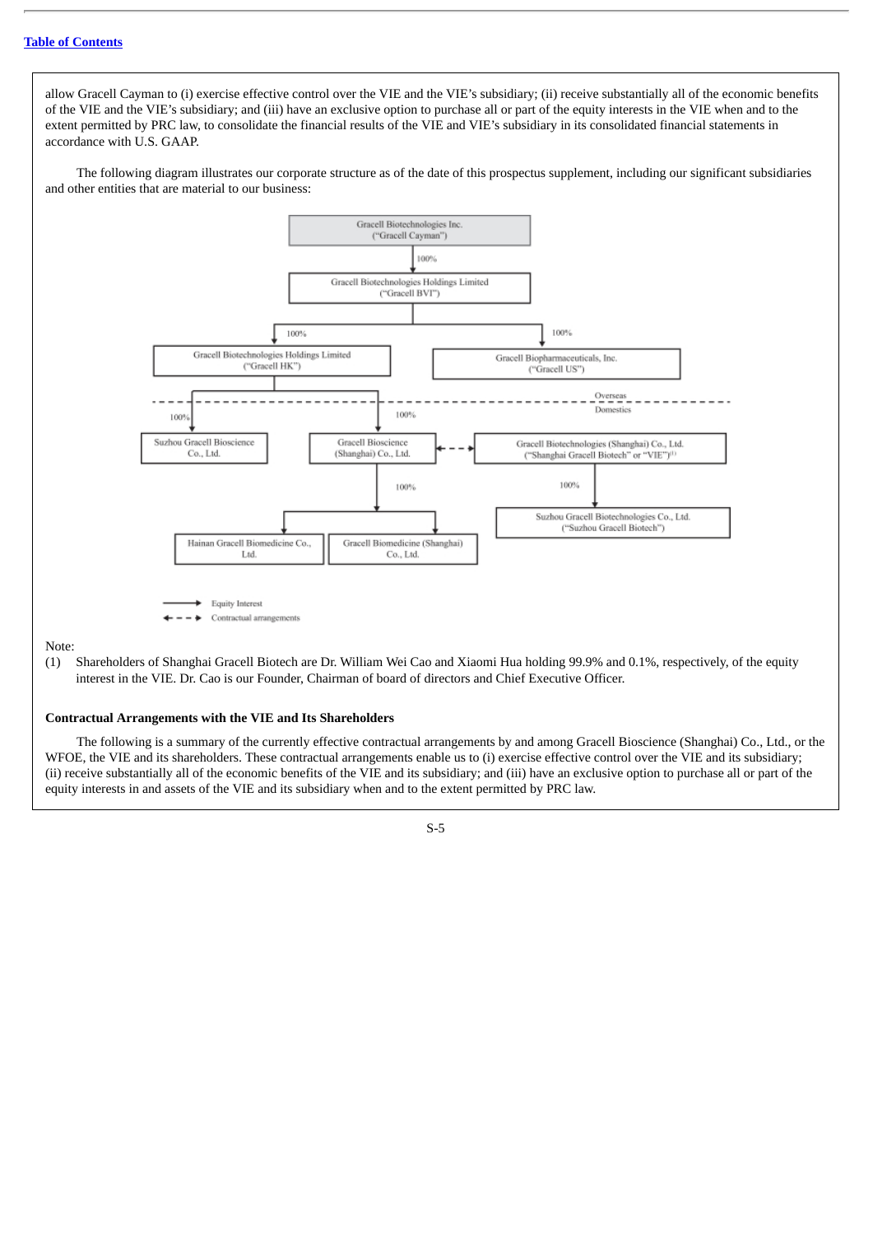allow Gracell Cayman to (i) exercise effective control over the VIE and the VIE's subsidiary; (ii) receive substantially all of the economic benefits of the VIE and the VIE's subsidiary; and (iii) have an exclusive option to purchase all or part of the equity interests in the VIE when and to the extent permitted by PRC law, to consolidate the financial results of the VIE and VIE's subsidiary in its consolidated financial statements in accordance with U.S. GAAP.

The following diagram illustrates our corporate structure as of the date of this prospectus supplement, including our significant subsidiaries and other entities that are material to our business:



(1) Shareholders of Shanghai Gracell Biotech are Dr. William Wei Cao and Xiaomi Hua holding 99.9% and 0.1%, respectively, of the equity interest in the VIE. Dr. Cao is our Founder, Chairman of board of directors and Chief Executive Officer.

# **Contractual Arrangements with the VIE and Its Shareholders**

The following is a summary of the currently effective contractual arrangements by and among Gracell Bioscience (Shanghai) Co., Ltd., or the WFOE, the VIE and its shareholders. These contractual arrangements enable us to (i) exercise effective control over the VIE and its subsidiary; (ii) receive substantially all of the economic benefits of the VIE and its subsidiary; and (iii) have an exclusive option to purchase all or part of the equity interests in and assets of the VIE and its subsidiary when and to the extent permitted by PRC law.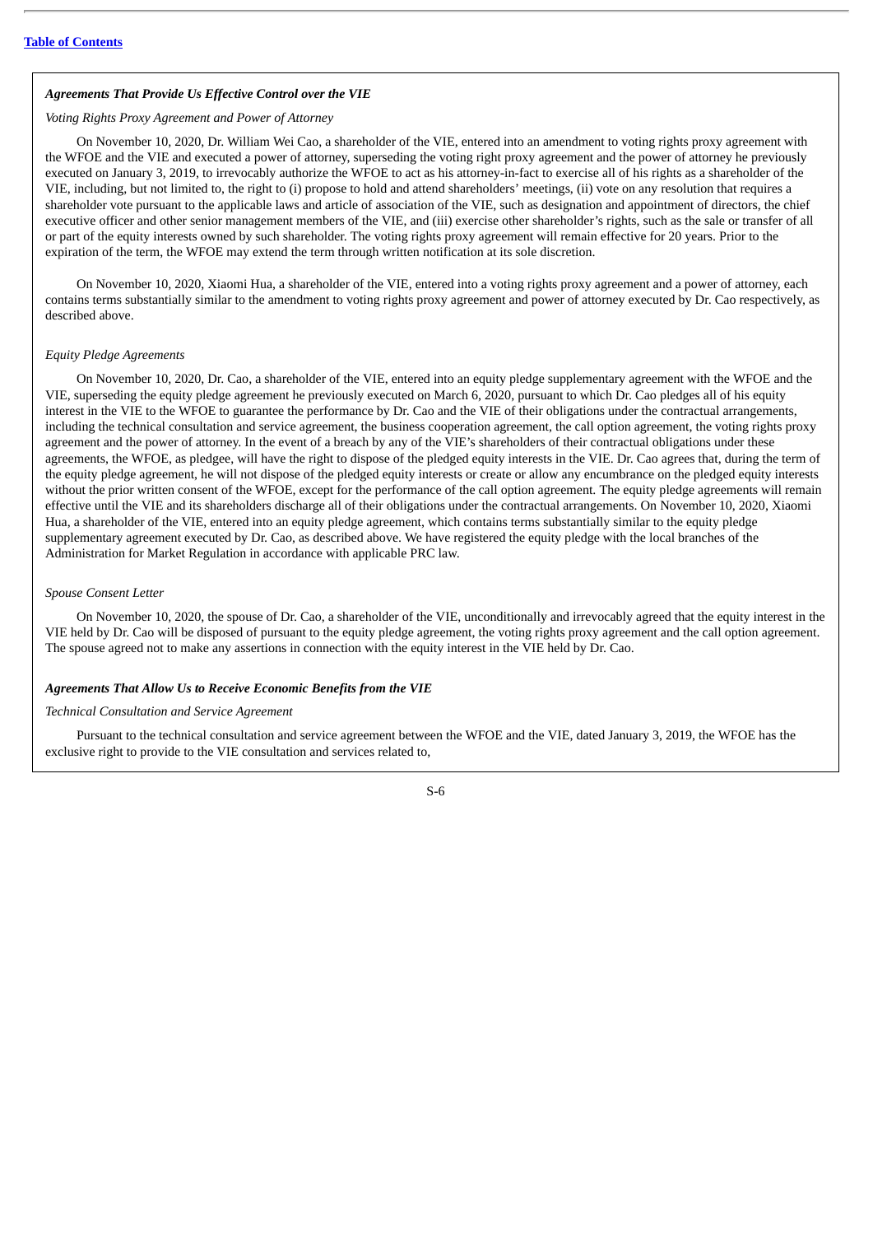### *Agreements That Provide Us Effective Control over the VIE*

#### *Voting Rights Proxy Agreement and Power of Attorney*

On November 10, 2020, Dr. William Wei Cao, a shareholder of the VIE, entered into an amendment to voting rights proxy agreement with the WFOE and the VIE and executed a power of attorney, superseding the voting right proxy agreement and the power of attorney he previously executed on January 3, 2019, to irrevocably authorize the WFOE to act as his attorney-in-fact to exercise all of his rights as a shareholder of the VIE, including, but not limited to, the right to (i) propose to hold and attend shareholders' meetings, (ii) vote on any resolution that requires a shareholder vote pursuant to the applicable laws and article of association of the VIE, such as designation and appointment of directors, the chief executive officer and other senior management members of the VIE, and (iii) exercise other shareholder's rights, such as the sale or transfer of all or part of the equity interests owned by such shareholder. The voting rights proxy agreement will remain effective for 20 years. Prior to the expiration of the term, the WFOE may extend the term through written notification at its sole discretion.

On November 10, 2020, Xiaomi Hua, a shareholder of the VIE, entered into a voting rights proxy agreement and a power of attorney, each contains terms substantially similar to the amendment to voting rights proxy agreement and power of attorney executed by Dr. Cao respectively, as described above.

## *Equity Pledge Agreements*

On November 10, 2020, Dr. Cao, a shareholder of the VIE, entered into an equity pledge supplementary agreement with the WFOE and the VIE, superseding the equity pledge agreement he previously executed on March 6, 2020, pursuant to which Dr. Cao pledges all of his equity interest in the VIE to the WFOE to guarantee the performance by Dr. Cao and the VIE of their obligations under the contractual arrangements, including the technical consultation and service agreement, the business cooperation agreement, the call option agreement, the voting rights proxy agreement and the power of attorney. In the event of a breach by any of the VIE's shareholders of their contractual obligations under these agreements, the WFOE, as pledgee, will have the right to dispose of the pledged equity interests in the VIE. Dr. Cao agrees that, during the term of the equity pledge agreement, he will not dispose of the pledged equity interests or create or allow any encumbrance on the pledged equity interests without the prior written consent of the WFOE, except for the performance of the call option agreement. The equity pledge agreements will remain effective until the VIE and its shareholders discharge all of their obligations under the contractual arrangements. On November 10, 2020, Xiaomi Hua, a shareholder of the VIE, entered into an equity pledge agreement, which contains terms substantially similar to the equity pledge supplementary agreement executed by Dr. Cao, as described above. We have registered the equity pledge with the local branches of the Administration for Market Regulation in accordance with applicable PRC law.

#### *Spouse Consent Letter*

On November 10, 2020, the spouse of Dr. Cao, a shareholder of the VIE, unconditionally and irrevocably agreed that the equity interest in the VIE held by Dr. Cao will be disposed of pursuant to the equity pledge agreement, the voting rights proxy agreement and the call option agreement. The spouse agreed not to make any assertions in connection with the equity interest in the VIE held by Dr. Cao.

## *Agreements That Allow Us to Receive Economic Benefits from the VIE*

#### *Technical Consultation and Service Agreement*

Pursuant to the technical consultation and service agreement between the WFOE and the VIE, dated January 3, 2019, the WFOE has the exclusive right to provide to the VIE consultation and services related to,

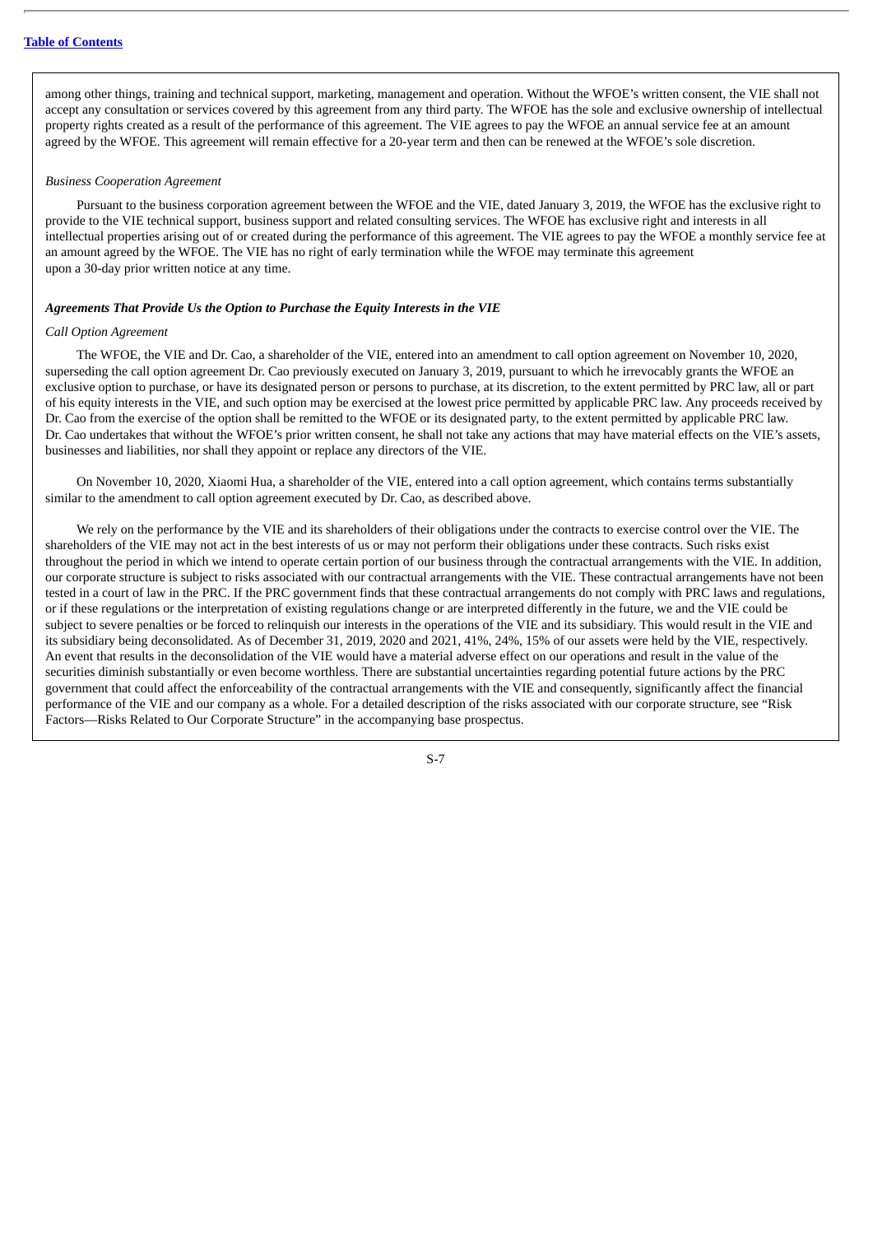among other things, training and technical support, marketing, management and operation. Without the WFOE's written consent, the VIE shall not accept any consultation or services covered by this agreement from any third party. The WFOE has the sole and exclusive ownership of intellectual property rights created as a result of the performance of this agreement. The VIE agrees to pay the WFOE an annual service fee at an amount agreed by the WFOE. This agreement will remain effective for a 20-year term and then can be renewed at the WFOE's sole discretion.

## *Business Cooperation Agreement*

Pursuant to the business corporation agreement between the WFOE and the VIE, dated January 3, 2019, the WFOE has the exclusive right to provide to the VIE technical support, business support and related consulting services. The WFOE has exclusive right and interests in all intellectual properties arising out of or created during the performance of this agreement. The VIE agrees to pay the WFOE a monthly service fee at an amount agreed by the WFOE. The VIE has no right of early termination while the WFOE may terminate this agreement upon a 30-day prior written notice at any time.

#### *Agreements That Provide Us the Option to Purchase the Equity Interests in the VIE*

#### *Call Option Agreement*

The WFOE, the VIE and Dr. Cao, a shareholder of the VIE, entered into an amendment to call option agreement on November 10, 2020, superseding the call option agreement Dr. Cao previously executed on January 3, 2019, pursuant to which he irrevocably grants the WFOE an exclusive option to purchase, or have its designated person or persons to purchase, at its discretion, to the extent permitted by PRC law, all or part of his equity interests in the VIE, and such option may be exercised at the lowest price permitted by applicable PRC law. Any proceeds received by Dr. Cao from the exercise of the option shall be remitted to the WFOE or its designated party, to the extent permitted by applicable PRC law. Dr. Cao undertakes that without the WFOE's prior written consent, he shall not take any actions that may have material effects on the VIE's assets, businesses and liabilities, nor shall they appoint or replace any directors of the VIE.

On November 10, 2020, Xiaomi Hua, a shareholder of the VIE, entered into a call option agreement, which contains terms substantially similar to the amendment to call option agreement executed by Dr. Cao, as described above.

We rely on the performance by the VIE and its shareholders of their obligations under the contracts to exercise control over the VIE. The shareholders of the VIE may not act in the best interests of us or may not perform their obligations under these contracts. Such risks exist throughout the period in which we intend to operate certain portion of our business through the contractual arrangements with the VIE. In addition, our corporate structure is subject to risks associated with our contractual arrangements with the VIE. These contractual arrangements have not been tested in a court of law in the PRC. If the PRC government finds that these contractual arrangements do not comply with PRC laws and regulations, or if these regulations or the interpretation of existing regulations change or are interpreted differently in the future, we and the VIE could be subject to severe penalties or be forced to relinquish our interests in the operations of the VIE and its subsidiary. This would result in the VIE and its subsidiary being deconsolidated. As of December 31, 2019, 2020 and 2021, 41%, 24%, 15% of our assets were held by the VIE, respectively. An event that results in the deconsolidation of the VIE would have a material adverse effect on our operations and result in the value of the securities diminish substantially or even become worthless. There are substantial uncertainties regarding potential future actions by the PRC government that could affect the enforceability of the contractual arrangements with the VIE and consequently, significantly affect the financial performance of the VIE and our company as a whole. For a detailed description of the risks associated with our corporate structure, see "Risk Factors—Risks Related to Our Corporate Structure" in the accompanying base prospectus.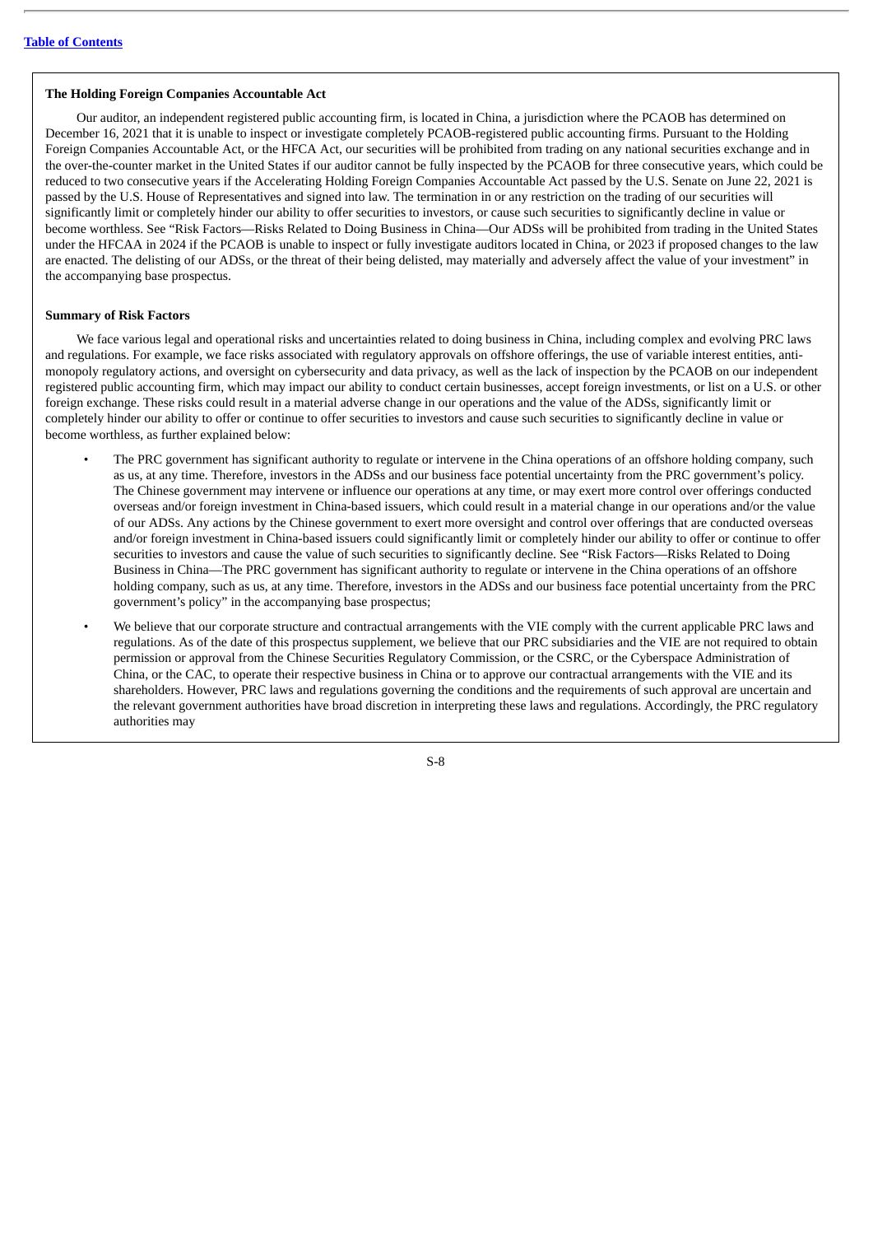## **The Holding Foreign Companies Accountable Act**

Our auditor, an independent registered public accounting firm, is located in China, a jurisdiction where the PCAOB has determined on December 16, 2021 that it is unable to inspect or investigate completely PCAOB-registered public accounting firms. Pursuant to the Holding Foreign Companies Accountable Act, or the HFCA Act, our securities will be prohibited from trading on any national securities exchange and in the over-the-counter market in the United States if our auditor cannot be fully inspected by the PCAOB for three consecutive years, which could be reduced to two consecutive years if the Accelerating Holding Foreign Companies Accountable Act passed by the U.S. Senate on June 22, 2021 is passed by the U.S. House of Representatives and signed into law. The termination in or any restriction on the trading of our securities will significantly limit or completely hinder our ability to offer securities to investors, or cause such securities to significantly decline in value or become worthless. See "Risk Factors—Risks Related to Doing Business in China—Our ADSs will be prohibited from trading in the United States under the HFCAA in 2024 if the PCAOB is unable to inspect or fully investigate auditors located in China, or 2023 if proposed changes to the law are enacted. The delisting of our ADSs, or the threat of their being delisted, may materially and adversely affect the value of your investment" in the accompanying base prospectus.

## **Summary of Risk Factors**

We face various legal and operational risks and uncertainties related to doing business in China, including complex and evolving PRC laws and regulations. For example, we face risks associated with regulatory approvals on offshore offerings, the use of variable interest entities, antimonopoly regulatory actions, and oversight on cybersecurity and data privacy, as well as the lack of inspection by the PCAOB on our independent registered public accounting firm, which may impact our ability to conduct certain businesses, accept foreign investments, or list on a U.S. or other foreign exchange. These risks could result in a material adverse change in our operations and the value of the ADSs, significantly limit or completely hinder our ability to offer or continue to offer securities to investors and cause such securities to significantly decline in value or become worthless, as further explained below:

- The PRC government has significant authority to regulate or intervene in the China operations of an offshore holding company, such as us, at any time. Therefore, investors in the ADSs and our business face potential uncertainty from the PRC government's policy. The Chinese government may intervene or influence our operations at any time, or may exert more control over offerings conducted overseas and/or foreign investment in China-based issuers, which could result in a material change in our operations and/or the value of our ADSs. Any actions by the Chinese government to exert more oversight and control over offerings that are conducted overseas and/or foreign investment in China-based issuers could significantly limit or completely hinder our ability to offer or continue to offer securities to investors and cause the value of such securities to significantly decline. See "Risk Factors—Risks Related to Doing Business in China—The PRC government has significant authority to regulate or intervene in the China operations of an offshore holding company, such as us, at any time. Therefore, investors in the ADSs and our business face potential uncertainty from the PRC government's policy" in the accompanying base prospectus;
- We believe that our corporate structure and contractual arrangements with the VIE comply with the current applicable PRC laws and regulations. As of the date of this prospectus supplement, we believe that our PRC subsidiaries and the VIE are not required to obtain permission or approval from the Chinese Securities Regulatory Commission, or the CSRC, or the Cyberspace Administration of China, or the CAC, to operate their respective business in China or to approve our contractual arrangements with the VIE and its shareholders. However, PRC laws and regulations governing the conditions and the requirements of such approval are uncertain and the relevant government authorities have broad discretion in interpreting these laws and regulations. Accordingly, the PRC regulatory authorities may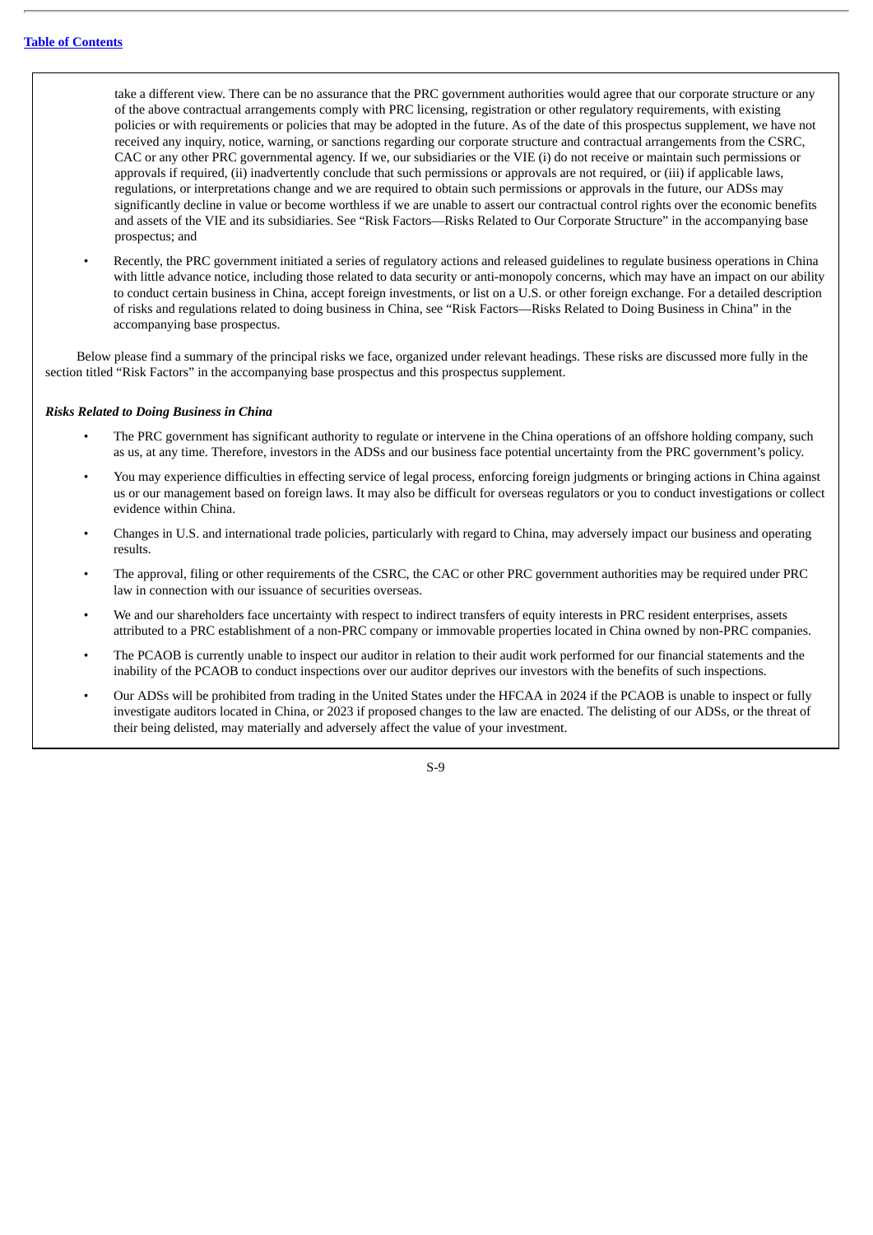take a different view. There can be no assurance that the PRC government authorities would agree that our corporate structure or any of the above contractual arrangements comply with PRC licensing, registration or other regulatory requirements, with existing policies or with requirements or policies that may be adopted in the future. As of the date of this prospectus supplement, we have not received any inquiry, notice, warning, or sanctions regarding our corporate structure and contractual arrangements from the CSRC, CAC or any other PRC governmental agency. If we, our subsidiaries or the VIE (i) do not receive or maintain such permissions or approvals if required, (ii) inadvertently conclude that such permissions or approvals are not required, or (iii) if applicable laws, regulations, or interpretations change and we are required to obtain such permissions or approvals in the future, our ADSs may significantly decline in value or become worthless if we are unable to assert our contractual control rights over the economic benefits and assets of the VIE and its subsidiaries. See "Risk Factors—Risks Related to Our Corporate Structure" in the accompanying base prospectus; and

• Recently, the PRC government initiated a series of regulatory actions and released guidelines to regulate business operations in China with little advance notice, including those related to data security or anti-monopoly concerns, which may have an impact on our ability to conduct certain business in China, accept foreign investments, or list on a U.S. or other foreign exchange. For a detailed description of risks and regulations related to doing business in China, see "Risk Factors—Risks Related to Doing Business in China" in the accompanying base prospectus.

Below please find a summary of the principal risks we face, organized under relevant headings. These risks are discussed more fully in the section titled "Risk Factors" in the accompanying base prospectus and this prospectus supplement.

#### *Risks Related to Doing Business in China*

- The PRC government has significant authority to regulate or intervene in the China operations of an offshore holding company, such as us, at any time. Therefore, investors in the ADSs and our business face potential uncertainty from the PRC government's policy.
- You may experience difficulties in effecting service of legal process, enforcing foreign judgments or bringing actions in China against us or our management based on foreign laws. It may also be difficult for overseas regulators or you to conduct investigations or collect evidence within China.
- Changes in U.S. and international trade policies, particularly with regard to China, may adversely impact our business and operating results.
- The approval, filing or other requirements of the CSRC, the CAC or other PRC government authorities may be required under PRC law in connection with our issuance of securities overseas.
- We and our shareholders face uncertainty with respect to indirect transfers of equity interests in PRC resident enterprises, assets attributed to a PRC establishment of a non-PRC company or immovable properties located in China owned by non-PRC companies.
- The PCAOB is currently unable to inspect our auditor in relation to their audit work performed for our financial statements and the inability of the PCAOB to conduct inspections over our auditor deprives our investors with the benefits of such inspections.
- Our ADSs will be prohibited from trading in the United States under the HFCAA in 2024 if the PCAOB is unable to inspect or fully investigate auditors located in China, or 2023 if proposed changes to the law are enacted. The delisting of our ADSs, or the threat of their being delisted, may materially and adversely affect the value of your investment.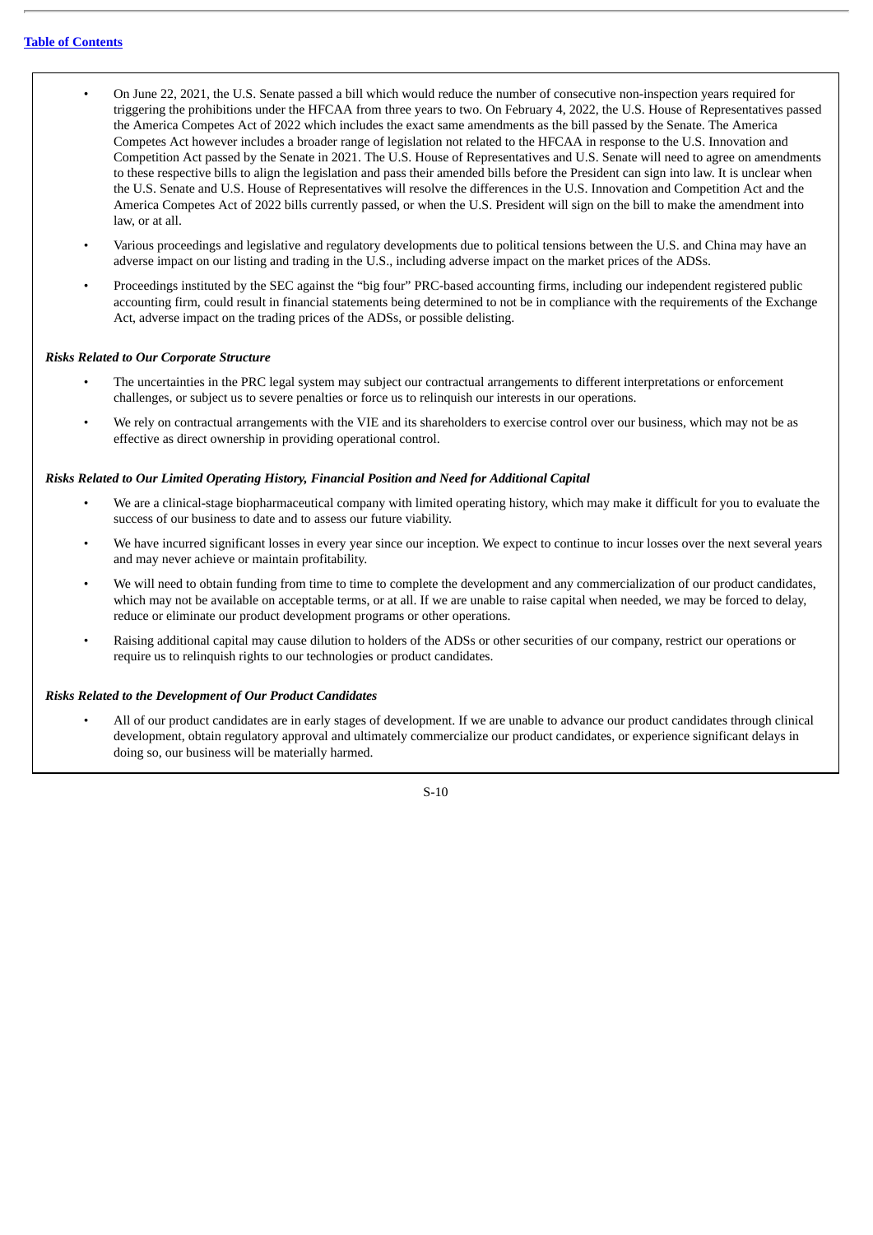- On June 22, 2021, the U.S. Senate passed a bill which would reduce the number of consecutive non-inspection years required for triggering the prohibitions under the HFCAA from three years to two. On February 4, 2022, the U.S. House of Representatives passed the America Competes Act of 2022 which includes the exact same amendments as the bill passed by the Senate. The America Competes Act however includes a broader range of legislation not related to the HFCAA in response to the U.S. Innovation and Competition Act passed by the Senate in 2021. The U.S. House of Representatives and U.S. Senate will need to agree on amendments to these respective bills to align the legislation and pass their amended bills before the President can sign into law. It is unclear when the U.S. Senate and U.S. House of Representatives will resolve the differences in the U.S. Innovation and Competition Act and the America Competes Act of 2022 bills currently passed, or when the U.S. President will sign on the bill to make the amendment into law, or at all.
- Various proceedings and legislative and regulatory developments due to political tensions between the U.S. and China may have an adverse impact on our listing and trading in the U.S., including adverse impact on the market prices of the ADSs.
- Proceedings instituted by the SEC against the "big four" PRC-based accounting firms, including our independent registered public accounting firm, could result in financial statements being determined to not be in compliance with the requirements of the Exchange Act, adverse impact on the trading prices of the ADSs, or possible delisting.

### *Risks Related to Our Corporate Structure*

- The uncertainties in the PRC legal system may subject our contractual arrangements to different interpretations or enforcement challenges, or subject us to severe penalties or force us to relinquish our interests in our operations.
- We rely on contractual arrangements with the VIE and its shareholders to exercise control over our business, which may not be as effective as direct ownership in providing operational control.

### *Risks Related to Our Limited Operating History, Financial Position and Need for Additional Capital*

- We are a clinical-stage biopharmaceutical company with limited operating history, which may make it difficult for you to evaluate the success of our business to date and to assess our future viability.
- We have incurred significant losses in every year since our inception. We expect to continue to incur losses over the next several years and may never achieve or maintain profitability.
- We will need to obtain funding from time to time to complete the development and any commercialization of our product candidates, which may not be available on acceptable terms, or at all. If we are unable to raise capital when needed, we may be forced to delay, reduce or eliminate our product development programs or other operations.
- Raising additional capital may cause dilution to holders of the ADSs or other securities of our company, restrict our operations or require us to relinquish rights to our technologies or product candidates.

### *Risks Related to the Development of Our Product Candidates*

• All of our product candidates are in early stages of development. If we are unable to advance our product candidates through clinical development, obtain regulatory approval and ultimately commercialize our product candidates, or experience significant delays in doing so, our business will be materially harmed.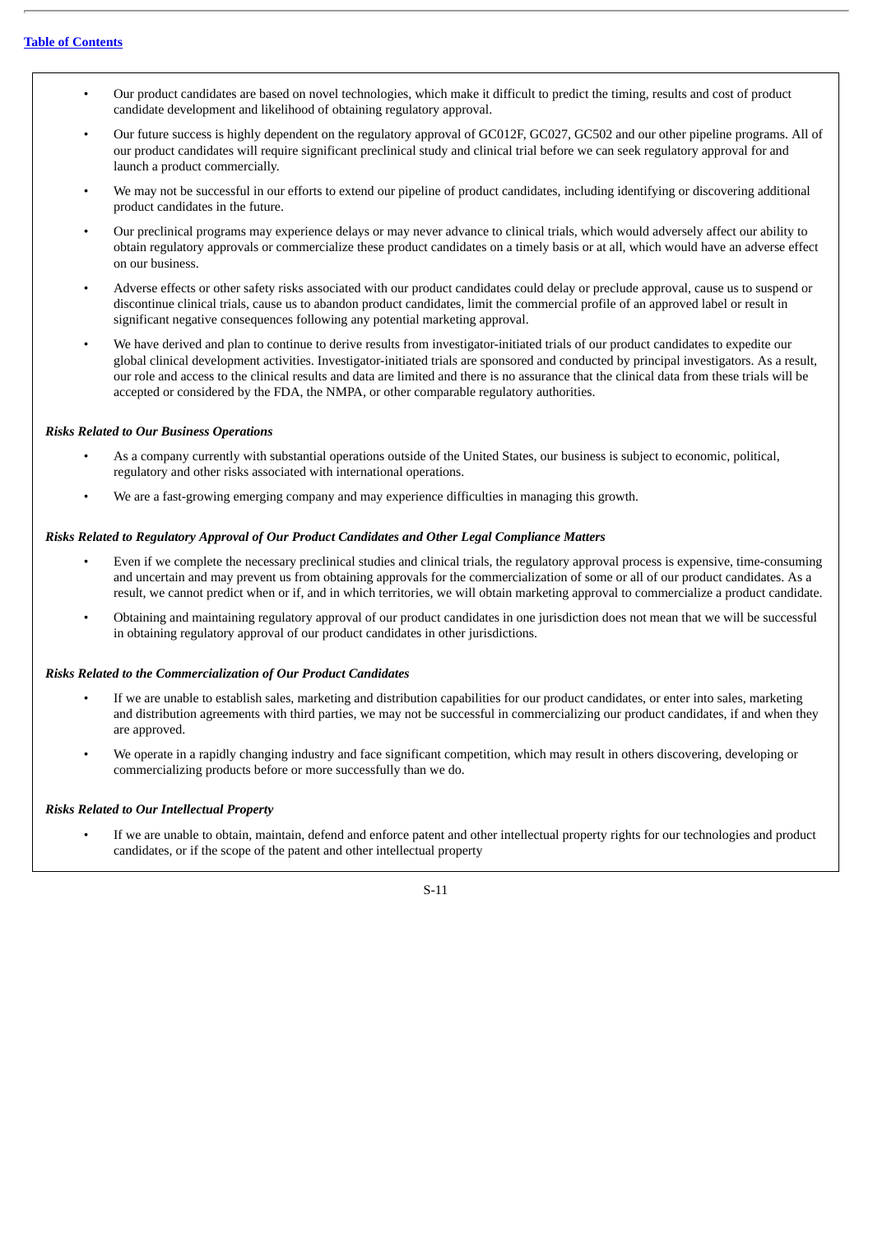- Our product candidates are based on novel technologies, which make it difficult to predict the timing, results and cost of product candidate development and likelihood of obtaining regulatory approval.
- Our future success is highly dependent on the regulatory approval of GC012F, GC027, GC502 and our other pipeline programs. All of our product candidates will require significant preclinical study and clinical trial before we can seek regulatory approval for and launch a product commercially.
- We may not be successful in our efforts to extend our pipeline of product candidates, including identifying or discovering additional product candidates in the future.
- Our preclinical programs may experience delays or may never advance to clinical trials, which would adversely affect our ability to obtain regulatory approvals or commercialize these product candidates on a timely basis or at all, which would have an adverse effect on our business.
- Adverse effects or other safety risks associated with our product candidates could delay or preclude approval, cause us to suspend or discontinue clinical trials, cause us to abandon product candidates, limit the commercial profile of an approved label or result in significant negative consequences following any potential marketing approval.
- We have derived and plan to continue to derive results from investigator-initiated trials of our product candidates to expedite our global clinical development activities. Investigator-initiated trials are sponsored and conducted by principal investigators. As a result, our role and access to the clinical results and data are limited and there is no assurance that the clinical data from these trials will be accepted or considered by the FDA, the NMPA, or other comparable regulatory authorities.

### *Risks Related to Our Business Operations*

- As a company currently with substantial operations outside of the United States, our business is subject to economic, political, regulatory and other risks associated with international operations.
- We are a fast-growing emerging company and may experience difficulties in managing this growth.

# *Risks Related to Regulatory Approval of Our Product Candidates and Other Legal Compliance Matters*

- Even if we complete the necessary preclinical studies and clinical trials, the regulatory approval process is expensive, time-consuming and uncertain and may prevent us from obtaining approvals for the commercialization of some or all of our product candidates. As a result, we cannot predict when or if, and in which territories, we will obtain marketing approval to commercialize a product candidate.
- Obtaining and maintaining regulatory approval of our product candidates in one jurisdiction does not mean that we will be successful in obtaining regulatory approval of our product candidates in other jurisdictions.

# *Risks Related to the Commercialization of Our Product Candidates*

- If we are unable to establish sales, marketing and distribution capabilities for our product candidates, or enter into sales, marketing and distribution agreements with third parties, we may not be successful in commercializing our product candidates, if and when they are approved.
- We operate in a rapidly changing industry and face significant competition, which may result in others discovering, developing or commercializing products before or more successfully than we do.

### *Risks Related to Our Intellectual Property*

• If we are unable to obtain, maintain, defend and enforce patent and other intellectual property rights for our technologies and product candidates, or if the scope of the patent and other intellectual property

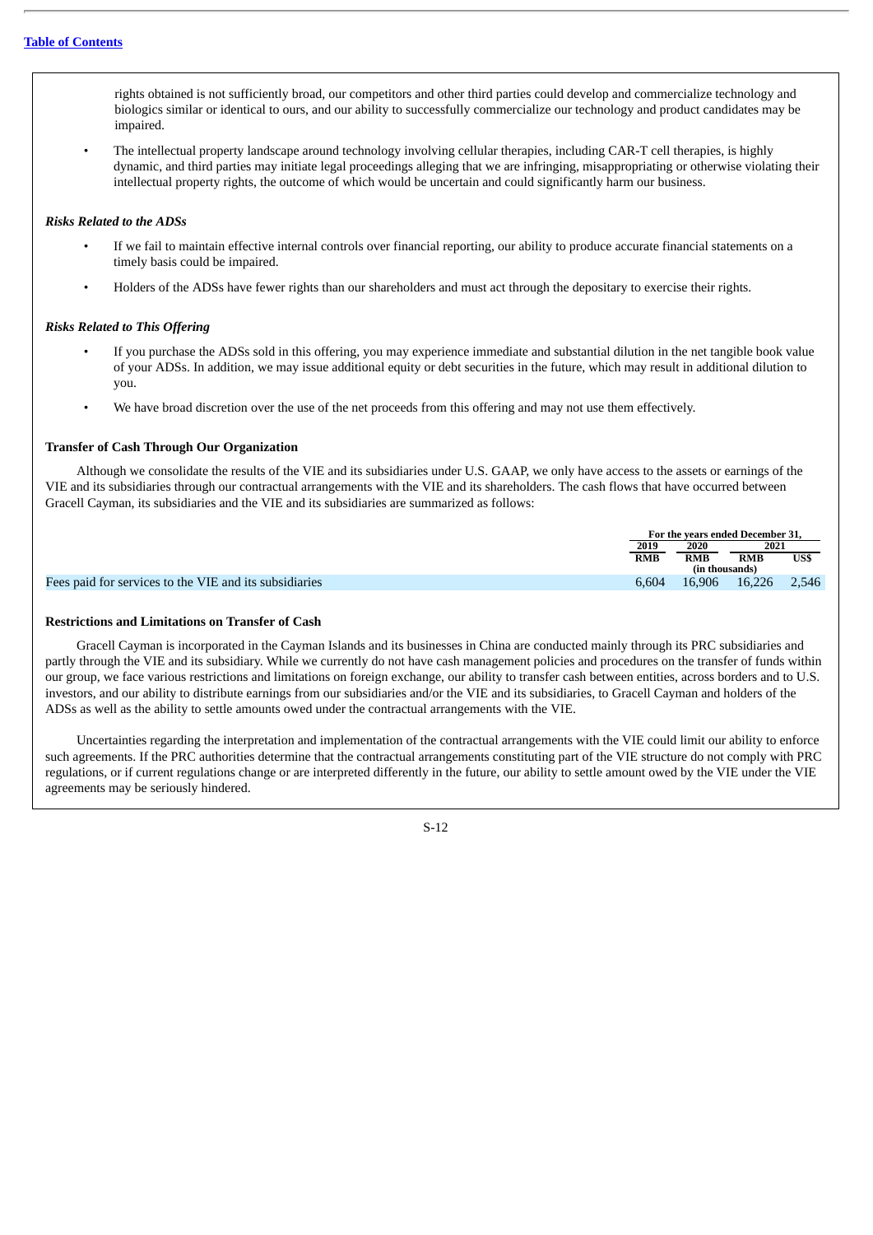rights obtained is not sufficiently broad, our competitors and other third parties could develop and commercialize technology and biologics similar or identical to ours, and our ability to successfully commercialize our technology and product candidates may be impaired.

• The intellectual property landscape around technology involving cellular therapies, including CAR-T cell therapies, is highly dynamic, and third parties may initiate legal proceedings alleging that we are infringing, misappropriating or otherwise violating their intellectual property rights, the outcome of which would be uncertain and could significantly harm our business.

### *Risks Related to the ADSs*

- If we fail to maintain effective internal controls over financial reporting, our ability to produce accurate financial statements on a timely basis could be impaired.
- Holders of the ADSs have fewer rights than our shareholders and must act through the depositary to exercise their rights.

### *Risks Related to This Offering*

- If you purchase the ADSs sold in this offering, you may experience immediate and substantial dilution in the net tangible book value of your ADSs. In addition, we may issue additional equity or debt securities in the future, which may result in additional dilution to you.
- We have broad discretion over the use of the net proceeds from this offering and may not use them effectively.

### **Transfer of Cash Through Our Organization**

Although we consolidate the results of the VIE and its subsidiaries under U.S. GAAP, we only have access to the assets or earnings of the VIE and its subsidiaries through our contractual arrangements with the VIE and its shareholders. The cash flows that have occurred between Gracell Cayman, its subsidiaries and the VIE and its subsidiaries are summarized as follows:

|                                                        |       | For the vears ended December 31. |            |       |  |
|--------------------------------------------------------|-------|----------------------------------|------------|-------|--|
|                                                        | 2019  | 2020                             |            | 2021  |  |
|                                                        | RMB   | RMB                              | <b>RMB</b> | USS   |  |
|                                                        |       | (in thousands)                   |            |       |  |
| Fees paid for services to the VIE and its subsidiaries | 6.604 | 16.906                           | 16.226     | 2.546 |  |

### **Restrictions and Limitations on Transfer of Cash**

Gracell Cayman is incorporated in the Cayman Islands and its businesses in China are conducted mainly through its PRC subsidiaries and partly through the VIE and its subsidiary. While we currently do not have cash management policies and procedures on the transfer of funds within our group, we face various restrictions and limitations on foreign exchange, our ability to transfer cash between entities, across borders and to U.S. investors, and our ability to distribute earnings from our subsidiaries and/or the VIE and its subsidiaries, to Gracell Cayman and holders of the ADSs as well as the ability to settle amounts owed under the contractual arrangements with the VIE.

Uncertainties regarding the interpretation and implementation of the contractual arrangements with the VIE could limit our ability to enforce such agreements. If the PRC authorities determine that the contractual arrangements constituting part of the VIE structure do not comply with PRC regulations, or if current regulations change or are interpreted differently in the future, our ability to settle amount owed by the VIE under the VIE agreements may be seriously hindered.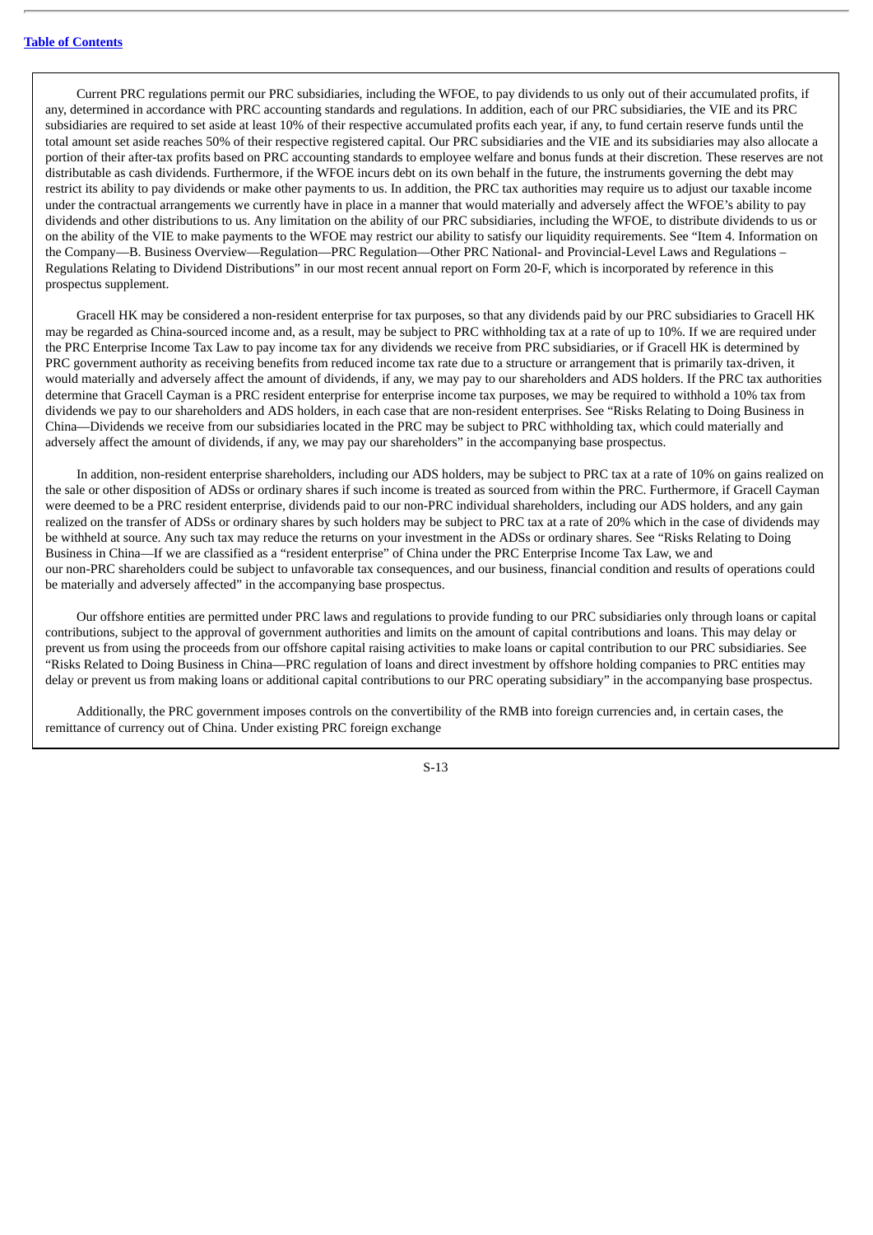Current PRC regulations permit our PRC subsidiaries, including the WFOE, to pay dividends to us only out of their accumulated profits, if any, determined in accordance with PRC accounting standards and regulations. In addition, each of our PRC subsidiaries, the VIE and its PRC subsidiaries are required to set aside at least 10% of their respective accumulated profits each year, if any, to fund certain reserve funds until the total amount set aside reaches 50% of their respective registered capital. Our PRC subsidiaries and the VIE and its subsidiaries may also allocate a portion of their after-tax profits based on PRC accounting standards to employee welfare and bonus funds at their discretion. These reserves are not distributable as cash dividends. Furthermore, if the WFOE incurs debt on its own behalf in the future, the instruments governing the debt may restrict its ability to pay dividends or make other payments to us. In addition, the PRC tax authorities may require us to adjust our taxable income under the contractual arrangements we currently have in place in a manner that would materially and adversely affect the WFOE's ability to pay dividends and other distributions to us. Any limitation on the ability of our PRC subsidiaries, including the WFOE, to distribute dividends to us or on the ability of the VIE to make payments to the WFOE may restrict our ability to satisfy our liquidity requirements. See "Item 4. Information on the Company—B. Business Overview—Regulation—PRC Regulation—Other PRC National- and Provincial-Level Laws and Regulations – Regulations Relating to Dividend Distributions" in our most recent annual report on Form 20-F, which is incorporated by reference in this prospectus supplement.

Gracell HK may be considered a non-resident enterprise for tax purposes, so that any dividends paid by our PRC subsidiaries to Gracell HK may be regarded as China-sourced income and, as a result, may be subject to PRC withholding tax at a rate of up to 10%. If we are required under the PRC Enterprise Income Tax Law to pay income tax for any dividends we receive from PRC subsidiaries, or if Gracell HK is determined by PRC government authority as receiving benefits from reduced income tax rate due to a structure or arrangement that is primarily tax-driven, it would materially and adversely affect the amount of dividends, if any, we may pay to our shareholders and ADS holders. If the PRC tax authorities determine that Gracell Cayman is a PRC resident enterprise for enterprise income tax purposes, we may be required to withhold a 10% tax from dividends we pay to our shareholders and ADS holders, in each case that are non-resident enterprises. See "Risks Relating to Doing Business in China—Dividends we receive from our subsidiaries located in the PRC may be subject to PRC withholding tax, which could materially and adversely affect the amount of dividends, if any, we may pay our shareholders" in the accompanying base prospectus.

In addition, non-resident enterprise shareholders, including our ADS holders, may be subject to PRC tax at a rate of 10% on gains realized on the sale or other disposition of ADSs or ordinary shares if such income is treated as sourced from within the PRC. Furthermore, if Gracell Cayman were deemed to be a PRC resident enterprise, dividends paid to our non-PRC individual shareholders, including our ADS holders, and any gain realized on the transfer of ADSs or ordinary shares by such holders may be subject to PRC tax at a rate of 20% which in the case of dividends may be withheld at source. Any such tax may reduce the returns on your investment in the ADSs or ordinary shares. See "Risks Relating to Doing Business in China—If we are classified as a "resident enterprise" of China under the PRC Enterprise Income Tax Law, we and our non-PRC shareholders could be subject to unfavorable tax consequences, and our business, financial condition and results of operations could be materially and adversely affected" in the accompanying base prospectus.

Our offshore entities are permitted under PRC laws and regulations to provide funding to our PRC subsidiaries only through loans or capital contributions, subject to the approval of government authorities and limits on the amount of capital contributions and loans. This may delay or prevent us from using the proceeds from our offshore capital raising activities to make loans or capital contribution to our PRC subsidiaries. See "Risks Related to Doing Business in China—PRC regulation of loans and direct investment by offshore holding companies to PRC entities may delay or prevent us from making loans or additional capital contributions to our PRC operating subsidiary" in the accompanying base prospectus.

Additionally, the PRC government imposes controls on the convertibility of the RMB into foreign currencies and, in certain cases, the remittance of currency out of China. Under existing PRC foreign exchange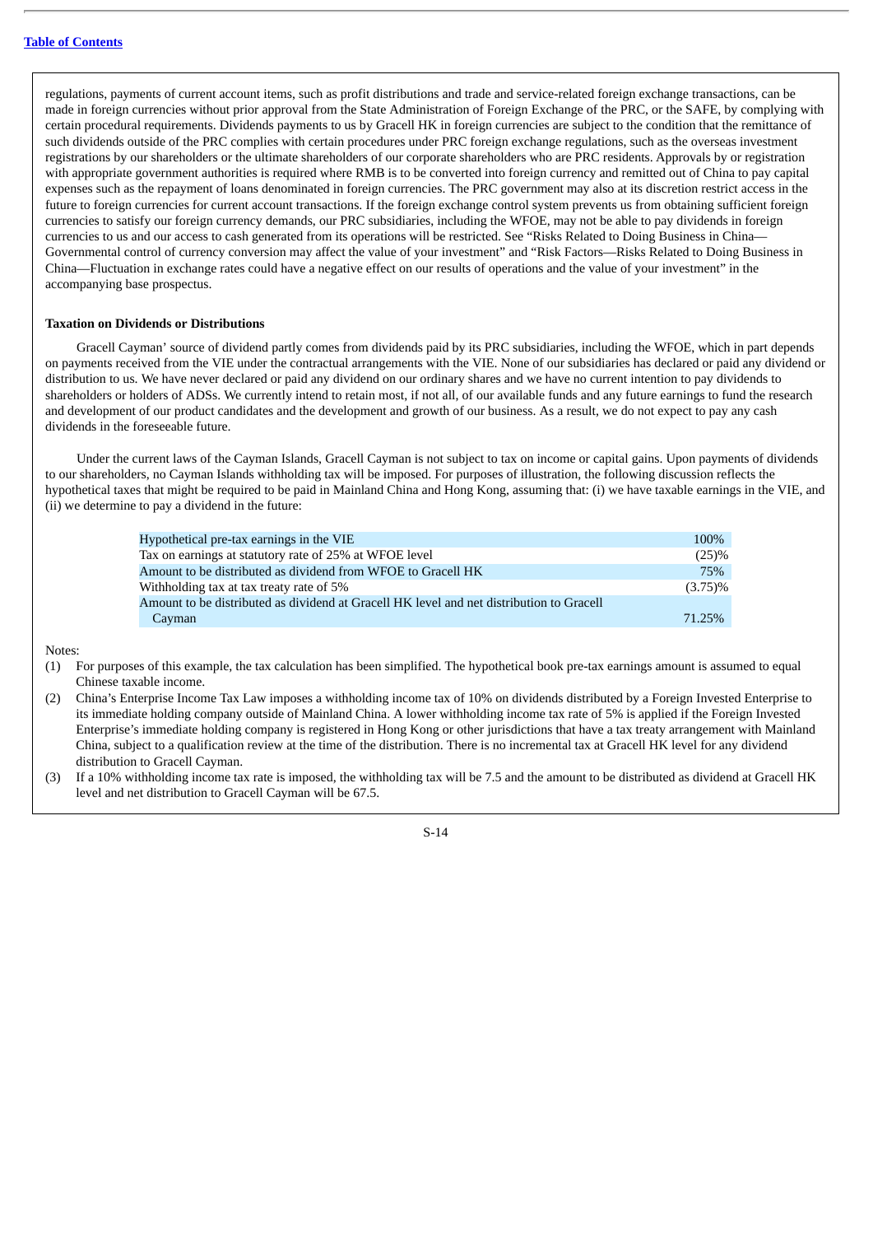regulations, payments of current account items, such as profit distributions and trade and service-related foreign exchange transactions, can be made in foreign currencies without prior approval from the State Administration of Foreign Exchange of the PRC, or the SAFE, by complying with certain procedural requirements. Dividends payments to us by Gracell HK in foreign currencies are subject to the condition that the remittance of such dividends outside of the PRC complies with certain procedures under PRC foreign exchange regulations, such as the overseas investment registrations by our shareholders or the ultimate shareholders of our corporate shareholders who are PRC residents. Approvals by or registration with appropriate government authorities is required where RMB is to be converted into foreign currency and remitted out of China to pay capital expenses such as the repayment of loans denominated in foreign currencies. The PRC government may also at its discretion restrict access in the future to foreign currencies for current account transactions. If the foreign exchange control system prevents us from obtaining sufficient foreign currencies to satisfy our foreign currency demands, our PRC subsidiaries, including the WFOE, may not be able to pay dividends in foreign currencies to us and our access to cash generated from its operations will be restricted. See "Risks Related to Doing Business in China— Governmental control of currency conversion may affect the value of your investment" and "Risk Factors—Risks Related to Doing Business in China—Fluctuation in exchange rates could have a negative effect on our results of operations and the value of your investment" in the accompanying base prospectus.

#### **Taxation on Dividends or Distributions**

Gracell Cayman' source of dividend partly comes from dividends paid by its PRC subsidiaries, including the WFOE, which in part depends on payments received from the VIE under the contractual arrangements with the VIE. None of our subsidiaries has declared or paid any dividend or distribution to us. We have never declared or paid any dividend on our ordinary shares and we have no current intention to pay dividends to shareholders or holders of ADSs. We currently intend to retain most, if not all, of our available funds and any future earnings to fund the research and development of our product candidates and the development and growth of our business. As a result, we do not expect to pay any cash dividends in the foreseeable future.

Under the current laws of the Cayman Islands, Gracell Cayman is not subject to tax on income or capital gains. Upon payments of dividends to our shareholders, no Cayman Islands withholding tax will be imposed. For purposes of illustration, the following discussion reflects the hypothetical taxes that might be required to be paid in Mainland China and Hong Kong, assuming that: (i) we have taxable earnings in the VIE, and (ii) we determine to pay a dividend in the future:

| Hypothetical pre-tax earnings in the VIE                                                 | 100%       |
|------------------------------------------------------------------------------------------|------------|
| Tax on earnings at statutory rate of 25% at WFOE level                                   | (25)%      |
| Amount to be distributed as dividend from WFOE to Gracell HK                             | 75%        |
| Withholding tax at tax treaty rate of 5%                                                 | $(3.75)\%$ |
| Amount to be distributed as dividend at Gracell HK level and net distribution to Gracell |            |
| Cayman                                                                                   | 71.25%     |

Notes:

- (1) For purposes of this example, the tax calculation has been simplified. The hypothetical book pre-tax earnings amount is assumed to equal Chinese taxable income.
- (2) China's Enterprise Income Tax Law imposes a withholding income tax of 10% on dividends distributed by a Foreign Invested Enterprise to its immediate holding company outside of Mainland China. A lower withholding income tax rate of 5% is applied if the Foreign Invested Enterprise's immediate holding company is registered in Hong Kong or other jurisdictions that have a tax treaty arrangement with Mainland China, subject to a qualification review at the time of the distribution. There is no incremental tax at Gracell HK level for any dividend distribution to Gracell Cayman.
- (3) If a 10% withholding income tax rate is imposed, the withholding tax will be 7.5 and the amount to be distributed as dividend at Gracell HK level and net distribution to Gracell Cayman will be 67.5.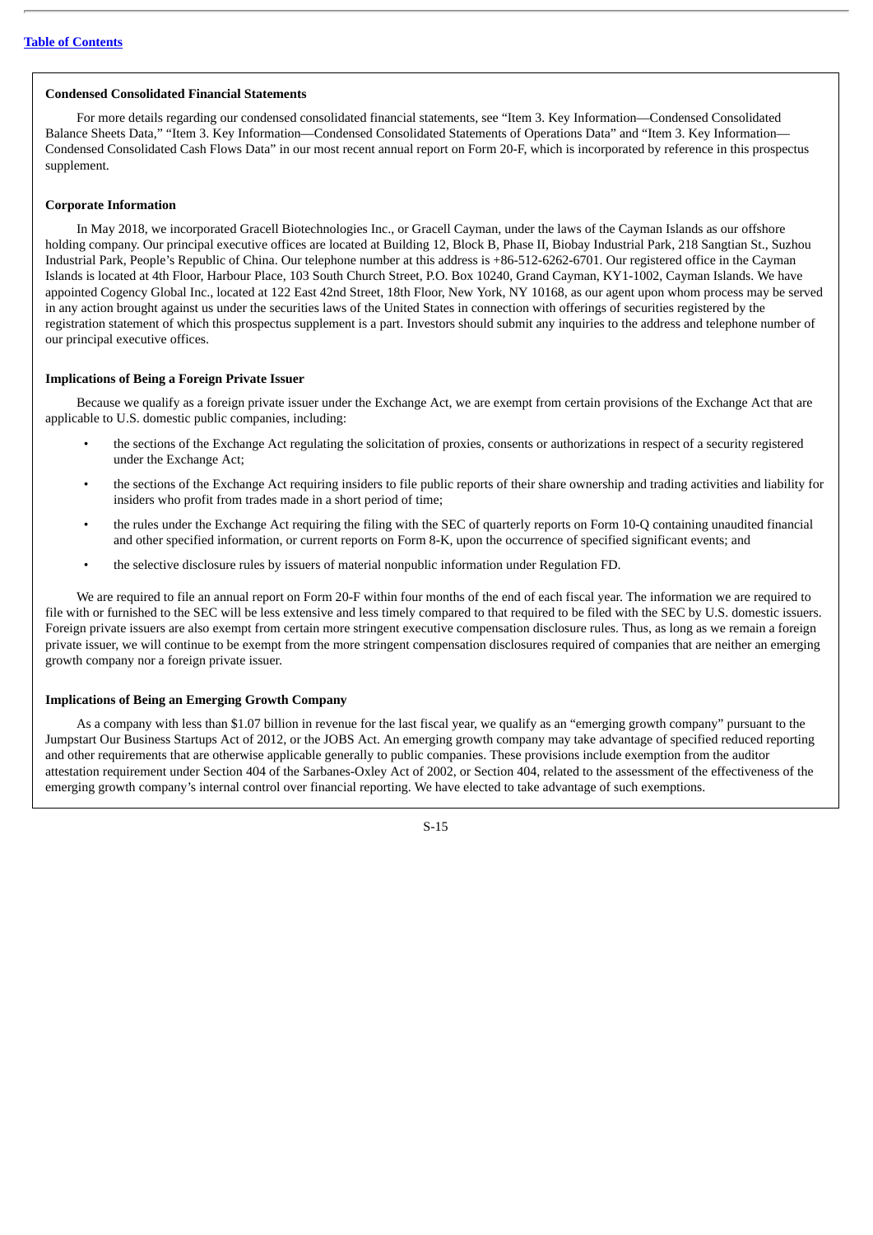### **Condensed Consolidated Financial Statements**

For more details regarding our condensed consolidated financial statements, see "Item 3. Key Information—Condensed Consolidated Balance Sheets Data," "Item 3. Key Information—Condensed Consolidated Statements of Operations Data" and "Item 3. Key Information— Condensed Consolidated Cash Flows Data" in our most recent annual report on Form 20-F, which is incorporated by reference in this prospectus supplement.

### **Corporate Information**

In May 2018, we incorporated Gracell Biotechnologies Inc., or Gracell Cayman, under the laws of the Cayman Islands as our offshore holding company. Our principal executive offices are located at Building 12, Block B, Phase II, Biobay Industrial Park, 218 Sangtian St., Suzhou Industrial Park, People's Republic of China. Our telephone number at this address is +86-512-6262-6701. Our registered office in the Cayman Islands is located at 4th Floor, Harbour Place, 103 South Church Street, P.O. Box 10240, Grand Cayman, KY1-1002, Cayman Islands. We have appointed Cogency Global Inc., located at 122 East 42nd Street, 18th Floor, New York, NY 10168, as our agent upon whom process may be served in any action brought against us under the securities laws of the United States in connection with offerings of securities registered by the registration statement of which this prospectus supplement is a part. Investors should submit any inquiries to the address and telephone number of our principal executive offices.

### **Implications of Being a Foreign Private Issuer**

Because we qualify as a foreign private issuer under the Exchange Act, we are exempt from certain provisions of the Exchange Act that are applicable to U.S. domestic public companies, including:

- the sections of the Exchange Act regulating the solicitation of proxies, consents or authorizations in respect of a security registered under the Exchange Act;
- the sections of the Exchange Act requiring insiders to file public reports of their share ownership and trading activities and liability for insiders who profit from trades made in a short period of time;
- the rules under the Exchange Act requiring the filing with the SEC of quarterly reports on Form 10-Q containing unaudited financial and other specified information, or current reports on Form 8-K, upon the occurrence of specified significant events; and
- the selective disclosure rules by issuers of material nonpublic information under Regulation FD.

We are required to file an annual report on Form 20-F within four months of the end of each fiscal year. The information we are required to file with or furnished to the SEC will be less extensive and less timely compared to that required to be filed with the SEC by U.S. domestic issuers. Foreign private issuers are also exempt from certain more stringent executive compensation disclosure rules. Thus, as long as we remain a foreign private issuer, we will continue to be exempt from the more stringent compensation disclosures required of companies that are neither an emerging growth company nor a foreign private issuer.

### **Implications of Being an Emerging Growth Company**

As a company with less than \$1.07 billion in revenue for the last fiscal year, we qualify as an "emerging growth company" pursuant to the Jumpstart Our Business Startups Act of 2012, or the JOBS Act. An emerging growth company may take advantage of specified reduced reporting and other requirements that are otherwise applicable generally to public companies. These provisions include exemption from the auditor attestation requirement under Section 404 of the Sarbanes-Oxley Act of 2002, or Section 404, related to the assessment of the effectiveness of the emerging growth company's internal control over financial reporting. We have elected to take advantage of such exemptions.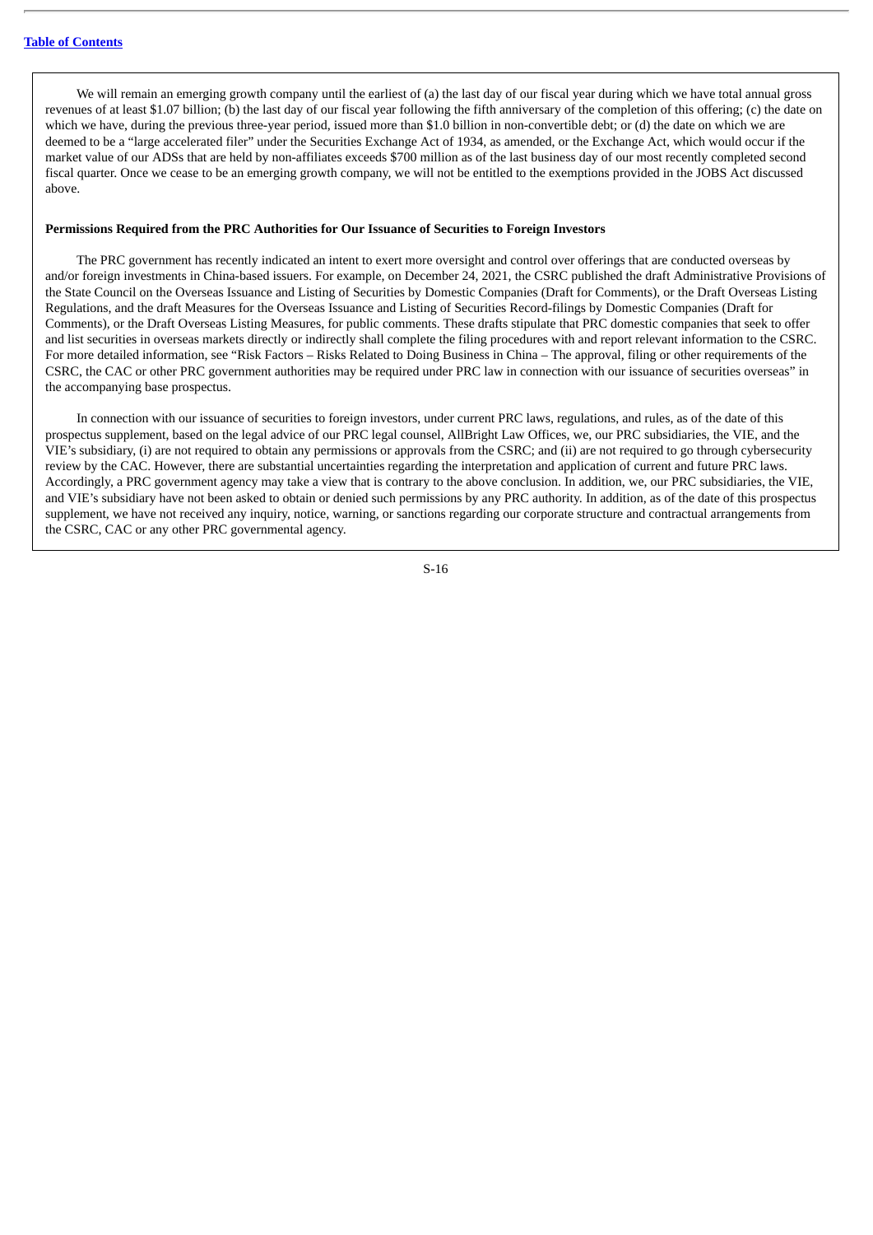We will remain an emerging growth company until the earliest of (a) the last day of our fiscal year during which we have total annual gross revenues of at least \$1.07 billion; (b) the last day of our fiscal year following the fifth anniversary of the completion of this offering; (c) the date on which we have, during the previous three-year period, issued more than \$1.0 billion in non-convertible debt; or (d) the date on which we are deemed to be a "large accelerated filer" under the Securities Exchange Act of 1934, as amended, or the Exchange Act, which would occur if the market value of our ADSs that are held by non-affiliates exceeds \$700 million as of the last business day of our most recently completed second fiscal quarter. Once we cease to be an emerging growth company, we will not be entitled to the exemptions provided in the JOBS Act discussed above.

### **Permissions Required from the PRC Authorities for Our Issuance of Securities to Foreign Investors**

The PRC government has recently indicated an intent to exert more oversight and control over offerings that are conducted overseas by and/or foreign investments in China-based issuers. For example, on December 24, 2021, the CSRC published the draft Administrative Provisions of the State Council on the Overseas Issuance and Listing of Securities by Domestic Companies (Draft for Comments), or the Draft Overseas Listing Regulations, and the draft Measures for the Overseas Issuance and Listing of Securities Record-filings by Domestic Companies (Draft for Comments), or the Draft Overseas Listing Measures, for public comments. These drafts stipulate that PRC domestic companies that seek to offer and list securities in overseas markets directly or indirectly shall complete the filing procedures with and report relevant information to the CSRC. For more detailed information, see "Risk Factors – Risks Related to Doing Business in China – The approval, filing or other requirements of the CSRC, the CAC or other PRC government authorities may be required under PRC law in connection with our issuance of securities overseas" in the accompanying base prospectus.

In connection with our issuance of securities to foreign investors, under current PRC laws, regulations, and rules, as of the date of this prospectus supplement, based on the legal advice of our PRC legal counsel, AllBright Law Offices, we, our PRC subsidiaries, the VIE, and the VIE's subsidiary, (i) are not required to obtain any permissions or approvals from the CSRC; and (ii) are not required to go through cybersecurity review by the CAC. However, there are substantial uncertainties regarding the interpretation and application of current and future PRC laws. Accordingly, a PRC government agency may take a view that is contrary to the above conclusion. In addition, we, our PRC subsidiaries, the VIE, and VIE's subsidiary have not been asked to obtain or denied such permissions by any PRC authority. In addition, as of the date of this prospectus supplement, we have not received any inquiry, notice, warning, or sanctions regarding our corporate structure and contractual arrangements from the CSRC, CAC or any other PRC governmental agency.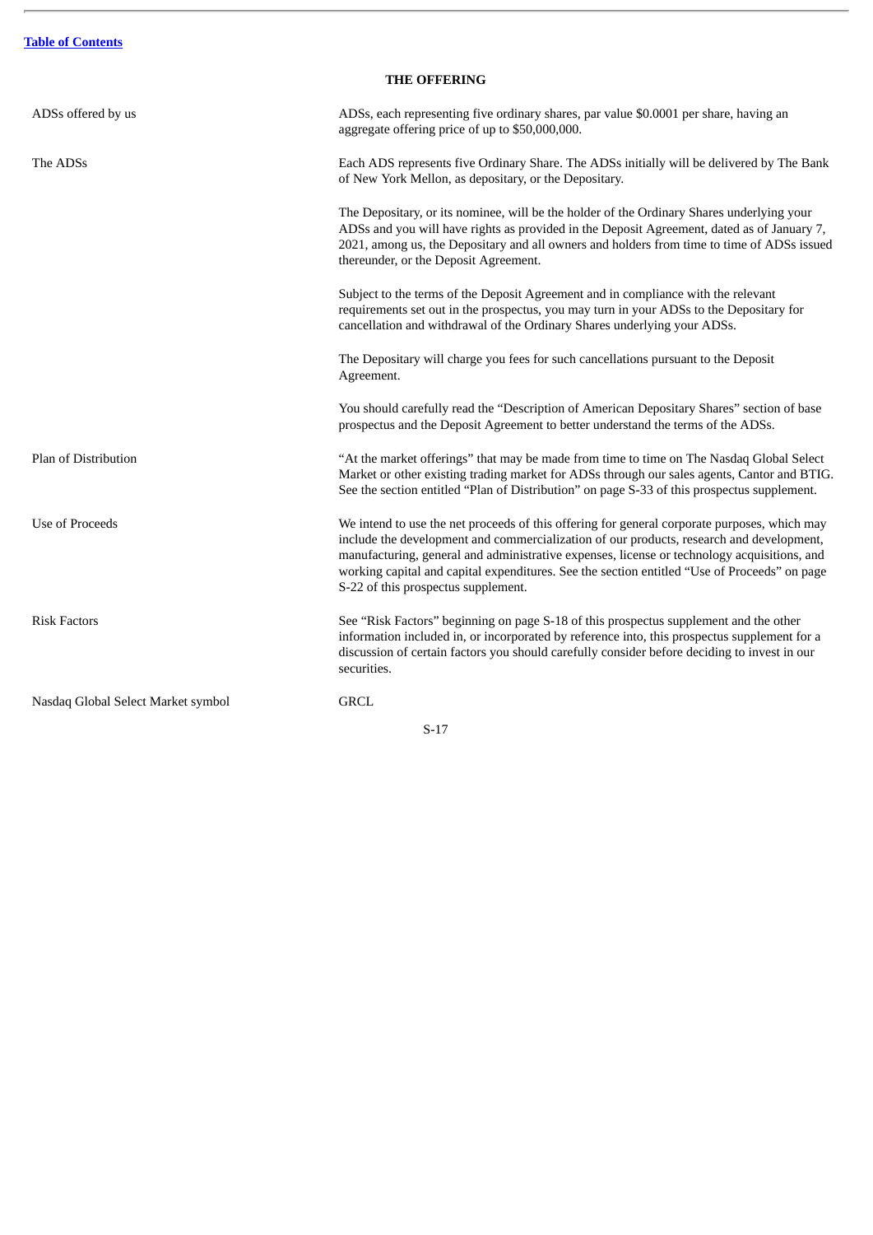$\overline{a}$ 

# **THE OFFERING**

| ADSs offered by us                 | ADSs, each representing five ordinary shares, par value \$0.0001 per share, having an<br>aggregate offering price of up to \$50,000,000.                                                                                                                                                                                                                                                                                       |  |  |
|------------------------------------|--------------------------------------------------------------------------------------------------------------------------------------------------------------------------------------------------------------------------------------------------------------------------------------------------------------------------------------------------------------------------------------------------------------------------------|--|--|
| The ADSs                           | Each ADS represents five Ordinary Share. The ADSs initially will be delivered by The Bank<br>of New York Mellon, as depositary, or the Depositary.                                                                                                                                                                                                                                                                             |  |  |
|                                    | The Depositary, or its nominee, will be the holder of the Ordinary Shares underlying your<br>ADSs and you will have rights as provided in the Deposit Agreement, dated as of January 7,<br>2021, among us, the Depositary and all owners and holders from time to time of ADSs issued<br>thereunder, or the Deposit Agreement.                                                                                                 |  |  |
|                                    | Subject to the terms of the Deposit Agreement and in compliance with the relevant<br>requirements set out in the prospectus, you may turn in your ADSs to the Depositary for<br>cancellation and withdrawal of the Ordinary Shares underlying your ADSs.                                                                                                                                                                       |  |  |
|                                    | The Depositary will charge you fees for such cancellations pursuant to the Deposit<br>Agreement.                                                                                                                                                                                                                                                                                                                               |  |  |
|                                    | You should carefully read the "Description of American Depositary Shares" section of base<br>prospectus and the Deposit Agreement to better understand the terms of the ADSs.                                                                                                                                                                                                                                                  |  |  |
| Plan of Distribution               | "At the market offerings" that may be made from time to time on The Nasdaq Global Select<br>Market or other existing trading market for ADSs through our sales agents, Cantor and BTIG.<br>See the section entitled "Plan of Distribution" on page S-33 of this prospectus supplement.                                                                                                                                         |  |  |
| <b>Use of Proceeds</b>             | We intend to use the net proceeds of this offering for general corporate purposes, which may<br>include the development and commercialization of our products, research and development,<br>manufacturing, general and administrative expenses, license or technology acquisitions, and<br>working capital and capital expenditures. See the section entitled "Use of Proceeds" on page<br>S-22 of this prospectus supplement. |  |  |
| <b>Risk Factors</b>                | See "Risk Factors" beginning on page S-18 of this prospectus supplement and the other<br>information included in, or incorporated by reference into, this prospectus supplement for a<br>discussion of certain factors you should carefully consider before deciding to invest in our<br>securities.                                                                                                                           |  |  |
| Nasdaq Global Select Market symbol | <b>GRCL</b>                                                                                                                                                                                                                                                                                                                                                                                                                    |  |  |
| $S-17$                             |                                                                                                                                                                                                                                                                                                                                                                                                                                |  |  |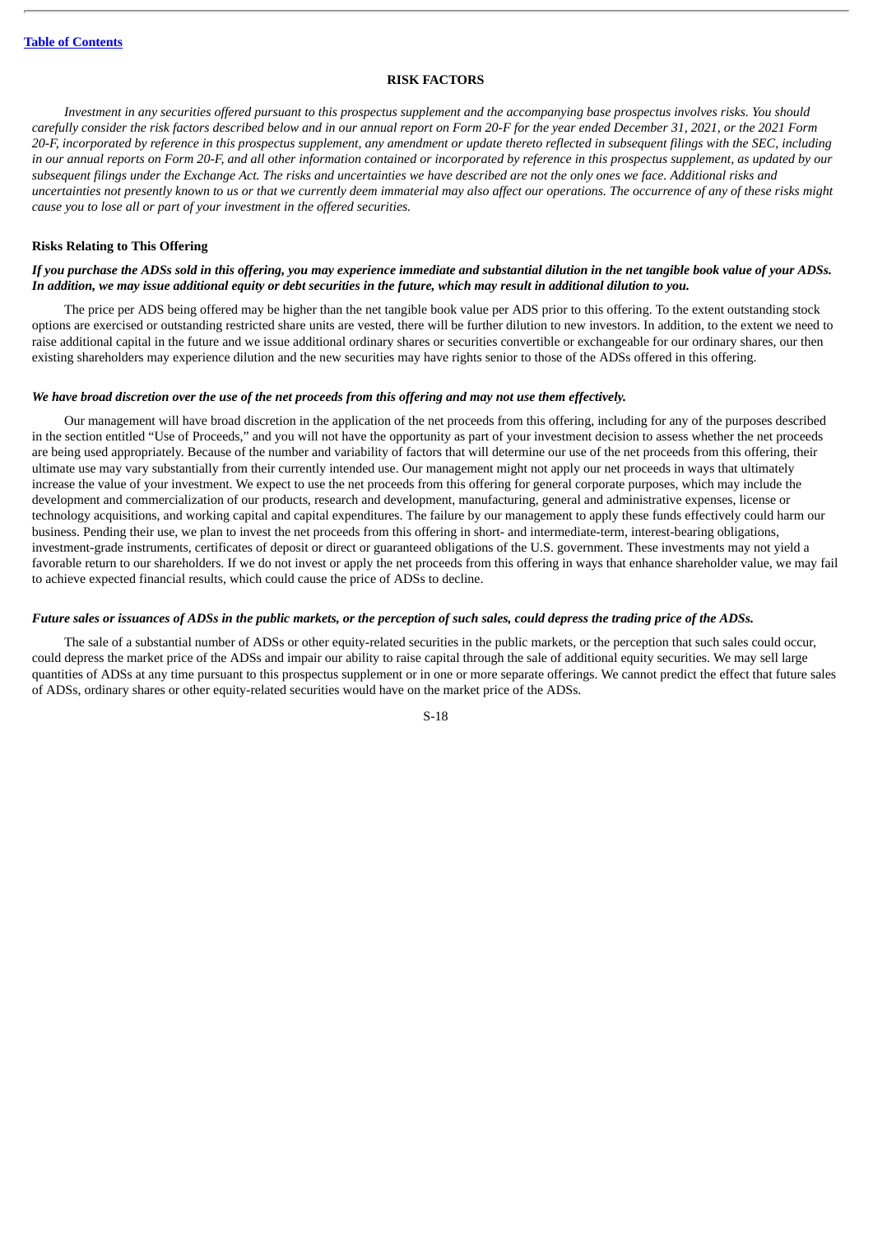### **RISK FACTORS**

Investment in any securities offered pursuant to this prospectus supplement and the accompanying base prospectus involves risks. You should carefully consider the risk factors described below and in our annual report on Form 20-F for the year ended December 31, 2021, or the 2021 Form 20-F, incorporated by reference in this prospectus supplement, any amendment or update thereto reflected in subsequent filings with the SEC, including in our annual reports on Form 20-F, and all other information contained or incorporated by reference in this prospectus supplement, as updated by our subsequent filings under the Exchange Act. The risks and uncertainties we have described are not the only ones we face. Additional risks and uncertainties not presently known to us or that we currently deem immaterial may also affect our operations. The occurrence of any of these risks might *cause you to lose all or part of your investment in the offered securities.*

### **Risks Relating to This Offering**

#### If you purchase the ADSs sold in this offering, you may experience immediate and substantial dilution in the net tangible book value of your ADSs. In addition, we may issue additional equity or debt securities in the future, which may result in additional dilution to you.

The price per ADS being offered may be higher than the net tangible book value per ADS prior to this offering. To the extent outstanding stock options are exercised or outstanding restricted share units are vested, there will be further dilution to new investors. In addition, to the extent we need to raise additional capital in the future and we issue additional ordinary shares or securities convertible or exchangeable for our ordinary shares, our then existing shareholders may experience dilution and the new securities may have rights senior to those of the ADSs offered in this offering.

### We have broad discretion over the use of the net proceeds from this offering and may not use them effectively.

Our management will have broad discretion in the application of the net proceeds from this offering, including for any of the purposes described in the section entitled "Use of Proceeds," and you will not have the opportunity as part of your investment decision to assess whether the net proceeds are being used appropriately. Because of the number and variability of factors that will determine our use of the net proceeds from this offering, their ultimate use may vary substantially from their currently intended use. Our management might not apply our net proceeds in ways that ultimately increase the value of your investment. We expect to use the net proceeds from this offering for general corporate purposes, which may include the development and commercialization of our products, research and development, manufacturing, general and administrative expenses, license or technology acquisitions, and working capital and capital expenditures. The failure by our management to apply these funds effectively could harm our business. Pending their use, we plan to invest the net proceeds from this offering in short- and intermediate-term, interest-bearing obligations, investment-grade instruments, certificates of deposit or direct or guaranteed obligations of the U.S. government. These investments may not yield a favorable return to our shareholders. If we do not invest or apply the net proceeds from this offering in ways that enhance shareholder value, we may fail to achieve expected financial results, which could cause the price of ADSs to decline.

#### Future sales or issuances of ADSs in the public markets, or the perception of such sales, could depress the trading price of the ADSs.

The sale of a substantial number of ADSs or other equity-related securities in the public markets, or the perception that such sales could occur, could depress the market price of the ADSs and impair our ability to raise capital through the sale of additional equity securities. We may sell large quantities of ADSs at any time pursuant to this prospectus supplement or in one or more separate offerings. We cannot predict the effect that future sales of ADSs, ordinary shares or other equity-related securities would have on the market price of the ADSs.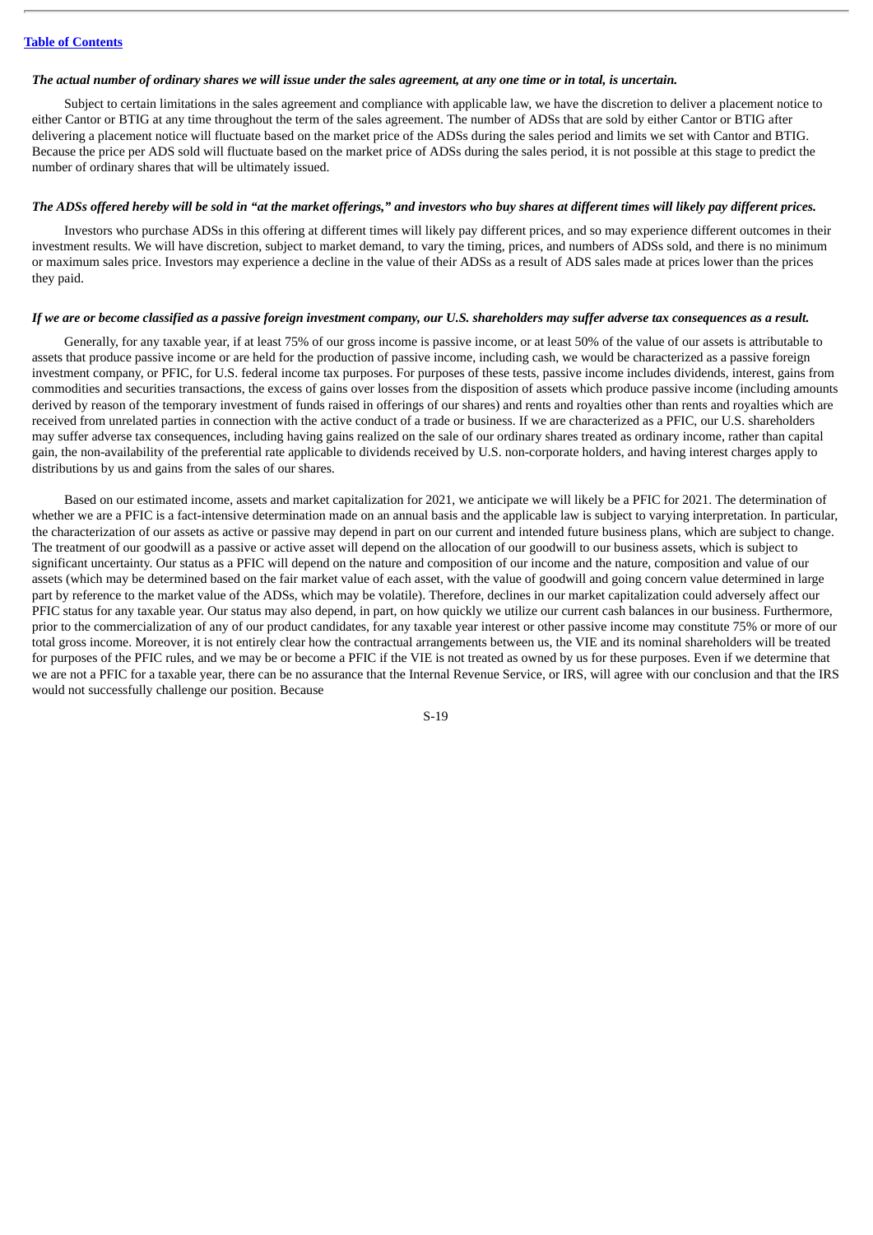#### The actual number of ordinary shares we will issue under the sales agreement, at any one time or in total, is uncertain.

Subject to certain limitations in the sales agreement and compliance with applicable law, we have the discretion to deliver a placement notice to either Cantor or BTIG at any time throughout the term of the sales agreement. The number of ADSs that are sold by either Cantor or BTIG after delivering a placement notice will fluctuate based on the market price of the ADSs during the sales period and limits we set with Cantor and BTIG. Because the price per ADS sold will fluctuate based on the market price of ADSs during the sales period, it is not possible at this stage to predict the number of ordinary shares that will be ultimately issued.

### The ADSs offered hereby will be sold in "at the market offerings," and investors who buy shares at different times will likely pay different prices.

Investors who purchase ADSs in this offering at different times will likely pay different prices, and so may experience different outcomes in their investment results. We will have discretion, subject to market demand, to vary the timing, prices, and numbers of ADSs sold, and there is no minimum or maximum sales price. Investors may experience a decline in the value of their ADSs as a result of ADS sales made at prices lower than the prices they paid.

### If we are or become classified as a passive foreign investment company, our U.S. shareholders may suffer adverse tax consequences as a result.

Generally, for any taxable year, if at least 75% of our gross income is passive income, or at least 50% of the value of our assets is attributable to assets that produce passive income or are held for the production of passive income, including cash, we would be characterized as a passive foreign investment company, or PFIC, for U.S. federal income tax purposes. For purposes of these tests, passive income includes dividends, interest, gains from commodities and securities transactions, the excess of gains over losses from the disposition of assets which produce passive income (including amounts derived by reason of the temporary investment of funds raised in offerings of our shares) and rents and royalties other than rents and royalties which are received from unrelated parties in connection with the active conduct of a trade or business. If we are characterized as a PFIC, our U.S. shareholders may suffer adverse tax consequences, including having gains realized on the sale of our ordinary shares treated as ordinary income, rather than capital gain, the non-availability of the preferential rate applicable to dividends received by U.S. non-corporate holders, and having interest charges apply to distributions by us and gains from the sales of our shares.

Based on our estimated income, assets and market capitalization for 2021, we anticipate we will likely be a PFIC for 2021. The determination of whether we are a PFIC is a fact-intensive determination made on an annual basis and the applicable law is subject to varying interpretation. In particular, the characterization of our assets as active or passive may depend in part on our current and intended future business plans, which are subject to change. The treatment of our goodwill as a passive or active asset will depend on the allocation of our goodwill to our business assets, which is subject to significant uncertainty. Our status as a PFIC will depend on the nature and composition of our income and the nature, composition and value of our assets (which may be determined based on the fair market value of each asset, with the value of goodwill and going concern value determined in large part by reference to the market value of the ADSs, which may be volatile). Therefore, declines in our market capitalization could adversely affect our PFIC status for any taxable year. Our status may also depend, in part, on how quickly we utilize our current cash balances in our business. Furthermore, prior to the commercialization of any of our product candidates, for any taxable year interest or other passive income may constitute 75% or more of our total gross income. Moreover, it is not entirely clear how the contractual arrangements between us, the VIE and its nominal shareholders will be treated for purposes of the PFIC rules, and we may be or become a PFIC if the VIE is not treated as owned by us for these purposes. Even if we determine that we are not a PFIC for a taxable year, there can be no assurance that the Internal Revenue Service, or IRS, will agree with our conclusion and that the IRS would not successfully challenge our position. Because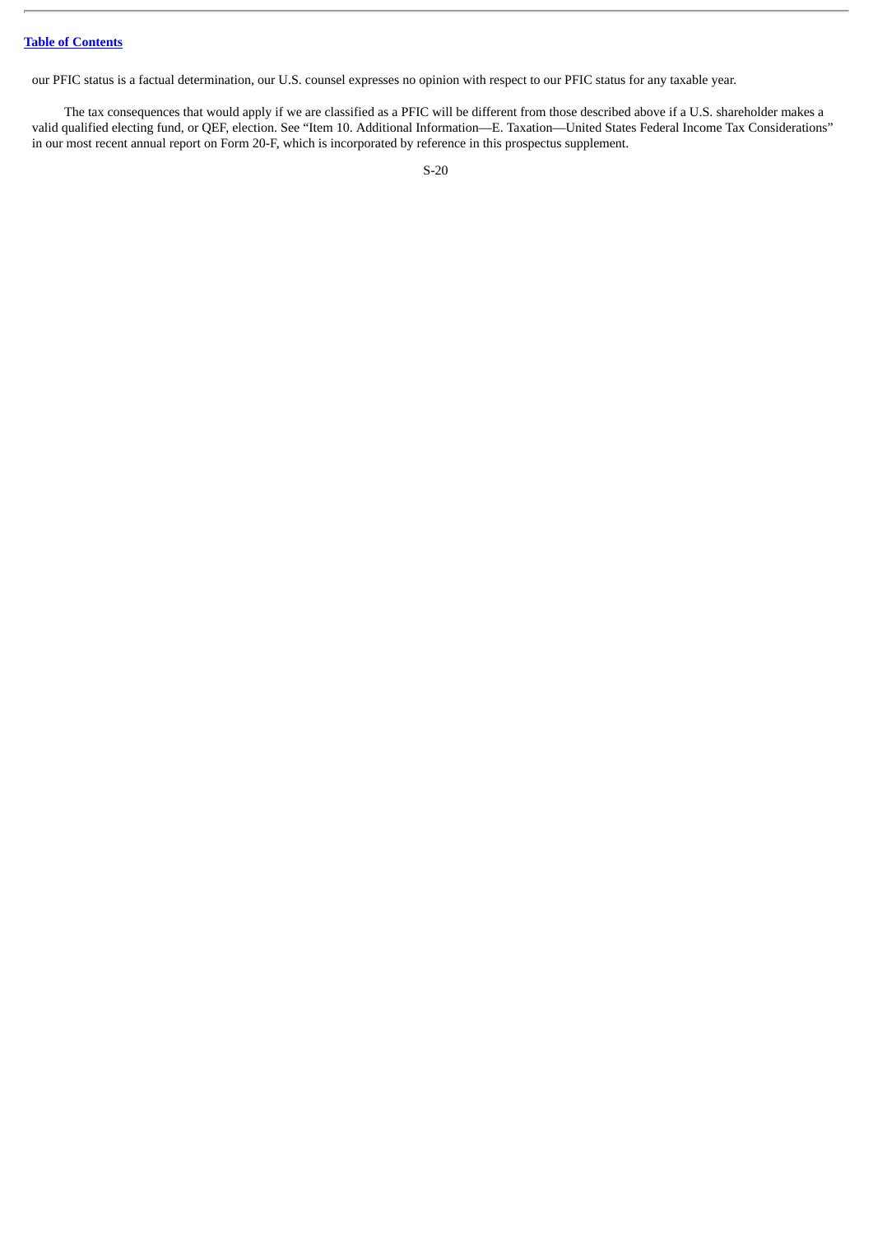our PFIC status is a factual determination, our U.S. counsel expresses no opinion with respect to our PFIC status for any taxable year.

The tax consequences that would apply if we are classified as a PFIC will be different from those described above if a U.S. shareholder makes a valid qualified electing fund, or QEF, election. See "Item 10. Additional Information—E. Taxation—United States Federal Income Tax Considerations" in our most recent annual report on Form 20-F, which is incorporated by reference in this prospectus supplement.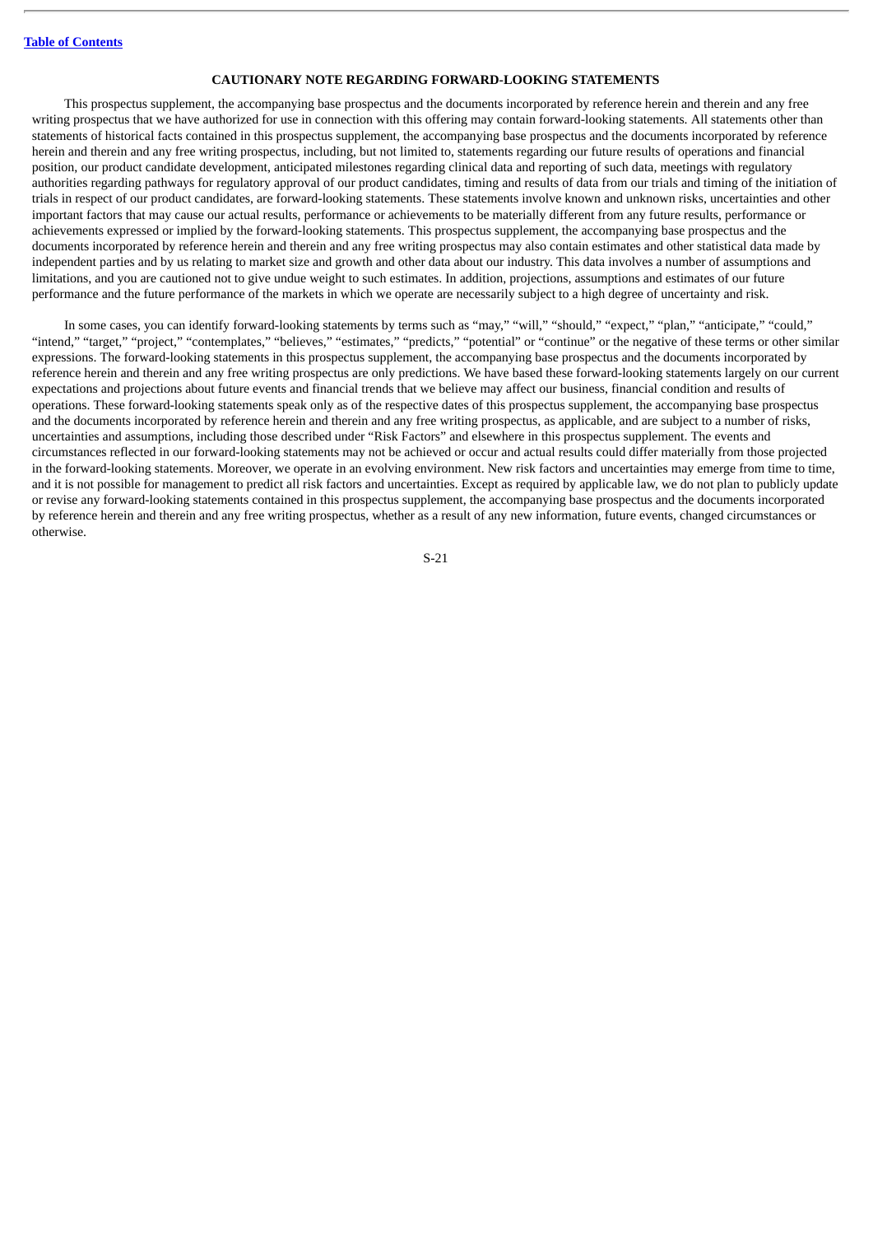### **CAUTIONARY NOTE REGARDING FORWARD-LOOKING STATEMENTS**

This prospectus supplement, the accompanying base prospectus and the documents incorporated by reference herein and therein and any free writing prospectus that we have authorized for use in connection with this offering may contain forward-looking statements. All statements other than statements of historical facts contained in this prospectus supplement, the accompanying base prospectus and the documents incorporated by reference herein and therein and any free writing prospectus, including, but not limited to, statements regarding our future results of operations and financial position, our product candidate development, anticipated milestones regarding clinical data and reporting of such data, meetings with regulatory authorities regarding pathways for regulatory approval of our product candidates, timing and results of data from our trials and timing of the initiation of trials in respect of our product candidates, are forward-looking statements. These statements involve known and unknown risks, uncertainties and other important factors that may cause our actual results, performance or achievements to be materially different from any future results, performance or achievements expressed or implied by the forward-looking statements. This prospectus supplement, the accompanying base prospectus and the documents incorporated by reference herein and therein and any free writing prospectus may also contain estimates and other statistical data made by independent parties and by us relating to market size and growth and other data about our industry. This data involves a number of assumptions and limitations, and you are cautioned not to give undue weight to such estimates. In addition, projections, assumptions and estimates of our future performance and the future performance of the markets in which we operate are necessarily subject to a high degree of uncertainty and risk.

In some cases, you can identify forward-looking statements by terms such as "may," "will," "should," "expect," "plan," "anticipate," "could," "intend," "target," "project," "contemplates," "believes," "estimates," "predicts," "potential" or "continue" or the negative of these terms or other similar expressions. The forward-looking statements in this prospectus supplement, the accompanying base prospectus and the documents incorporated by reference herein and therein and any free writing prospectus are only predictions. We have based these forward-looking statements largely on our current expectations and projections about future events and financial trends that we believe may affect our business, financial condition and results of operations. These forward-looking statements speak only as of the respective dates of this prospectus supplement, the accompanying base prospectus and the documents incorporated by reference herein and therein and any free writing prospectus, as applicable, and are subject to a number of risks, uncertainties and assumptions, including those described under "Risk Factors" and elsewhere in this prospectus supplement. The events and circumstances reflected in our forward-looking statements may not be achieved or occur and actual results could differ materially from those projected in the forward-looking statements. Moreover, we operate in an evolving environment. New risk factors and uncertainties may emerge from time to time, and it is not possible for management to predict all risk factors and uncertainties. Except as required by applicable law, we do not plan to publicly update or revise any forward-looking statements contained in this prospectus supplement, the accompanying base prospectus and the documents incorporated by reference herein and therein and any free writing prospectus, whether as a result of any new information, future events, changed circumstances or otherwise.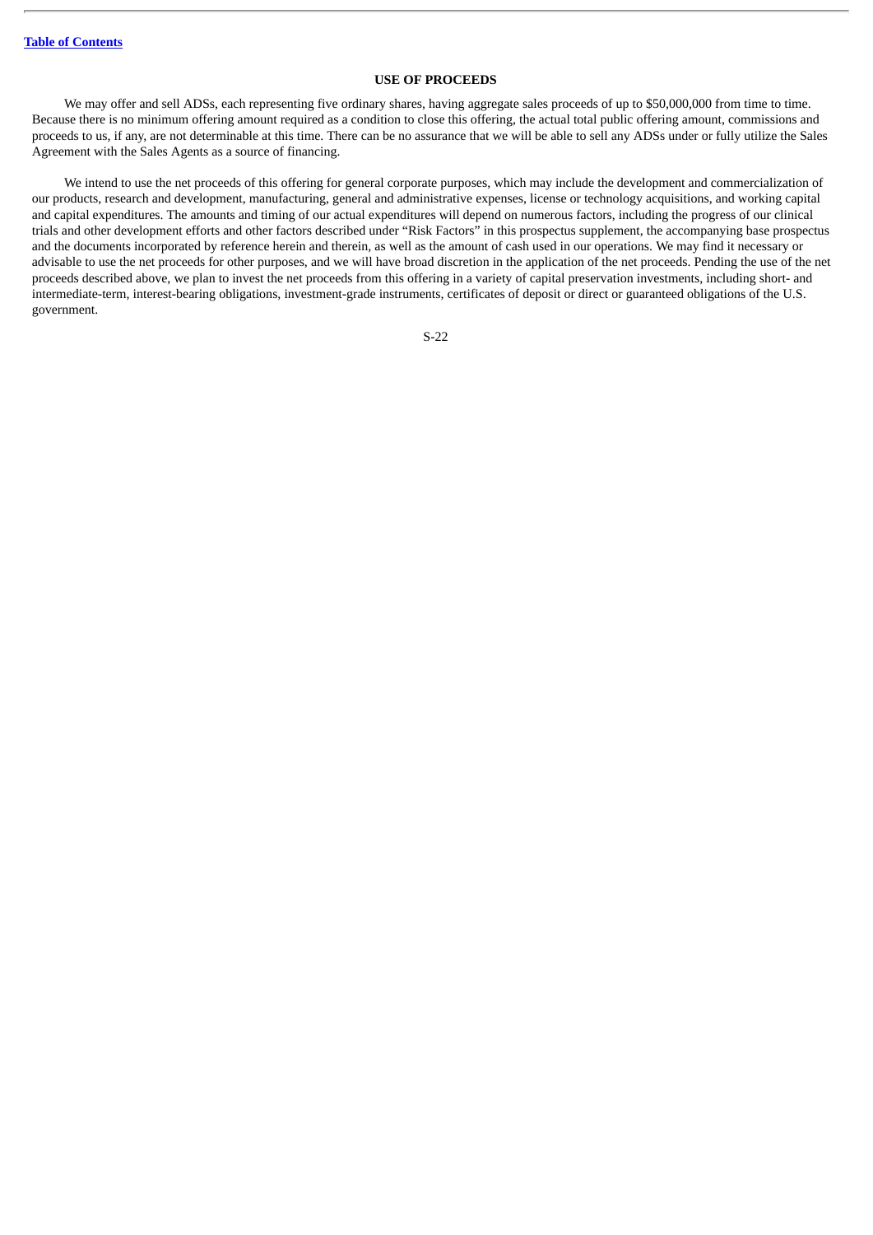### **USE OF PROCEEDS**

We may offer and sell ADSs, each representing five ordinary shares, having aggregate sales proceeds of up to \$50,000,000 from time to time. Because there is no minimum offering amount required as a condition to close this offering, the actual total public offering amount, commissions and proceeds to us, if any, are not determinable at this time. There can be no assurance that we will be able to sell any ADSs under or fully utilize the Sales Agreement with the Sales Agents as a source of financing.

We intend to use the net proceeds of this offering for general corporate purposes, which may include the development and commercialization of our products, research and development, manufacturing, general and administrative expenses, license or technology acquisitions, and working capital and capital expenditures. The amounts and timing of our actual expenditures will depend on numerous factors, including the progress of our clinical trials and other development efforts and other factors described under "Risk Factors" in this prospectus supplement, the accompanying base prospectus and the documents incorporated by reference herein and therein, as well as the amount of cash used in our operations. We may find it necessary or advisable to use the net proceeds for other purposes, and we will have broad discretion in the application of the net proceeds. Pending the use of the net proceeds described above, we plan to invest the net proceeds from this offering in a variety of capital preservation investments, including short- and intermediate-term, interest-bearing obligations, investment-grade instruments, certificates of deposit or direct or guaranteed obligations of the U.S. government.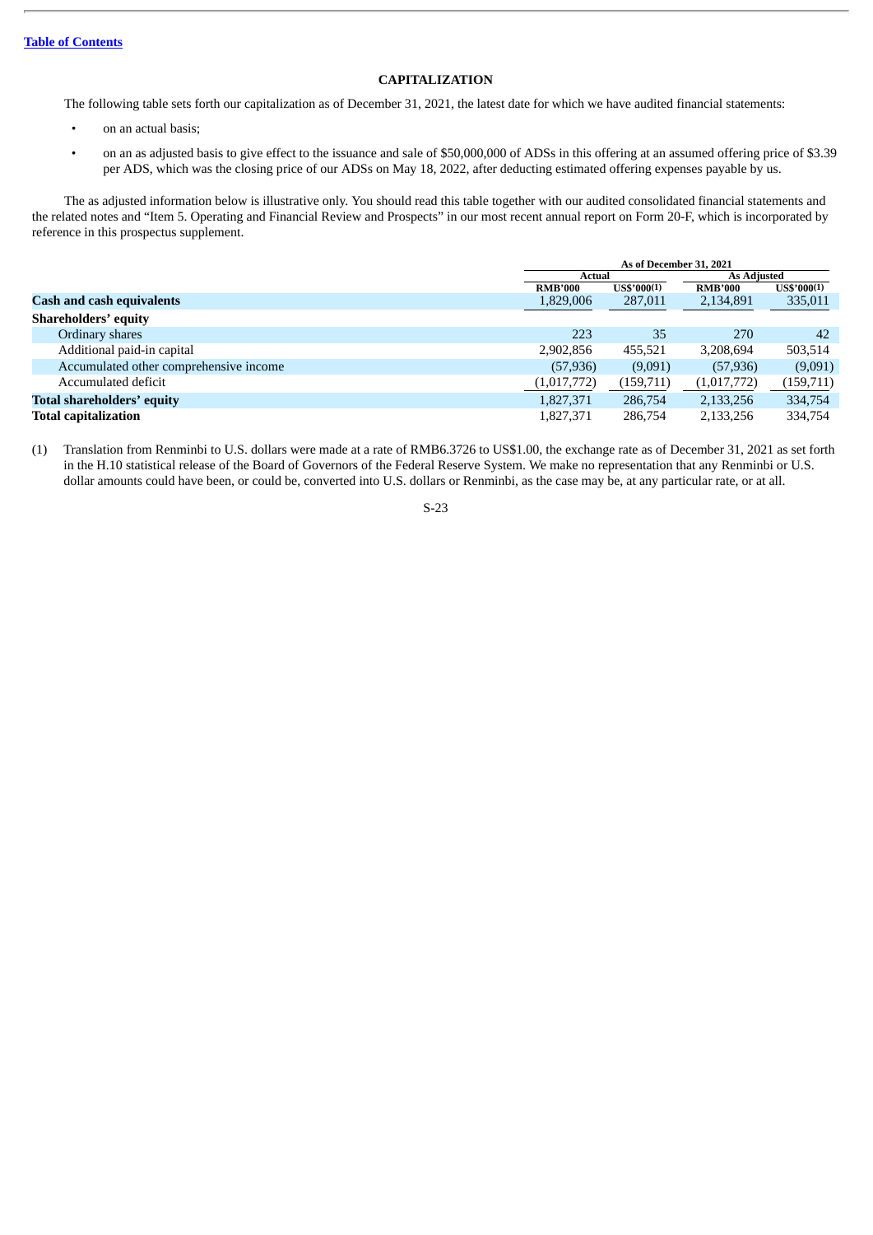# **CAPITALIZATION**

The following table sets forth our capitalization as of December 31, 2021, the latest date for which we have audited financial statements:

- on an actual basis;
- on an as adjusted basis to give effect to the issuance and sale of \$50,000,000 of ADSs in this offering at an assumed offering price of \$3.39 per ADS, which was the closing price of our ADSs on May 18, 2022, after deducting estimated offering expenses payable by us.

The as adjusted information below is illustrative only. You should read this table together with our audited consolidated financial statements and the related notes and "Item 5. Operating and Financial Review and Prospects" in our most recent annual report on Form 20-F, which is incorporated by reference in this prospectus supplement.

|                                        | As of December 31, 2021 |                    |                    |                      |  |
|----------------------------------------|-------------------------|--------------------|--------------------|----------------------|--|
|                                        | Actual                  |                    | <b>As Adjusted</b> |                      |  |
|                                        | <b>RMB'000</b>          | <b>US\$'000(1)</b> | <b>RMB'000</b>     | $US$^{\prime}000(1)$ |  |
| <b>Cash and cash equivalents</b>       | 1,829,006               | 287,011            | 2,134,891          | 335,011              |  |
| <b>Shareholders' equity</b>            |                         |                    |                    |                      |  |
| Ordinary shares                        | 223                     | 35                 | 270                | 42                   |  |
| Additional paid-in capital             | 2,902,856               | 455.521            | 3,208,694          | 503,514              |  |
| Accumulated other comprehensive income | (57, 936)               | (9,091)            | (57, 936)          | (9,091)              |  |
| Accumulated deficit                    | (1,017,772)             | (159, 711)         | (1,017,772)        | (159,711)            |  |
| <b>Total shareholders' equity</b>      | 1,827,371               | 286,754            | 2,133,256          | 334,754              |  |
| <b>Total capitalization</b>            | 1,827,371               | 286,754            | 2,133,256          | 334,754              |  |

(1) Translation from Renminbi to U.S. dollars were made at a rate of RMB6.3726 to US\$1.00, the exchange rate as of December 31, 2021 as set forth in the H.10 statistical release of the Board of Governors of the Federal Reserve System. We make no representation that any Renminbi or U.S. dollar amounts could have been, or could be, converted into U.S. dollars or Renminbi, as the case may be, at any particular rate, or at all.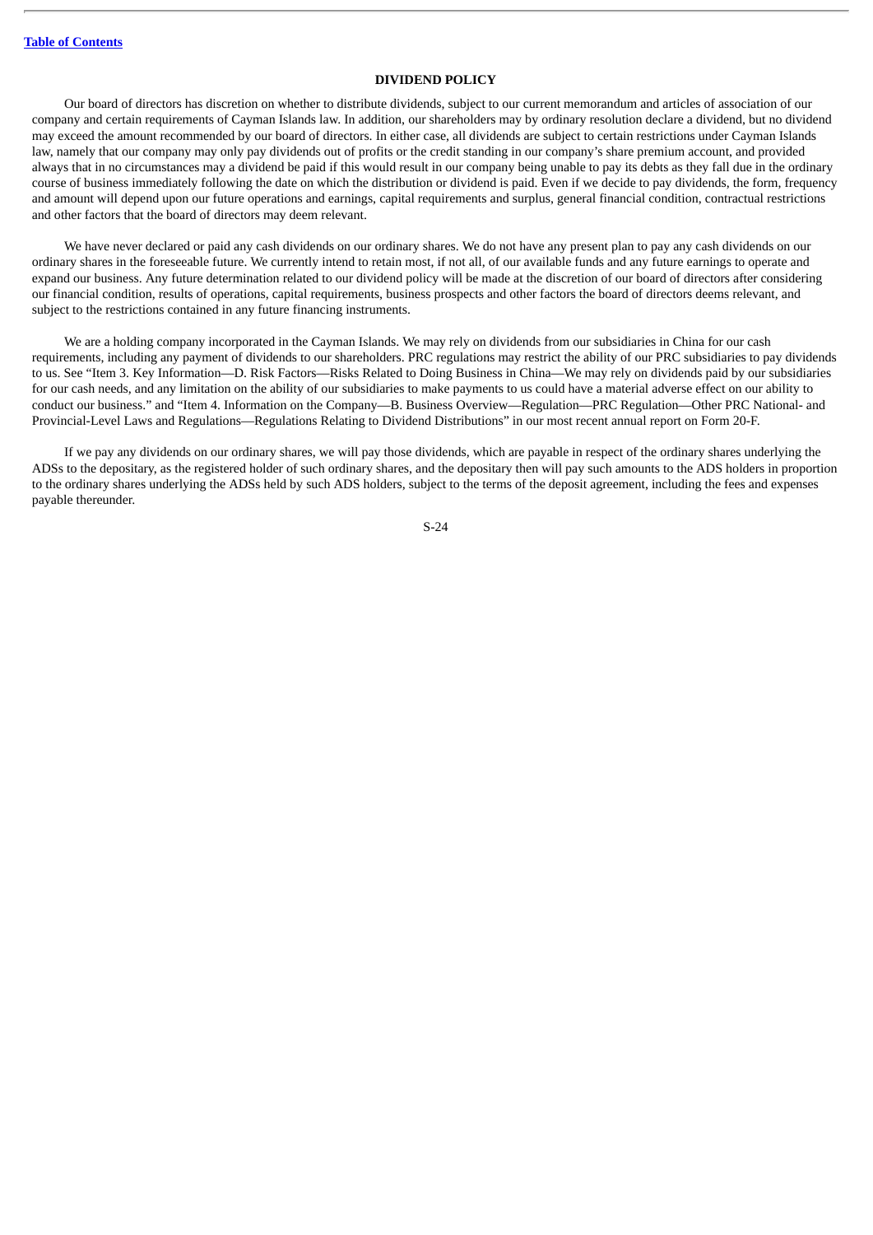### **DIVIDEND POLICY**

Our board of directors has discretion on whether to distribute dividends, subject to our current memorandum and articles of association of our company and certain requirements of Cayman Islands law. In addition, our shareholders may by ordinary resolution declare a dividend, but no dividend may exceed the amount recommended by our board of directors. In either case, all dividends are subject to certain restrictions under Cayman Islands law, namely that our company may only pay dividends out of profits or the credit standing in our company's share premium account, and provided always that in no circumstances may a dividend be paid if this would result in our company being unable to pay its debts as they fall due in the ordinary course of business immediately following the date on which the distribution or dividend is paid. Even if we decide to pay dividends, the form, frequency and amount will depend upon our future operations and earnings, capital requirements and surplus, general financial condition, contractual restrictions and other factors that the board of directors may deem relevant.

We have never declared or paid any cash dividends on our ordinary shares. We do not have any present plan to pay any cash dividends on our ordinary shares in the foreseeable future. We currently intend to retain most, if not all, of our available funds and any future earnings to operate and expand our business. Any future determination related to our dividend policy will be made at the discretion of our board of directors after considering our financial condition, results of operations, capital requirements, business prospects and other factors the board of directors deems relevant, and subject to the restrictions contained in any future financing instruments.

We are a holding company incorporated in the Cayman Islands. We may rely on dividends from our subsidiaries in China for our cash requirements, including any payment of dividends to our shareholders. PRC regulations may restrict the ability of our PRC subsidiaries to pay dividends to us. See "Item 3. Key Information—D. Risk Factors—Risks Related to Doing Business in China—We may rely on dividends paid by our subsidiaries for our cash needs, and any limitation on the ability of our subsidiaries to make payments to us could have a material adverse effect on our ability to conduct our business." and "Item 4. Information on the Company—B. Business Overview—Regulation—PRC Regulation—Other PRC National- and Provincial-Level Laws and Regulations—Regulations Relating to Dividend Distributions" in our most recent annual report on Form 20-F.

If we pay any dividends on our ordinary shares, we will pay those dividends, which are payable in respect of the ordinary shares underlying the ADSs to the depositary, as the registered holder of such ordinary shares, and the depositary then will pay such amounts to the ADS holders in proportion to the ordinary shares underlying the ADSs held by such ADS holders, subject to the terms of the deposit agreement, including the fees and expenses payable thereunder.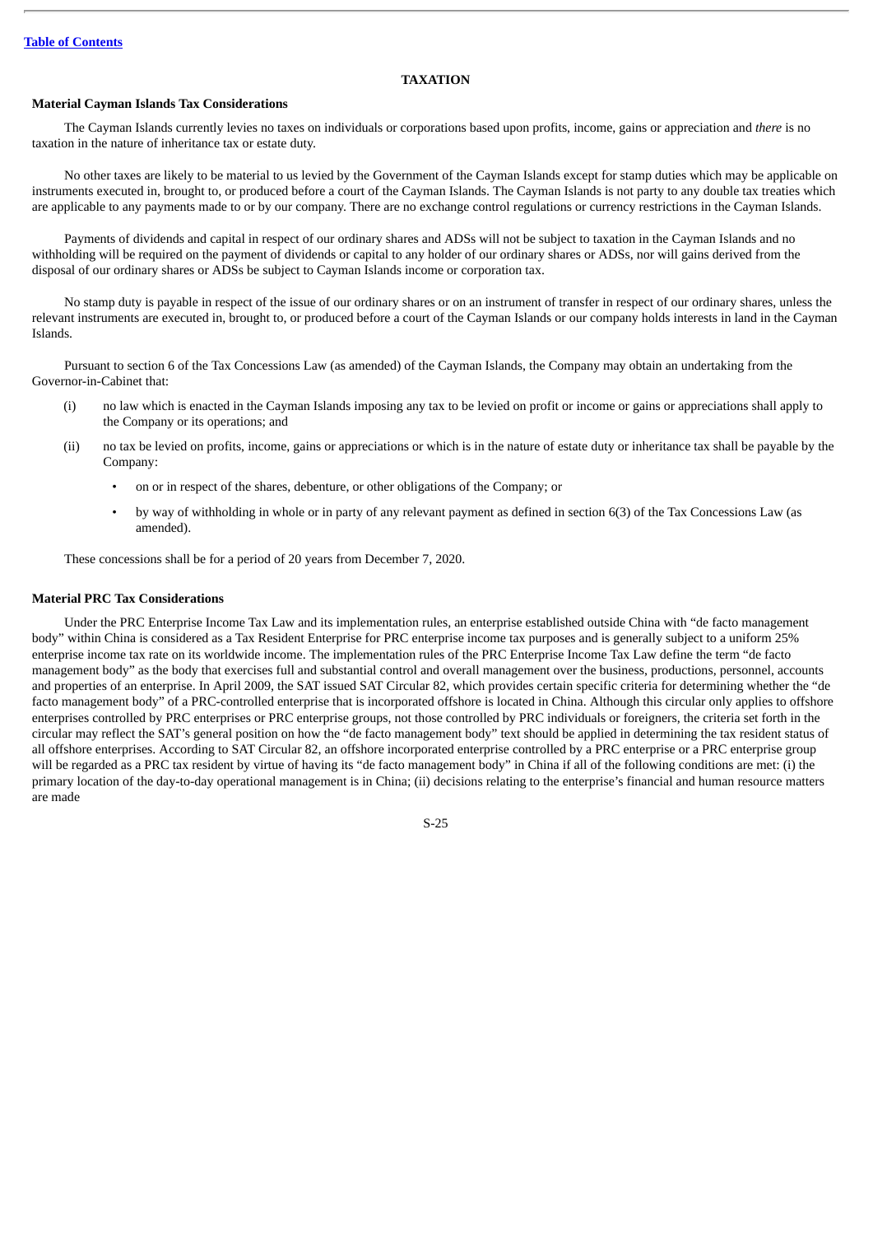### **TAXATION**

### **Material Cayman Islands Tax Considerations**

The Cayman Islands currently levies no taxes on individuals or corporations based upon profits, income, gains or appreciation and *there* is no taxation in the nature of inheritance tax or estate duty.

No other taxes are likely to be material to us levied by the Government of the Cayman Islands except for stamp duties which may be applicable on instruments executed in, brought to, or produced before a court of the Cayman Islands. The Cayman Islands is not party to any double tax treaties which are applicable to any payments made to or by our company. There are no exchange control regulations or currency restrictions in the Cayman Islands.

Payments of dividends and capital in respect of our ordinary shares and ADSs will not be subject to taxation in the Cayman Islands and no withholding will be required on the payment of dividends or capital to any holder of our ordinary shares or ADSs, nor will gains derived from the disposal of our ordinary shares or ADSs be subject to Cayman Islands income or corporation tax.

No stamp duty is payable in respect of the issue of our ordinary shares or on an instrument of transfer in respect of our ordinary shares, unless the relevant instruments are executed in, brought to, or produced before a court of the Cayman Islands or our company holds interests in land in the Cayman Islands.

Pursuant to section 6 of the Tax Concessions Law (as amended) of the Cayman Islands, the Company may obtain an undertaking from the Governor-in-Cabinet that:

- (i) no law which is enacted in the Cayman Islands imposing any tax to be levied on profit or income or gains or appreciations shall apply to the Company or its operations; and
- (ii) no tax be levied on profits, income, gains or appreciations or which is in the nature of estate duty or inheritance tax shall be payable by the Company:
	- on or in respect of the shares, debenture, or other obligations of the Company; or
	- by way of withholding in whole or in party of any relevant payment as defined in section 6(3) of the Tax Concessions Law (as amended).

These concessions shall be for a period of 20 years from December 7, 2020.

### **Material PRC Tax Considerations**

Under the PRC Enterprise Income Tax Law and its implementation rules, an enterprise established outside China with "de facto management body" within China is considered as a Tax Resident Enterprise for PRC enterprise income tax purposes and is generally subject to a uniform 25% enterprise income tax rate on its worldwide income. The implementation rules of the PRC Enterprise Income Tax Law define the term "de facto management body" as the body that exercises full and substantial control and overall management over the business, productions, personnel, accounts and properties of an enterprise. In April 2009, the SAT issued SAT Circular 82, which provides certain specific criteria for determining whether the "de facto management body" of a PRC-controlled enterprise that is incorporated offshore is located in China. Although this circular only applies to offshore enterprises controlled by PRC enterprises or PRC enterprise groups, not those controlled by PRC individuals or foreigners, the criteria set forth in the circular may reflect the SAT's general position on how the "de facto management body" text should be applied in determining the tax resident status of all offshore enterprises. According to SAT Circular 82, an offshore incorporated enterprise controlled by a PRC enterprise or a PRC enterprise group will be regarded as a PRC tax resident by virtue of having its "de facto management body" in China if all of the following conditions are met: (i) the primary location of the day-to-day operational management is in China; (ii) decisions relating to the enterprise's financial and human resource matters are made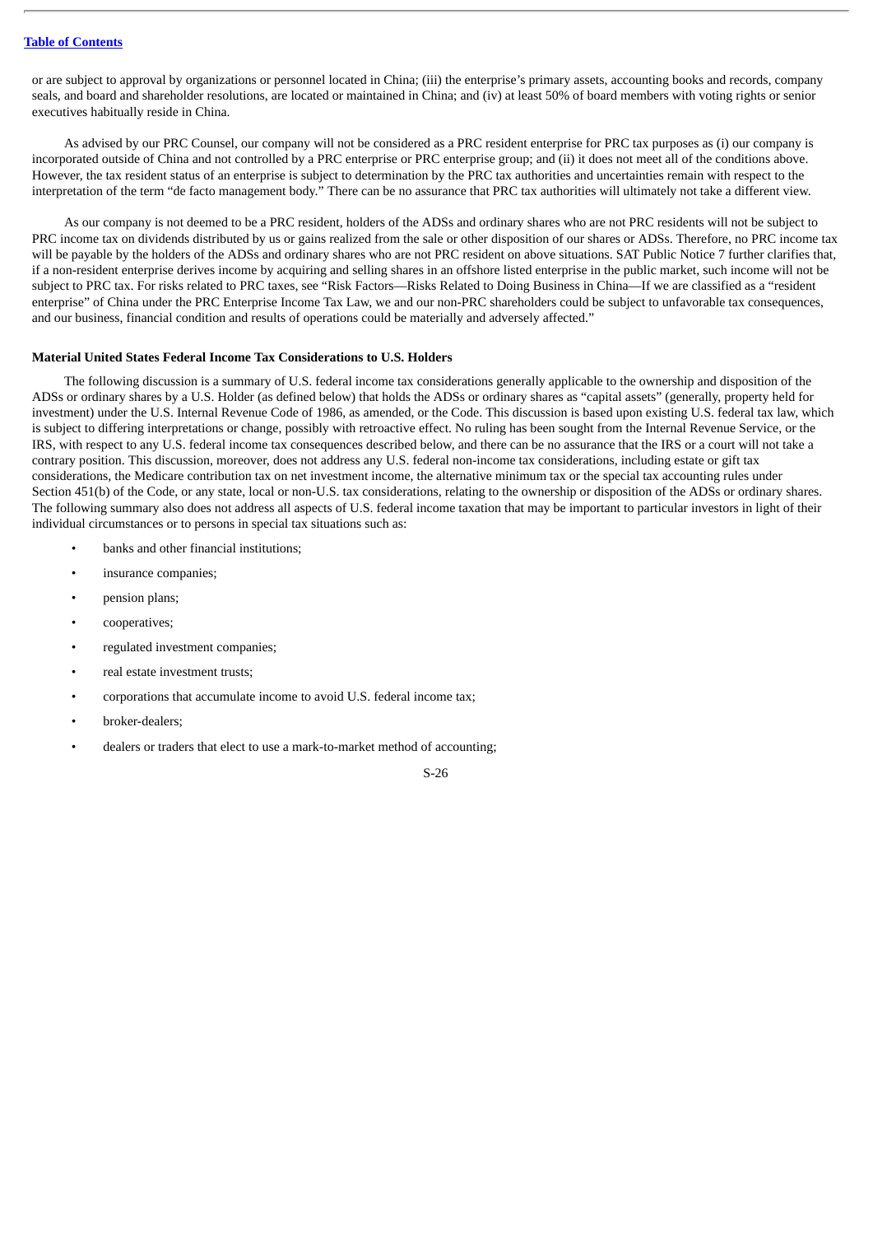or are subject to approval by organizations or personnel located in China; (iii) the enterprise's primary assets, accounting books and records, company seals, and board and shareholder resolutions, are located or maintained in China; and (iv) at least 50% of board members with voting rights or senior executives habitually reside in China.

As advised by our PRC Counsel, our company will not be considered as a PRC resident enterprise for PRC tax purposes as (i) our company is incorporated outside of China and not controlled by a PRC enterprise or PRC enterprise group; and (ii) it does not meet all of the conditions above. However, the tax resident status of an enterprise is subject to determination by the PRC tax authorities and uncertainties remain with respect to the interpretation of the term "de facto management body." There can be no assurance that PRC tax authorities will ultimately not take a different view.

As our company is not deemed to be a PRC resident, holders of the ADSs and ordinary shares who are not PRC residents will not be subject to PRC income tax on dividends distributed by us or gains realized from the sale or other disposition of our shares or ADSs. Therefore, no PRC income tax will be payable by the holders of the ADSs and ordinary shares who are not PRC resident on above situations. SAT Public Notice 7 further clarifies that, if a non-resident enterprise derives income by acquiring and selling shares in an offshore listed enterprise in the public market, such income will not be subject to PRC tax. For risks related to PRC taxes, see "Risk Factors—Risks Related to Doing Business in China—If we are classified as a "resident enterprise" of China under the PRC Enterprise Income Tax Law, we and our non-PRC shareholders could be subject to unfavorable tax consequences, and our business, financial condition and results of operations could be materially and adversely affected."

#### **Material United States Federal Income Tax Considerations to U.S. Holders**

The following discussion is a summary of U.S. federal income tax considerations generally applicable to the ownership and disposition of the ADSs or ordinary shares by a U.S. Holder (as defined below) that holds the ADSs or ordinary shares as "capital assets" (generally, property held for investment) under the U.S. Internal Revenue Code of 1986, as amended, or the Code. This discussion is based upon existing U.S. federal tax law, which is subject to differing interpretations or change, possibly with retroactive effect. No ruling has been sought from the Internal Revenue Service, or the IRS, with respect to any U.S. federal income tax consequences described below, and there can be no assurance that the IRS or a court will not take a contrary position. This discussion, moreover, does not address any U.S. federal non-income tax considerations, including estate or gift tax considerations, the Medicare contribution tax on net investment income, the alternative minimum tax or the special tax accounting rules under Section 451(b) of the Code, or any state, local or non-U.S. tax considerations, relating to the ownership or disposition of the ADSs or ordinary shares. The following summary also does not address all aspects of U.S. federal income taxation that may be important to particular investors in light of their individual circumstances or to persons in special tax situations such as:

- banks and other financial institutions;
- insurance companies;
- pension plans;
- cooperatives;
- regulated investment companies;
- real estate investment trusts;
- corporations that accumulate income to avoid U.S. federal income tax;
- broker-dealers;
- dealers or traders that elect to use a mark-to-market method of accounting;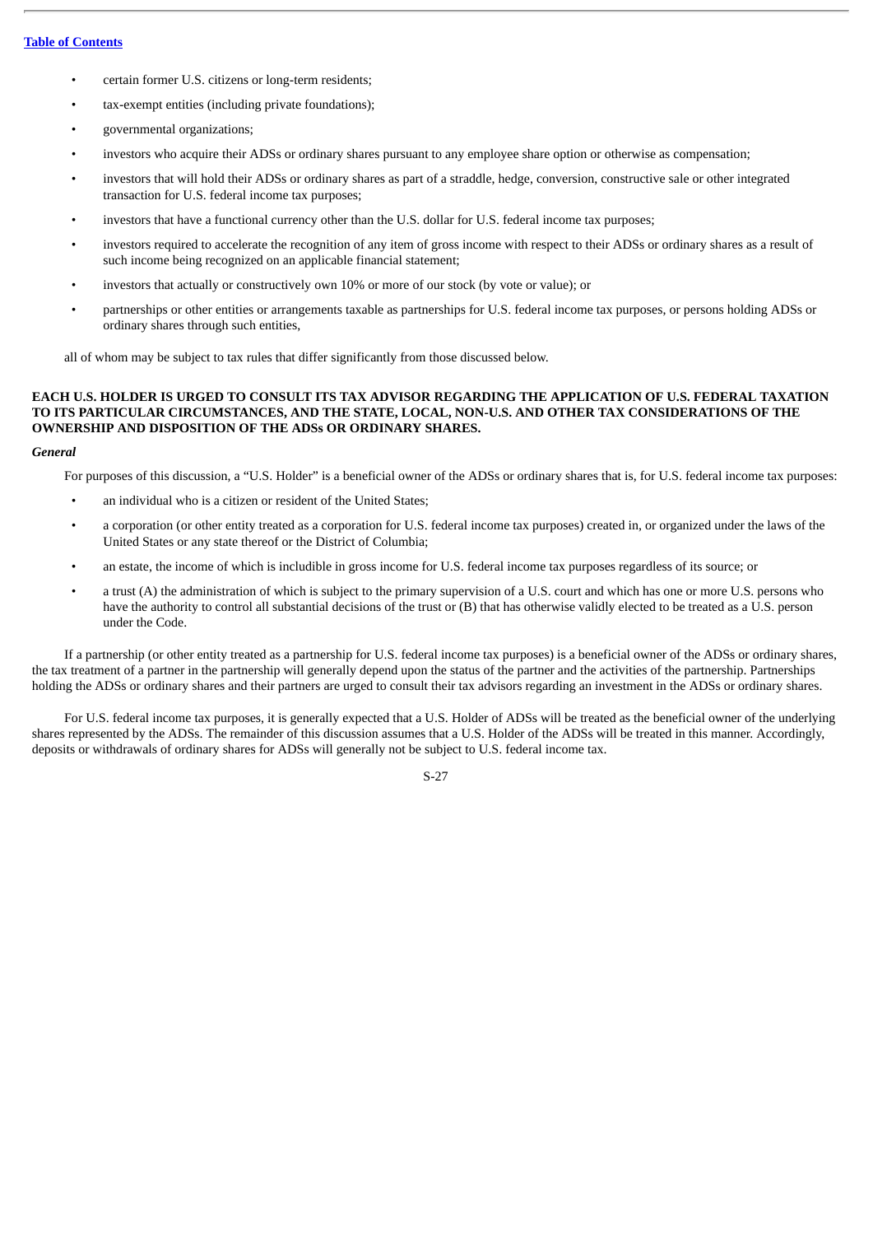- certain former U.S. citizens or long-term residents;
- tax-exempt entities (including private foundations);
- governmental organizations;
- investors who acquire their ADSs or ordinary shares pursuant to any employee share option or otherwise as compensation;
- investors that will hold their ADSs or ordinary shares as part of a straddle, hedge, conversion, constructive sale or other integrated transaction for U.S. federal income tax purposes;
- investors that have a functional currency other than the U.S. dollar for U.S. federal income tax purposes;
- investors required to accelerate the recognition of any item of gross income with respect to their ADSs or ordinary shares as a result of such income being recognized on an applicable financial statement;
- investors that actually or constructively own 10% or more of our stock (by vote or value); or
- partnerships or other entities or arrangements taxable as partnerships for U.S. federal income tax purposes, or persons holding ADSs or ordinary shares through such entities,

all of whom may be subject to tax rules that differ significantly from those discussed below.

# **EACH U.S. HOLDER IS URGED TO CONSULT ITS TAX ADVISOR REGARDING THE APPLICATION OF U.S. FEDERAL TAXATION TO ITS PARTICULAR CIRCUMSTANCES, AND THE STATE, LOCAL, NON-U.S. AND OTHER TAX CONSIDERATIONS OF THE OWNERSHIP AND DISPOSITION OF THE ADSs OR ORDINARY SHARES.**

#### *General*

For purposes of this discussion, a "U.S. Holder" is a beneficial owner of the ADSs or ordinary shares that is, for U.S. federal income tax purposes:

- an individual who is a citizen or resident of the United States;
- a corporation (or other entity treated as a corporation for U.S. federal income tax purposes) created in, or organized under the laws of the United States or any state thereof or the District of Columbia;
- an estate, the income of which is includible in gross income for U.S. federal income tax purposes regardless of its source; or
- a trust (A) the administration of which is subject to the primary supervision of a U.S. court and which has one or more U.S. persons who have the authority to control all substantial decisions of the trust or (B) that has otherwise validly elected to be treated as a U.S. person under the Code.

If a partnership (or other entity treated as a partnership for U.S. federal income tax purposes) is a beneficial owner of the ADSs or ordinary shares, the tax treatment of a partner in the partnership will generally depend upon the status of the partner and the activities of the partnership. Partnerships holding the ADSs or ordinary shares and their partners are urged to consult their tax advisors regarding an investment in the ADSs or ordinary shares.

For U.S. federal income tax purposes, it is generally expected that a U.S. Holder of ADSs will be treated as the beneficial owner of the underlying shares represented by the ADSs. The remainder of this discussion assumes that a U.S. Holder of the ADSs will be treated in this manner. Accordingly, deposits or withdrawals of ordinary shares for ADSs will generally not be subject to U.S. federal income tax.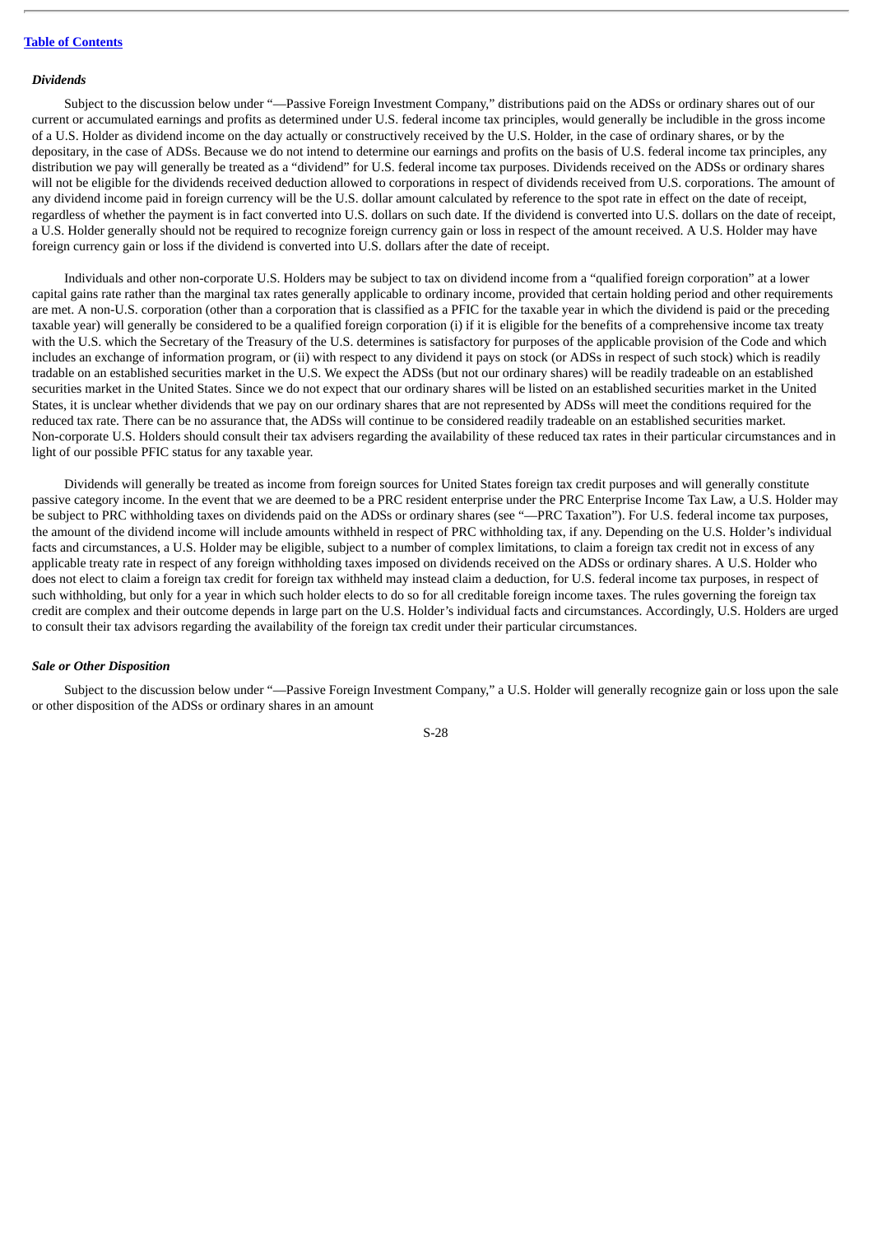#### **Table of [Contents](#page-4-0)**

#### *Dividends*

Subject to the discussion below under "—Passive Foreign Investment Company," distributions paid on the ADSs or ordinary shares out of our current or accumulated earnings and profits as determined under U.S. federal income tax principles, would generally be includible in the gross income of a U.S. Holder as dividend income on the day actually or constructively received by the U.S. Holder, in the case of ordinary shares, or by the depositary, in the case of ADSs. Because we do not intend to determine our earnings and profits on the basis of U.S. federal income tax principles, any distribution we pay will generally be treated as a "dividend" for U.S. federal income tax purposes. Dividends received on the ADSs or ordinary shares will not be eligible for the dividends received deduction allowed to corporations in respect of dividends received from U.S. corporations. The amount of any dividend income paid in foreign currency will be the U.S. dollar amount calculated by reference to the spot rate in effect on the date of receipt, regardless of whether the payment is in fact converted into U.S. dollars on such date. If the dividend is converted into U.S. dollars on the date of receipt, a U.S. Holder generally should not be required to recognize foreign currency gain or loss in respect of the amount received. A U.S. Holder may have foreign currency gain or loss if the dividend is converted into U.S. dollars after the date of receipt.

Individuals and other non-corporate U.S. Holders may be subject to tax on dividend income from a "qualified foreign corporation" at a lower capital gains rate rather than the marginal tax rates generally applicable to ordinary income, provided that certain holding period and other requirements are met. A non-U.S. corporation (other than a corporation that is classified as a PFIC for the taxable year in which the dividend is paid or the preceding taxable year) will generally be considered to be a qualified foreign corporation (i) if it is eligible for the benefits of a comprehensive income tax treaty with the U.S. which the Secretary of the Treasury of the U.S. determines is satisfactory for purposes of the applicable provision of the Code and which includes an exchange of information program, or (ii) with respect to any dividend it pays on stock (or ADSs in respect of such stock) which is readily tradable on an established securities market in the U.S. We expect the ADSs (but not our ordinary shares) will be readily tradeable on an established securities market in the United States. Since we do not expect that our ordinary shares will be listed on an established securities market in the United States, it is unclear whether dividends that we pay on our ordinary shares that are not represented by ADSs will meet the conditions required for the reduced tax rate. There can be no assurance that, the ADSs will continue to be considered readily tradeable on an established securities market. Non-corporate U.S. Holders should consult their tax advisers regarding the availability of these reduced tax rates in their particular circumstances and in light of our possible PFIC status for any taxable year.

Dividends will generally be treated as income from foreign sources for United States foreign tax credit purposes and will generally constitute passive category income. In the event that we are deemed to be a PRC resident enterprise under the PRC Enterprise Income Tax Law, a U.S. Holder may be subject to PRC withholding taxes on dividends paid on the ADSs or ordinary shares (see "—PRC Taxation"). For U.S. federal income tax purposes, the amount of the dividend income will include amounts withheld in respect of PRC withholding tax, if any. Depending on the U.S. Holder's individual facts and circumstances, a U.S. Holder may be eligible, subject to a number of complex limitations, to claim a foreign tax credit not in excess of any applicable treaty rate in respect of any foreign withholding taxes imposed on dividends received on the ADSs or ordinary shares. A U.S. Holder who does not elect to claim a foreign tax credit for foreign tax withheld may instead claim a deduction, for U.S. federal income tax purposes, in respect of such withholding, but only for a year in which such holder elects to do so for all creditable foreign income taxes. The rules governing the foreign tax credit are complex and their outcome depends in large part on the U.S. Holder's individual facts and circumstances. Accordingly, U.S. Holders are urged to consult their tax advisors regarding the availability of the foreign tax credit under their particular circumstances.

### *Sale or Other Disposition*

Subject to the discussion below under "—Passive Foreign Investment Company," a U.S. Holder will generally recognize gain or loss upon the sale or other disposition of the ADSs or ordinary shares in an amount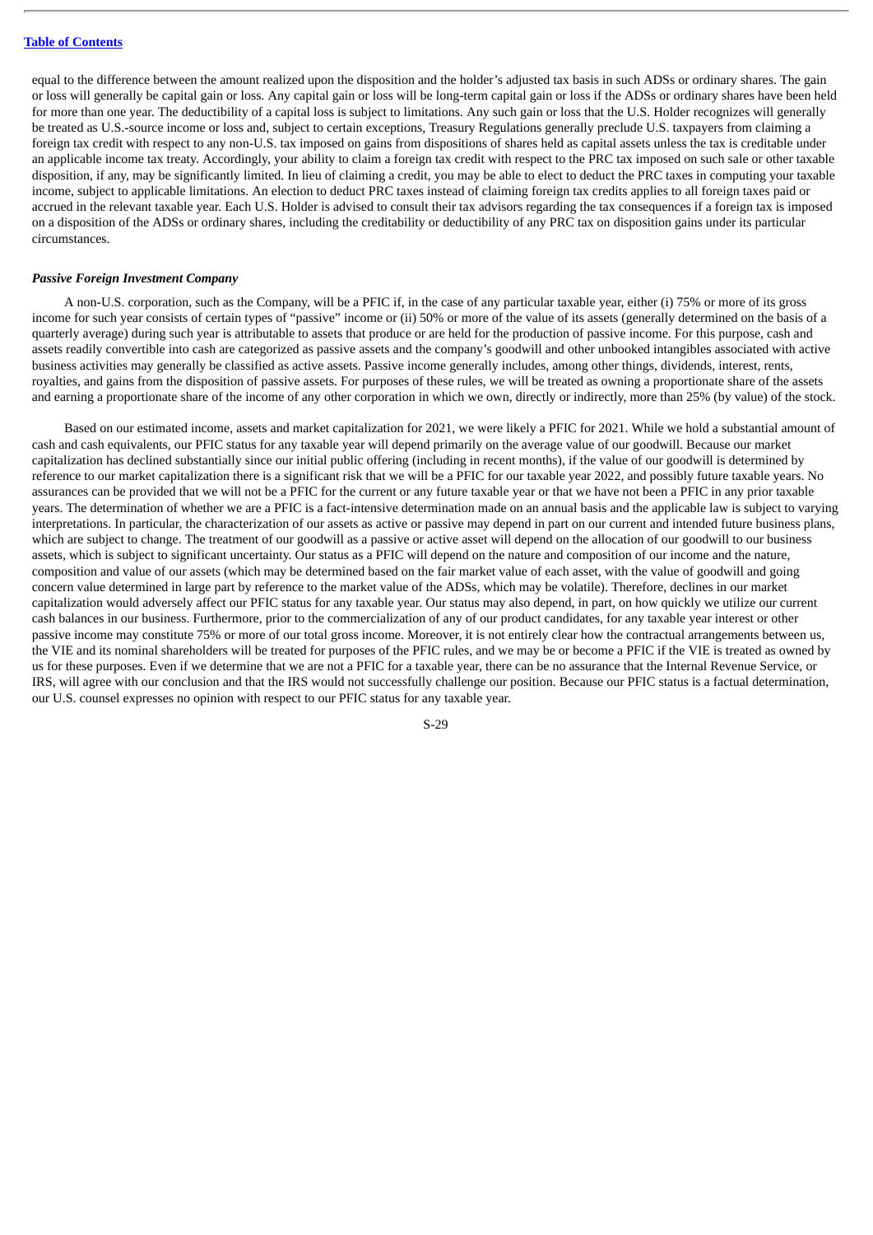equal to the difference between the amount realized upon the disposition and the holder's adjusted tax basis in such ADSs or ordinary shares. The gain or loss will generally be capital gain or loss. Any capital gain or loss will be long-term capital gain or loss if the ADSs or ordinary shares have been held for more than one year. The deductibility of a capital loss is subject to limitations. Any such gain or loss that the U.S. Holder recognizes will generally be treated as U.S.-source income or loss and, subject to certain exceptions, Treasury Regulations generally preclude U.S. taxpayers from claiming a foreign tax credit with respect to any non-U.S. tax imposed on gains from dispositions of shares held as capital assets unless the tax is creditable under an applicable income tax treaty. Accordingly, your ability to claim a foreign tax credit with respect to the PRC tax imposed on such sale or other taxable disposition, if any, may be significantly limited. In lieu of claiming a credit, you may be able to elect to deduct the PRC taxes in computing your taxable income, subject to applicable limitations. An election to deduct PRC taxes instead of claiming foreign tax credits applies to all foreign taxes paid or accrued in the relevant taxable year. Each U.S. Holder is advised to consult their tax advisors regarding the tax consequences if a foreign tax is imposed on a disposition of the ADSs or ordinary shares, including the creditability or deductibility of any PRC tax on disposition gains under its particular circumstances.

#### *Passive Foreign Investment Company*

A non-U.S. corporation, such as the Company, will be a PFIC if, in the case of any particular taxable year, either (i) 75% or more of its gross income for such year consists of certain types of "passive" income or (ii) 50% or more of the value of its assets (generally determined on the basis of a quarterly average) during such year is attributable to assets that produce or are held for the production of passive income. For this purpose, cash and assets readily convertible into cash are categorized as passive assets and the company's goodwill and other unbooked intangibles associated with active business activities may generally be classified as active assets. Passive income generally includes, among other things, dividends, interest, rents, royalties, and gains from the disposition of passive assets. For purposes of these rules, we will be treated as owning a proportionate share of the assets and earning a proportionate share of the income of any other corporation in which we own, directly or indirectly, more than 25% (by value) of the stock.

Based on our estimated income, assets and market capitalization for 2021, we were likely a PFIC for 2021. While we hold a substantial amount of cash and cash equivalents, our PFIC status for any taxable year will depend primarily on the average value of our goodwill. Because our market capitalization has declined substantially since our initial public offering (including in recent months), if the value of our goodwill is determined by reference to our market capitalization there is a significant risk that we will be a PFIC for our taxable year 2022, and possibly future taxable years. No assurances can be provided that we will not be a PFIC for the current or any future taxable year or that we have not been a PFIC in any prior taxable years. The determination of whether we are a PFIC is a fact-intensive determination made on an annual basis and the applicable law is subject to varying interpretations. In particular, the characterization of our assets as active or passive may depend in part on our current and intended future business plans, which are subject to change. The treatment of our goodwill as a passive or active asset will depend on the allocation of our goodwill to our business assets, which is subject to significant uncertainty. Our status as a PFIC will depend on the nature and composition of our income and the nature, composition and value of our assets (which may be determined based on the fair market value of each asset, with the value of goodwill and going concern value determined in large part by reference to the market value of the ADSs, which may be volatile). Therefore, declines in our market capitalization would adversely affect our PFIC status for any taxable year. Our status may also depend, in part, on how quickly we utilize our current cash balances in our business. Furthermore, prior to the commercialization of any of our product candidates, for any taxable year interest or other passive income may constitute 75% or more of our total gross income. Moreover, it is not entirely clear how the contractual arrangements between us, the VIE and its nominal shareholders will be treated for purposes of the PFIC rules, and we may be or become a PFIC if the VIE is treated as owned by us for these purposes. Even if we determine that we are not a PFIC for a taxable year, there can be no assurance that the Internal Revenue Service, or IRS, will agree with our conclusion and that the IRS would not successfully challenge our position. Because our PFIC status is a factual determination, our U.S. counsel expresses no opinion with respect to our PFIC status for any taxable year.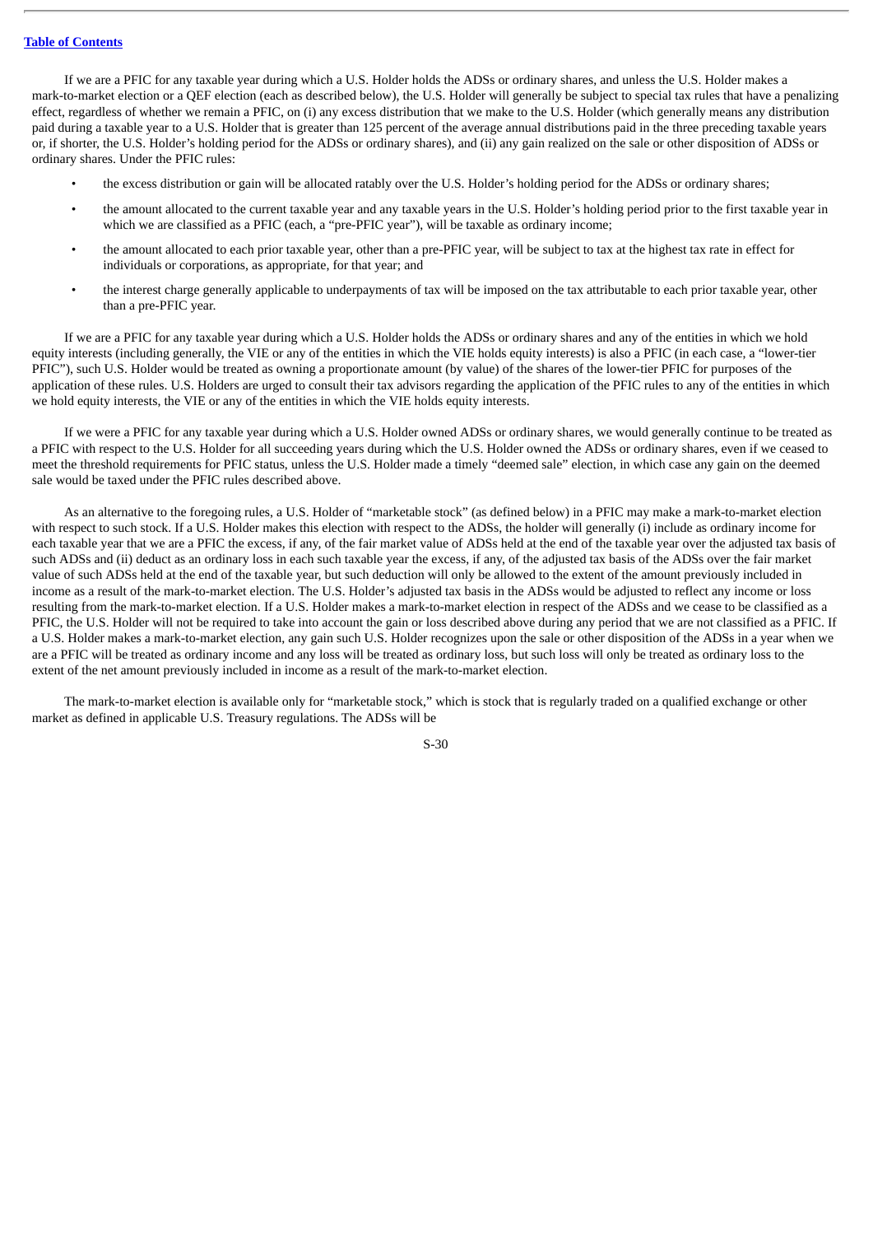### **Table of [Contents](#page-4-0)**

If we are a PFIC for any taxable year during which a U.S. Holder holds the ADSs or ordinary shares, and unless the U.S. Holder makes a mark-to-market election or a QEF election (each as described below), the U.S. Holder will generally be subject to special tax rules that have a penalizing effect, regardless of whether we remain a PFIC, on (i) any excess distribution that we make to the U.S. Holder (which generally means any distribution paid during a taxable year to a U.S. Holder that is greater than 125 percent of the average annual distributions paid in the three preceding taxable years or, if shorter, the U.S. Holder's holding period for the ADSs or ordinary shares), and (ii) any gain realized on the sale or other disposition of ADSs or ordinary shares. Under the PFIC rules:

- the excess distribution or gain will be allocated ratably over the U.S. Holder's holding period for the ADSs or ordinary shares;
- the amount allocated to the current taxable year and any taxable years in the U.S. Holder's holding period prior to the first taxable year in which we are classified as a PFIC (each, a "pre-PFIC year"), will be taxable as ordinary income;
- the amount allocated to each prior taxable year, other than a pre-PFIC year, will be subject to tax at the highest tax rate in effect for individuals or corporations, as appropriate, for that year; and
- the interest charge generally applicable to underpayments of tax will be imposed on the tax attributable to each prior taxable year, other than a pre-PFIC year.

If we are a PFIC for any taxable year during which a U.S. Holder holds the ADSs or ordinary shares and any of the entities in which we hold equity interests (including generally, the VIE or any of the entities in which the VIE holds equity interests) is also a PFIC (in each case, a "lower-tier PFIC"), such U.S. Holder would be treated as owning a proportionate amount (by value) of the shares of the lower-tier PFIC for purposes of the application of these rules. U.S. Holders are urged to consult their tax advisors regarding the application of the PFIC rules to any of the entities in which we hold equity interests, the VIE or any of the entities in which the VIE holds equity interests.

If we were a PFIC for any taxable year during which a U.S. Holder owned ADSs or ordinary shares, we would generally continue to be treated as a PFIC with respect to the U.S. Holder for all succeeding years during which the U.S. Holder owned the ADSs or ordinary shares, even if we ceased to meet the threshold requirements for PFIC status, unless the U.S. Holder made a timely "deemed sale" election, in which case any gain on the deemed sale would be taxed under the PFIC rules described above.

As an alternative to the foregoing rules, a U.S. Holder of "marketable stock" (as defined below) in a PFIC may make a mark-to-market election with respect to such stock. If a U.S. Holder makes this election with respect to the ADSs, the holder will generally (i) include as ordinary income for each taxable year that we are a PFIC the excess, if any, of the fair market value of ADSs held at the end of the taxable year over the adjusted tax basis of such ADSs and (ii) deduct as an ordinary loss in each such taxable year the excess, if any, of the adjusted tax basis of the ADSs over the fair market value of such ADSs held at the end of the taxable year, but such deduction will only be allowed to the extent of the amount previously included in income as a result of the mark-to-market election. The U.S. Holder's adjusted tax basis in the ADSs would be adjusted to reflect any income or loss resulting from the mark-to-market election. If a U.S. Holder makes a mark-to-market election in respect of the ADSs and we cease to be classified as a PFIC, the U.S. Holder will not be required to take into account the gain or loss described above during any period that we are not classified as a PFIC. If a U.S. Holder makes a mark-to-market election, any gain such U.S. Holder recognizes upon the sale or other disposition of the ADSs in a year when we are a PFIC will be treated as ordinary income and any loss will be treated as ordinary loss, but such loss will only be treated as ordinary loss to the extent of the net amount previously included in income as a result of the mark-to-market election.

The mark-to-market election is available only for "marketable stock," which is stock that is regularly traded on a qualified exchange or other market as defined in applicable U.S. Treasury regulations. The ADSs will be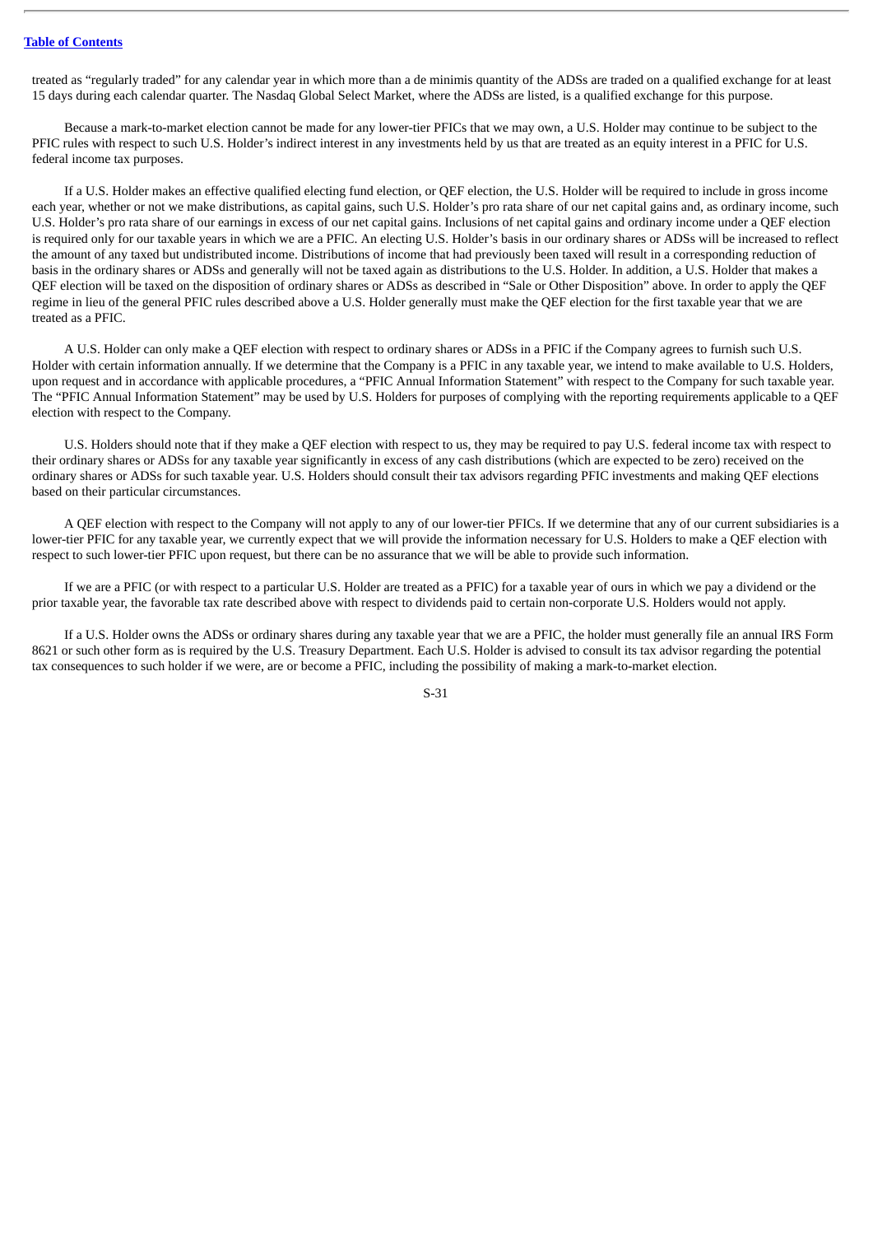### **Table of [Contents](#page-4-0)**

treated as "regularly traded" for any calendar year in which more than a de minimis quantity of the ADSs are traded on a qualified exchange for at least 15 days during each calendar quarter. The Nasdaq Global Select Market, where the ADSs are listed, is a qualified exchange for this purpose.

Because a mark-to-market election cannot be made for any lower-tier PFICs that we may own, a U.S. Holder may continue to be subject to the PFIC rules with respect to such U.S. Holder's indirect interest in any investments held by us that are treated as an equity interest in a PFIC for U.S. federal income tax purposes.

If a U.S. Holder makes an effective qualified electing fund election, or QEF election, the U.S. Holder will be required to include in gross income each year, whether or not we make distributions, as capital gains, such U.S. Holder's pro rata share of our net capital gains and, as ordinary income, such U.S. Holder's pro rata share of our earnings in excess of our net capital gains. Inclusions of net capital gains and ordinary income under a QEF election is required only for our taxable years in which we are a PFIC. An electing U.S. Holder's basis in our ordinary shares or ADSs will be increased to reflect the amount of any taxed but undistributed income. Distributions of income that had previously been taxed will result in a corresponding reduction of basis in the ordinary shares or ADSs and generally will not be taxed again as distributions to the U.S. Holder. In addition, a U.S. Holder that makes a QEF election will be taxed on the disposition of ordinary shares or ADSs as described in "Sale or Other Disposition" above. In order to apply the QEF regime in lieu of the general PFIC rules described above a U.S. Holder generally must make the QEF election for the first taxable year that we are treated as a PFIC.

A U.S. Holder can only make a QEF election with respect to ordinary shares or ADSs in a PFIC if the Company agrees to furnish such U.S. Holder with certain information annually. If we determine that the Company is a PFIC in any taxable year, we intend to make available to U.S. Holders, upon request and in accordance with applicable procedures, a "PFIC Annual Information Statement" with respect to the Company for such taxable year. The "PFIC Annual Information Statement" may be used by U.S. Holders for purposes of complying with the reporting requirements applicable to a QEF election with respect to the Company.

U.S. Holders should note that if they make a QEF election with respect to us, they may be required to pay U.S. federal income tax with respect to their ordinary shares or ADSs for any taxable year significantly in excess of any cash distributions (which are expected to be zero) received on the ordinary shares or ADSs for such taxable year. U.S. Holders should consult their tax advisors regarding PFIC investments and making QEF elections based on their particular circumstances.

A QEF election with respect to the Company will not apply to any of our lower-tier PFICs. If we determine that any of our current subsidiaries is a lower-tier PFIC for any taxable year, we currently expect that we will provide the information necessary for U.S. Holders to make a QEF election with respect to such lower-tier PFIC upon request, but there can be no assurance that we will be able to provide such information.

If we are a PFIC (or with respect to a particular U.S. Holder are treated as a PFIC) for a taxable year of ours in which we pay a dividend or the prior taxable year, the favorable tax rate described above with respect to dividends paid to certain non-corporate U.S. Holders would not apply.

If a U.S. Holder owns the ADSs or ordinary shares during any taxable year that we are a PFIC, the holder must generally file an annual IRS Form 8621 or such other form as is required by the U.S. Treasury Department. Each U.S. Holder is advised to consult its tax advisor regarding the potential tax consequences to such holder if we were, are or become a PFIC, including the possibility of making a mark-to-market election.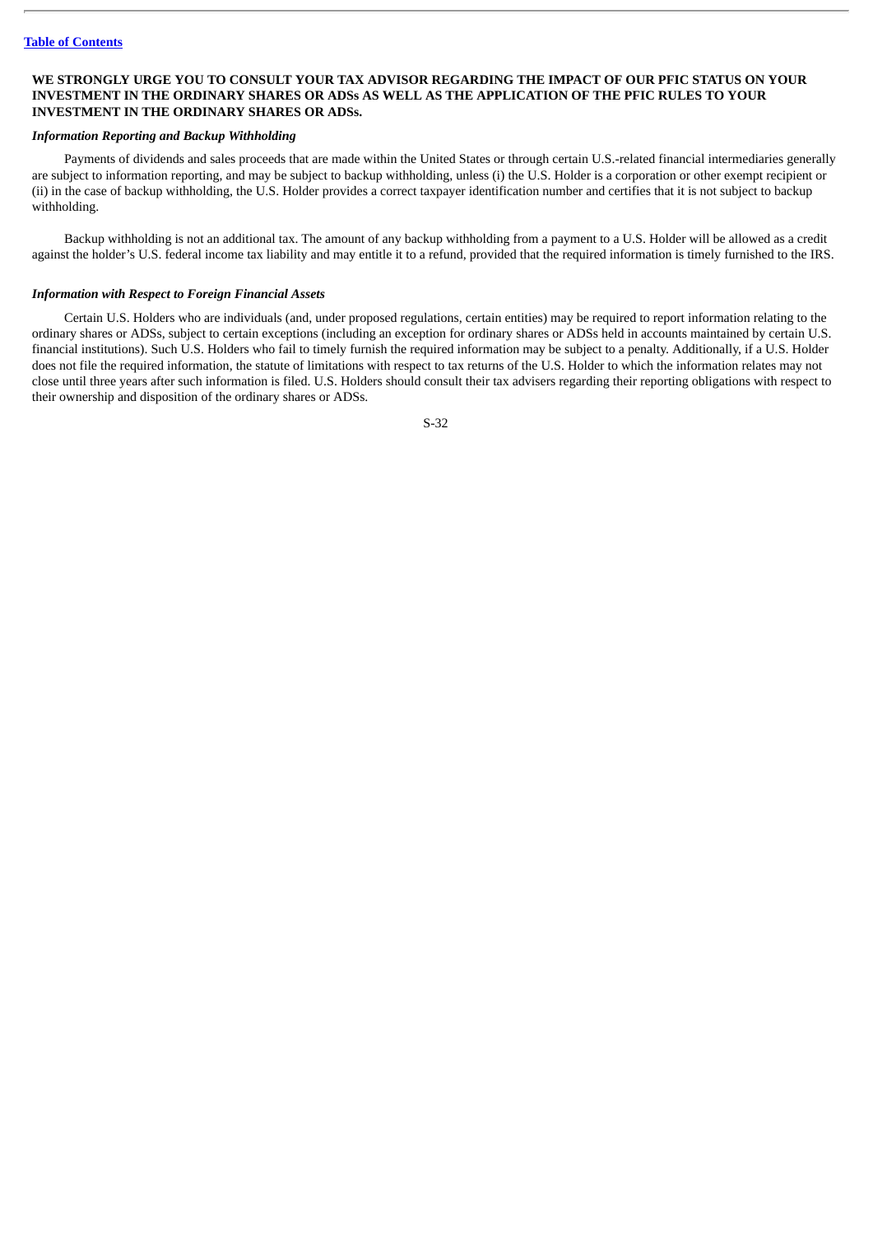### **WE STRONGLY URGE YOU TO CONSULT YOUR TAX ADVISOR REGARDING THE IMPACT OF OUR PFIC STATUS ON YOUR INVESTMENT IN THE ORDINARY SHARES OR ADSs AS WELL AS THE APPLICATION OF THE PFIC RULES TO YOUR INVESTMENT IN THE ORDINARY SHARES OR ADSs.**

# *Information Reporting and Backup Withholding*

Payments of dividends and sales proceeds that are made within the United States or through certain U.S.-related financial intermediaries generally are subject to information reporting, and may be subject to backup withholding, unless (i) the U.S. Holder is a corporation or other exempt recipient or (ii) in the case of backup withholding, the U.S. Holder provides a correct taxpayer identification number and certifies that it is not subject to backup withholding.

Backup withholding is not an additional tax. The amount of any backup withholding from a payment to a U.S. Holder will be allowed as a credit against the holder's U.S. federal income tax liability and may entitle it to a refund, provided that the required information is timely furnished to the IRS.

#### *Information with Respect to Foreign Financial Assets*

Certain U.S. Holders who are individuals (and, under proposed regulations, certain entities) may be required to report information relating to the ordinary shares or ADSs, subject to certain exceptions (including an exception for ordinary shares or ADSs held in accounts maintained by certain U.S. financial institutions). Such U.S. Holders who fail to timely furnish the required information may be subject to a penalty. Additionally, if a U.S. Holder does not file the required information, the statute of limitations with respect to tax returns of the U.S. Holder to which the information relates may not close until three years after such information is filed. U.S. Holders should consult their tax advisers regarding their reporting obligations with respect to their ownership and disposition of the ordinary shares or ADSs.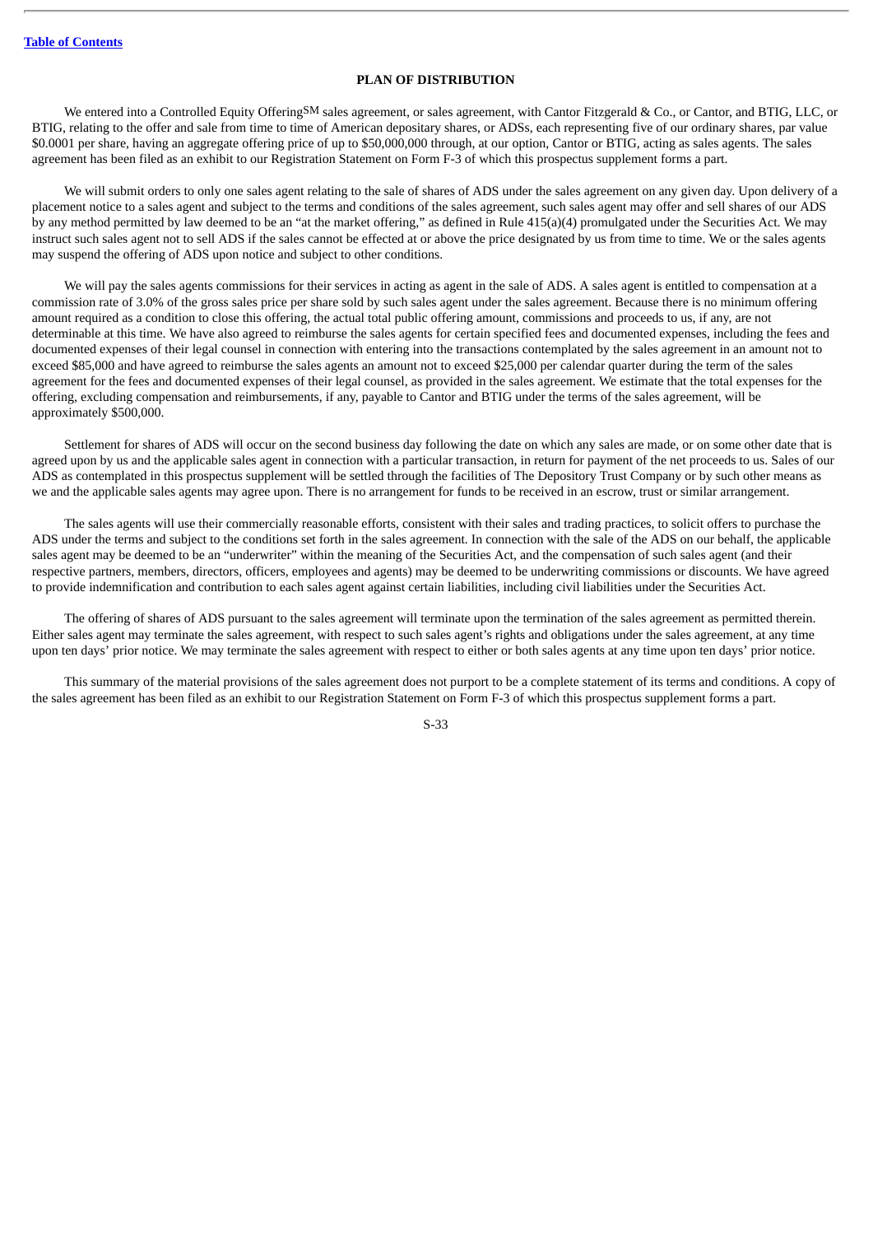### **PLAN OF DISTRIBUTION**

We entered into a Controlled Equity OfferingSM sales agreement, or sales agreement, with Cantor Fitzgerald & Co., or Cantor, and BTIG, LLC, or BTIG, relating to the offer and sale from time to time of American depositary shares, or ADSs, each representing five of our ordinary shares, par value \$0.0001 per share, having an aggregate offering price of up to \$50,000,000 through, at our option, Cantor or BTIG, acting as sales agents. The sales agreement has been filed as an exhibit to our Registration Statement on Form F-3 of which this prospectus supplement forms a part.

We will submit orders to only one sales agent relating to the sale of shares of ADS under the sales agreement on any given day. Upon delivery of a placement notice to a sales agent and subject to the terms and conditions of the sales agreement, such sales agent may offer and sell shares of our ADS by any method permitted by law deemed to be an "at the market offering," as defined in Rule 415(a)(4) promulgated under the Securities Act. We may instruct such sales agent not to sell ADS if the sales cannot be effected at or above the price designated by us from time to time. We or the sales agents may suspend the offering of ADS upon notice and subject to other conditions.

We will pay the sales agents commissions for their services in acting as agent in the sale of ADS. A sales agent is entitled to compensation at a commission rate of 3.0% of the gross sales price per share sold by such sales agent under the sales agreement. Because there is no minimum offering amount required as a condition to close this offering, the actual total public offering amount, commissions and proceeds to us, if any, are not determinable at this time. We have also agreed to reimburse the sales agents for certain specified fees and documented expenses, including the fees and documented expenses of their legal counsel in connection with entering into the transactions contemplated by the sales agreement in an amount not to exceed \$85,000 and have agreed to reimburse the sales agents an amount not to exceed \$25,000 per calendar quarter during the term of the sales agreement for the fees and documented expenses of their legal counsel, as provided in the sales agreement. We estimate that the total expenses for the offering, excluding compensation and reimbursements, if any, payable to Cantor and BTIG under the terms of the sales agreement, will be approximately \$500,000.

Settlement for shares of ADS will occur on the second business day following the date on which any sales are made, or on some other date that is agreed upon by us and the applicable sales agent in connection with a particular transaction, in return for payment of the net proceeds to us. Sales of our ADS as contemplated in this prospectus supplement will be settled through the facilities of The Depository Trust Company or by such other means as we and the applicable sales agents may agree upon. There is no arrangement for funds to be received in an escrow, trust or similar arrangement.

The sales agents will use their commercially reasonable efforts, consistent with their sales and trading practices, to solicit offers to purchase the ADS under the terms and subject to the conditions set forth in the sales agreement. In connection with the sale of the ADS on our behalf, the applicable sales agent may be deemed to be an "underwriter" within the meaning of the Securities Act, and the compensation of such sales agent (and their respective partners, members, directors, officers, employees and agents) may be deemed to be underwriting commissions or discounts. We have agreed to provide indemnification and contribution to each sales agent against certain liabilities, including civil liabilities under the Securities Act.

The offering of shares of ADS pursuant to the sales agreement will terminate upon the termination of the sales agreement as permitted therein. Either sales agent may terminate the sales agreement, with respect to such sales agent's rights and obligations under the sales agreement, at any time upon ten days' prior notice. We may terminate the sales agreement with respect to either or both sales agents at any time upon ten days' prior notice.

This summary of the material provisions of the sales agreement does not purport to be a complete statement of its terms and conditions. A copy of the sales agreement has been filed as an exhibit to our Registration Statement on Form F-3 of which this prospectus supplement forms a part.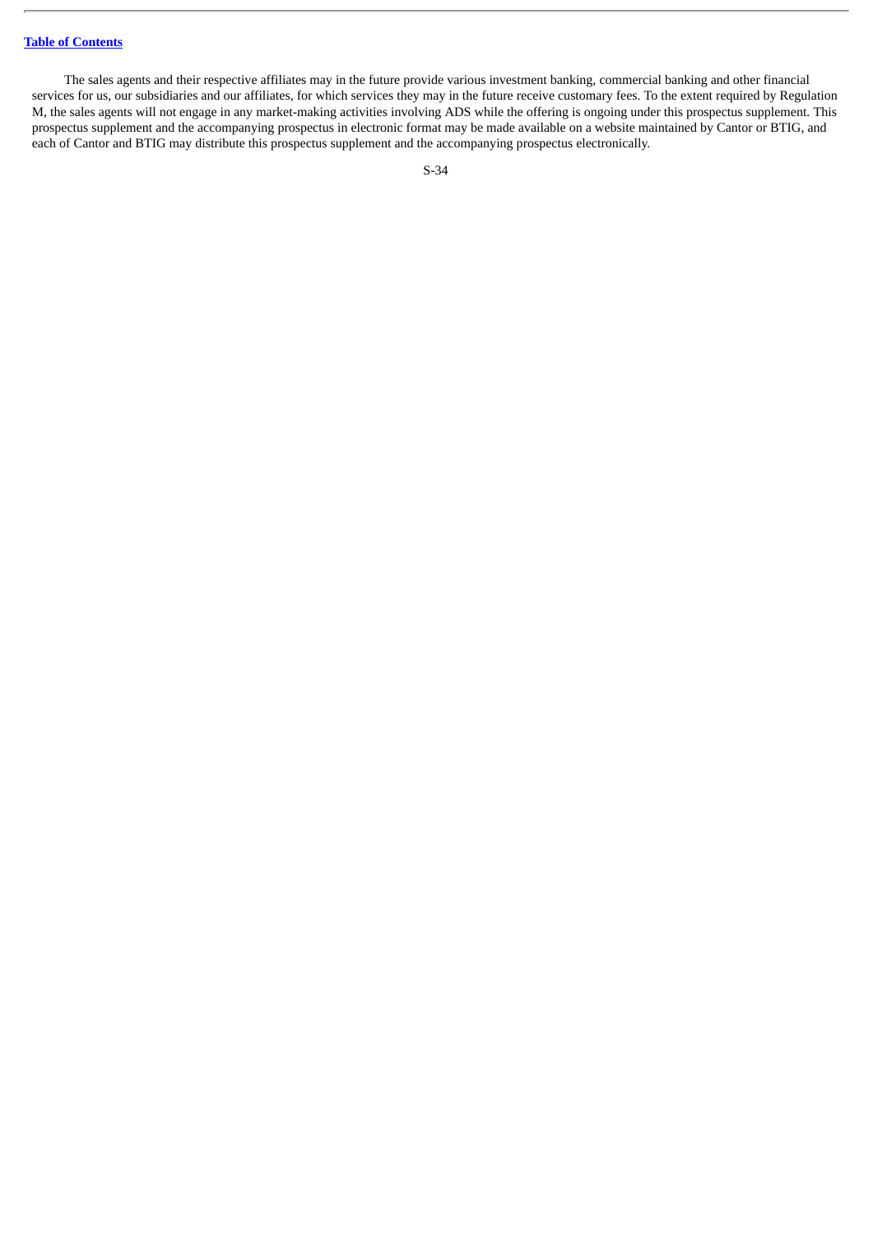### **Table of [Contents](#page-4-0)**

The sales agents and their respective affiliates may in the future provide various investment banking, commercial banking and other financial services for us, our subsidiaries and our affiliates, for which services they may in the future receive customary fees. To the extent required by Regulation M, the sales agents will not engage in any market-making activities involving ADS while the offering is ongoing under this prospectus supplement. This prospectus supplement and the accompanying prospectus in electronic format may be made available on a website maintained by Cantor or BTIG, and each of Cantor and BTIG may distribute this prospectus supplement and the accompanying prospectus electronically.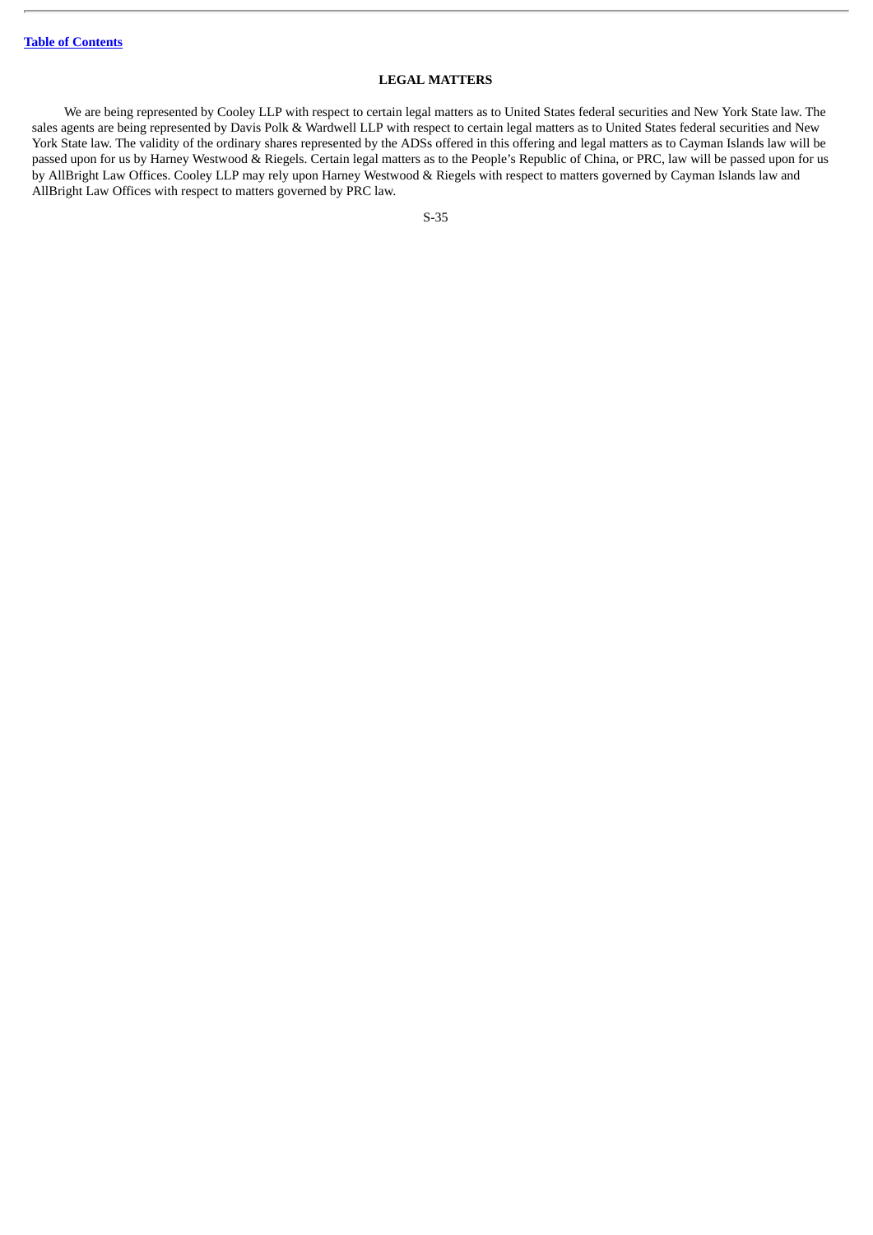# **LEGAL MATTERS**

We are being represented by Cooley LLP with respect to certain legal matters as to United States federal securities and New York State law. The sales agents are being represented by Davis Polk & Wardwell LLP with respect to certain legal matters as to United States federal securities and New York State law. The validity of the ordinary shares represented by the ADSs offered in this offering and legal matters as to Cayman Islands law will be passed upon for us by Harney Westwood & Riegels. Certain legal matters as to the People's Republic of China, or PRC, law will be passed upon for us by AllBright Law Offices. Cooley LLP may rely upon Harney Westwood & Riegels with respect to matters governed by Cayman Islands law and AllBright Law Offices with respect to matters governed by PRC law.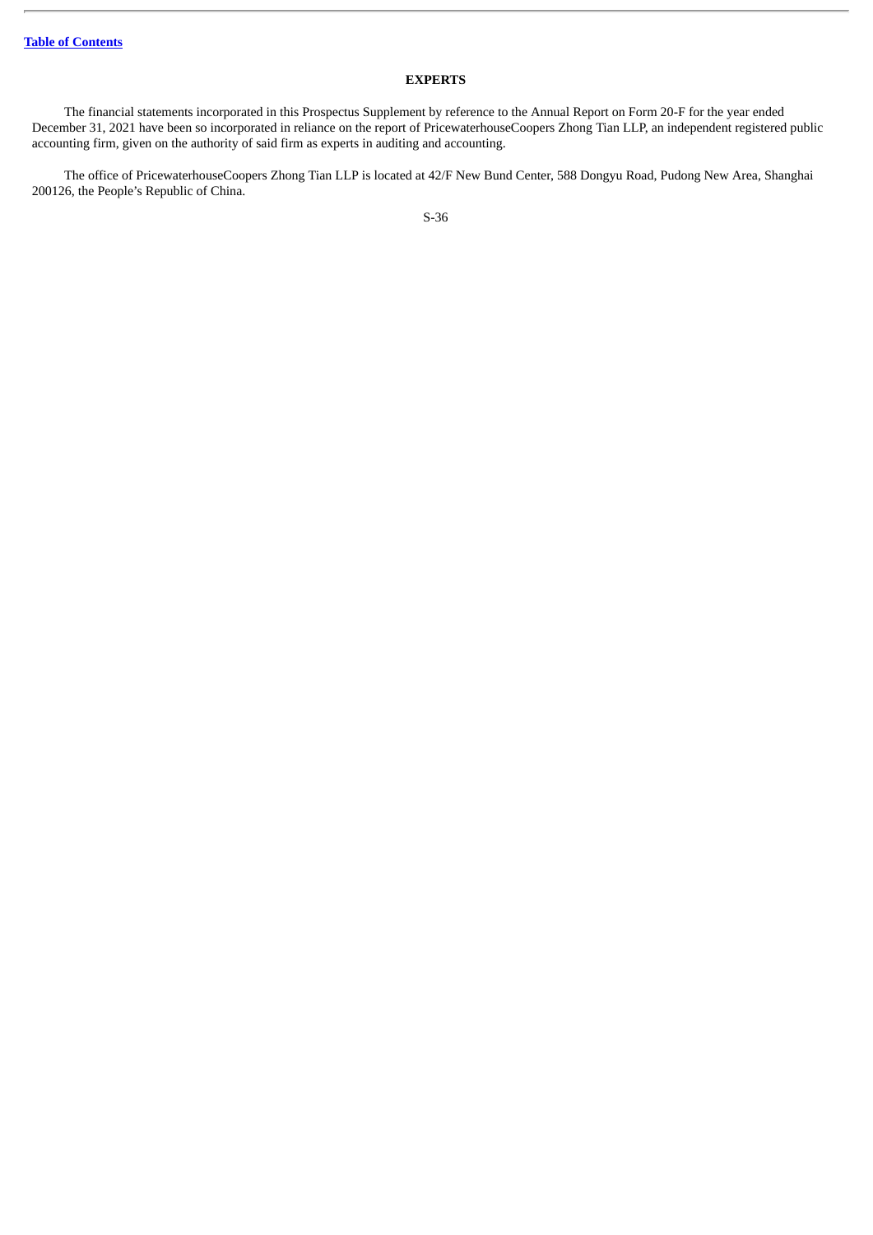# **EXPERTS**

The financial statements incorporated in this Prospectus Supplement by reference to the Annual Report on Form 20-F for the year ended December 31, 2021 have been so incorporated in reliance on the report of PricewaterhouseCoopers Zhong Tian LLP, an independent registered public accounting firm, given on the authority of said firm as experts in auditing and accounting.

The office of PricewaterhouseCoopers Zhong Tian LLP is located at 42/F New Bund Center, 588 Dongyu Road, Pudong New Area, Shanghai 200126, the People's Republic of China.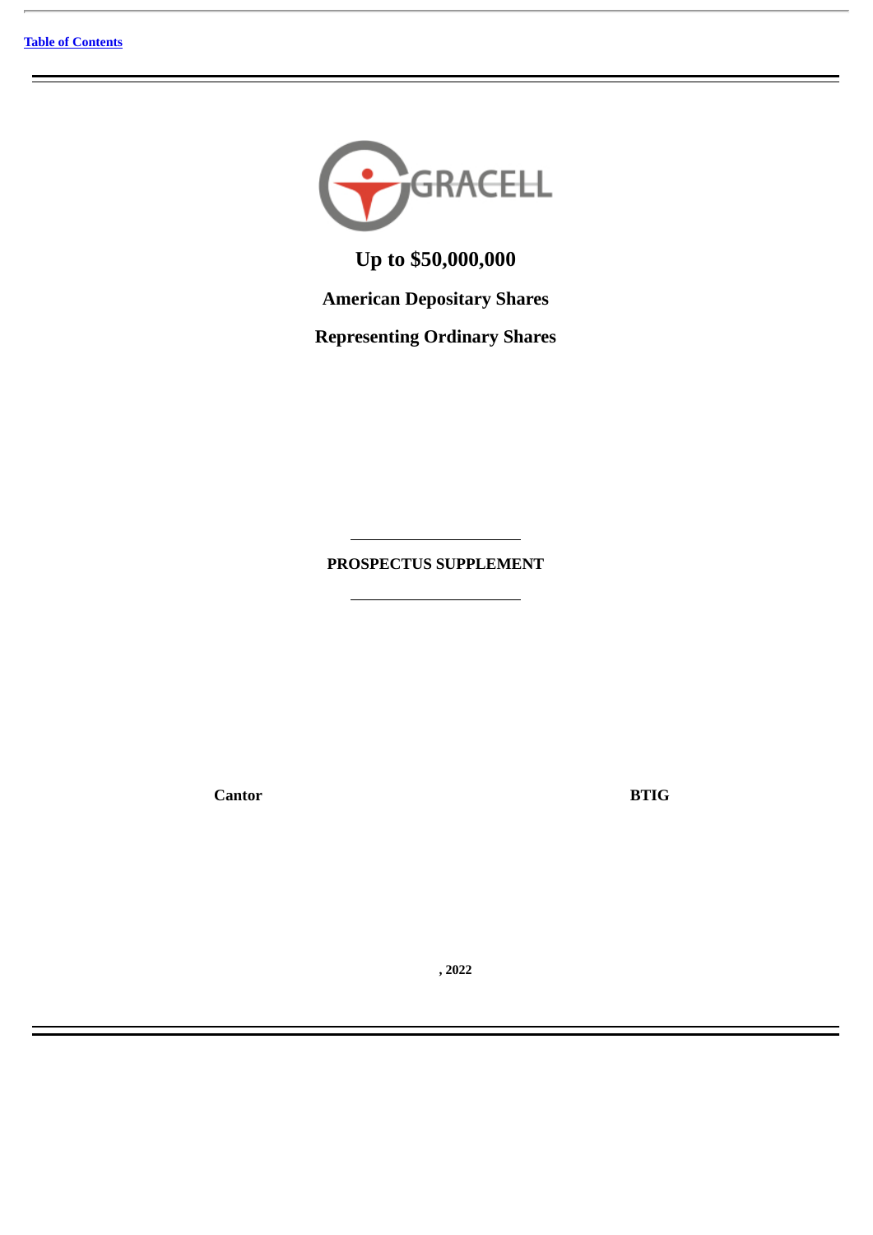

**Up to \$50,000,000**

**American Depositary Shares**

**Representing Ordinary Shares**

**PROSPECTUS SUPPLEMENT**

**Cantor BTIG**

**, 2022**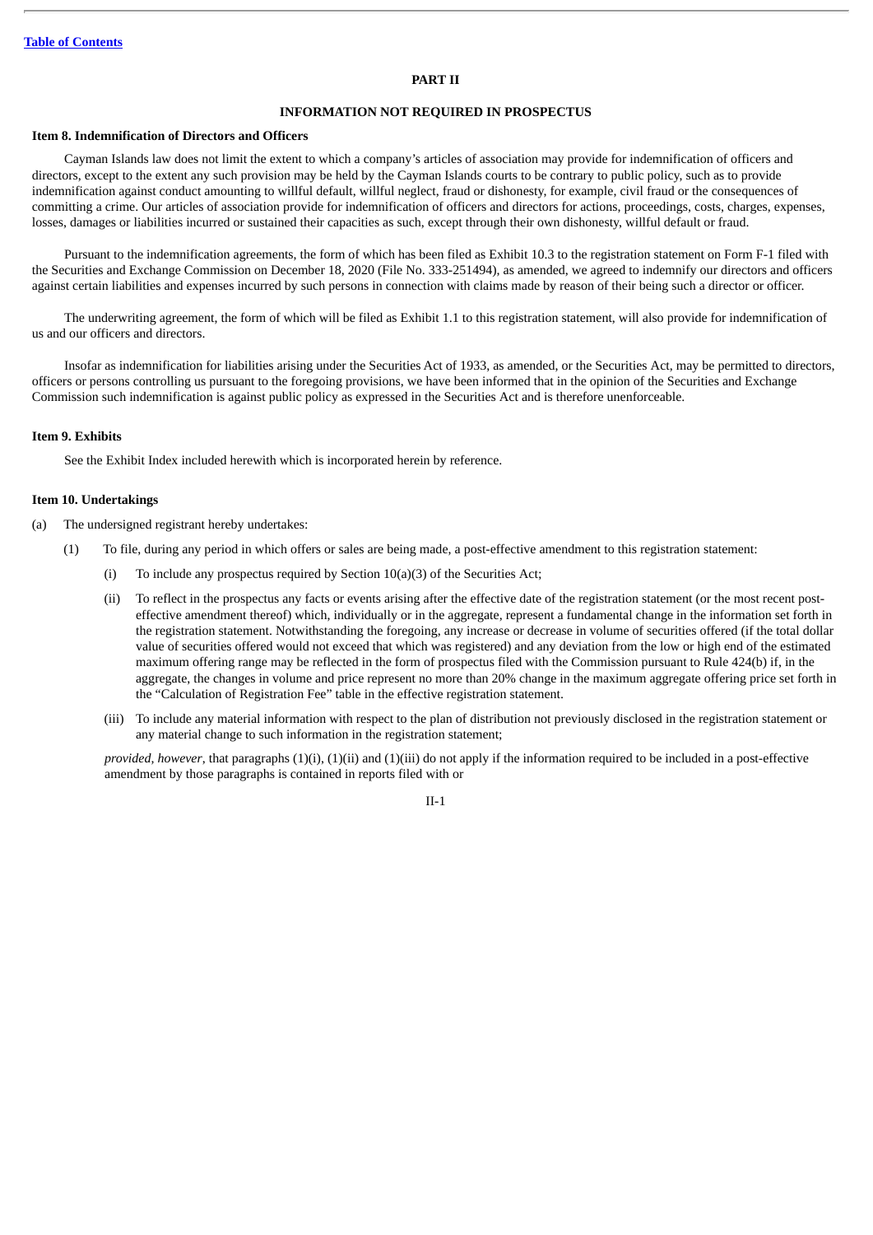#### **PART II**

### **INFORMATION NOT REQUIRED IN PROSPECTUS**

### **Item 8. Indemnification of Directors and Officers**

Cayman Islands law does not limit the extent to which a company's articles of association may provide for indemnification of officers and directors, except to the extent any such provision may be held by the Cayman Islands courts to be contrary to public policy, such as to provide indemnification against conduct amounting to willful default, willful neglect, fraud or dishonesty, for example, civil fraud or the consequences of committing a crime. Our articles of association provide for indemnification of officers and directors for actions, proceedings, costs, charges, expenses, losses, damages or liabilities incurred or sustained their capacities as such, except through their own dishonesty, willful default or fraud.

Pursuant to the indemnification agreements, the form of which has been filed as Exhibit 10.3 to the registration statement on Form F-1 filed with the Securities and Exchange Commission on December 18, 2020 (File No. 333-251494), as amended, we agreed to indemnify our directors and officers against certain liabilities and expenses incurred by such persons in connection with claims made by reason of their being such a director or officer.

The underwriting agreement, the form of which will be filed as Exhibit 1.1 to this registration statement, will also provide for indemnification of us and our officers and directors.

Insofar as indemnification for liabilities arising under the Securities Act of 1933, as amended, or the Securities Act, may be permitted to directors, officers or persons controlling us pursuant to the foregoing provisions, we have been informed that in the opinion of the Securities and Exchange Commission such indemnification is against public policy as expressed in the Securities Act and is therefore unenforceable.

#### **Item 9. Exhibits**

See the Exhibit Index included herewith which is incorporated herein by reference.

#### **Item 10. Undertakings**

(a) The undersigned registrant hereby undertakes:

- (1) To file, during any period in which offers or sales are being made, a post-effective amendment to this registration statement:
	- (i) To include any prospectus required by Section 10(a)(3) of the Securities Act;
	- (ii) To reflect in the prospectus any facts or events arising after the effective date of the registration statement (or the most recent posteffective amendment thereof) which, individually or in the aggregate, represent a fundamental change in the information set forth in the registration statement. Notwithstanding the foregoing, any increase or decrease in volume of securities offered (if the total dollar value of securities offered would not exceed that which was registered) and any deviation from the low or high end of the estimated maximum offering range may be reflected in the form of prospectus filed with the Commission pursuant to Rule 424(b) if, in the aggregate, the changes in volume and price represent no more than 20% change in the maximum aggregate offering price set forth in the "Calculation of Registration Fee" table in the effective registration statement.
	- (iii) To include any material information with respect to the plan of distribution not previously disclosed in the registration statement or any material change to such information in the registration statement;

*provided, however*, that paragraphs (1)(i), (1)(ii) and (1)(iii) do not apply if the information required to be included in a post-effective amendment by those paragraphs is contained in reports filed with or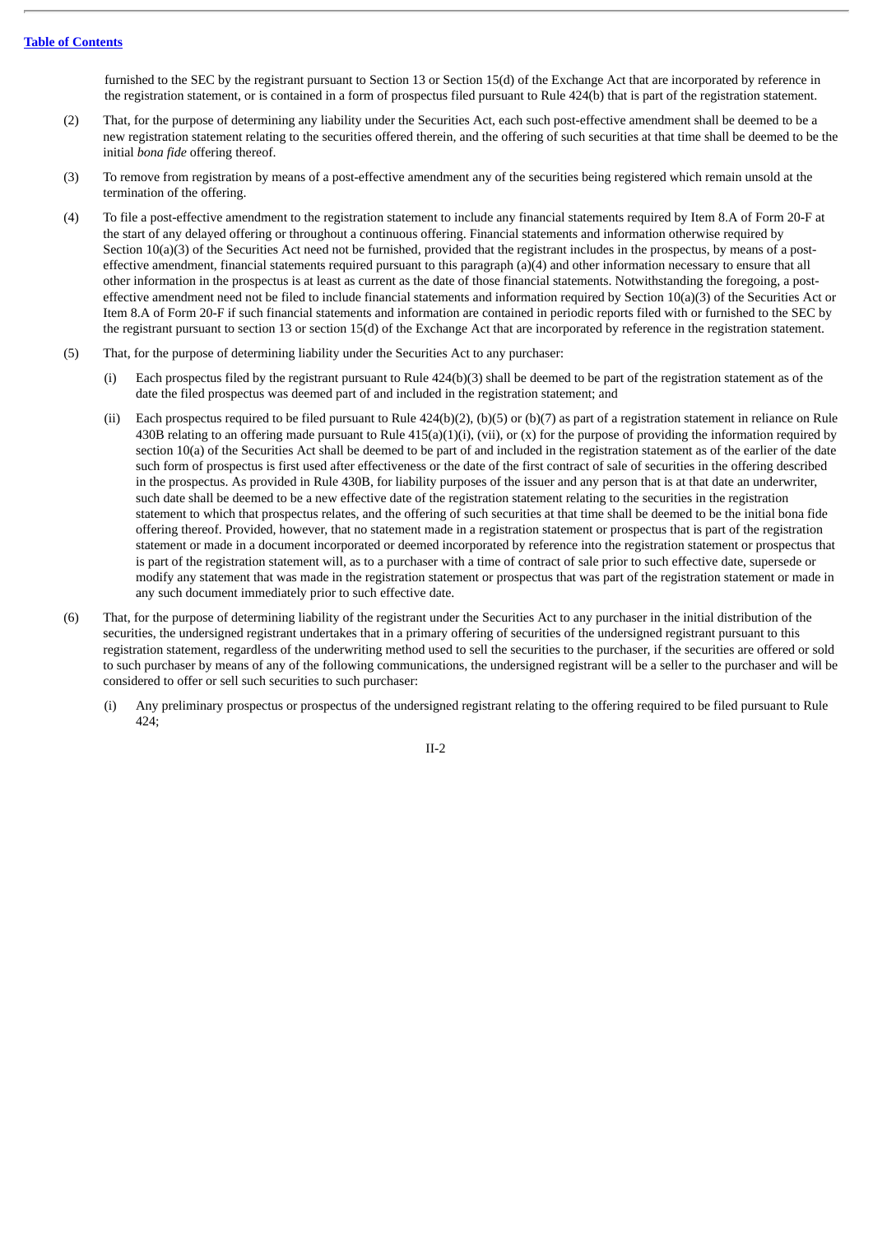furnished to the SEC by the registrant pursuant to Section 13 or Section 15(d) of the Exchange Act that are incorporated by reference in the registration statement, or is contained in a form of prospectus filed pursuant to Rule 424(b) that is part of the registration statement.

- (2) That, for the purpose of determining any liability under the Securities Act, each such post-effective amendment shall be deemed to be a new registration statement relating to the securities offered therein, and the offering of such securities at that time shall be deemed to be the initial *bona fide* offering thereof.
- (3) To remove from registration by means of a post-effective amendment any of the securities being registered which remain unsold at the termination of the offering.
- (4) To file a post-effective amendment to the registration statement to include any financial statements required by Item 8.A of Form 20-F at the start of any delayed offering or throughout a continuous offering. Financial statements and information otherwise required by Section 10(a)(3) of the Securities Act need not be furnished, provided that the registrant includes in the prospectus, by means of a posteffective amendment, financial statements required pursuant to this paragraph (a)(4) and other information necessary to ensure that all other information in the prospectus is at least as current as the date of those financial statements. Notwithstanding the foregoing, a posteffective amendment need not be filed to include financial statements and information required by Section 10(a)(3) of the Securities Act or Item 8.A of Form 20-F if such financial statements and information are contained in periodic reports filed with or furnished to the SEC by the registrant pursuant to section 13 or section 15(d) of the Exchange Act that are incorporated by reference in the registration statement.
- (5) That, for the purpose of determining liability under the Securities Act to any purchaser:
	- (i) Each prospectus filed by the registrant pursuant to Rule 424(b)(3) shall be deemed to be part of the registration statement as of the date the filed prospectus was deemed part of and included in the registration statement; and
	- (ii) Each prospectus required to be filed pursuant to Rule  $424(b)(2)$ , (b)(5) or (b)(7) as part of a registration statement in reliance on Rule 430B relating to an offering made pursuant to Rule  $415(a)(1)(i)$ , (vii), or (x) for the purpose of providing the information required by section 10(a) of the Securities Act shall be deemed to be part of and included in the registration statement as of the earlier of the date such form of prospectus is first used after effectiveness or the date of the first contract of sale of securities in the offering described in the prospectus. As provided in Rule 430B, for liability purposes of the issuer and any person that is at that date an underwriter, such date shall be deemed to be a new effective date of the registration statement relating to the securities in the registration statement to which that prospectus relates, and the offering of such securities at that time shall be deemed to be the initial bona fide offering thereof. Provided, however, that no statement made in a registration statement or prospectus that is part of the registration statement or made in a document incorporated or deemed incorporated by reference into the registration statement or prospectus that is part of the registration statement will, as to a purchaser with a time of contract of sale prior to such effective date, supersede or modify any statement that was made in the registration statement or prospectus that was part of the registration statement or made in any such document immediately prior to such effective date.
- (6) That, for the purpose of determining liability of the registrant under the Securities Act to any purchaser in the initial distribution of the securities, the undersigned registrant undertakes that in a primary offering of securities of the undersigned registrant pursuant to this registration statement, regardless of the underwriting method used to sell the securities to the purchaser, if the securities are offered or sold to such purchaser by means of any of the following communications, the undersigned registrant will be a seller to the purchaser and will be considered to offer or sell such securities to such purchaser:
	- (i) Any preliminary prospectus or prospectus of the undersigned registrant relating to the offering required to be filed pursuant to Rule  $424$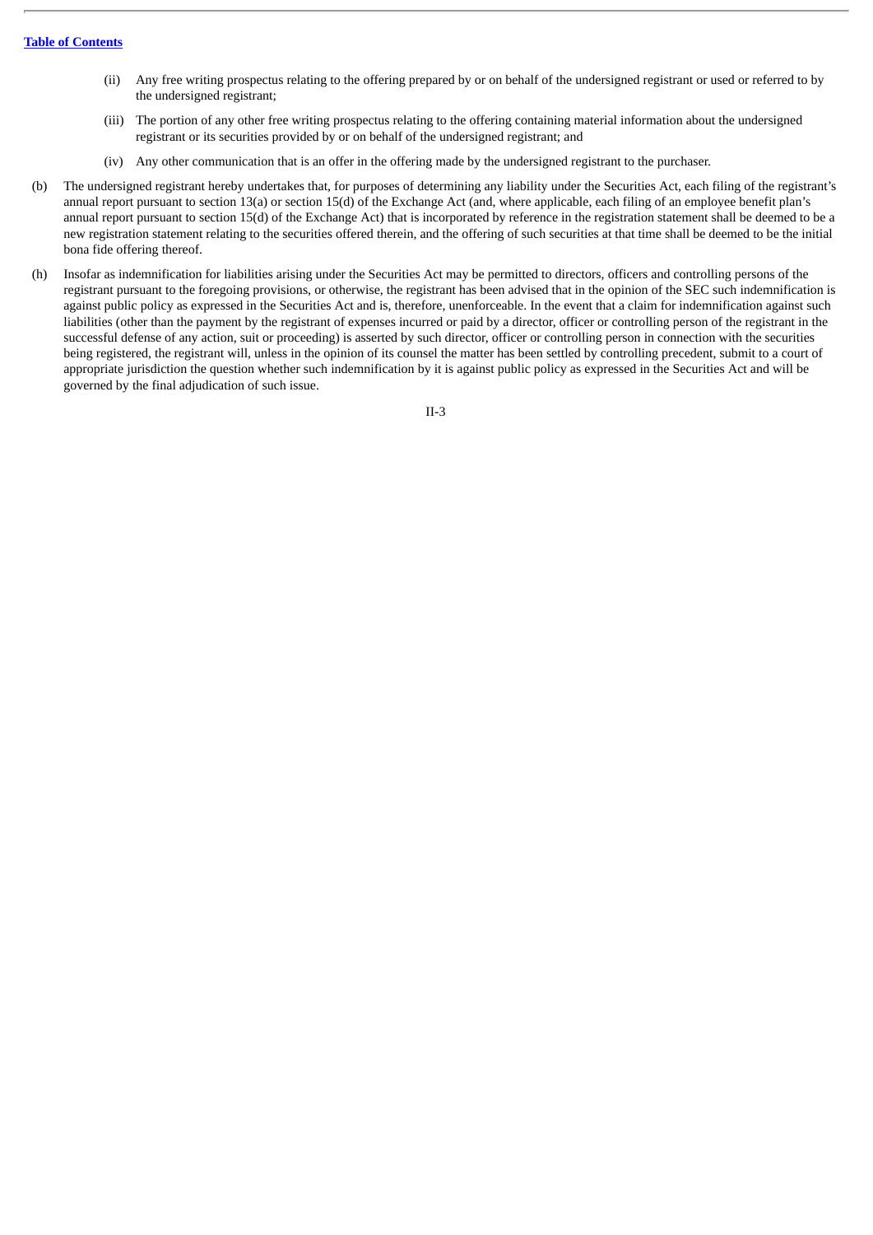- (ii) Any free writing prospectus relating to the offering prepared by or on behalf of the undersigned registrant or used or referred to by the undersigned registrant;
- (iii) The portion of any other free writing prospectus relating to the offering containing material information about the undersigned registrant or its securities provided by or on behalf of the undersigned registrant; and
- (iv) Any other communication that is an offer in the offering made by the undersigned registrant to the purchaser.
- (b) The undersigned registrant hereby undertakes that, for purposes of determining any liability under the Securities Act, each filing of the registrant's annual report pursuant to section 13(a) or section 15(d) of the Exchange Act (and, where applicable, each filing of an employee benefit plan's annual report pursuant to section 15(d) of the Exchange Act) that is incorporated by reference in the registration statement shall be deemed to be a new registration statement relating to the securities offered therein, and the offering of such securities at that time shall be deemed to be the initial bona fide offering thereof.
- (h) Insofar as indemnification for liabilities arising under the Securities Act may be permitted to directors, officers and controlling persons of the registrant pursuant to the foregoing provisions, or otherwise, the registrant has been advised that in the opinion of the SEC such indemnification is against public policy as expressed in the Securities Act and is, therefore, unenforceable. In the event that a claim for indemnification against such liabilities (other than the payment by the registrant of expenses incurred or paid by a director, officer or controlling person of the registrant in the successful defense of any action, suit or proceeding) is asserted by such director, officer or controlling person in connection with the securities being registered, the registrant will, unless in the opinion of its counsel the matter has been settled by controlling precedent, submit to a court of appropriate jurisdiction the question whether such indemnification by it is against public policy as expressed in the Securities Act and will be governed by the final adjudication of such issue.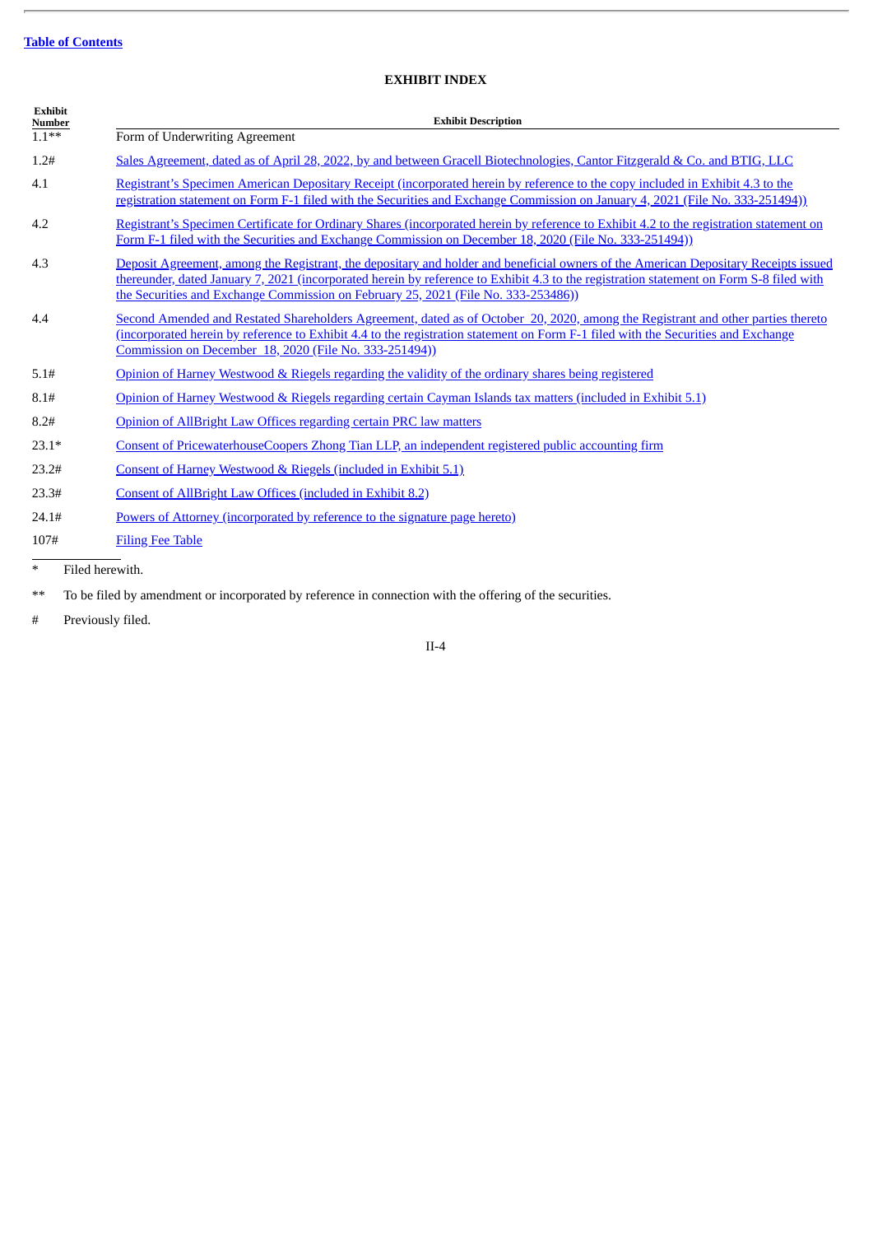# **EXHIBIT INDEX**

| <b>Exhibit</b><br><b>Number</b>        | <b>Exhibit Description</b>                                                                                                                                                                                                                                                                                                                                           |
|----------------------------------------|----------------------------------------------------------------------------------------------------------------------------------------------------------------------------------------------------------------------------------------------------------------------------------------------------------------------------------------------------------------------|
| $1.1***$                               | Form of Underwriting Agreement                                                                                                                                                                                                                                                                                                                                       |
| 1.2#                                   | Sales Agreement, dated as of April 28, 2022, by and between Gracell Biotechnologies, Cantor Fitzgerald & Co. and BTIG, LLC                                                                                                                                                                                                                                           |
| 4.1                                    | Registrant's Specimen American Depositary Receipt (incorporated herein by reference to the copy included in Exhibit 4.3 to the<br>registration statement on Form F-1 filed with the Securities and Exchange Commission on January 4, 2021 (File No. 333-251494))                                                                                                     |
| 4.2                                    | Registrant's Specimen Certificate for Ordinary Shares (incorporated herein by reference to Exhibit 4.2 to the registration statement on<br>Form F-1 filed with the Securities and Exchange Commission on December 18, 2020 (File No. 333-251494))                                                                                                                    |
| 4.3                                    | Deposit Agreement, among the Registrant, the depositary and holder and beneficial owners of the American Depositary Receipts issued<br>thereunder, dated January 7, 2021 (incorporated herein by reference to Exhibit 4.3 to the registration statement on Form S-8 filed with<br>the Securities and Exchange Commission on February 25, 2021 (File No. 333-253486)) |
| 4.4                                    | Second Amended and Restated Shareholders Agreement, dated as of October 20, 2020, among the Registrant and other parties thereto<br>(incorporated herein by reference to Exhibit 4.4 to the registration statement on Form F-1 filed with the Securities and Exchange<br>Commission on December 18, 2020 (File No. 333-251494))                                      |
| 5.1#                                   | Opinion of Harney Westwood & Riegels regarding the validity of the ordinary shares being registered                                                                                                                                                                                                                                                                  |
| 8.1#                                   | Opinion of Harney Westwood & Riegels regarding certain Cayman Islands tax matters (included in Exhibit 5.1)                                                                                                                                                                                                                                                          |
| 8.2#                                   | Opinion of AllBright Law Offices regarding certain PRC law matters                                                                                                                                                                                                                                                                                                   |
| $23.1*$                                | Consent of PricewaterhouseCoopers Zhong Tian LLP, an independent registered public accounting firm                                                                                                                                                                                                                                                                   |
| 23.2#                                  | Consent of Harney Westwood & Riegels (included in Exhibit 5.1)                                                                                                                                                                                                                                                                                                       |
| 23.3#                                  | Consent of AllBright Law Offices (included in Exhibit 8.2)                                                                                                                                                                                                                                                                                                           |
| 24.1#                                  | Powers of Attorney (incorporated by reference to the signature page hereto)                                                                                                                                                                                                                                                                                          |
| 107#                                   | <b>Filing Fee Table</b>                                                                                                                                                                                                                                                                                                                                              |
| $\star$ . The definition of the $\sim$ |                                                                                                                                                                                                                                                                                                                                                                      |

Filed herewith.

\*\* To be filed by amendment or incorporated by reference in connection with the offering of the securities.

# Previously filed.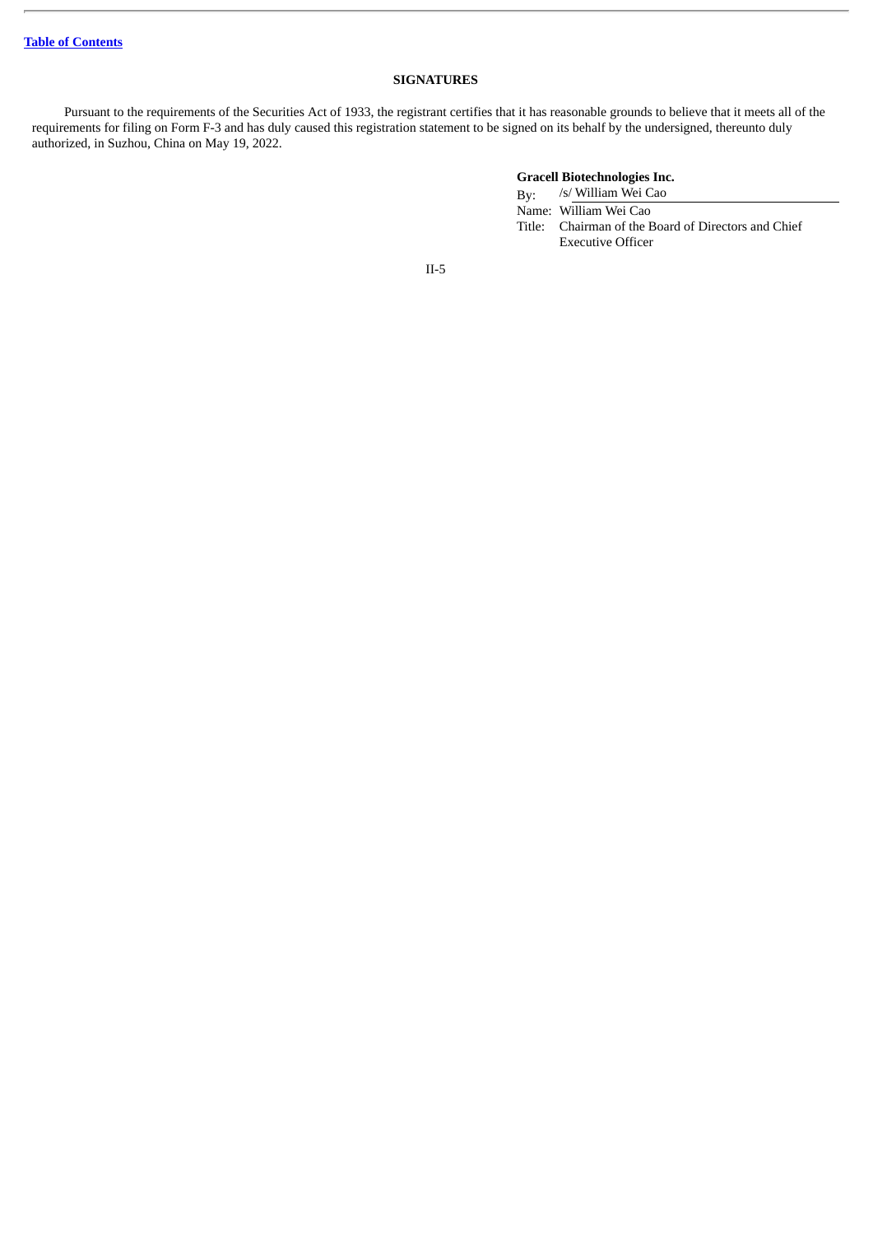# **SIGNATURES**

Pursuant to the requirements of the Securities Act of 1933, the registrant certifies that it has reasonable grounds to believe that it meets all of the requirements for filing on Form F-3 and has duly caused this registration statement to be signed on its behalf by the undersigned, thereunto duly authorized, in Suzhou, China on May 19, 2022.

# **Gracell Biotechnologies Inc.**

By: /s/ William Wei Cao Name: William Wei Cao Title: Chairman of the Board of Directors and Chief Executive Officer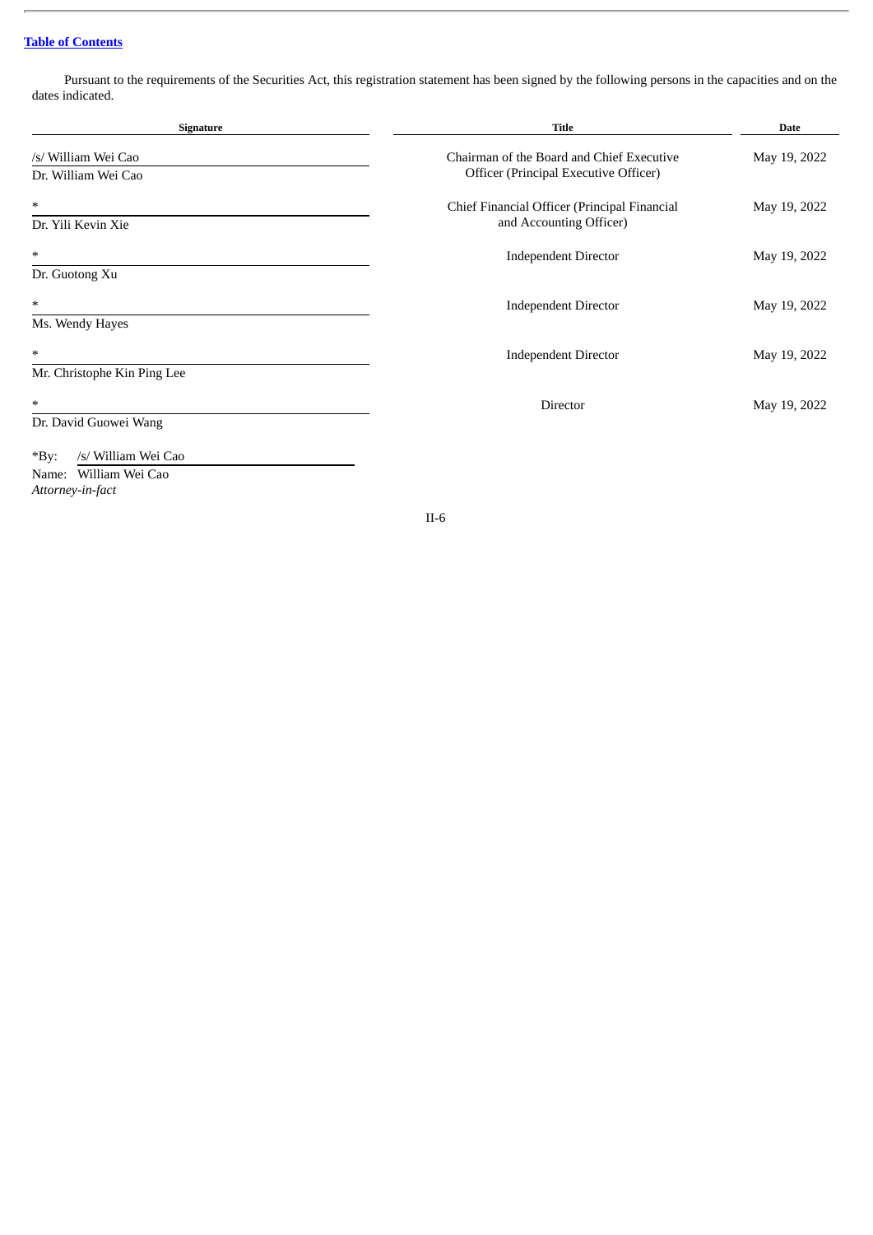# **Table of [Contents](#page-4-0)**

Pursuant to the requirements of the Securities Act, this registration statement has been signed by the following persons in the capacities and on the dates indicated.

| Signature                      | <b>Title</b>                                 | <b>Date</b>  |
|--------------------------------|----------------------------------------------|--------------|
| /s/ William Wei Cao            | Chairman of the Board and Chief Executive    | May 19, 2022 |
| Dr. William Wei Cao            | Officer (Principal Executive Officer)        |              |
| *                              | Chief Financial Officer (Principal Financial | May 19, 2022 |
| Dr. Yili Kevin Xie             | and Accounting Officer)                      |              |
| *                              | <b>Independent Director</b>                  | May 19, 2022 |
| Dr. Guotong Xu                 |                                              |              |
| *                              | <b>Independent Director</b>                  | May 19, 2022 |
| Ms. Wendy Hayes                |                                              |              |
| *                              | <b>Independent Director</b>                  | May 19, 2022 |
| Mr. Christophe Kin Ping Lee    |                                              |              |
| $\ast$                         | Director                                     | May 19, 2022 |
| Dr. David Guowei Wang          |                                              |              |
| $*$ By:<br>/s/ William Wei Cao |                                              |              |
| Name: William Wei Cao          |                                              |              |

*Attorney-in-fact*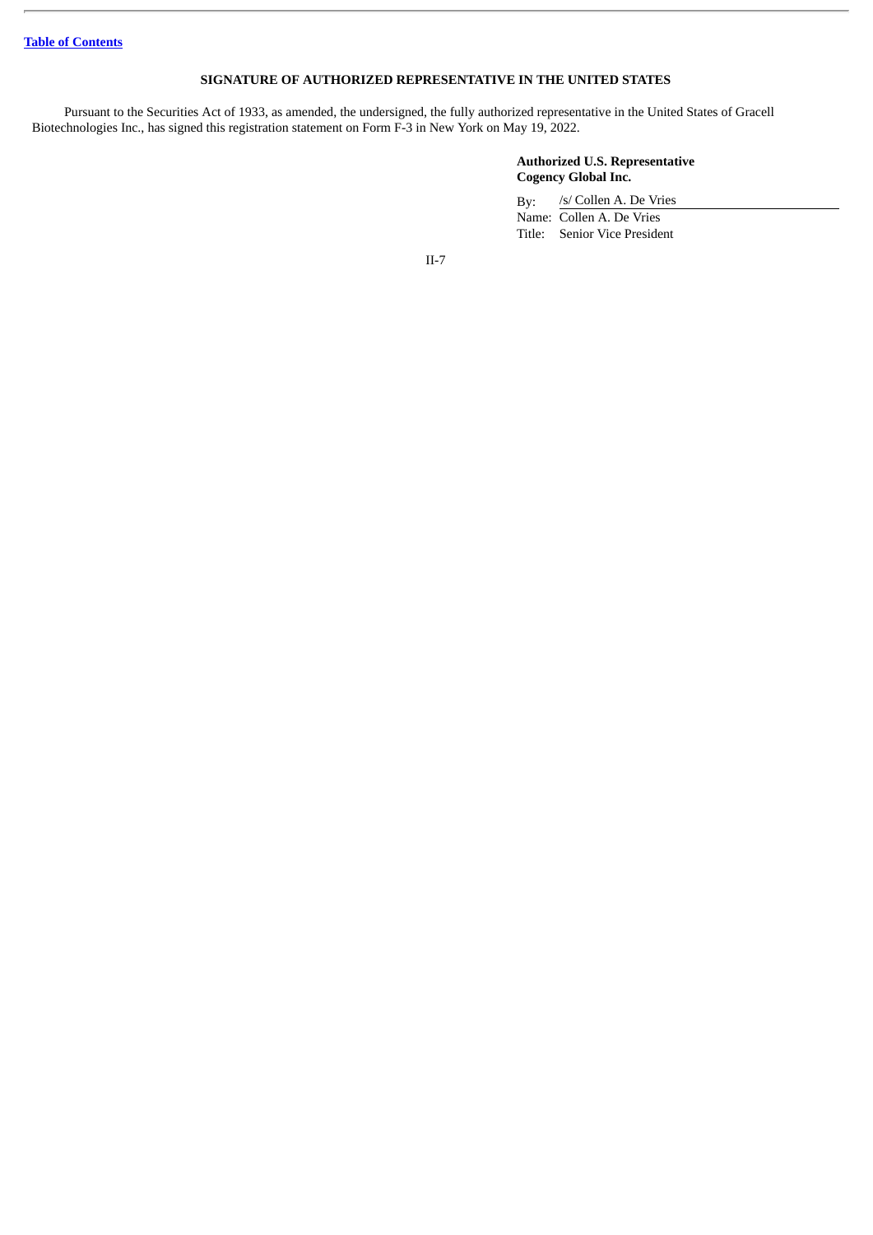# **SIGNATURE OF AUTHORIZED REPRESENTATIVE IN THE UNITED STATES**

Pursuant to the Securities Act of 1933, as amended, the undersigned, the fully authorized representative in the United States of Gracell Biotechnologies Inc., has signed this registration statement on Form F-3 in New York on May 19, 2022.

### **Authorized U.S. Representative Cogency Global Inc.**

By: /s/ Collen A. De Vries Name: Collen A. De Vries Title: Senior Vice President